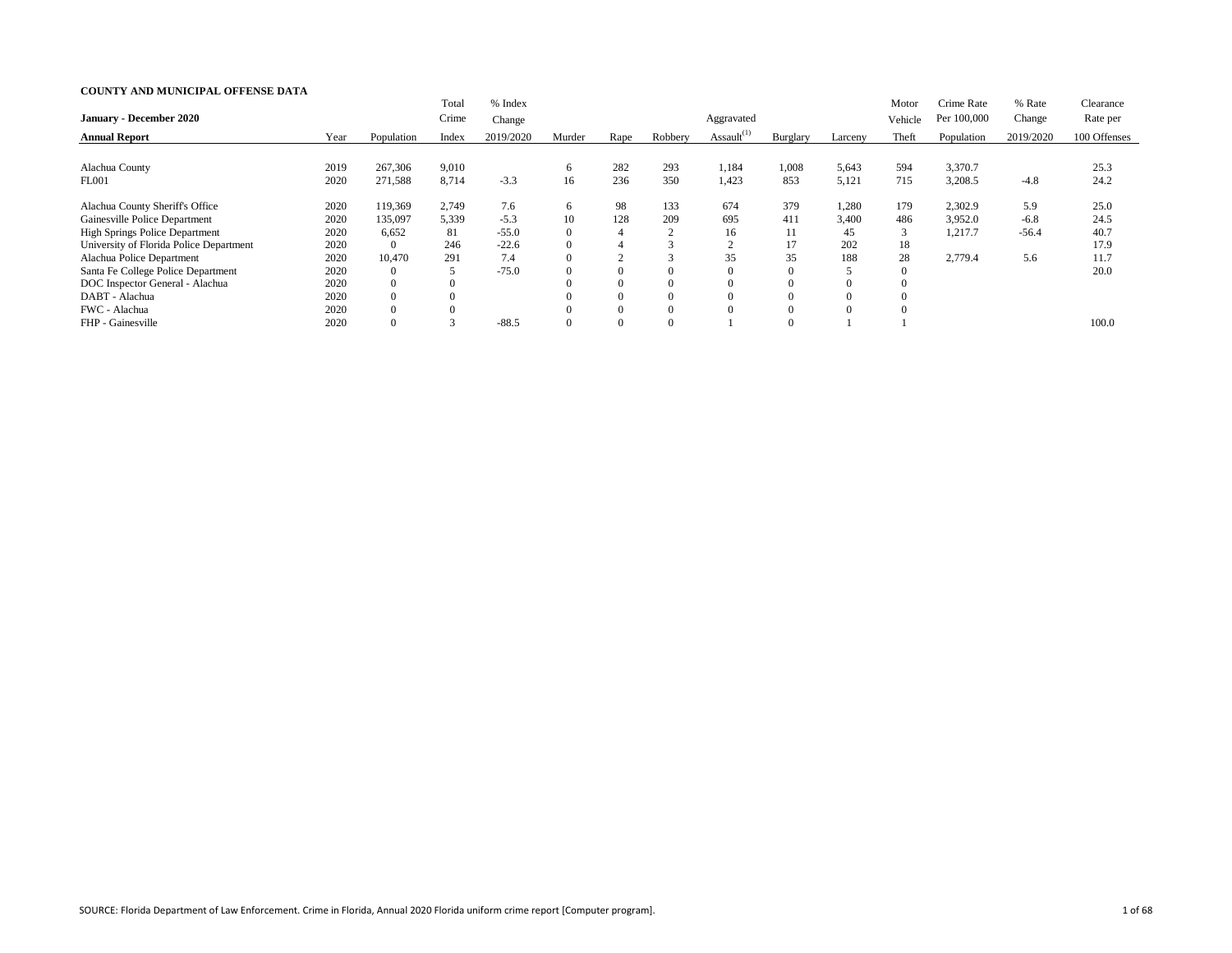|                                         |      |                | Total          | % Index   |          |                |         |                  |          |          | Motor   | Crime Rate  | % Rate    | Clearance    |
|-----------------------------------------|------|----------------|----------------|-----------|----------|----------------|---------|------------------|----------|----------|---------|-------------|-----------|--------------|
| <b>January - December 2020</b>          |      |                | Crime          | Change    |          |                |         | Aggravated       |          |          | Vehicle | Per 100,000 | Change    | Rate per     |
| <b>Annual Report</b>                    | Year | Population     | Index          | 2019/2020 | Murder   | Rape           | Robbery | Assault $^{(1)}$ | Burglary | Larceny  | Theft   | Population  | 2019/2020 | 100 Offenses |
|                                         |      |                |                |           |          |                |         |                  |          |          |         |             |           |              |
| Alachua County                          | 2019 | 267,306        | 9,010          |           | $\sigma$ | 282            | 293     | 1,184            | 1,008    | 5,643    | 594     | 3,370.7     |           | 25.3         |
| <b>FL001</b>                            | 2020 | 271,588        | 8,714          | $-3.3$    | 16       | 236            | 350     | 1,423            | 853      | 5,121    | 715     | 3,208.5     | $-4.8$    | 24.2         |
| Alachua County Sheriff's Office         | 2020 | 119,369        | 2,749          | 7.6       | 6        | 98             | 133     | 674              | 379      | 1,280    | 179     | 2,302.9     | 5.9       | 25.0         |
| Gainesville Police Department           | 2020 | 135,097        | 5,339          | $-5.3$    | 10       | 128            | 209     | 695              | 411      | 3,400    | 486     | 3,952.0     | $-6.8$    | 24.5         |
| <b>High Springs Police Department</b>   | 2020 | 6,652          | 81             | $-55.0$   | $\theta$ | $\overline{4}$ |         | 16               | 11       | 45       | 3       | 1,217.7     | $-56.4$   | 40.7         |
| University of Florida Police Department | 2020 | $\overline{0}$ | 246            | $-22.6$   | $\theta$ | 4              |         |                  | 17       | 202      | 18      |             |           | 17.9         |
| Alachua Police Department               | 2020 | 10,470         | 291            | 7.4       |          | $\sim$         |         | 35               | 35       | 188      | 28      | 2,779.4     | 5.6       | 11.7         |
| Santa Fe College Police Department      | 2020 |                |                | $-75.0$   |          | $\Omega$       | 0       |                  |          |          |         |             |           | 20.0         |
| DOC Inspector General - Alachua         | 2020 |                |                |           |          |                |         |                  |          | $\Omega$ |         |             |           |              |
| DABT - Alachua                          | 2020 |                | $\overline{0}$ |           |          |                |         |                  |          | $\Omega$ |         |             |           |              |
| FWC - Alachua                           | 2020 |                |                |           |          |                |         |                  |          |          |         |             |           |              |
| FHP - Gainesville                       | 2020 |                |                | $-88.5$   |          |                |         |                  |          |          |         |             |           | 100.0        |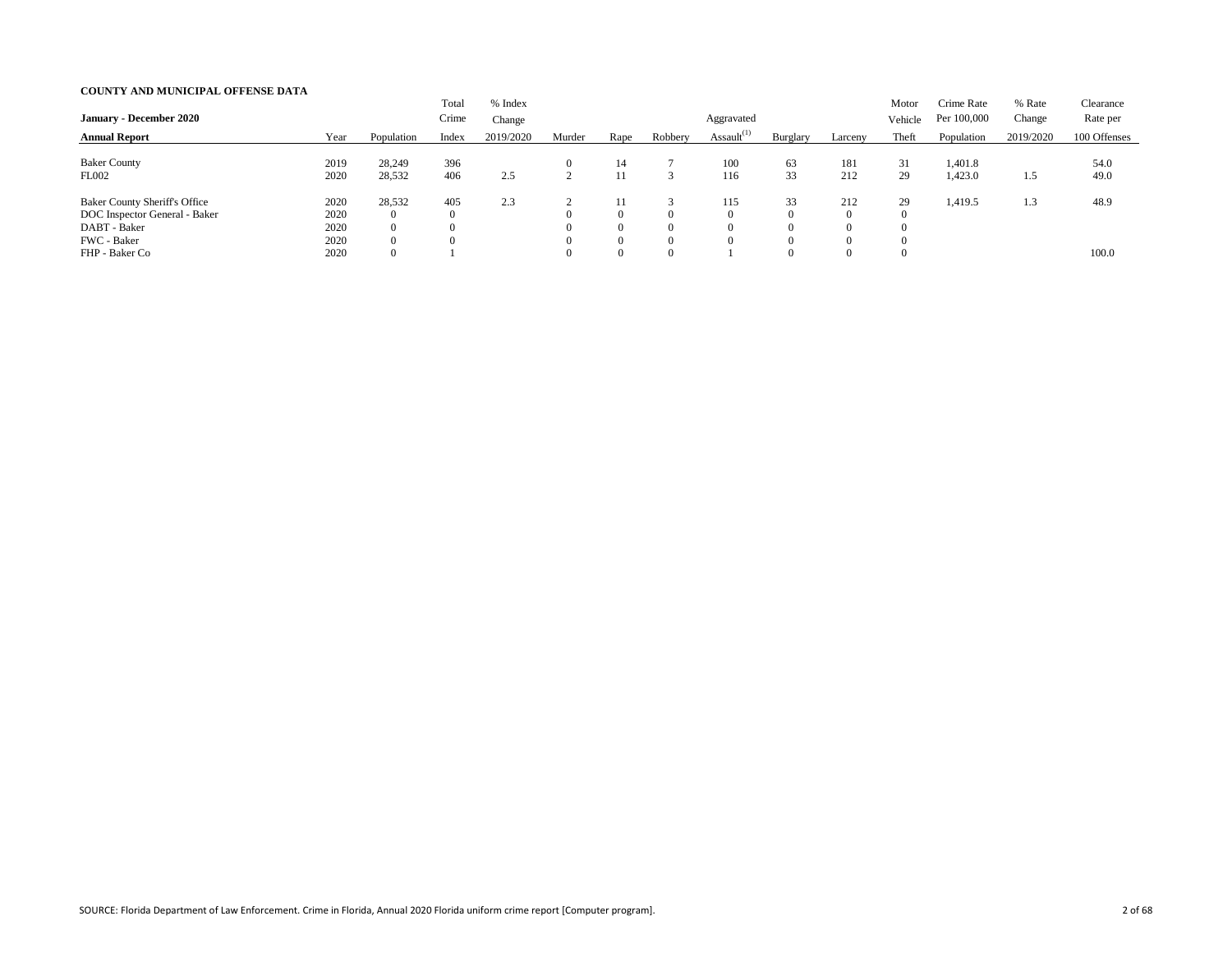| <b>January - December 2020</b>                                                                                         |                                      |                                                                                | Total<br>Crime          | % Index<br>Change |        |                                                            |                                              | Aggravated       |                                                          |                             | Motor<br>Vehicle | Crime Rate<br>Per 100,000 | % Rate<br>Change | Clearance<br>Rate per |
|------------------------------------------------------------------------------------------------------------------------|--------------------------------------|--------------------------------------------------------------------------------|-------------------------|-------------------|--------|------------------------------------------------------------|----------------------------------------------|------------------|----------------------------------------------------------|-----------------------------|------------------|---------------------------|------------------|-----------------------|
| <b>Annual Report</b>                                                                                                   | Year                                 | Population                                                                     | Index                   | 2019/2020         | Murder | Rape                                                       | Robbery                                      | Assault $^{(1)}$ | Burglary                                                 | Larceny                     | Theft            | Population                | 2019/2020        | 100 Offenses          |
| <b>Baker County</b><br><b>FL002</b>                                                                                    | 2019<br>2020                         | 28,249<br>28,532                                                               | 396<br>406              | 2.5               |        | 14<br>11                                                   |                                              | 100<br>116       | 63<br>33                                                 | 181<br>212                  | 31<br>29         | 1,401.8<br>1,423.0        | 1.5              | 54.0<br>49.0          |
| <b>Baker County Sheriff's Office</b><br>DOC Inspector General - Baker<br>DABT - Baker<br>FWC - Baker<br>FHP - Baker Co | 2020<br>2020<br>2020<br>2020<br>2020 | 28,532<br>$\overline{0}$<br>$\overline{0}$<br>$\overline{0}$<br>$\overline{0}$ | 405<br>$\boldsymbol{0}$ | 2.3               |        | -1-1<br>$\Omega$<br>$\theta$<br>$\overline{0}$<br>$\theta$ | $\Omega$<br>$\Omega$<br>$\Omega$<br>$\Omega$ | . 15             | 33<br>$\Omega$<br>$\Omega$<br>$\overline{0}$<br>$\Omega$ | 212<br>$\Omega$<br>$\Omega$ | 29               | 1,419.5                   | 1.3              | 48.9<br>100.0         |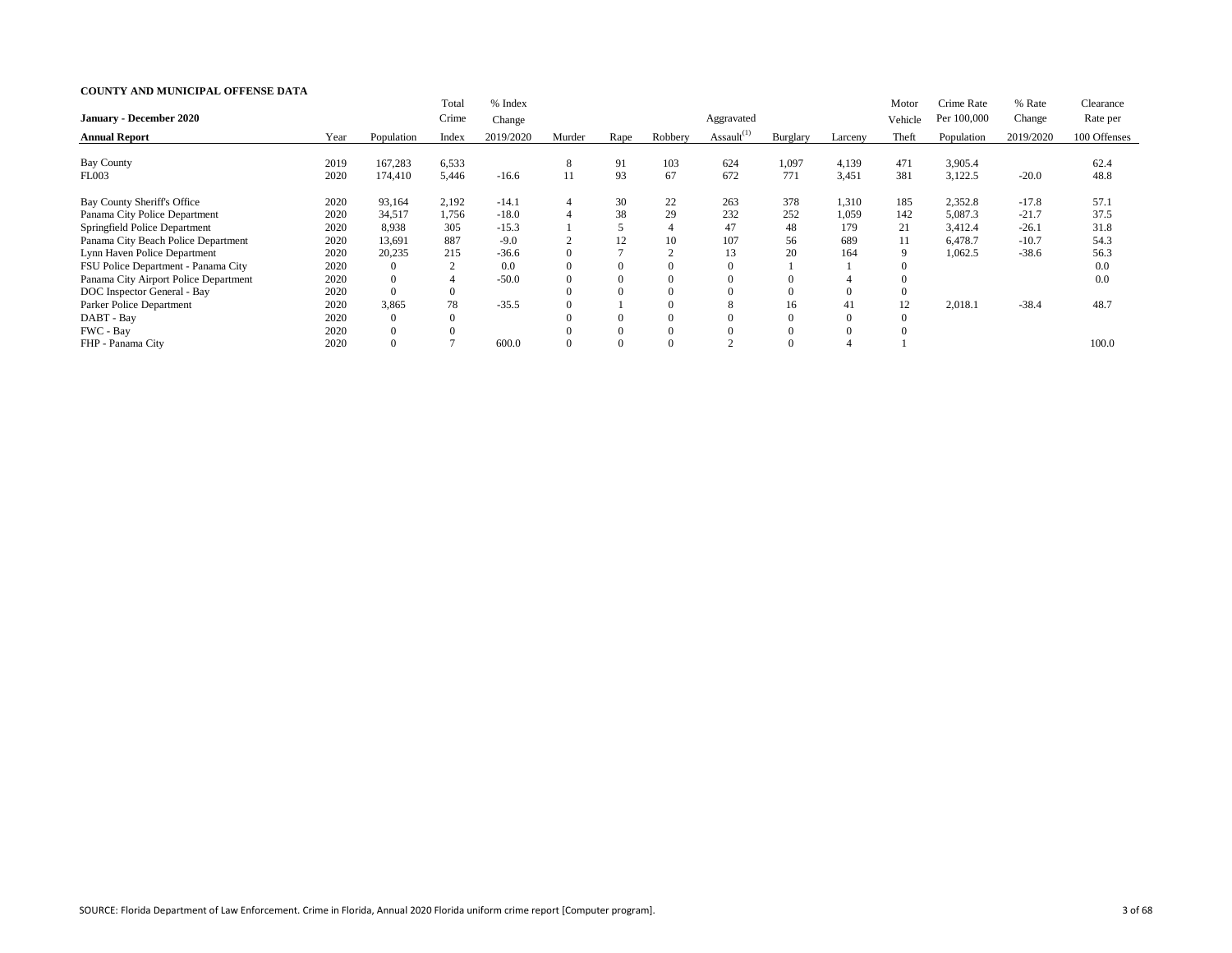|                                       |      |                | Total            | % Index   |                |          |          |                  |          |                | Motor    | Crime Rate  | % Rate    | Clearance    |
|---------------------------------------|------|----------------|------------------|-----------|----------------|----------|----------|------------------|----------|----------------|----------|-------------|-----------|--------------|
| <b>January - December 2020</b>        |      |                | Crime            | Change    |                |          |          | Aggravated       |          |                | Vehicle  | Per 100,000 | Change    | Rate per     |
| <b>Annual Report</b>                  | Year | Population     | Index            | 2019/2020 | Murder         | Rape     | Robbery  | Assault $^{(1)}$ | Burglary | Larceny        | Theft    | Population  | 2019/2020 | 100 Offenses |
|                                       |      |                |                  |           |                |          |          |                  |          |                |          |             |           |              |
| <b>Bay County</b>                     | 2019 | 167,283        | 6,533            |           | 8              | 91       | 103      | 624              | 1,097    | 4,139          | 471      | 3,905.4     |           | 62.4         |
| FL003                                 | 2020 | 174,410        | 5,446            | $-16.6$   | 11             | 93       | 67       | 672              | 771      | 3,451          | 381      | 3,122.5     | $-20.0$   | 48.8         |
| Bay County Sheriff's Office           | 2020 | 93,164         | 2,192            | $-14.1$   | $\overline{4}$ | 30       | 22       | 263              | 378      | 1,310          | 185      | 2,352.8     | $-17.8$   | 57.1         |
| Panama City Police Department         | 2020 | 34,517         | 1,756            | $-18.0$   |                | 38       | 29       | 232              | 252      | 1,059          | 142      | 5,087.3     | $-21.7$   | 37.5         |
| Springfield Police Department         | 2020 | 8,938          | 305              | $-15.3$   |                |          |          | 47               | 48       | 179            | 21       | 3,412.4     | $-26.1$   | 31.8         |
| Panama City Beach Police Department   | 2020 | 13,691         | 887              | $-9.0$    | $\overline{2}$ | 12       | 10       | 107              | 56       | 689            | 11       | 6,478.7     | $-10.7$   | 54.3         |
| Lynn Haven Police Department          | 2020 | 20,235         | 215              | $-36.6$   | $\Omega$       |          |          | 13               | 20       | 164            | 9        | 1,062.5     | $-38.6$   | 56.3         |
| FSU Police Department - Panama City   | 2020 | $\overline{0}$ |                  | 0.0       |                | 0        | $\theta$ |                  |          |                |          |             |           | 0.0          |
| Panama City Airport Police Department | 2020 | $\overline{0}$ | 4                | $-50.0$   |                | $\theta$ | $\theta$ |                  |          |                |          |             |           | 0.0          |
| DOC Inspector General - Bay           | 2020 | $\overline{0}$ | $\theta$         |           |                |          |          |                  |          | $\overline{0}$ | $\Omega$ |             |           |              |
| Parker Police Department              | 2020 | 3,865          | 78               | $-35.5$   |                |          | $\Omega$ |                  | 16       | 41             | 12       | 2,018.1     | $-38.4$   | 48.7         |
| DABT - Bay                            | 2020 | $\overline{0}$ | $\boldsymbol{0}$ |           |                |          |          |                  |          | $\theta$       | $\Omega$ |             |           |              |
| FWC - Bay                             | 2020 | $\overline{0}$ |                  |           |                |          |          |                  |          | $\Omega$       |          |             |           |              |
| FHP - Panama City                     | 2020 | $\Omega$       |                  | 600.0     |                |          |          |                  |          |                |          |             |           | 100.0        |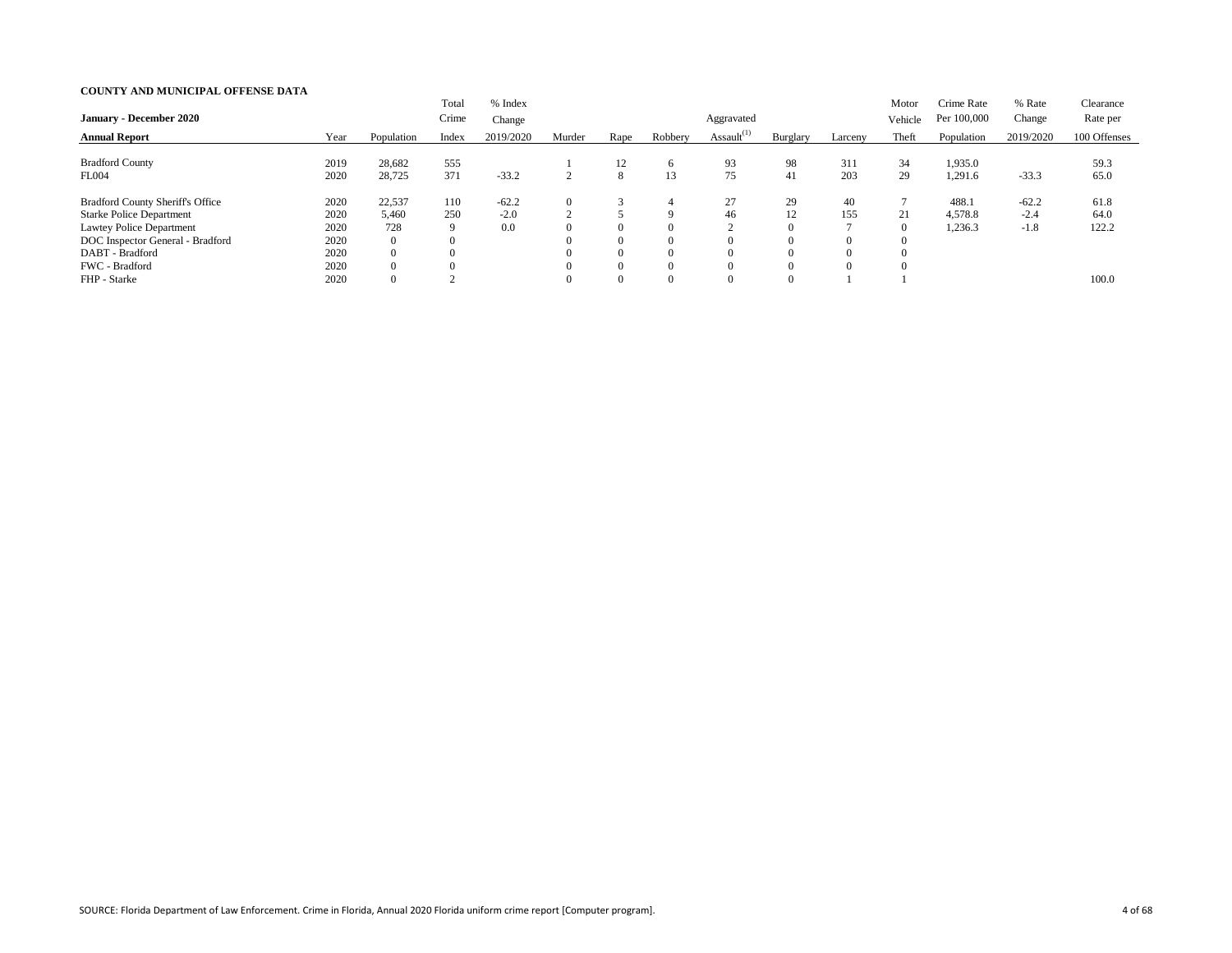| <b>January - December 2020</b>          |      |                | Total<br>Crime | % Index<br>Change |        |                |              | Aggravated       |                |          | Motor<br>Vehicle | Crime Rate<br>Per 100,000 | % Rate<br>Change | Clearance<br>Rate per |
|-----------------------------------------|------|----------------|----------------|-------------------|--------|----------------|--------------|------------------|----------------|----------|------------------|---------------------------|------------------|-----------------------|
| <b>Annual Report</b>                    | Year | Population     | Index          | 2019/2020         | Murder | Rape           | Robbery      | Assault $^{(1)}$ | Burglary       | Larceny  | Theft            | Population                | 2019/2020        | 100 Offenses          |
| <b>Bradford County</b>                  | 2019 | 28,682         | 555            |                   |        | 12             | <sub>6</sub> | 93               | 98             | 311      | 34               | 1,935.0                   |                  | 59.3                  |
| <b>FL004</b>                            | 2020 | 28,725         | 371            | $-33.2$           |        | 8              | 13           | 75               | 41             | 203      | 29               | 1,291.6                   | $-33.3$          | 65.0                  |
| <b>Bradford County Sheriff's Office</b> | 2020 | 22,537         | 110            | $-62.2$           |        |                | 4            | 27               | 29             | 40       |                  | 488.1                     | $-62.2$          | 61.8                  |
| <b>Starke Police Department</b>         | 2020 | 5,460          | 250            | $-2.0$            |        |                | <b>Q</b>     | 46               | 12             | 155      | 21               | 4,578.8                   | $-2.4$           | 64.0                  |
| Lawtey Police Department                | 2020 | 728            | 9              | 0.0               |        | $\overline{0}$ | $\Omega$     |                  | $\overline{0}$ |          | $\overline{0}$   | 1,236.3                   | $-1.8$           | 122.2                 |
| DOC Inspector General - Bradford        | 2020 | $\overline{0}$ | $\Omega$       |                   |        | $\overline{0}$ | $\Omega$     |                  | $\Omega$       |          |                  |                           |                  |                       |
| DABT - Bradford                         | 2020 | $\overline{0}$ |                |                   |        | $\overline{0}$ | $\Omega$     |                  | $\Omega$       |          |                  |                           |                  |                       |
| FWC - Bradford                          | 2020 | $\overline{0}$ |                |                   |        | $\theta$       | $\Omega$     |                  | $\Omega$       | $\Omega$ |                  |                           |                  |                       |
| FHP - Starke                            | 2020 | $\overline{0}$ |                |                   |        | $\overline{0}$ | $\Omega$     |                  | $\Omega$       |          |                  |                           |                  | 100.0                 |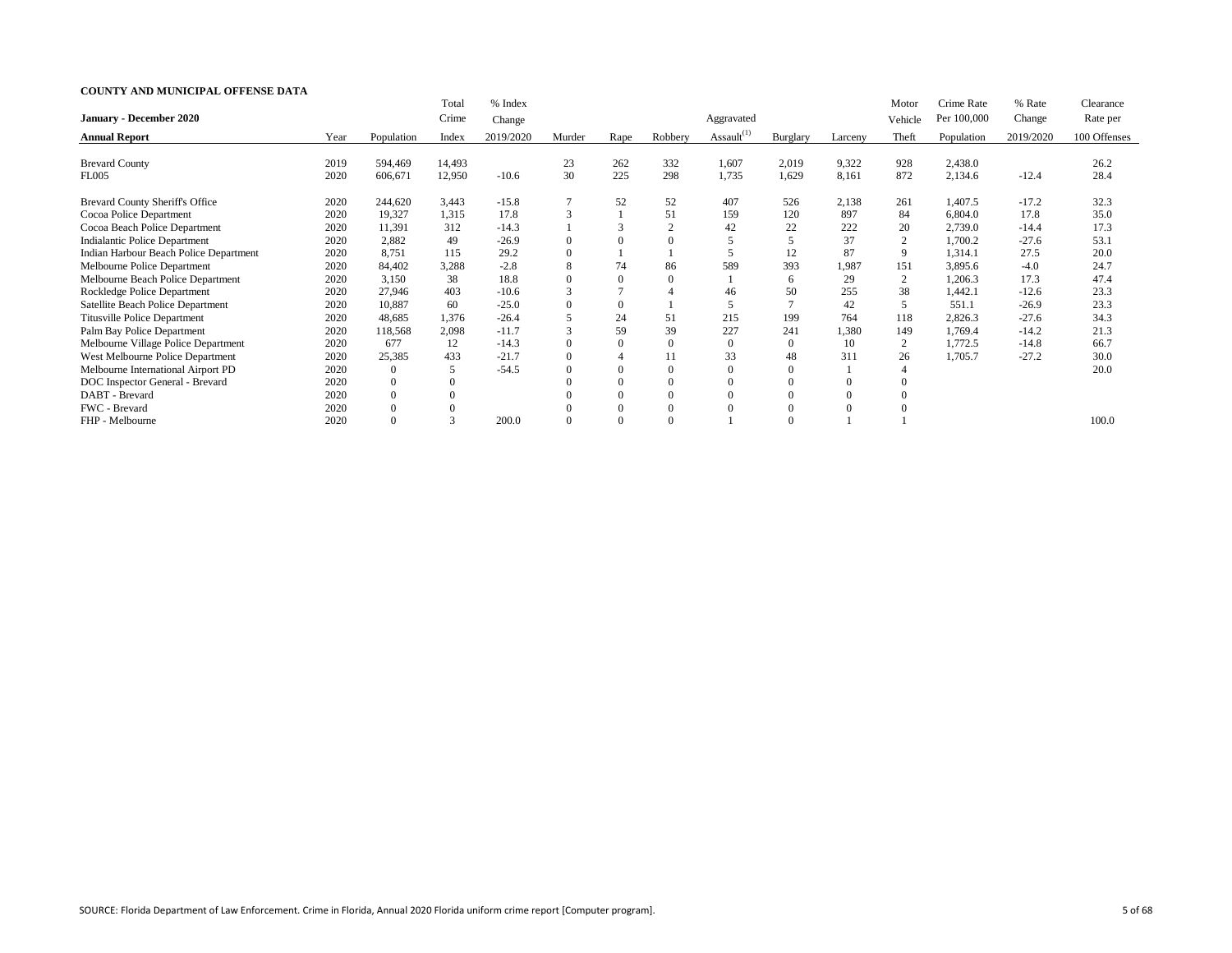|                                        |      |                | Total  | % Index   |               |                          |          |                  |                |         | Motor          | Crime Rate  | % Rate    | Clearance    |
|----------------------------------------|------|----------------|--------|-----------|---------------|--------------------------|----------|------------------|----------------|---------|----------------|-------------|-----------|--------------|
| January - December 2020                |      |                | Crime  | Change    |               |                          |          | Aggravated       |                |         | Vehicle        | Per 100,000 | Change    | Rate per     |
| <b>Annual Report</b>                   | Year | Population     | Index  | 2019/2020 | Murder        | Rape                     | Robbery  | Assault $^{(1)}$ | Burglary       | Larcenv | Theft          | Population  | 2019/2020 | 100 Offenses |
| <b>Brevard County</b>                  | 2019 | 594,469        | 14,493 |           | 23            | 262                      | 332      | 1,607            | 2,019          | 9,322   | 928            | 2,438.0     |           | 26.2         |
| <b>FL005</b>                           | 2020 | 606,671        | 12,950 | $-10.6$   | 30            | 225                      | 298      | 1,735            | 1,629          | 8,161   | 872            | 2,134.6     | $-12.4$   | 28.4         |
| Brevard County Sheriff's Office        | 2020 | 244,620        | 3,443  | $-15.8$   |               | 52                       | 52       | 407              | 526            | 2,138   | 261            | 1,407.5     | $-17.2$   | 32.3         |
| Cocoa Police Department                | 2020 | 19,327         | 1,315  | 17.8      | 3             |                          | 51       | 159              | 120            | 897     | 84             | 6,804.0     | 17.8      | 35.0         |
| Cocoa Beach Police Department          | 2020 | 11,391         | 312    | $-14.3$   |               |                          |          | 42               | 22             | 222     | 20             | 2,739.0     | $-14.4$   | 17.3         |
| <b>Indialantic Police Department</b>   | 2020 | 2,882          | 49     | $-26.9$   |               | $\Omega$                 |          |                  |                | 37      | $\overline{2}$ | 1,700.2     | $-27.6$   | 53.1         |
| Indian Harbour Beach Police Department | 2020 | 8,751          | 115    | 29.2      |               |                          |          |                  | 12             | 87      | 9              | 1,314.1     | 27.5      | 20.0         |
| Melbourne Police Department            | 2020 | 84,402         | 3,288  | $-2.8$    | 8             | 74                       | 86       | 589              | 393            | 1,987   | 151            | 3,895.6     | $-4.0$    | 24.7         |
| Melbourne Beach Police Department      | 2020 | 3,150          | 38     | 18.8      |               |                          | $\Omega$ |                  | 6              | 29      | 2              | 1,206.3     | 17.3      | 47.4         |
| Rockledge Police Department            | 2020 | 27,946         | 403    | $-10.6$   | 3             |                          |          | 46               | 50             | 255     | 38             | 1,442.1     | $-12.6$   | 23.3         |
| Satellite Beach Police Department      | 2020 | 10,887         | 60     | $-25.0$   |               | $\overline{0}$           |          | 5                | $\tau$         | 42      | 5              | 551.1       | $-26.9$   | 23.3         |
| <b>Titusville Police Department</b>    | 2020 | 48,685         | 1,376  | $-26.4$   |               | 24                       | 51       | 215              | 199            | 764     | 118            | 2,826.3     | $-27.6$   | 34.3         |
| Palm Bay Police Department             | 2020 | 118,568        | 2,098  | $-11.7$   | $\mathcal{F}$ | 59                       | 39       | 227              | 241            | 1,380   | 149            | 1,769.4     | $-14.2$   | 21.3         |
| Melbourne Village Police Department    | 2020 | 677            | 12     | $-14.3$   |               | $\overline{0}$           | $\Omega$ | 0                | $\overline{0}$ | 10      | $\overline{2}$ | 1,772.5     | $-14.8$   | 66.7         |
| West Melbourne Police Department       | 2020 | 25,385         | 433    | $-21.7$   | $\Omega$      | $\overline{\mathcal{A}}$ |          | 33               | 48             | 311     | 26             | 1,705.7     | $-27.2$   | 30.0         |
| Melbourne International Airport PD     | 2020 | $\overline{0}$ | 5      | $-54.5$   |               | $\theta$                 | $\Omega$ |                  | $\overline{0}$ |         |                |             |           | 20.0         |
| DOC Inspector General - Brevard        | 2020 | $\overline{0}$ |        |           |               | $\theta$                 |          |                  | $\overline{0}$ |         |                |             |           |              |
| DABT - Brevard                         | 2020 | $\overline{0}$ |        |           |               | $\overline{0}$           | $\Omega$ |                  | $\mathbf{0}$   |         |                |             |           |              |
| FWC - Brevard                          | 2020 | $\overline{0}$ |        |           |               | $\overline{0}$           | $\Omega$ |                  | $\Omega$       |         |                |             |           |              |
| FHP - Melbourne                        | 2020 | $\Omega$       |        | 200.0     |               | $\Omega$                 |          |                  |                |         |                |             |           | 100.0        |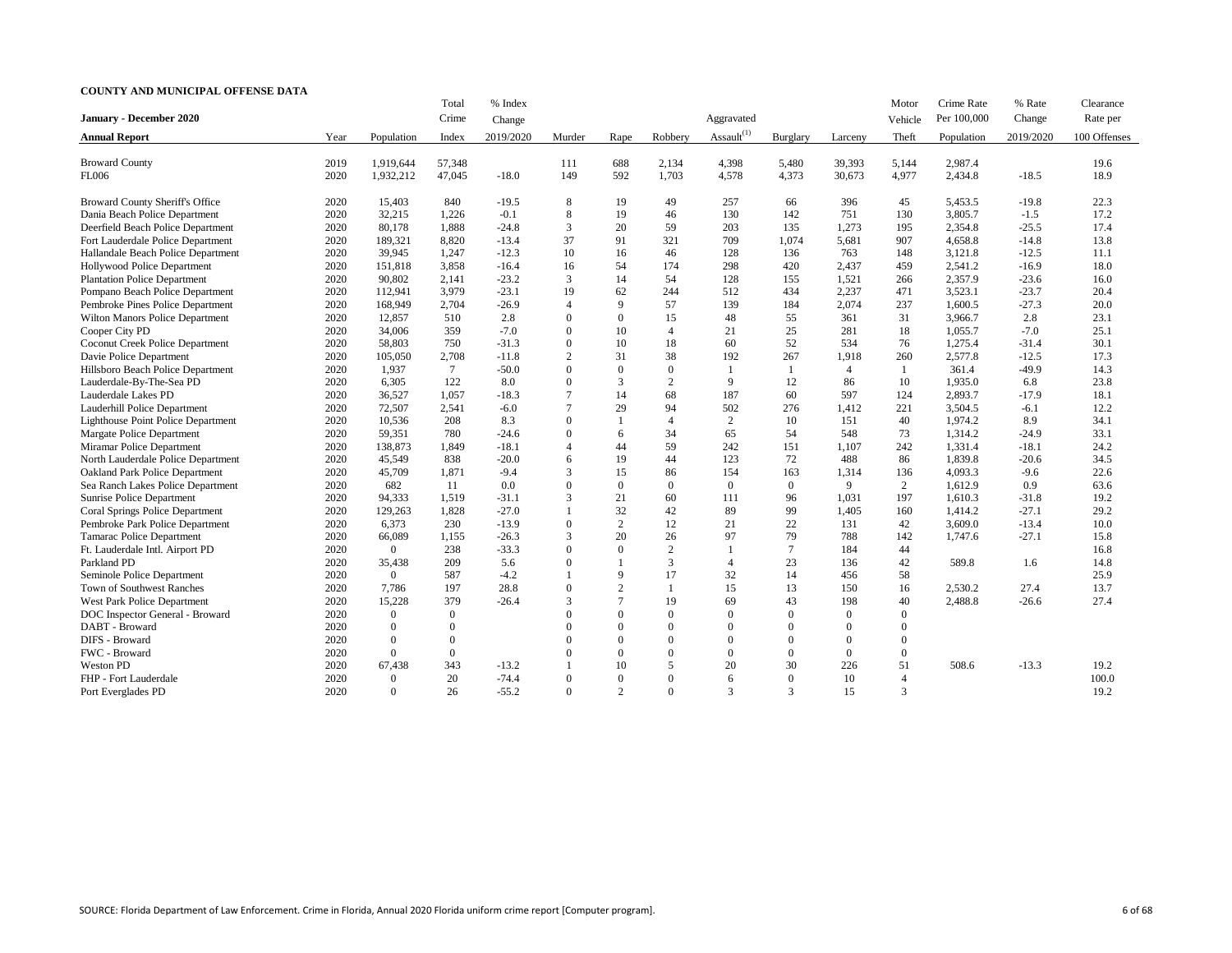|                                           |      |                                    | Total          | % Index   |                |                |                          |                          |                |          | Motor          | Crime Rate  | % Rate    | Clearance    |
|-------------------------------------------|------|------------------------------------|----------------|-----------|----------------|----------------|--------------------------|--------------------------|----------------|----------|----------------|-------------|-----------|--------------|
| <b>January - December 2020</b>            |      |                                    | Crime          | Change    |                |                |                          | Aggravated               |                |          | Vehicle        | Per 100,000 | Change    | Rate per     |
| <b>Annual Report</b>                      | Year | Population                         | Index          | 2019/2020 | Murder         | Rape           | Robbery                  | Assault $^{(1)}$         | Burglary       | Larceny  | Theft          | Population  | 2019/2020 | 100 Offenses |
|                                           |      |                                    |                |           |                |                |                          |                          |                |          |                |             |           |              |
| <b>Broward County</b>                     | 2019 | 1,919,644                          | 57,348         |           | 111            | 688            | 2,134                    | 4,398                    | 5,480          | 39,393   | 5,144          | 2,987.4     |           | 19.6         |
| <b>FL006</b>                              | 2020 | 1,932,212                          | 47,045         | $-18.0$   | 149            | 592            | 1,703                    | 4,578                    | 4,373          | 30,673   | 4,977          | 2,434.8     | $-18.5$   | 18.9         |
| Broward County Sheriff's Office           | 2020 | 15,403                             | 840            | $-19.5$   | 8              | 19             | 49                       | 257                      | 66             | 396      | 45             | 5,453.5     | $-19.8$   | 22.3         |
| Dania Beach Police Department             | 2020 | 32,215                             | 1,226          | $-0.1$    | 8              | 19             | 46                       | 130                      | 142            | 751      | 130            | 3,805.7     | $-1.5$    | 17.2         |
| Deerfield Beach Police Department         | 2020 | 80,178                             | 1,888          | $-24.8$   | 3              | 20             | 59                       | 203                      | 135            | 1,273    | 195            | 2,354.8     | $-25.5$   | 17.4         |
| Fort Lauderdale Police Department         | 2020 | 189,321                            | 8,820          | $-13.4$   | 37             | 91             | 321                      | 709                      | 1,074          | 5,681    | 907            | 4,658.8     | $-14.8$   | 13.8         |
| Hallandale Beach Police Department        | 2020 | 39,945                             | 1,247          | $-12.3$   | 10             | 16             | 46                       | 128                      | 136            | 763      | 148            | 3,121.8     | $-12.5$   | 11.1         |
| Hollywood Police Department               | 2020 | 151,818                            | 3,858          | $-16.4$   | 16             | 54             | 174                      | 298                      | 420            | 2,437    | 459            | 2,541.2     | $-16.9$   | 18.0         |
| <b>Plantation Police Department</b>       | 2020 | 90,802                             | 2,141          | $-23.2$   | 3              | 14             | 54                       | 128                      | 155            | 1,521    | 266            | 2,357.9     | $-23.6$   | 16.0         |
| Pompano Beach Police Department           | 2020 | 112,941                            | 3,979          | $-23.1$   | 19             | 62             | 244                      | 512                      | 434            | 2,237    | 471            | 3,523.1     | $-23.7$   | 20.4         |
| Pembroke Pines Police Department          | 2020 | 168,949                            | 2,704          | $-26.9$   | $\overline{4}$ | 9              | 57                       | 139                      | 184            | 2,074    | 237            | 1,600.5     | $-27.3$   | 20.0         |
| Wilton Manors Police Department           | 2020 | 12,857                             | 510            | 2.8       | $\theta$       | $\Omega$       | 15                       | 48                       | 55             | 361      | 31             | 3,966.7     | 2.8       | 23.1         |
| Cooper City PD                            | 2020 | 34,006                             | 359            | $-7.0$    | $\Omega$       | 10             | $\overline{4}$           | 21                       | 25             | 281      | 18             | 1,055.7     | $-7.0$    | 25.1         |
| <b>Coconut Creek Police Department</b>    | 2020 | 58,803                             | 750            | $-31.3$   | $\theta$       | 10             | 18                       | 60                       | 52             | 534      | 76             | 1,275.4     | $-31.4$   | 30.1         |
| Davie Police Department                   | 2020 | 105,050                            | 2,708          | $-11.8$   | 2              | 31             | 38                       | 192                      | 267            | 1,918    | 260            | 2,577.8     | $-12.5$   | 17.3         |
| Hillsboro Beach Police Department         | 2020 | 1,937                              | 7              | $-50.0$   | $\Omega$       | $\Omega$       | $\Omega$                 | 1                        |                | 4        |                | 361.4       | $-49.9$   | 14.3         |
| Lauderdale-By-The-Sea PD                  | 2020 | 6,305                              | 122            | 8.0       | $\Omega$       | 3              | $\overline{2}$           | 9                        | 12             | 86       | 10             | 1,935.0     | 6.8       | 23.8         |
| Lauderdale Lakes PD                       | 2020 | 36,527                             | 1,057          | $-18.3$   |                | 14             | 68                       | 187                      | 60             | 597      | 124            | 2,893.7     | $-17.9$   | 18.1         |
| Lauderhill Police Department              | 2020 | 72,507                             | 2,541          | $-6.0$    |                | 29             | 94                       | 502                      | 276            | 1,412    | 221            | 3,504.5     | $-6.1$    | 12.2         |
| <b>Lighthouse Point Police Department</b> | 2020 | 10,536                             | 208            | 8.3       | $\Omega$       |                | $\overline{\mathcal{A}}$ | 2                        | 10             | 151      | 40             | 1,974.2     | 8.9       | 34.1         |
| Margate Police Department                 | 2020 | 59,351                             | 780            | $-24.6$   | $\Omega$       | 6              | 34                       | 65                       | 54             | 548      | 73             | 1,314.2     | $-24.9$   | 33.1         |
| Miramar Police Department                 | 2020 | 138,873                            | 1,849          | $-18.1$   | $\overline{4}$ | 44             | 59                       | 242                      | 151            | 1,107    | 242            | 1,331.4     | $-18.1$   | 24.2         |
| North Lauderdale Police Department        | 2020 | 45,549                             | 838            | $-20.0$   | 6              | 19             | 44                       | 123                      | 72             | 488      | 86             | 1,839.8     | $-20.6$   | 34.5         |
| <b>Oakland Park Police Department</b>     | 2020 | 45,709                             | 1,871          | $-9.4$    | 3              | 15             | 86                       | 154                      | 163            | 1,314    | 136            | 4,093.3     | $-9.6$    | 22.6         |
| Sea Ranch Lakes Police Department         | 2020 | 682                                | 11             | 0.0       | $\Omega$       | $\overline{0}$ | $\Omega$                 | $\boldsymbol{0}$         | $\overline{0}$ | 9        | 2              | 1,612.9     | 0.9       | 63.6         |
| Sunrise Police Department                 | 2020 | 94,333                             | 1,519          | $-31.1$   | 3              | 21             | 60                       | 111                      | 96             | 1,031    | 197            | 1,610.3     | $-31.8$   | 19.2         |
| <b>Coral Springs Police Department</b>    | 2020 | 129,263                            | 1,828          | $-27.0$   |                | 32             | 42                       | 89                       | 99             | 1,405    | 160            | 1,414.2     | $-27.1$   | 29.2         |
| Pembroke Park Police Department           | 2020 | 6,373                              | 230            | $-13.9$   | $\theta$       | 2              | 12                       | 21                       | 22             | 131      | 42             | 3,609.0     | $-13.4$   | 10.0         |
| <b>Tamarac Police Department</b>          | 2020 | 66,089                             | 1,155          | $-26.3$   | 3              | 20             | 26                       | 97                       | 79             | 788      | 142            | 1,747.6     | $-27.1$   | 15.8         |
| Ft. Lauderdale Intl. Airport PD           | 2020 | $\overline{0}$                     | 238            | $-33.3$   | $\Omega$       | $\Omega$       | $\overline{2}$           | $\mathbf{1}$             | $\tau$         | 184      | 44             |             |           | 16.8         |
| Parkland PD                               | 2020 | 35,438                             | 209            | 5.6       | $\Omega$       |                | 3                        | $\overline{\mathcal{A}}$ | 23             | 136      | 42             | 589.8       | 1.6       | 14.8         |
| Seminole Police Department                | 2020 | $\overline{0}$                     | 587            | $-4.2$    |                | 9              | 17                       | 32                       | 14             | 456      | 58             |             |           | 25.9         |
| Town of Southwest Ranches                 | 2020 | 7,786                              | 197            | 28.8      | $\theta$       | $\overline{2}$ |                          | 15                       | 13             | 150      | 16             | 2,530.2     | 27.4      | 13.7         |
| West Park Police Department               | 2020 | 15,228                             | 379            | $-26.4$   | 3              | $\overline{7}$ | 19                       | 69                       | 43             | 198      | 40             | 2,488.8     | $-26.6$   | 27.4         |
| DOC Inspector General - Broward           | 2020 | $\overline{0}$                     | $\overline{0}$ |           | $\Omega$       | $\Omega$       | $\Omega$                 | $\mathbf{0}$             | $\Omega$       | $\Omega$ | $\theta$       |             |           |              |
| DABT - Broward                            | 2020 | $\overline{0}$                     | $\Omega$       |           |                | $\Omega$       |                          | $\theta$                 | $\Omega$       | $\Omega$ | 0              |             |           |              |
| DIFS - Broward                            | 2020 | $\mathbf{0}$                       | $\overline{0}$ |           |                | $\Omega$       |                          | $\mathbf{0}$             | $\Omega$       | $\Omega$ | $\Omega$       |             |           |              |
| FWC - Broward                             | 2020 | $\overline{0}$                     | $\overline{0}$ |           |                | $\Omega$       |                          | $\mathbf{0}$             | $\Omega$       | $\Omega$ | $\overline{0}$ |             |           |              |
| Weston PD                                 | 2020 | 67,438                             | 343            | $-13.2$   |                | 10             | 5                        | 20                       | 30             | 226      | 51             | 508.6       | $-13.3$   | 19.2         |
| FHP - Fort Lauderdale                     | 2020 |                                    | 20             | $-74.4$   | $\theta$       | $\overline{0}$ | $\theta$                 | 6                        | $\overline{0}$ |          |                |             |           | 100.0        |
|                                           |      | $\boldsymbol{0}$<br>$\overline{0}$ | 26             |           | $\theta$       | $\overline{2}$ | $\overline{0}$           | 3                        | $\mathfrak{Z}$ | 10       |                |             |           |              |
| Port Everglades PD                        | 2020 |                                    |                | $-55.2$   |                |                |                          |                          |                | 15       | 3              |             |           | 19.2         |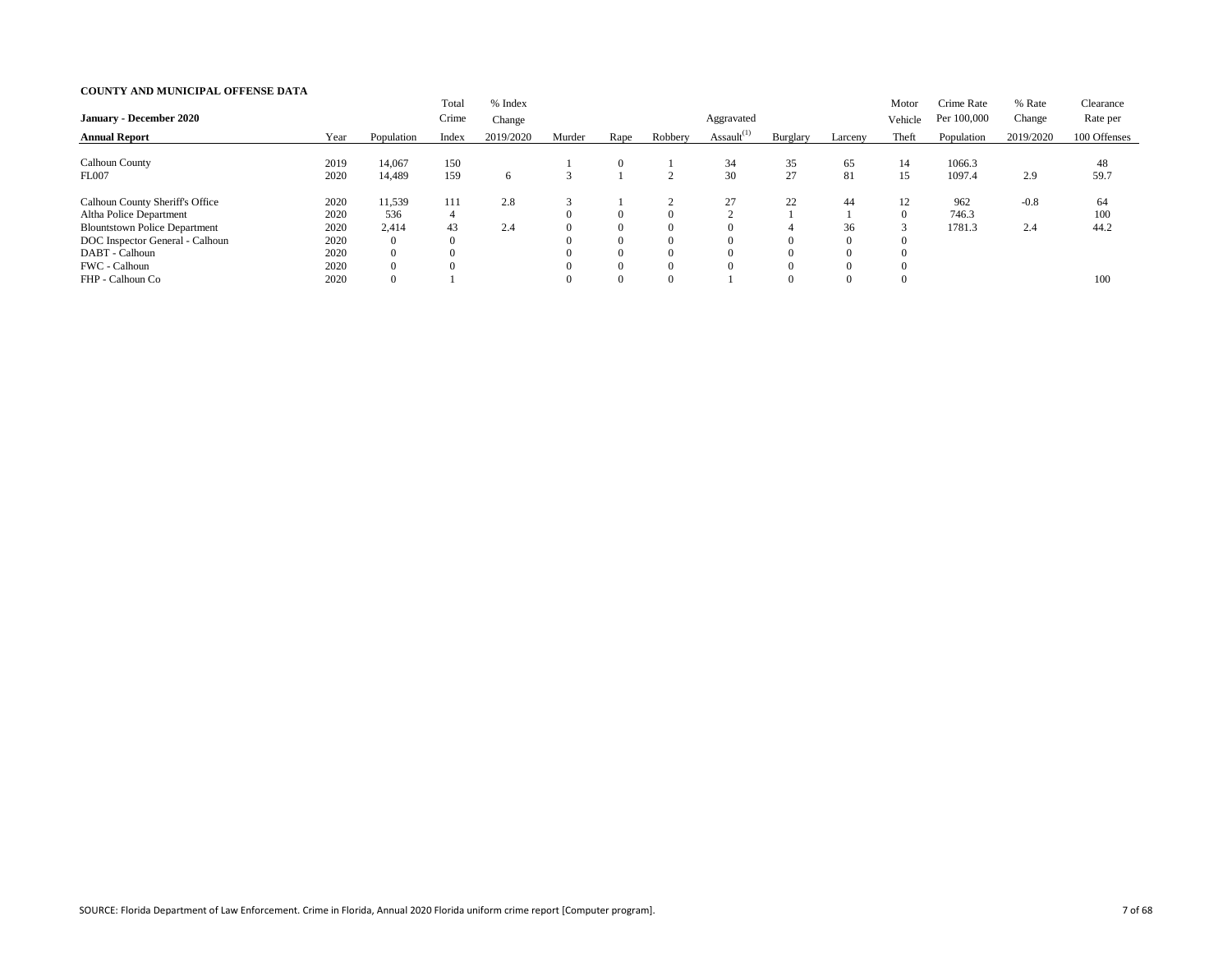| <b>January - December 2020</b>         |      |                | Total<br>Crime | % Index<br>Change |        |                |          | Aggravated       |          |                | Motor<br>Vehicle | Crime Rate<br>Per 100,000 | % Rate<br>Change | Clearance<br>Rate per |
|----------------------------------------|------|----------------|----------------|-------------------|--------|----------------|----------|------------------|----------|----------------|------------------|---------------------------|------------------|-----------------------|
| <b>Annual Report</b>                   | Year | Population     | Index          | 2019/2020         | Murder | Rape           | Robbery  | Assault $^{(1)}$ | Burglary | Larceny        | Theft            | Population                | 2019/2020        | 100 Offenses          |
| <b>Calhoun County</b>                  | 2019 | 14,067         | 150            |                   |        | 0              |          | 34               | 35       | 65             | 14               | 1066.3                    |                  | 48                    |
| <b>FL007</b>                           | 2020 | 14,489         | 159            | 6                 |        |                |          | 30               | 27       | 81             | 15               | 1097.4                    | 2.9              | 59.7                  |
| <b>Calhoun County Sheriff's Office</b> | 2020 | 11,539         | 111            | 2.8               |        |                |          | 27               | 22       | 44             | 12               | 962                       | $-0.8$           | 64                    |
| Altha Police Department                | 2020 | 536            | $\overline{4}$ |                   |        | 0              | $\Omega$ |                  |          |                | $\Omega$         | 746.3                     |                  | 100                   |
| <b>Blountstown Police Department</b>   | 2020 | 2,414          | 43             | 2.4               |        | $\overline{0}$ | $\left($ |                  |          | 36             |                  | 1781.3                    | 2.4              | 44.2                  |
| DOC Inspector General - Calhoun        | 2020 | $\overline{0}$ | $\theta$       |                   |        | $\overline{0}$ | $\Omega$ |                  |          | $\Omega$       | $\theta$         |                           |                  |                       |
| DABT - Calhoun                         | 2020 | $\overline{0}$ |                |                   |        | $\overline{0}$ | $\Omega$ |                  |          | $\overline{0}$ |                  |                           |                  |                       |
| FWC - Calhoun                          | 2020 | $\overline{0}$ |                |                   |        | $\overline{0}$ | $\Omega$ |                  |          | $\Omega$       | $\Omega$         |                           |                  |                       |
| FHP - Calhoun Co                       | 2020 | $\overline{0}$ |                |                   |        | 0              | $\theta$ |                  |          | $\Omega$       | $\theta$         |                           |                  | 100                   |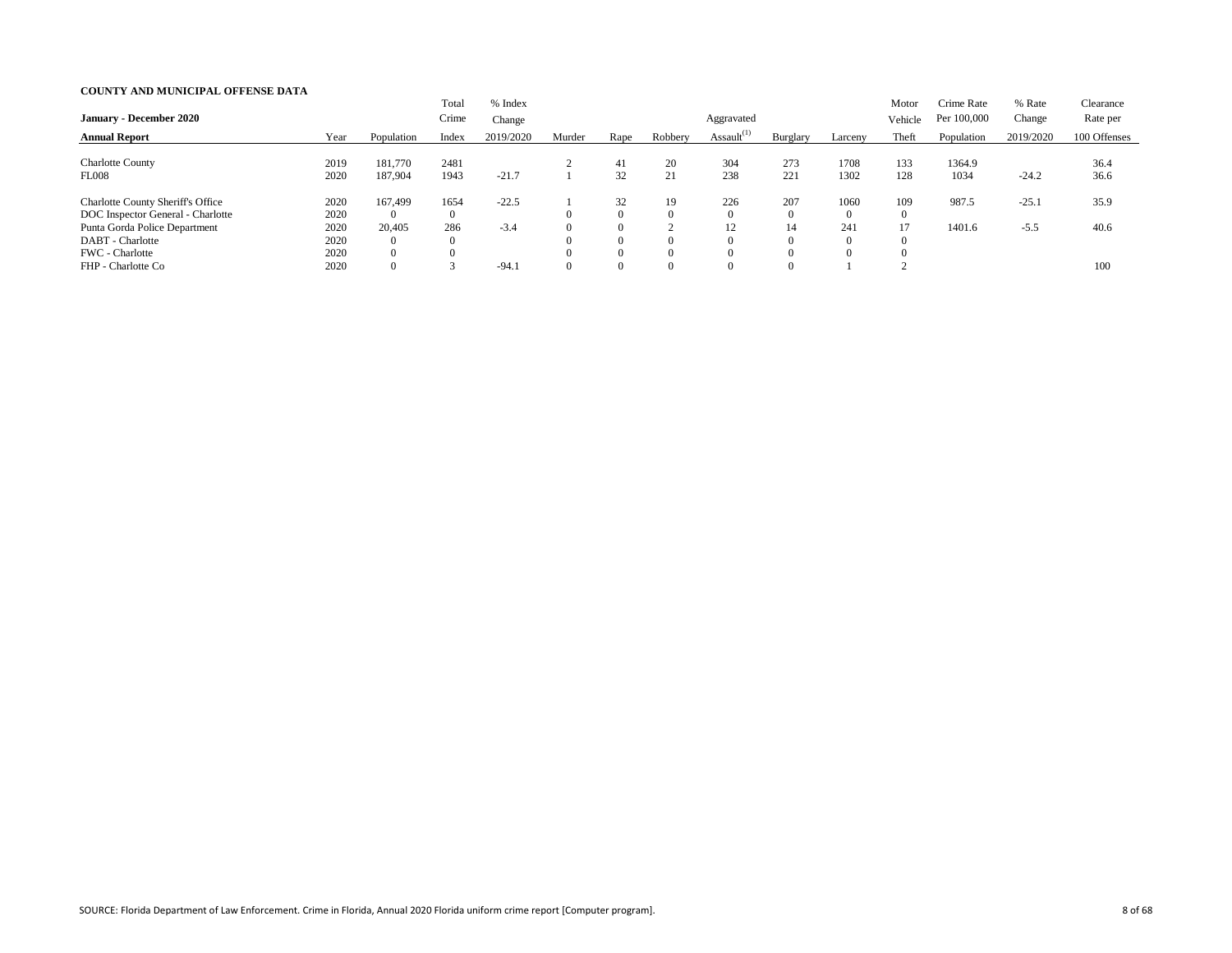| <b>January - December 2020</b>                                                |                      |                                      | Total<br>Crime         | % Index<br>Change |                                  |                                        |                | Aggravated       |                 |                             | Motor<br>Vehicle           | Crime Rate<br>Per 100,000 | % Rate<br>Change | Clearance<br>Rate per |
|-------------------------------------------------------------------------------|----------------------|--------------------------------------|------------------------|-------------------|----------------------------------|----------------------------------------|----------------|------------------|-----------------|-----------------------------|----------------------------|---------------------------|------------------|-----------------------|
| <b>Annual Report</b>                                                          | Year                 | Population                           | Index                  | 2019/2020         | Murder                           | Rape                                   | Robbery        | Assault $^{(1)}$ | Burglary        | Larceny                     | Theft                      | Population                | 2019/2020        | 100 Offenses          |
| <b>Charlotte County</b><br><b>FL008</b>                                       | 2019<br>2020         | 181,770<br>187,904                   | 2481<br>1943           | $-21.7$           |                                  | 41<br>32                               | 20<br>21       | 304<br>238       | 273<br>221      | 1708<br>1302                | 133<br>128                 | 1364.9<br>1034            | $-24.2$          | 36.4<br>36.6          |
| <b>Charlotte County Sheriff's Office</b><br>DOC Inspector General - Charlotte | 2020<br>2020         | 167,499<br>$\overline{0}$            | 1654<br>$\overline{0}$ | $-22.5$           | $\Omega$                         | 32<br>$\Omega$                         | 19<br>$\theta$ | 226              | 207<br>$\theta$ | 1060<br>$\Omega$            | 109<br>$\overline{0}$      | 987.5                     | $-25.1$          | 35.9                  |
| Punta Gorda Police Department<br>DABT - Charlotte<br>FWC - Charlotte          | 2020<br>2020<br>2020 | 20,405<br>$\overline{0}$<br>$\Omega$ | 286<br>$\Omega$        | $-3.4$            | $\Omega$<br>$\Omega$<br>$\Omega$ | $\overline{0}$<br>$\Omega$<br>$\Omega$ |                | 12               | 14              | 241<br>$\Omega$<br>$\Omega$ | 17<br>$\theta$<br>$\theta$ | 1401.6                    | $-5.5$           | 40.6                  |
| FHP - Charlotte Co                                                            | 2020                 | $\overline{0}$                       |                        | $-94.1$           | $\Omega$                         | $\Omega$                               |                |                  |                 |                             |                            |                           |                  | 100                   |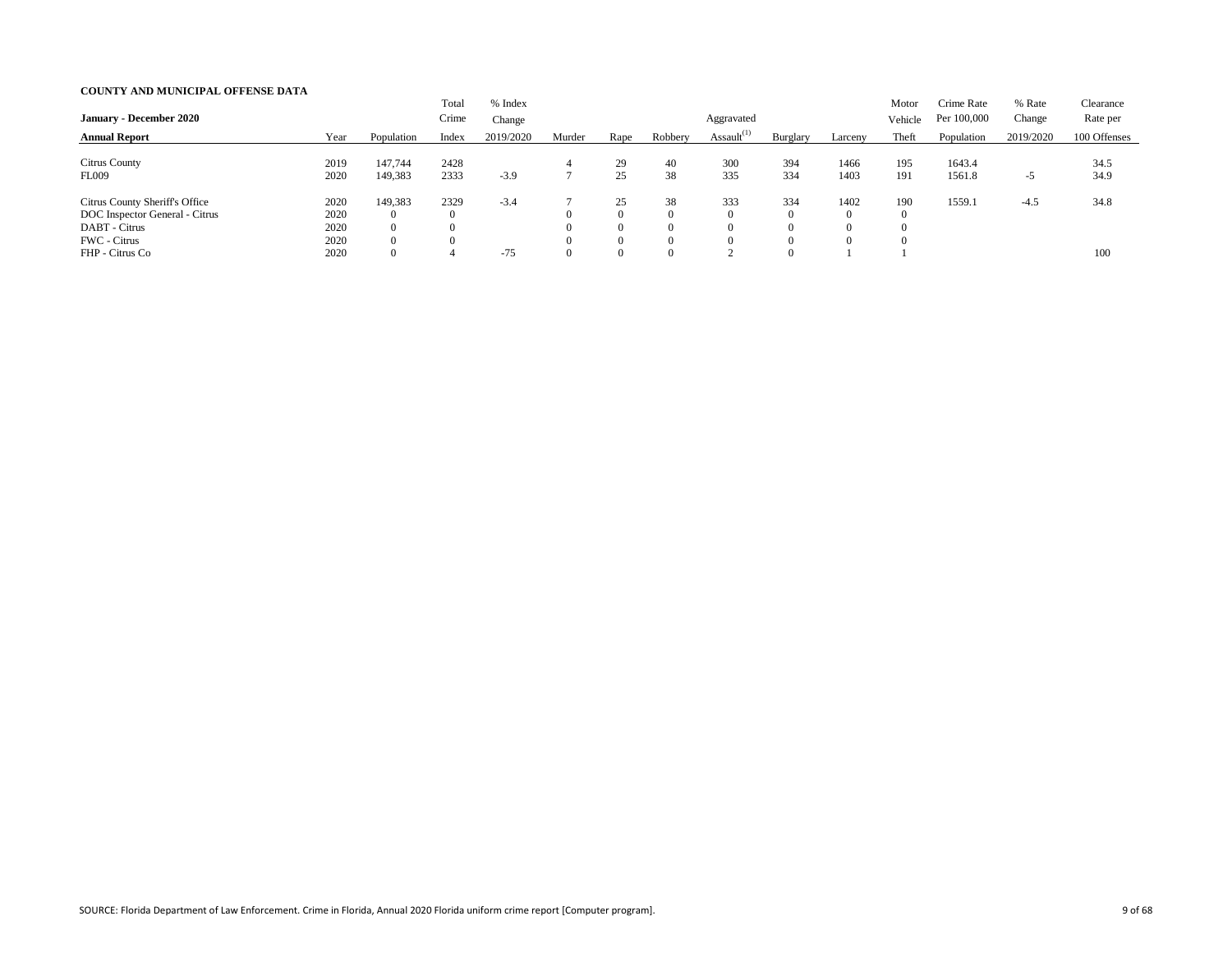|                                |      |                | Total          | % Index   |        |                |          |                  |                |          | Motor    | Crime Rate  | % Rate    | Clearance    |
|--------------------------------|------|----------------|----------------|-----------|--------|----------------|----------|------------------|----------------|----------|----------|-------------|-----------|--------------|
| <b>January - December 2020</b> |      |                | Crime          | Change    |        |                |          | Aggravated       |                |          | Vehicle  | Per 100,000 | Change    | Rate per     |
| <b>Annual Report</b>           | Year | Population     | Index          | 2019/2020 | Murder | Rape           | Robbery  | Assault $^{(1)}$ | Burglary       | Larceny  | Theft    | Population  | 2019/2020 | 100 Offenses |
|                                |      |                |                |           |        |                |          |                  |                |          |          |             |           |              |
| <b>Citrus County</b>           | 2019 | 147,744        | 2428           |           |        | 29             | 40       | 300              | 394            | 1466     | 195      | 1643.4      |           | 34.5         |
| FL009                          | 2020 | 149,383        | 2333           | $-3.9$    |        | 25             | 38       | 335              | 334            | 1403     | 191      | 1561.8      | $-5$      | 34.9         |
| Citrus County Sheriff's Office | 2020 | 149,383        | 2329           | $-3.4$    |        | 25             | 38       | 333              | 334            | 1402     | 190      | 1559.1      | $-4.5$    | 34.8         |
| DOC Inspector General - Citrus | 2020 | $\overline{0}$ | $\overline{0}$ |           |        | $\Omega$       | $\Omega$ |                  | $\Omega$       | $\Omega$ | $\theta$ |             |           |              |
| DABT - Citrus                  | 2020 | $\overline{0}$ |                |           |        | $\theta$       | $\Omega$ |                  | $\overline{0}$ |          |          |             |           |              |
| FWC - Citrus                   | 2020 | $\overline{0}$ | $\theta$       |           |        | $\overline{0}$ | $\Omega$ |                  | $\Omega$       | $\Omega$ |          |             |           |              |
| FHP - Citrus Co                | 2020 | $\overline{0}$ |                | $-75$     |        | $\Omega$       | $\Omega$ |                  | $\Omega$       |          |          |             |           | 100          |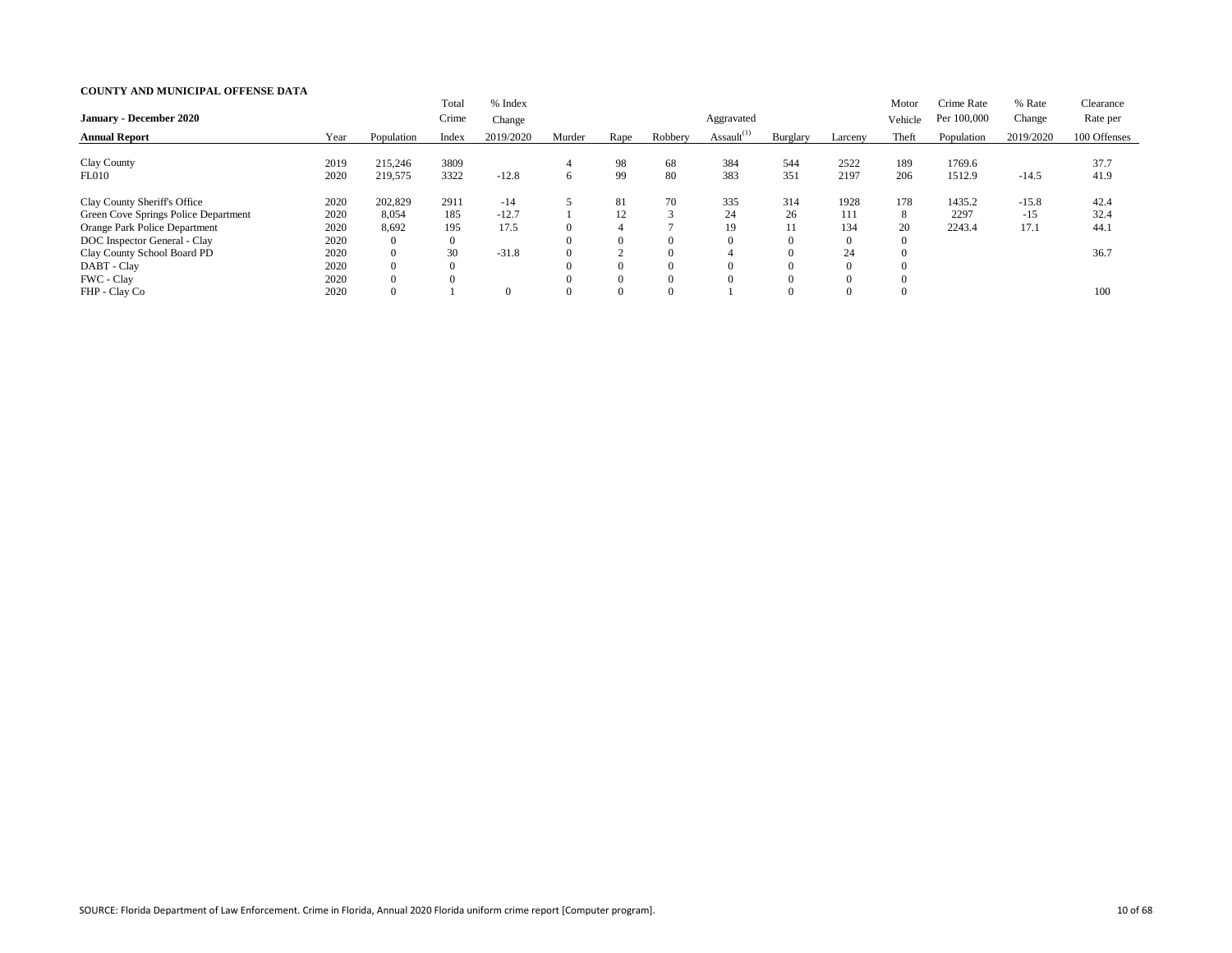|                                      |      |                | Total            | % Index        |          |          |          |                  |          |                | Motor            | Crime Rate  | % Rate    | Clearance    |
|--------------------------------------|------|----------------|------------------|----------------|----------|----------|----------|------------------|----------|----------------|------------------|-------------|-----------|--------------|
| <b>January - December 2020</b>       |      |                | Crime            | Change         |          |          |          | Aggravated       |          |                | Vehicle          | Per 100,000 | Change    | Rate per     |
| <b>Annual Report</b>                 | Year | Population     | Index            | 2019/2020      | Murder   | Rape     | Robbery  | Assault $^{(1)}$ | Burglary | Larceny        | Theft            | Population  | 2019/2020 | 100 Offenses |
|                                      |      |                |                  |                |          |          |          |                  |          |                |                  |             |           |              |
| Clay County                          | 2019 | 215,246        | 3809             |                |          | 98       | 68       | 384              | 544      | 2522           | 189              | 1769.6      |           | 37.7         |
| FL010                                | 2020 | 219,575        | 3322             | $-12.8$        | 6        | 99       | 80       | 383              | 351      | 2197           | 206              | 1512.9      | $-14.5$   | 41.9         |
| Clay County Sheriff's Office         | 2020 | 202,829        | 2911             | $-14$          |          | 81       | 70       | 335              | 314      | 1928           | 178              | 1435.2      | $-15.8$   | 42.4         |
| Green Cove Springs Police Department | 2020 | 8,054          | 185              | $-12.7$        |          | 12       | $\sim$   | 24               | 26       | 111            | 8                | 2297        | $-15$     | 32.4         |
| Orange Park Police Department        | 2020 | 8,692          | 195              | 17.5           | $\Omega$ |          |          | 19               | 11       | 134            | 20               | 2243.4      | 17.1      | 44.1         |
| DOC Inspector General - Clay         | 2020 | $\overline{0}$ | $\boldsymbol{0}$ |                | $\Omega$ |          |          |                  |          | $\overline{0}$ | $\overline{0}$   |             |           |              |
| Clay County School Board PD          | 2020 | $\overline{0}$ | 30               | $-31.8$        | $\Omega$ |          | $\Omega$ |                  |          | 24             | $\overline{0}$   |             |           | 36.7         |
| DABT - Clay                          | 2020 | $\overline{0}$ | $\theta$         |                |          | $\Omega$ |          |                  |          | $\Omega$       | $\theta$         |             |           |              |
| FWC - Clay                           | 2020 | $\Omega$       | $\Omega$         |                | $\Omega$ | $\Omega$ |          |                  |          | $\Omega$       | $\theta$         |             |           |              |
| FHP - Clay Co                        | 2020 |                |                  | $\overline{0}$ | $\Omega$ |          |          |                  |          | $\overline{0}$ | $\boldsymbol{0}$ |             |           | 100          |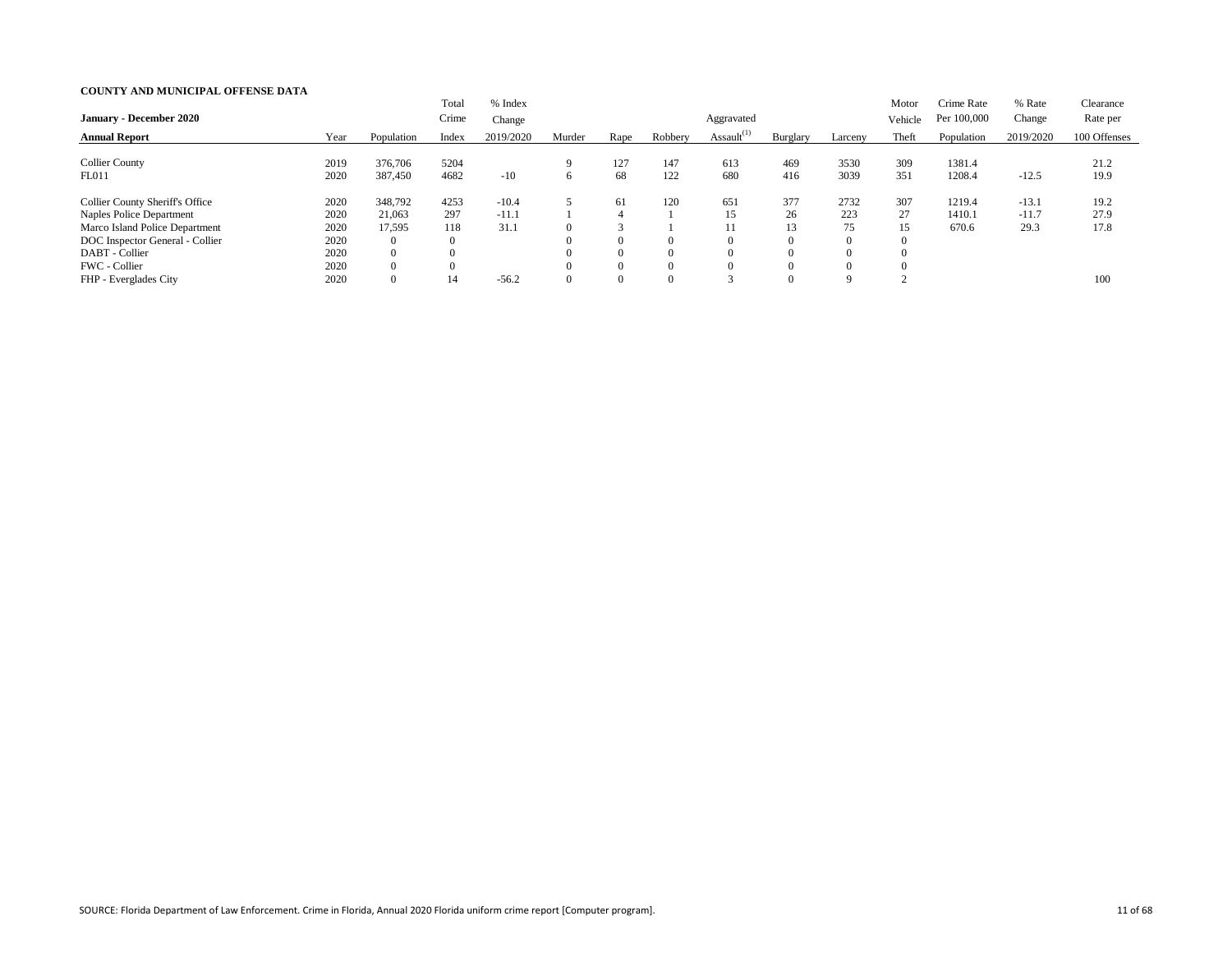| <b>January - December 2020</b>                                     |              |                                  | Total<br>Crime          | % Index<br>Change  |        |                                  |                      | Aggravated       |                      |                | Motor<br>Vehicle | Crime Rate<br>Per 100,000 | % Rate<br>Change   | Clearance<br>Rate per |
|--------------------------------------------------------------------|--------------|----------------------------------|-------------------------|--------------------|--------|----------------------------------|----------------------|------------------|----------------------|----------------|------------------|---------------------------|--------------------|-----------------------|
| <b>Annual Report</b>                                               | Year         | Population                       | Index                   | 2019/2020          | Murder | Rape                             | Robbery              | Assault $^{(1)}$ | Burglary             | Larceny        | Theft            | Population                | 2019/2020          | 100 Offenses          |
| <b>Collier County</b><br><b>FL011</b>                              | 2019<br>2020 | 376,706<br>387,450               | 5204<br>4682            | $-10$              |        | 127<br>68                        | 147<br>122           | 613<br>680       | 469<br>416           | 3530<br>3039   | 309<br>351       | 1381.4<br>1208.4          | $-12.5$            | 21.2<br>19.9          |
|                                                                    |              |                                  |                         |                    |        |                                  |                      |                  |                      |                |                  |                           |                    |                       |
| <b>Collier County Sheriff's Office</b><br>Naples Police Department | 2020<br>2020 | 348,792<br>21,063                | 4253<br>297             | $-10.4$<br>$-11.1$ |        | 61<br>4                          | 120                  | 651<br>15        | 377<br>26            | 2732<br>223    | 307<br>27        | 1219.4<br>1410.1          | $-13.1$<br>$-11.7$ | 19.2<br>27.9          |
| Marco Island Police Department<br>DOC Inspector General - Collier  | 2020<br>2020 | 17,595<br>$\overline{0}$         | 118<br>$\boldsymbol{0}$ | 31.1               |        | $\Omega$                         | $\theta$             |                  | 13<br>$\Omega$       | 75<br>$\Omega$ | 15               | 670.6                     | 29.3               | 17.8                  |
| DABT - Collier<br>FWC - Collier                                    | 2020<br>2020 | $\overline{0}$<br>$\overline{0}$ | $\theta$                |                    |        | $\overline{0}$<br>$\overline{0}$ | $\Omega$<br>$\Omega$ |                  | $\Omega$<br>$\Omega$ | $\Omega$       |                  |                           |                    |                       |
| FHP - Everglades City                                              | 2020         | 0                                | 14                      | $-56.2$            |        | $\overline{0}$                   | $\Omega$             |                  | $\Omega$             | 9              |                  |                           |                    | 100                   |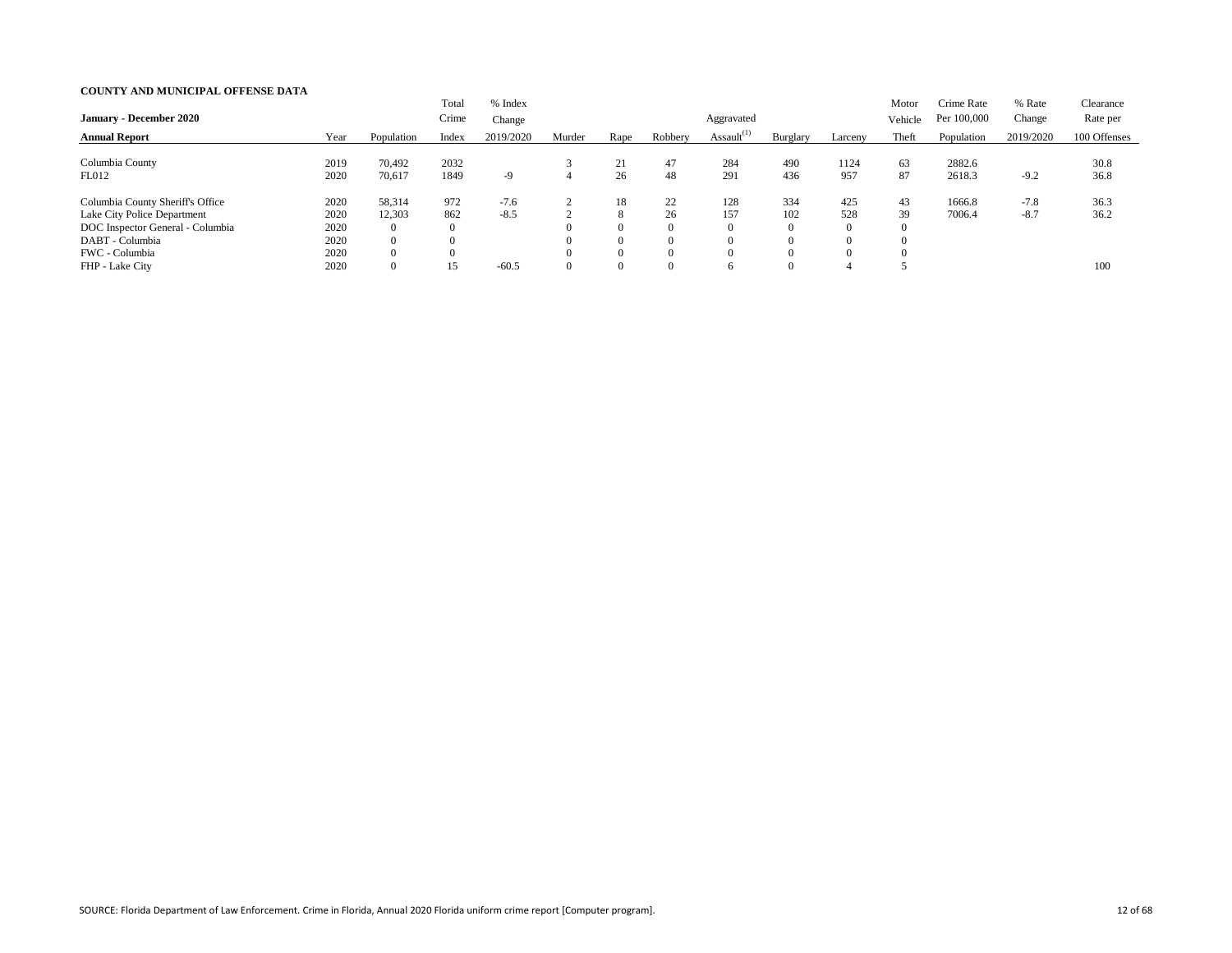| <b>January - December 2020</b>                                                                                                           |                                      |                                                           | Total<br>Crime                 | % Index<br>Change |        |                                             |                                              | Aggravated       |                                               |                                    | Motor<br>Vehicle | Crime Rate<br>Per 100,000 | % Rate<br>Change | Clearance<br>Rate per |
|------------------------------------------------------------------------------------------------------------------------------------------|--------------------------------------|-----------------------------------------------------------|--------------------------------|-------------------|--------|---------------------------------------------|----------------------------------------------|------------------|-----------------------------------------------|------------------------------------|------------------|---------------------------|------------------|-----------------------|
| <b>Annual Report</b>                                                                                                                     | Year                                 | Population                                                | Index                          | 2019/2020         | Murder | Rape                                        | Robbery                                      | Assault $^{(1)}$ | Burglary                                      | Larceny                            | Theft            | Population                | 2019/2020        | 100 Offenses          |
| Columbia County<br>FL012                                                                                                                 | 2019<br>2020                         | 70,492<br>70,617                                          | 2032<br>1849                   | $-9$              |        | 21<br>26                                    | 47<br>48                                     | 284<br>291       | 490<br>436                                    | 1124<br>957                        | 63<br>87         | 2882.6<br>2618.3          | $-9.2$           | 30.8<br>36.8          |
| Columbia County Sheriff's Office<br>Lake City Police Department<br>DOC Inspector General - Columbia<br>DABT - Columbia<br>FWC - Columbia | 2020<br>2020<br>2020<br>2020<br>2020 | 58,314<br>12,303<br>0<br>$\overline{0}$<br>$\overline{0}$ | 972<br>862<br>$\boldsymbol{0}$ | $-7.6$<br>$-8.5$  |        | 18<br>8<br>$\Omega$<br>$\Omega$<br>$\theta$ | 22<br>26<br>$\Omega$<br>$\Omega$<br>$\Omega$ | 128<br>157       | 334<br>102<br>$\overline{0}$<br>$\Omega$<br>0 | 425<br>528<br>$\Omega$<br>$\Omega$ | 43<br>39         | 1666.8<br>7006.4          | $-7.8$<br>$-8.7$ | 36.3<br>36.2          |
| FHP - Lake City                                                                                                                          | 2020                                 | $\overline{0}$                                            | 15                             | $-60.5$           |        | $\overline{0}$                              | $\Omega$                                     |                  | $\Omega$                                      |                                    |                  |                           |                  | 100                   |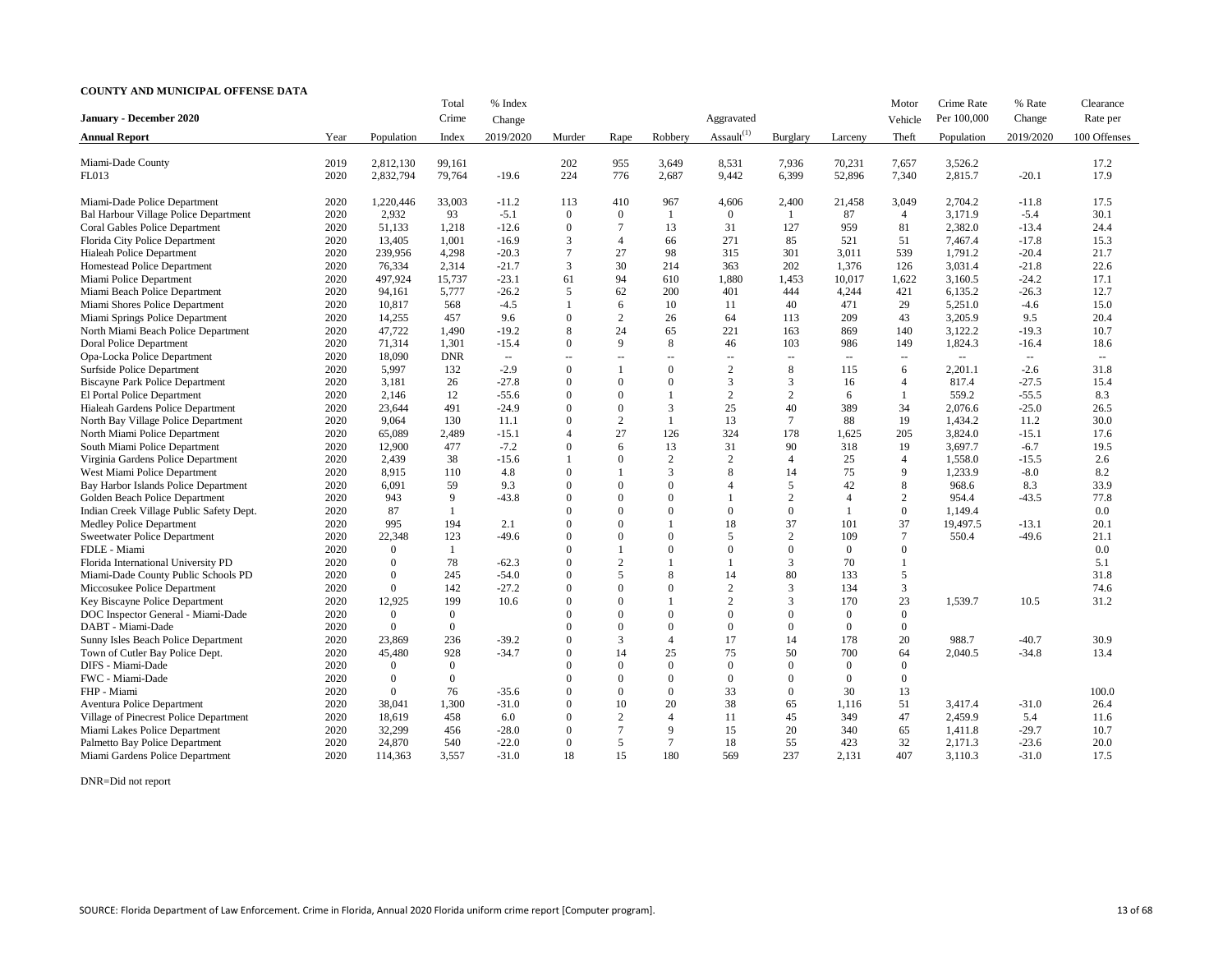|                                          |      |                  | Total          | % Index       |          |                                                |                |                  |                             |                          | Motor                    | Crime Rate  | % Rate        | Clearance    |
|------------------------------------------|------|------------------|----------------|---------------|----------|------------------------------------------------|----------------|------------------|-----------------------------|--------------------------|--------------------------|-------------|---------------|--------------|
| <b>January - December 2020</b>           |      |                  | Crime          | Change        |          |                                                |                | Aggravated       |                             |                          | Vehicle                  | Per 100,000 | Change        | Rate per     |
| <b>Annual Report</b>                     | Year | Population       | Index          | 2019/2020     | Murder   | Rape                                           | Robbery        | Assault $^{(1)}$ | Burglary                    | Larceny                  | Theft                    | Population  | 2019/2020     | 100 Offenses |
|                                          |      |                  |                |               |          |                                                |                |                  |                             |                          |                          |             |               |              |
| Miami-Dade County                        | 2019 | 2,812,130        | 99,161         |               | 202      | 955                                            | 3,649          | 8,531            | 7,936                       | 70,231                   | 7,657                    | 3,526.2     |               | 17.2         |
| <b>FL013</b>                             | 2020 | 2,832,794        | 79,764         | $-19.6$       | 224      | 776                                            | 2,687          | 9,442            | 6,399                       | 52,896                   | 7,340                    | 2,815.7     | $-20.1$       | 17.9         |
| Miami-Dade Police Department             | 2020 | 1,220,446        | 33,003         | $-11.2$       | 113      | 410                                            | 967            | 4,606            | 2,400                       | 21,458                   | 3,049                    | 2,704.2     | $-11.8$       | 17.5         |
| Bal Harbour Village Police Department    | 2020 | 2,932            | 93             | $-5.1$        | $\theta$ | $\overline{0}$                                 |                | $\overline{0}$   |                             | 87                       | 4                        | 3,171.9     | $-5.4$        | 30.1         |
| Coral Gables Police Department           | 2020 | 51,133           | 1,218          | $-12.6$       | $\theta$ |                                                | 13             | 31               | 127                         | 959                      | 81                       | 2,382.0     | $-13.4$       | 24.4         |
| Florida City Police Department           | 2020 | 13,405           | 1,001          | $-16.9$       | 3        | $\overline{4}$                                 | 66             | 271              | 85                          | 521                      | 51                       | 7,467.4     | $-17.8$       | 15.3         |
| Hialeah Police Department                | 2020 | 239,956          | 4,298          | $-20.3$       |          | 27                                             | 98             | 315              | 301                         | 3,011                    | 539                      | 1,791.2     | $-20.4$       | 21.7         |
| Homestead Police Department              | 2020 | 76,334           | 2,314          | $-21.7$       | 3        | 30                                             | 214            | 363              | 202                         | 1,376                    | 126                      | 3,031.4     | $-21.8$       | 22.6         |
| Miami Police Department                  | 2020 | 497,924          | 15,737         | $-23.1$       | 61       | 94                                             | 610            | 1,880            | 1,453                       | 10,017                   | 1,622                    | 3,160.5     | $-24.2$       | 17.1         |
| Miami Beach Police Department            | 2020 | 94,161           | 5,777          | $-26.2$       | 5        | 62                                             | 200            | 401              | 444                         | 4,244                    | 421                      | 6,135.2     | $-26.3$       | 12.7         |
| Miami Shores Police Department           | 2020 | 10,817           | 568            | $-4.5$        |          | 6                                              | 10             | 11               | 40                          | 471                      | 29                       | 5,251.0     | $-4.6$        | 15.0         |
| Miami Springs Police Department          | 2020 | 14,255           | 457            | 9.6           | $\theta$ | 2                                              | 26             | 64               | 113                         | 209                      | 43                       | 3,205.9     | 9.5           | 20.4         |
| North Miami Beach Police Department      | 2020 | 47,722           | 1,490          | $-19.2$       | 8        | 24                                             | 65             | 221              | 163                         | 869                      | 140                      | 3,122.2     | $-19.3$       | 10.7         |
| Doral Police Department                  | 2020 | 71,314           | 1,301          | $-15.4$       | $\Omega$ | 9                                              | 8              | 46               | 103                         | 986                      | 149                      | 1,824.3     | $-16.4$       | 18.6         |
| Opa-Locka Police Department              | 2020 | 18,090           | <b>DNR</b>     | $\sim$ $\sim$ | --       | $\hspace{0.1mm}-\hspace{0.1mm}-\hspace{0.1mm}$ | $- -$          | $\sim$ $\sim$    | $\mathcal{L}_{\mathcal{L}}$ | $- -$                    | $\sim$ $\sim$            | $-$         | $\sim$ $\sim$ | $\sim$ $-$   |
| Surfside Police Department               | 2020 | 5,997            | 132            | $-2.9$        | $\theta$ |                                                | $\overline{0}$ | $\overline{2}$   | 8                           | 115                      | 6                        | 2,201.1     | $-2.6$        | 31.8         |
| <b>Biscayne Park Police Department</b>   | 2020 | 3,181            | 26             | $-27.8$       | $\theta$ | $\overline{0}$                                 | $\theta$       | $\mathfrak{Z}$   | 3                           | 16                       | $\overline{\mathcal{A}}$ | 817.4       | $-27.5$       | 15.4         |
| El Portal Police Department              | 2020 | 2,146            | 12             | $-55.6$       | $\Omega$ | $\Omega$                                       |                | 2                | $\overline{2}$              | 6                        |                          | 559.2       | $-55.5$       | 8.3          |
| Hialeah Gardens Police Department        | 2020 | 23,644           | 491            | $-24.9$       | $\Omega$ | $\overline{0}$                                 | 3              | 25               | 40                          | 389                      | 34                       | 2,076.6     | $-25.0$       | 26.5         |
| North Bay Village Police Department      | 2020 | 9,064            | 130            | 11.1          | $\Omega$ | 2                                              |                | 13               | $\tau$                      | 88                       | 19                       | 1,434.2     | 11.2          | 30.0         |
| North Miami Police Department            | 2020 | 65,089           | 2,489          | $-15.1$       | Δ        | 27                                             | 126            | 324              | 178                         | 1,625                    | 205                      | 3,824.0     | $-15.1$       | 17.6         |
| South Miami Police Department            | 2020 | 12,900           | 477            | $-7.2$        | $\Omega$ | 6                                              | 13             | 31               | 90                          | 318                      | 19                       | 3,697.7     | $-6.7$        | 19.5         |
| Virginia Gardens Police Department       | 2020 | 2,439            | 38             | $-15.6$       |          | $\Omega$                                       | $\overline{2}$ | $\overline{2}$   |                             | 25                       | $\overline{\mathcal{L}}$ | 1,558.0     | $-15.5$       | 2.6          |
| West Miami Police Department             | 2020 | 8,915            | 110            | 4.8           | $\Omega$ |                                                | 3              | 8                | 14                          | 75                       | 9                        | 1,233.9     | $-8.0$        | 8.2          |
| Bay Harbor Islands Police Department     | 2020 | 6,091            | 59             | 9.3           | $\Omega$ | $\Omega$                                       | $\theta$       | $\overline{A}$   | 5                           | 42                       | 8                        | 968.6       | 8.3           | 33.9         |
| Golden Beach Police Department           | 2020 | 943              | 9              | $-43.8$       | $\Omega$ | $\Omega$                                       | $\theta$       |                  | $\overline{2}$              | $\overline{\mathcal{A}}$ | $\overline{2}$           | 954.4       | $-43.5$       | 77.8         |
| Indian Creek Village Public Safety Dept. | 2020 | 87               |                |               | $\Omega$ | $\Omega$                                       | $\theta$       | $\overline{0}$   | $\Omega$                    |                          | $\Omega$                 | 1,149.4     |               | 0.0          |
| <b>Medley Police Department</b>          | 2020 | 995              | 194            | 2.1           | $\Omega$ | $\Omega$                                       |                | 18               | 37                          | 101                      | 37                       | 19,497.5    | $-13.1$       | 20.1         |
| <b>Sweetwater Police Department</b>      | 2020 | 22,348           | 123            | $-49.6$       | $\Omega$ | $\Omega$                                       | $\Omega$       | 5                | $\overline{2}$              | 109                      |                          | 550.4       | $-49.6$       | 21.1         |
| FDLE - Miami                             | 2020 | $\overline{0}$   |                |               |          |                                                | 0              | $\Omega$         |                             | $\overline{0}$           |                          |             |               | 0.0          |
| Florida International University PD      | 2020 | $\Omega$         | 78             | $-62.3$       | $\Omega$ | $\overline{2}$                                 |                |                  | 3                           | 70                       |                          |             |               | 5.1          |
| Miami-Dade County Public Schools PD      | 2020 | $\Omega$         | 245            | $-54.0$       | $\Omega$ |                                                |                | 14               | 80                          | 133                      |                          |             |               | 31.8         |
| Miccosukee Police Department             | 2020 | $\boldsymbol{0}$ | 142            | $-27.2$       | $\theta$ | $\Omega$                                       | 0              | $\overline{2}$   | 3                           | 134                      | 3                        |             |               | 74.6         |
| Key Biscayne Police Department           | 2020 | 12,925           | 199            | 10.6          | $\Omega$ | $\Omega$                                       |                | $\gamma$         | 3                           | 170                      | 23                       | 1,539.7     | 10.5          | 31.2         |
| DOC Inspector General - Miami-Dade       | 2020 | $\mathbf{0}$     | $\overline{0}$ |               |          | $\Omega$                                       |                | $\theta$         |                             | $\Omega$                 | $\Omega$                 |             |               |              |
| DABT - Miami-Dade                        | 2020 | $\Omega$         | $\overline{0}$ |               |          | $\Omega$                                       |                | $\mathbf{0}$     |                             | $\Omega$                 | $\Omega$                 |             |               |              |
| Sunny Isles Beach Police Department      | 2020 | 23,869           | 236            | $-39.2$       |          |                                                |                | 17               | 14                          | 178                      | 20                       | 988.7       | $-40.7$       | 30.9         |
| Town of Cutler Bay Police Dept.          | 2020 | 45,480           | 928            | $-34.7$       | $\Omega$ | 14                                             | 25             | 75               | 50                          | 700                      | 64                       | 2,040.5     | $-34.8$       | 13.4         |
| DIFS - Miami-Dade                        | 2020 | $\mathbf{0}$     | $\overline{0}$ |               |          | $\Omega$                                       | 0              | $\overline{0}$   | $\Omega$                    | $\Omega$                 |                          |             |               |              |
| FWC - Miami-Dade                         | 2020 | $\boldsymbol{0}$ | $\overline{0}$ |               |          | $\Omega$                                       | 0              | $\overline{0}$   | $\Omega$                    | $\Omega$                 | $\Omega$                 |             |               |              |
| FHP - Miami                              | 2020 | $\overline{0}$   | 76             | $-35.6$       |          | $\Omega$                                       | $\Omega$       | 33               | $\Omega$                    | 30                       | 13                       |             |               | 100.0        |
| <b>Aventura Police Department</b>        | 2020 | 38,041           | 1,300          | $-31.0$       | $\Omega$ | 10                                             | 20             | 38               | 65                          | 1,116                    | 51                       | 3,417.4     | $-31.0$       | 26.4         |
| Village of Pinecrest Police Department   | 2020 | 18,619           | 458            | 6.0           |          | $\overline{2}$                                 |                | 11               | 45                          | 349                      | 47                       | 2,459.9     | 5.4           | 11.6         |
| Miami Lakes Police Department            | 2020 | 32,299           | 456            | $-28.0$       | $\Omega$ |                                                | 9              | 15               | 20                          | 340                      | 65                       | 1,411.8     | $-29.7$       | 10.7         |
| Palmetto Bay Police Department           | 2020 | 24,870           | 540            | $-22.0$       | $\theta$ | 5                                              | $\tau$         | 18               | 55                          | 423                      | 32                       | 2,171.3     | $-23.6$       | 20.0         |
| Miami Gardens Police Department          | 2020 | 114,363          | 3,557          | $-31.0$       | 18       | 15                                             | 180            | 569              | 237                         | 2,131                    | 407                      | 3,110.3     | $-31.0$       | 17.5         |

DNR=Did not report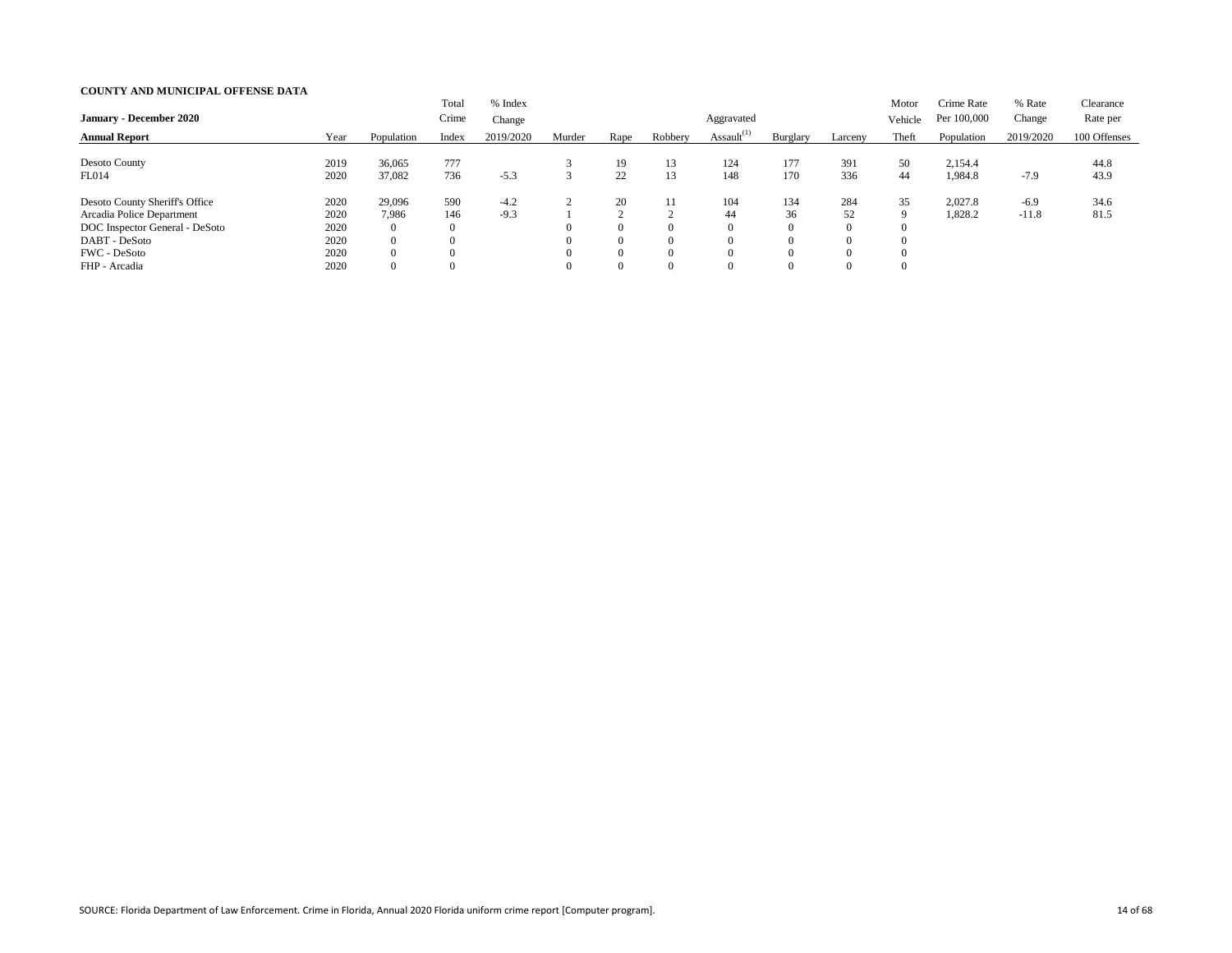| <b>January - December 2020</b> |      |                | Total<br>Crime   | % Index<br>Change |        |                |          | Aggravated       |                |          | Motor<br>Vehicle | Crime Rate<br>Per 100,000 | % Rate<br>Change | Clearance<br>Rate per |
|--------------------------------|------|----------------|------------------|-------------------|--------|----------------|----------|------------------|----------------|----------|------------------|---------------------------|------------------|-----------------------|
|                                |      |                |                  |                   |        |                |          | Assault $^{(1)}$ |                |          |                  |                           |                  | 100 Offenses          |
| <b>Annual Report</b>           | Year | Population     | Index            | 2019/2020         | Murder | Rape           | Robbery  |                  | Burglary       | Larceny  | Theft            | Population                | 2019/2020        |                       |
| Desoto County                  | 2019 | 36,065         | 777              |                   |        | 19             | 13       | 124              | 177            | 391      | 50               | 2,154.4                   |                  | 44.8                  |
| FL014                          | 2020 | 37,082         | 736              | $-5.3$            |        | 22             |          | 148              | 170            | 336      | 44               | 1,984.8                   | $-7.9$           | 43.9                  |
| Desoto County Sheriff's Office | 2020 | 29,096         | 590              | $-4.2$            |        | 20             |          | 104              | 134            | 284      | 35               | 2,027.8                   | $-6.9$           | 34.6                  |
| Arcadia Police Department      | 2020 | 7,986          | 146              | $-9.3$            |        | $\sim$         |          | 44               | 36             | 52       | 9                | 1,828.2                   | $-11.8$          | 81.5                  |
| DOC Inspector General - DeSoto | 2020 | $\overline{0}$ | $\boldsymbol{0}$ |                   |        | $\overline{0}$ | $\Omega$ |                  | $\overline{0}$ | $\Omega$ |                  |                           |                  |                       |
| DABT - DeSoto                  | 2020 | $\overline{0}$ |                  |                   |        | $\theta$       | $\Omega$ |                  | $\Omega$       | $\Omega$ |                  |                           |                  |                       |
| <b>FWC</b> - DeSoto            | 2020 | $\overline{0}$ |                  |                   |        | $\theta$       | $\Omega$ |                  | $\Omega$       |          |                  |                           |                  |                       |
| FHP - Arcadia                  | 2020 | $\overline{0}$ |                  |                   |        | $\overline{0}$ | $\Omega$ |                  | $\Omega$       | $\Omega$ |                  |                           |                  |                       |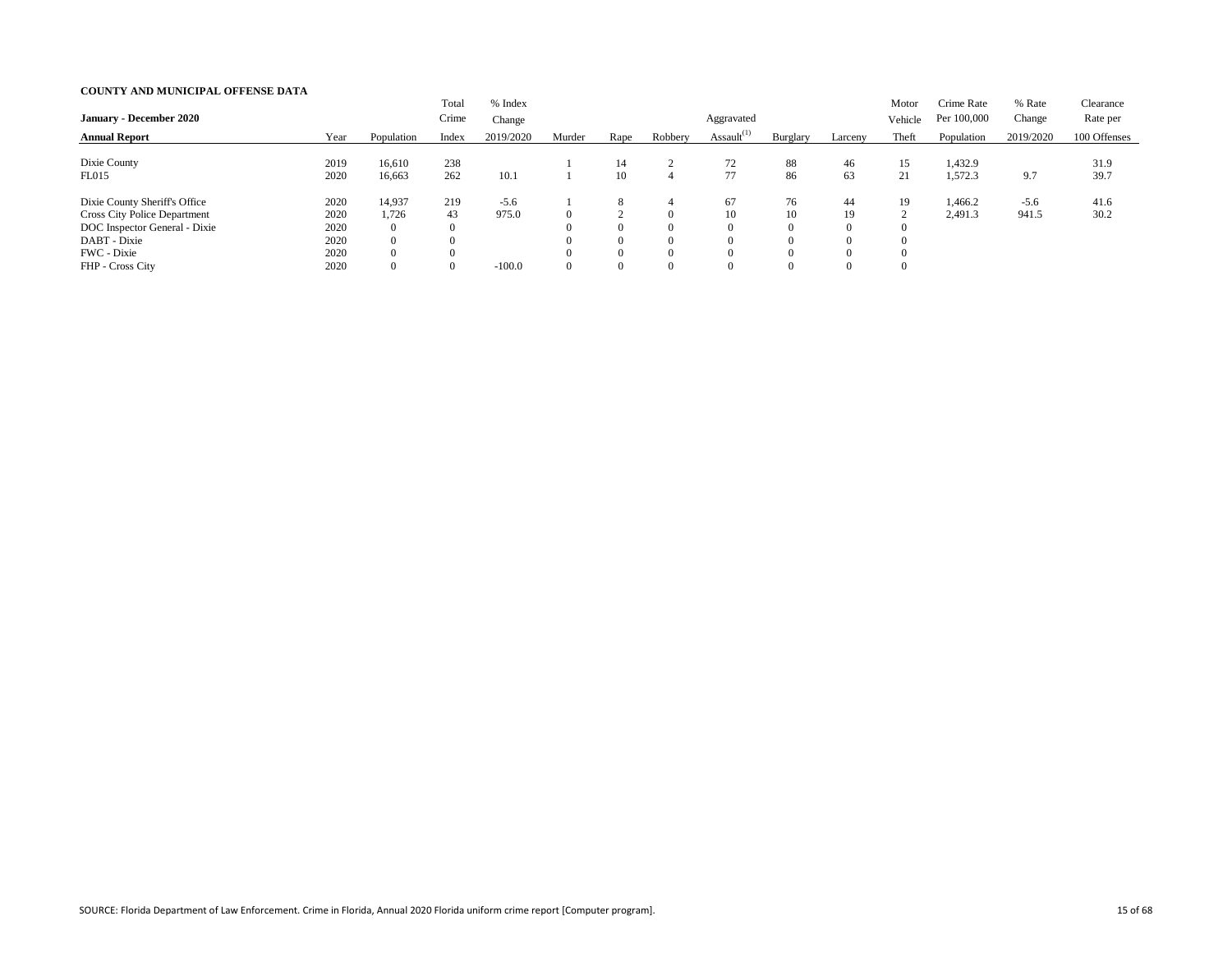| <b>January - December 2020</b>                                                                                                                           |                                              |                                                                                         | Total<br>Crime                    | % Index<br>Change           |        |                                                         |                                                               | Aggravated       |                                                                |                                                          | Motor<br>Vehicle          | Crime Rate<br>Per 100,000 | % Rate<br>Change | Clearance<br>Rate per |
|----------------------------------------------------------------------------------------------------------------------------------------------------------|----------------------------------------------|-----------------------------------------------------------------------------------------|-----------------------------------|-----------------------------|--------|---------------------------------------------------------|---------------------------------------------------------------|------------------|----------------------------------------------------------------|----------------------------------------------------------|---------------------------|---------------------------|------------------|-----------------------|
| <b>Annual Report</b>                                                                                                                                     | Year                                         | Population                                                                              | Index                             | 2019/2020                   | Murder | Rape                                                    | Robbery                                                       | Assault $^{(1)}$ | Burglary                                                       | Larceny                                                  | Theft                     | Population                | 2019/2020        | 100 Offenses          |
| Dixie County<br>FL015                                                                                                                                    | 2019<br>2020                                 | 16,610<br>16,663                                                                        | 238<br>262                        | 10.1                        |        | 14<br>10                                                | 4                                                             | 72<br>77         | 88<br>86                                                       | 46<br>63                                                 | 15<br>21                  | 1,432.9<br>1,572.3        | 9.7              | 31.9<br>39.7          |
| Dixie County Sheriff's Office<br><b>Cross City Police Department</b><br>DOC Inspector General - Dixie<br>DABT - Dixie<br>FWC - Dixie<br>FHP - Cross City | 2020<br>2020<br>2020<br>2020<br>2020<br>2020 | 14,937<br>1,726<br>$\overline{0}$<br>$\overline{0}$<br>$\overline{0}$<br>$\overline{0}$ | 219<br>43<br>$\theta$<br>$\theta$ | $-5.6$<br>975.0<br>$-100.0$ |        | 8<br>$\theta$<br>$\theta$<br>$\Omega$<br>$\overline{0}$ | 4<br>$\Omega$<br>$\Omega$<br>$\Omega$<br>$\Omega$<br>$\Omega$ | 67<br>10         | 76<br>10<br>$\theta$<br>$\theta$<br>$\Omega$<br>$\overline{0}$ | 44<br>19<br>$\theta$<br>$\theta$<br>$\Omega$<br>$\theta$ | 19<br>∠<br>$\overline{0}$ | 1,466.2<br>2,491.3        | $-5.6$<br>941.5  | 41.6<br>30.2          |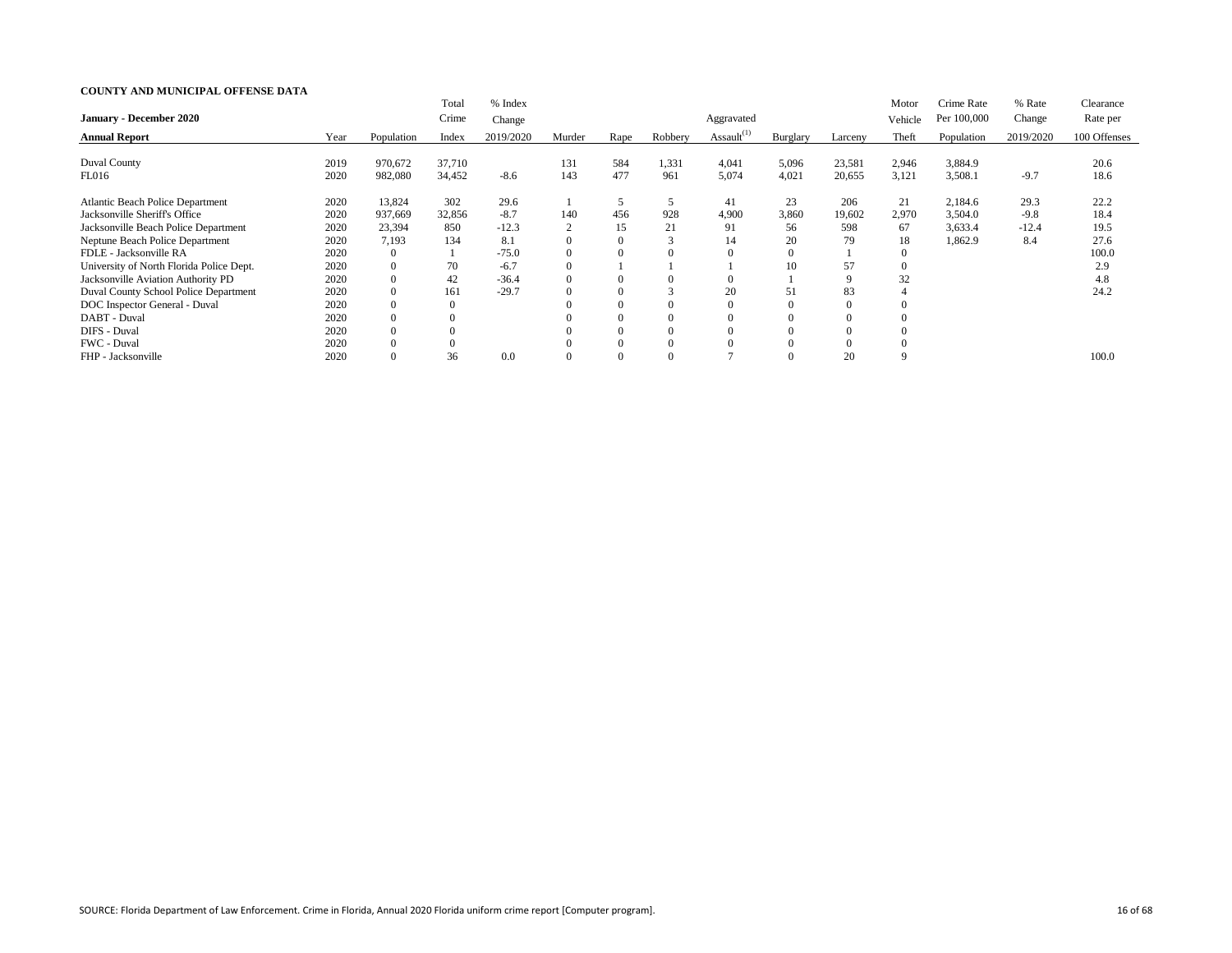|                                          |      |            | Total    | % Index   |                |      |         |                  |          |          | Motor    | Crime Rate  | % Rate    | Clearance    |
|------------------------------------------|------|------------|----------|-----------|----------------|------|---------|------------------|----------|----------|----------|-------------|-----------|--------------|
| <b>January - December 2020</b>           |      |            | Crime    | Change    |                |      |         | Aggravated       |          |          | Vehicle  | Per 100,000 | Change    | Rate per     |
| <b>Annual Report</b>                     | Year | Population | Index    | 2019/2020 | Murder         | Rape | Robbery | Assault $^{(1)}$ | Burglary | Larceny  | Theft    | Population  | 2019/2020 | 100 Offenses |
|                                          |      |            |          |           |                |      |         |                  |          |          |          |             |           |              |
| <b>Duval County</b>                      | 2019 | 970,672    | 37,710   |           | 131            | 584  | 1,331   | 4,041            | 5,096    | 23,581   | 2,946    | 3,884.9     |           | 20.6         |
| FL016                                    | 2020 | 982,080    | 34,452   | $-8.6$    | 143            | 477  | 961     | 5,074            | 4,021    | 20,655   | 3,121    | 3,508.1     | $-9.7$    | 18.6         |
| <b>Atlantic Beach Police Department</b>  | 2020 | 13,824     | 302      | 29.6      |                | 5    |         | 41               | 23       | 206      | 21       | 2,184.6     | 29.3      | 22.2         |
| Jacksonville Sheriff's Office            | 2020 | 937,669    | 32,856   | $-8.7$    | 140            | 456  | 928     | 4,900            | 3,860    | 19,602   | 2,970    | 3,504.0     | $-9.8$    | 18.4         |
| Jacksonville Beach Police Department     | 2020 | 23,394     | 850      | $-12.3$   | $\overline{2}$ | 15   | 21      | 91               | 56       | 598      | 67       | 3,633.4     | $-12.4$   | 19.5         |
| Neptune Beach Police Department          | 2020 | 7,193      | 134      | 8.1       | $\overline{0}$ |      |         | 14               | 20       | 79       | 18       | 1,862.9     | 8.4       | 27.6         |
| FDLE - Jacksonville RA                   | 2020 | $\Omega$   |          | $-75.0$   | $\Omega$       |      |         |                  | $\Omega$ |          |          |             |           | 100.0        |
| University of North Florida Police Dept. | 2020 | $\theta$   | 70       | $-6.7$    | $\Omega$       |      |         |                  | 10       | 57       | $\Omega$ |             |           | 2.9          |
| Jacksonville Aviation Authority PD       | 2020 | $\theta$   | 42       | $-36.4$   | $\theta$       |      |         |                  |          | 9        | 32       |             |           | 4.8          |
| Duval County School Police Department    | 2020 | $\theta$   | 161      | $-29.7$   | $\overline{0}$ |      |         | 20               | 51       | 83       |          |             |           | 24.2         |
| DOC Inspector General - Duval            | 2020 | $\theta$   |          |           |                |      |         |                  |          | $\Omega$ |          |             |           |              |
| DABT - Duval                             | 2020 | $\theta$   |          |           |                |      |         |                  |          | $\Omega$ |          |             |           |              |
| DIFS - Duval                             | 2020 | $\Omega$   |          |           |                |      |         |                  |          | $\Omega$ |          |             |           |              |
| FWC - Duval                              | 2020 | $\Omega$   | $\theta$ |           | $\Omega$       |      |         |                  |          | $\theta$ |          |             |           |              |
| FHP - Jacksonville                       | 2020 | $\Omega$   | 36       | 0.0       | $\Omega$       |      |         |                  |          | 20       | q        |             |           | 100.0        |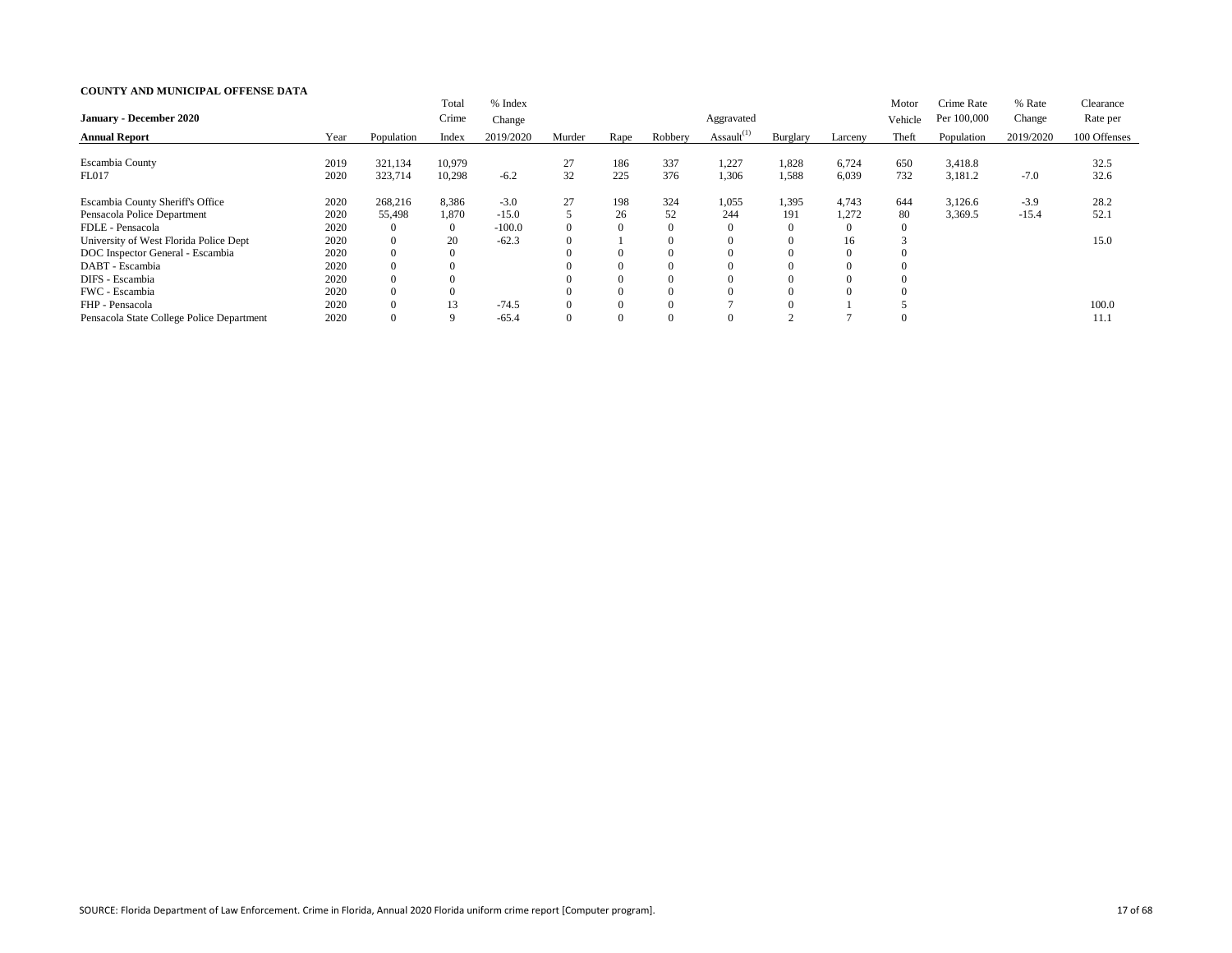|                                           |      |                | Total          | % Index   |                |      |         |                  |          |                | Motor    | Crime Rate  | % Rate    | Clearance    |
|-------------------------------------------|------|----------------|----------------|-----------|----------------|------|---------|------------------|----------|----------------|----------|-------------|-----------|--------------|
| <b>January - December 2020</b>            |      |                | Crime          | Change    |                |      |         | Aggravated       |          |                | Vehicle  | Per 100,000 | Change    | Rate per     |
| <b>Annual Report</b>                      | Year | Population     | Index          | 2019/2020 | Murder         | Rape | Robbery | Assault $^{(1)}$ | Burglary | Larceny        | Theft    | Population  | 2019/2020 | 100 Offenses |
|                                           |      |                |                |           |                |      |         |                  |          |                |          |             |           |              |
| Escambia County                           | 2019 | 321,134        | 10,979         |           | 27             | 186  | 337     | 1,227            | 1,828    | 6,724          | 650      | 3,418.8     |           | 32.5         |
| FL017                                     | 2020 | 323,714        | 10,298         | $-6.2$    | 32             | 225  | 376     | 1,306            | 1,588    | 6,039          | 732      | 3,181.2     | $-7.0$    | 32.6         |
| Escambia County Sheriff's Office          | 2020 | 268,216        | 8,386          | $-3.0$    | 27             | 198  | 324     | 1,055            | 1,395    | 4,743          | 644      | 3,126.6     | $-3.9$    | 28.2         |
| Pensacola Police Department               | 2020 | 55,498         | 1,870          | $-15.0$   |                | 26   | 52      | 244              | 191      | 1,272          | 80       | 3,369.5     | $-15.4$   | 52.1         |
| FDLE - Pensacola                          | 2020 | $\theta$       | $\overline{0}$ | $-100.0$  | $\overline{0}$ |      |         |                  |          | $\overline{0}$ |          |             |           |              |
| University of West Florida Police Dept    | 2020 | $\Omega$       | 20             | $-62.3$   | $\theta$       |      |         |                  |          | 16             |          |             |           | 15.0         |
| DOC Inspector General - Escambia          | 2020 | $\Omega$       | $\Omega$       |           | $\Omega$       |      |         |                  |          | $\theta$       |          |             |           |              |
| DABT - Escambia                           | 2020 | $\theta$       |                |           | $\Omega$       |      |         |                  |          | $\Omega$       | $\left($ |             |           |              |
| DIFS - Escambia                           | 2020 | $\theta$       |                |           | $\Omega$       |      |         |                  |          | $\Omega$       | $\Omega$ |             |           |              |
| FWC - Escambia                            | 2020 | $\overline{0}$ |                |           | $\Omega$       |      |         |                  |          | $\Omega$       |          |             |           |              |
| FHP - Pensacola                           | 2020 | $\Omega$       | 13             | $-74.5$   | $\Omega$       |      |         |                  |          |                |          |             |           | 100.0        |
| Pensacola State College Police Department | 2020 | $\theta$       |                | $-65.4$   | $\Omega$       |      |         |                  |          |                | O        |             |           | 11.1         |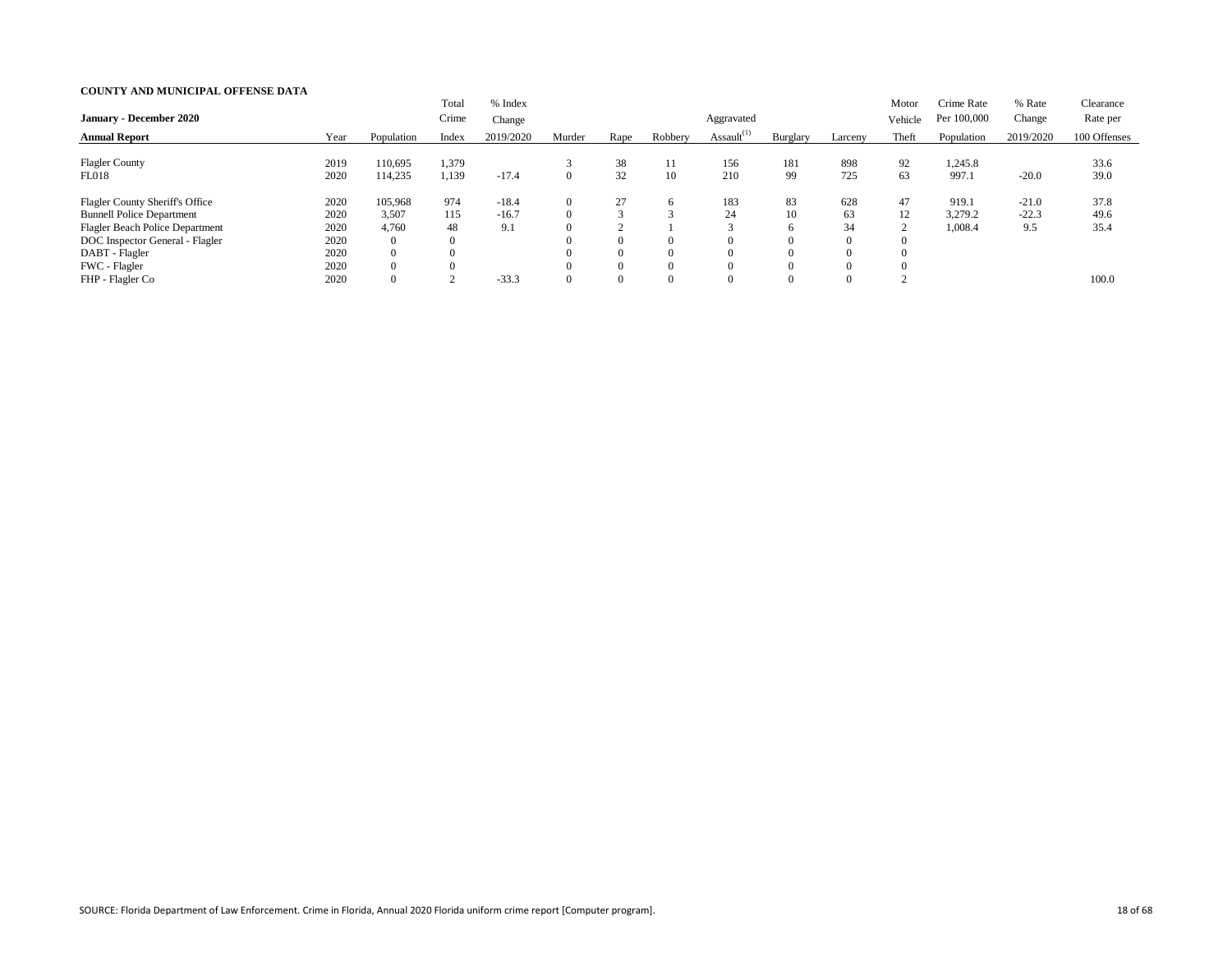| <b>January - December 2020</b>         |      |                | Total<br>Crime   | % Index<br>Change |        |                |          | Aggravated       |          |          | Motor<br>Vehicle | Crime Rate<br>Per 100,000 | % Rate<br>Change | Clearance<br>Rate per |
|----------------------------------------|------|----------------|------------------|-------------------|--------|----------------|----------|------------------|----------|----------|------------------|---------------------------|------------------|-----------------------|
| <b>Annual Report</b>                   | Year | Population     | Index            | 2019/2020         | Murder | Rape           | Robbery  | Assault $^{(1)}$ | Burglary | Larceny  | Theft            | Population                | 2019/2020        | 100 Offenses          |
| <b>Flagler County</b>                  | 2019 | 110,695        | 1,379            |                   |        | 38             |          | 156              | 181      | 898      | 92               | 1,245.8                   |                  | 33.6                  |
| FL018                                  | 2020 | 114,235        | 1,139            | $-17.4$           |        | 32             | 10       | 210              | 99       | 725      | 63               | 997.1                     | $-20.0$          | 39.0                  |
| <b>Flagler County Sheriff's Office</b> | 2020 | 105,968        | 974              | $-18.4$           |        | 27             | h        | 183              | 83       | 628      | 47               | 919.1                     | $-21.0$          | 37.8                  |
| <b>Bunnell Police Department</b>       | 2020 | 3,507          | 115              | $-16.7$           |        | $\mathbf{z}$   |          | 24               | 10       | 63       | 12               | 3,279.2                   | $-22.3$          | 49.6                  |
| <b>Flagler Beach Police Department</b> | 2020 | 4,760          | 48               | 9.1               |        |                |          |                  | 6        | 34       | $\Omega$         | 1,008.4                   | 9.5              | 35.4                  |
| DOC Inspector General - Flagler        | 2020 | $\overline{0}$ | $\boldsymbol{0}$ |                   |        | $\Omega$       | $\theta$ |                  |          | $\Omega$ |                  |                           |                  |                       |
| DABT - Flagler                         | 2020 | $\overline{0}$ |                  |                   |        | $\overline{0}$ | $\Omega$ |                  | 0        | $\Omega$ |                  |                           |                  |                       |
| FWC - Flagler                          | 2020 | $\Omega$       | $\theta$         |                   |        | $\theta$       | $\Omega$ |                  |          | $\Omega$ |                  |                           |                  |                       |
| FHP - Flagler Co                       | 2020 | $\overline{0}$ |                  | $-33.3$           |        | $\overline{0}$ | $\Omega$ |                  |          | $\Omega$ |                  |                           |                  | 100.0                 |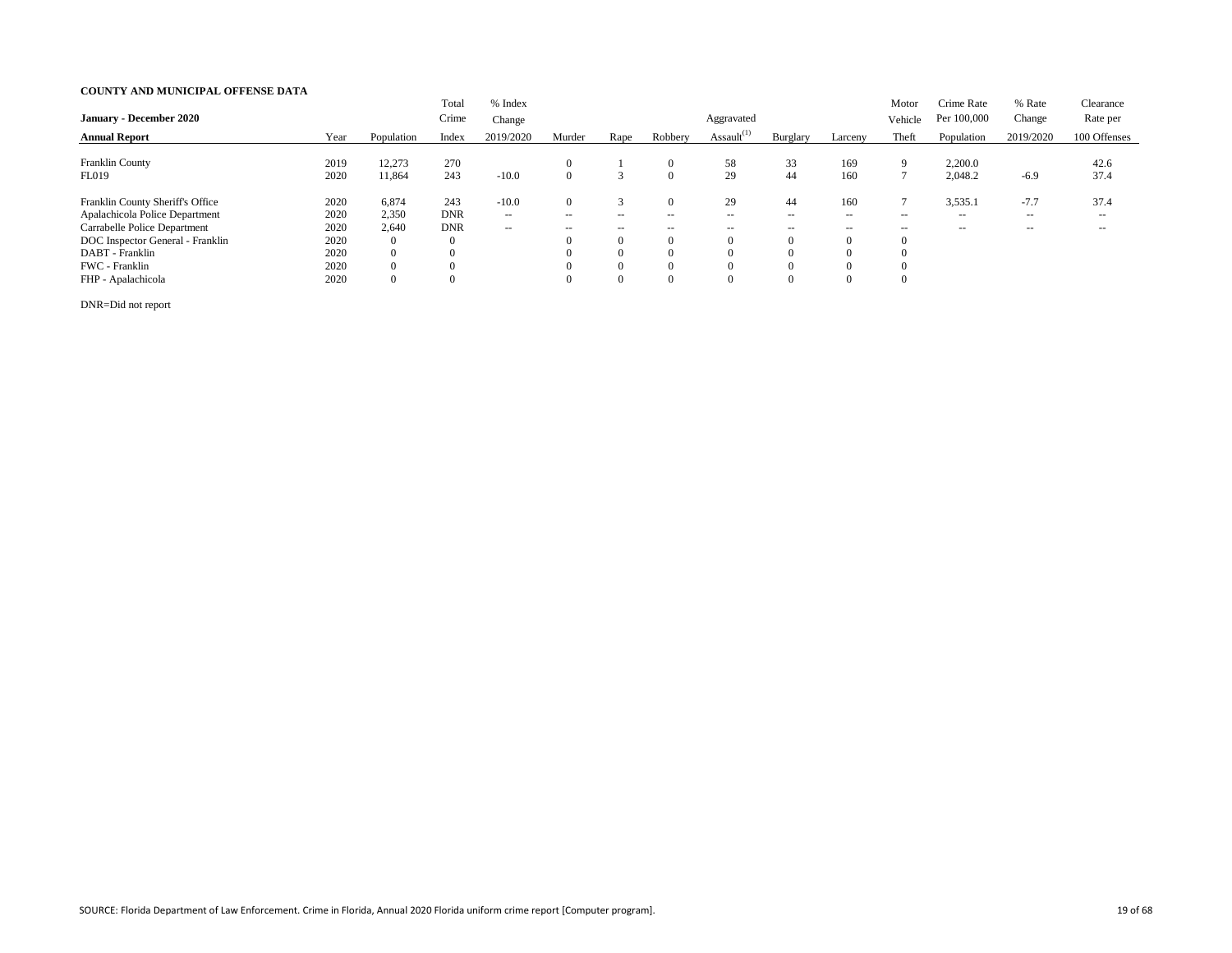| <b>January - December 2020</b>   |      |                | Total<br>Crime | % Index       |                          |                |                          |                  |                |          | Motor          | Crime Rate<br>Per 100,000 | % Rate<br>Change         | Clearance<br>Rate per |
|----------------------------------|------|----------------|----------------|---------------|--------------------------|----------------|--------------------------|------------------|----------------|----------|----------------|---------------------------|--------------------------|-----------------------|
|                                  |      |                |                | Change        |                          |                |                          | Aggravated       |                |          | Vehicle        |                           |                          |                       |
| <b>Annual Report</b>             | Year | Population     | Index          | 2019/2020     | Murder                   | Rape           | Robbery                  | Assault $^{(1)}$ | Burglary       | Larceny  | Theft          | Population                | 2019/2020                | 100 Offenses          |
|                                  |      |                |                |               |                          |                |                          |                  |                |          |                |                           |                          |                       |
| Franklin County                  | 2019 | 12,273         | 270            |               |                          |                | $\Omega$                 | 58               | 33             | 169      | 9              | 2,200.0                   |                          | 42.6                  |
| <b>FL019</b>                     | 2020 | 11,864         | 243            | $-10.0$       |                          |                | $\Omega$                 | 29               | 44             | 160      |                | 2,048.2                   | $-6.9$                   | 37.4                  |
| Franklin County Sheriff's Office | 2020 | 6,874          | 243            | $-10.0$       | $\Omega$                 |                | $\Omega$                 | 29               | 44             | 160      |                | 3,535.1                   | $-7.7$                   | 37.4                  |
| Apalachicola Police Department   | 2020 | 2,350          | <b>DNR</b>     | $\sim$ $\sim$ | $\sim$ $\sim$            | $- -$          | $\overline{\phantom{m}}$ | $- -$            | $- -$          | $- -$    | $- -$          | $- -$                     | $\overline{\phantom{m}}$ | $- -$                 |
| Carrabelle Police Department     | 2020 | 2,640          | <b>DNR</b>     | $\sim$ $\sim$ | $\overline{\phantom{a}}$ | $- -$          | $\sim$ $\sim$            | $- -$            | $- -$          | $- -$    | $- -$          | $- -$                     | $\overline{\phantom{m}}$ | $- -$                 |
| DOC Inspector General - Franklin | 2020 | $\overline{0}$ | $\overline{0}$ |               |                          | $\overline{0}$ | $\Omega$                 | $\Omega$         | $\overline{0}$ | $\Omega$ | $\overline{0}$ |                           |                          |                       |
| DABT - Franklin                  | 2020 | $\overline{0}$ | $\Omega$       |               |                          | $\theta$       | $\Omega$                 |                  | $\Omega$       |          |                |                           |                          |                       |
| FWC - Franklin                   | 2020 | $\overline{0}$ | $\Omega$       |               |                          | $\Omega$       | $\Omega$                 |                  | $\overline{0}$ | $\Omega$ |                |                           |                          |                       |
| FHP - Apalachicola               | 2020 | $\overline{0}$ |                |               |                          | $\Omega$       | $\Omega$                 |                  | $\theta$       |          |                |                           |                          |                       |

DNR=Did not report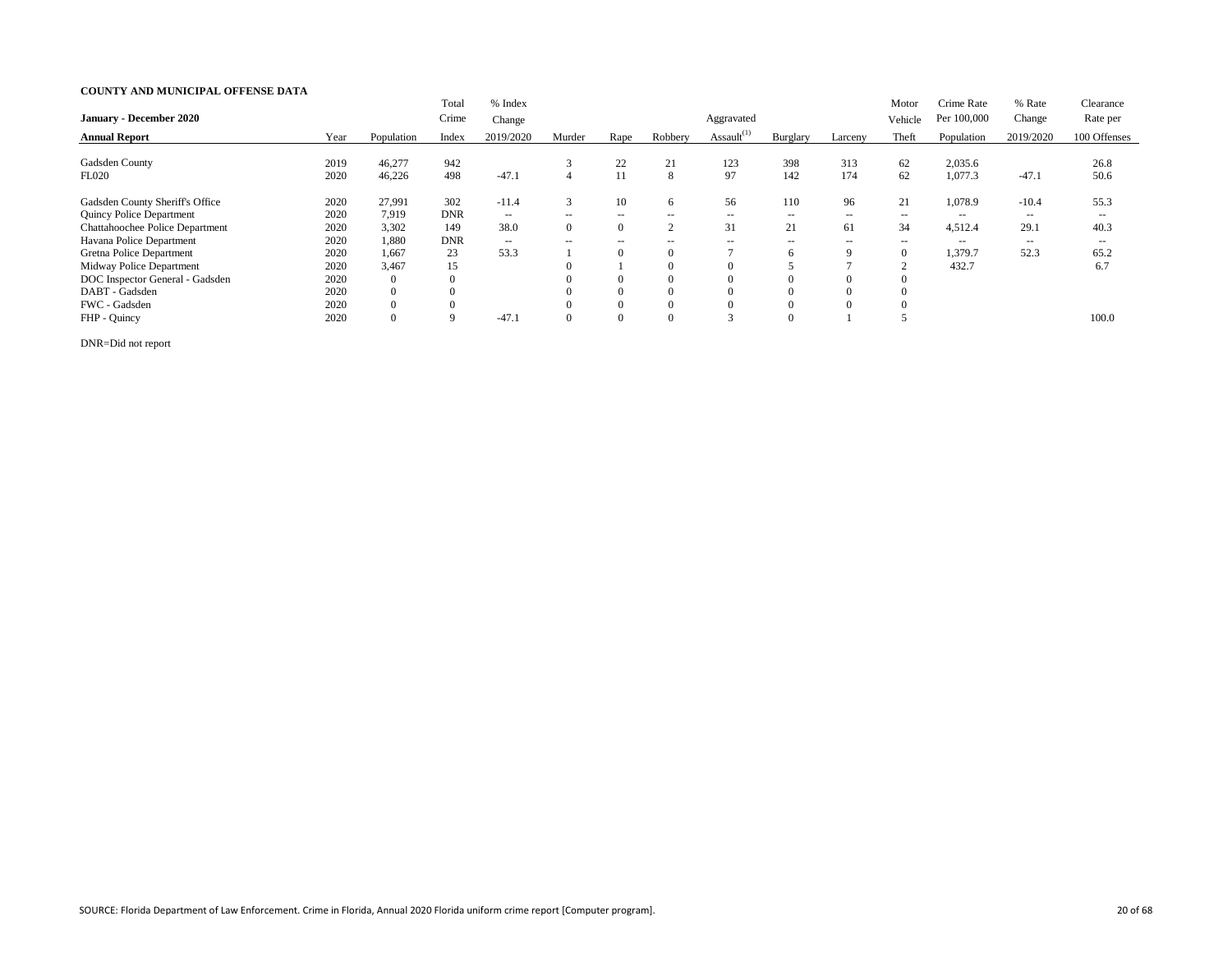|                                 |      |                | Total       | % Index       |                          |                |          |                  |          |          | Motor          | Crime Rate        | % Rate            | Clearance    |
|---------------------------------|------|----------------|-------------|---------------|--------------------------|----------------|----------|------------------|----------|----------|----------------|-------------------|-------------------|--------------|
| January - December 2020         |      |                | Crime       | Change        |                          |                |          | Aggravated       |          |          | Vehicle        | Per 100,000       | Change            | Rate per     |
| <b>Annual Report</b>            | Year | Population     | Index       | 2019/2020     | Murder                   | Rape           | Robbery  | Assault $^{(1)}$ | Burglary | Larceny  | Theft          | Population        | 2019/2020         | 100 Offenses |
|                                 |      |                |             |               |                          |                |          |                  |          |          |                |                   |                   |              |
| Gadsden County                  | 2019 | 46,277         | 942         |               |                          | 22             | 21       | 123              | 398      | 313      | 62             | 2,035.6           |                   | 26.8         |
| <b>FL020</b>                    | 2020 | 46,226         | 498         | $-47.1$       | 4                        | 11             | 8        | 97               | 142      | 174      | 62             | 1,077.3           | $-47.1$           | 50.6         |
| Gadsden County Sheriff's Office | 2020 | 27,991         | 302         | $-11.4$       | 3                        | 10             | 6        | 56               | 110      | 96       | 21             | 1,078.9           | $-10.4$           | 55.3         |
| <b>Quincy Police Department</b> | 2020 | 7,919          | <b>DNR</b>  | $\sim$ $\sim$ | $\overline{\phantom{m}}$ | $- -$          | $- -$    | $- -$            | $- -$    | $- -$    | $- -$          | $\qquad \qquad -$ | $- -$             | $- -$        |
| Chattahoochee Police Department | 2020 | 3,302          | 149         | 38.0          |                          | $\overline{0}$ | $\sim$   | 31               | 21       | 61       | 34             | 4,512.4           | 29.1              | 40.3         |
| Havana Police Department        | 2020 | 1,880          | <b>DNR</b>  | $--$          | $-$                      | $- -$          | --       | $- -$            | $- -$    | $- -$    | $- -$          | $- -$             | $\qquad \qquad -$ | $- -$        |
| Gretna Police Department        | 2020 | 1,667          | 23          | 53.3          |                          | $\overline{0}$ | $\Omega$ |                  | 6        | 9        | $\overline{0}$ | 1,379.7           | 52.3              | 65.2         |
| Midway Police Department        | 2020 | 3,467          | 15          |               |                          |                | $\Omega$ |                  |          |          | $\sim$         | 432.7             |                   | 6.7          |
| DOC Inspector General - Gadsden | 2020 | $\overline{0}$ | $\theta$    |               |                          | $\overline{0}$ | $\Omega$ |                  |          | $\Omega$ |                |                   |                   |              |
| DABT - Gadsden                  | 2020 | $\overline{0}$ |             |               |                          | $\overline{0}$ | $\Omega$ |                  | U        | $\Omega$ |                |                   |                   |              |
| FWC - Gadsden                   | 2020 | $\Omega$       |             |               |                          | $\theta$       | $\Omega$ |                  |          | $\Omega$ |                |                   |                   |              |
| FHP - Quincy                    | 2020 | $\theta$       | $\mathbf Q$ | $-47.1$       |                          | $\Omega$       | $\Omega$ |                  |          |          |                |                   |                   | 100.0        |

DNR=Did not report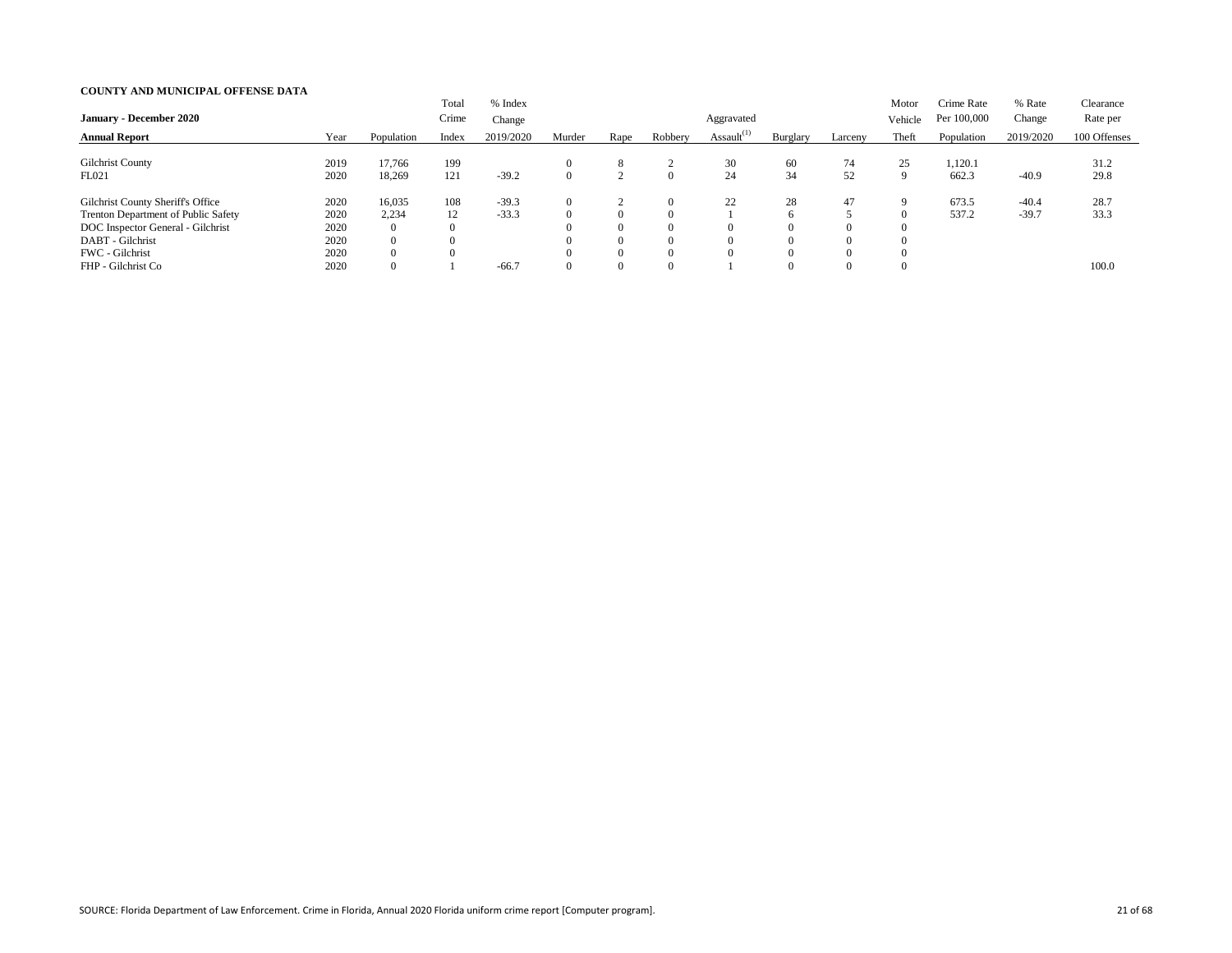| <b>January - December 2020</b>                                                                                                                       |                                      |                                                                 | Total<br>Crime | % Index<br>Change  |          |                                              |                                                          | Aggravated       |                                      |                                        | Motor<br>Vehicle | Crime Rate<br>Per 100,000 | % Rate<br>Change   | Clearance<br>Rate per |
|------------------------------------------------------------------------------------------------------------------------------------------------------|--------------------------------------|-----------------------------------------------------------------|----------------|--------------------|----------|----------------------------------------------|----------------------------------------------------------|------------------|--------------------------------------|----------------------------------------|------------------|---------------------------|--------------------|-----------------------|
| <b>Annual Report</b>                                                                                                                                 | Year                                 | Population                                                      | Index          | 2019/2020          | Murder   | Rape                                         | Robbery                                                  | Assault $^{(1)}$ | Burglary                             | Larceny                                | Theft            | Population                | 2019/2020          | 100 Offenses          |
| <b>Gilchrist County</b><br>FL021                                                                                                                     | 2019<br>2020                         | 17,766<br>18,269                                                | 199<br>121     | $-39.2$            | $\Omega$ | 8                                            | $\left($                                                 | 30<br>24         | 60<br>34                             | 74<br>52                               | 25               | 1,120.1<br>662.3          | $-40.9$            | 31.2<br>29.8          |
| Gilchrist County Sheriff's Office<br>Trenton Department of Public Safety<br>DOC Inspector General - Gilchrist<br>DABT - Gilchrist<br>FWC - Gilchrist | 2020<br>2020<br>2020<br>2020<br>2020 | 16,035<br>2,234<br>$\overline{0}$<br>$\overline{0}$<br>$\Omega$ | 108<br>12<br>0 | $-39.3$<br>$-33.3$ |          | $\theta$<br>$\theta$<br>$\theta$<br>$\Omega$ | $\theta$<br>$\Omega$<br>$\left($<br>$\Omega$<br>$\Omega$ | 22               | 28<br>6<br>$\Omega$<br>$\Omega$<br>0 | 47<br>$\Omega$<br>$\Omega$<br>$\Omega$ | 9                | 673.5<br>537.2            | $-40.4$<br>$-39.7$ | 28.7<br>33.3          |
| FHP - Gilchrist Co                                                                                                                                   | 2020                                 | $\overline{0}$                                                  |                | $-66.7$            |          | $\overline{0}$                               | $\Omega$                                                 |                  | $\Omega$                             | $\Omega$                               |                  |                           |                    | 100.0                 |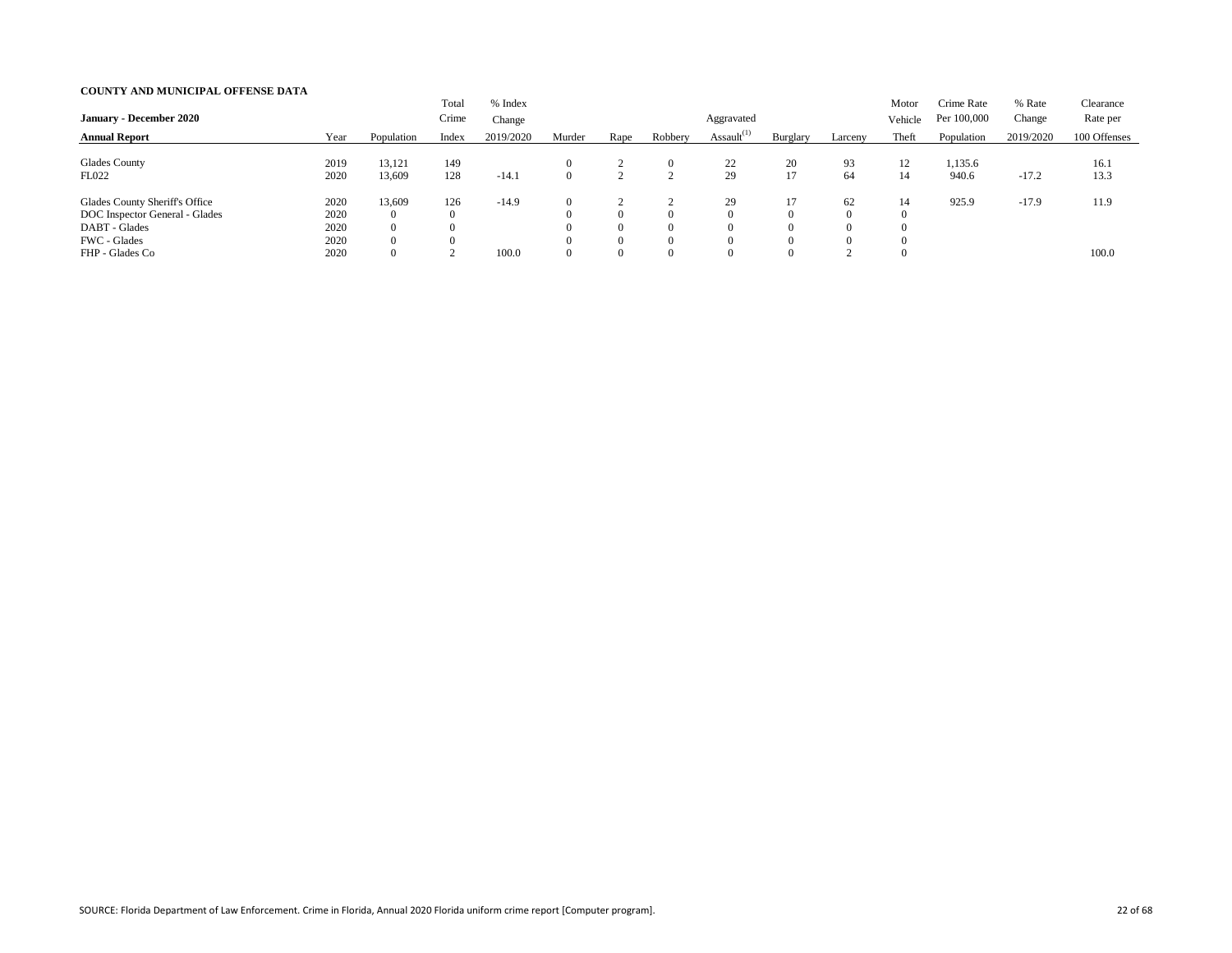|                                |      |                | Total    | % Index   |          |                |          |                  |          |          | Motor   | Crime Rate  | % Rate    | Clearance    |
|--------------------------------|------|----------------|----------|-----------|----------|----------------|----------|------------------|----------|----------|---------|-------------|-----------|--------------|
| <b>January - December 2020</b> |      |                | Crime    | Change    |          |                |          | Aggravated       |          |          | Vehicle | Per 100,000 | Change    | Rate per     |
| <b>Annual Report</b>           | Year | Population     | Index    | 2019/2020 | Murder   | Rape           | Robbery  | Assault $^{(1)}$ | Burglary | Larceny  | Theft   | Population  | 2019/2020 | 100 Offenses |
|                                |      |                |          |           |          |                |          |                  |          |          |         |             |           |              |
| <b>Glades County</b>           | 2019 | 13,121         | 149      |           |          |                | $\left($ | 22               | 20       | 93       | 12      | 1,135.6     |           | 16.1         |
| FL022                          | 2020 | 13,609         | 128      | $-14.1$   | $\Omega$ |                |          | 29               | 17       | 64       | 14      | 940.6       | $-17.2$   | 13.3         |
| Glades County Sheriff's Office | 2020 | 13,609         | 126      | $-14.9$   |          |                |          | 29               | 17       | 62       | 14      | 925.9       | $-17.9$   | 11.9         |
| DOC Inspector General - Glades | 2020 | $\overline{0}$ | $\Omega$ |           |          | $\theta$       | $\left($ |                  | $\Omega$ | $\Omega$ |         |             |           |              |
| DABT - Glades                  | 2020 | $\overline{0}$ |          |           |          | $\overline{0}$ | $\Omega$ |                  | $\Omega$ | $\Omega$ |         |             |           |              |
| FWC - Glades                   | 2020 | $\overline{0}$ |          |           |          | $\overline{0}$ | $\theta$ |                  | $\Omega$ | $\Omega$ |         |             |           |              |
| FHP - Glades Co                | 2020 | $\overline{0}$ |          | 100.0     |          | $\overline{0}$ | $\Omega$ |                  | 0        | $\sim$   |         |             |           | 100.0        |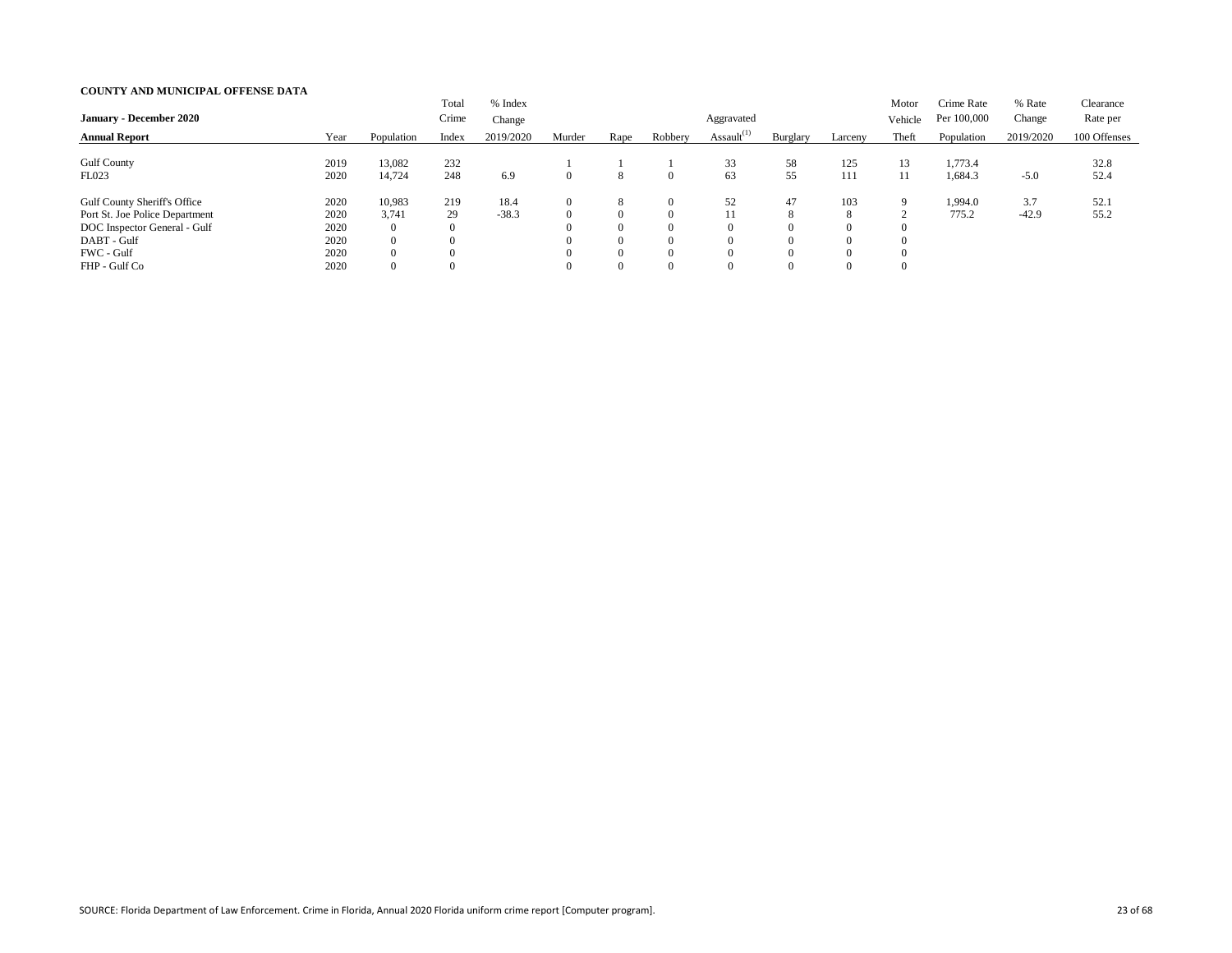| <b>January - December 2020</b>                                                                                                                      |                                              |                                                                            | Total<br>Crime        | % Index<br>Change |        |                                                                           |                                                                      | Aggravated       |                                                               |                      | Motor<br>Vehicle   | Crime Rate<br>Per 100,000 | % Rate<br>Change | Clearance<br>Rate per |
|-----------------------------------------------------------------------------------------------------------------------------------------------------|----------------------------------------------|----------------------------------------------------------------------------|-----------------------|-------------------|--------|---------------------------------------------------------------------------|----------------------------------------------------------------------|------------------|---------------------------------------------------------------|----------------------|--------------------|---------------------------|------------------|-----------------------|
| <b>Annual Report</b>                                                                                                                                | Year                                         | Population                                                                 | Index                 | 2019/2020         | Murder | Rape                                                                      | Robbery                                                              | Assault $^{(1)}$ | Burglary                                                      | Larceny              | Theft              | Population                | 2019/2020        | 100 Offenses          |
| <b>Gulf County</b><br>FL023                                                                                                                         | 2019<br>2020                                 | 13,082<br>14,724                                                           | 232<br>248            | 6.9               |        | 8                                                                         | $\Omega$                                                             | 33<br>63         | 58<br>55                                                      | 125<br>111           | 13<br>11           | 1,773.4<br>1,684.3        | $-5.0$           | 32.8<br>52.4          |
| <b>Gulf County Sheriff's Office</b><br>Port St. Joe Police Department<br>DOC Inspector General - Gulf<br>DABT - Gulf<br>FWC - Gulf<br>FHP - Gulf Co | 2020<br>2020<br>2020<br>2020<br>2020<br>2020 | 10,983<br>3,741<br>$\overline{0}$<br>$\overline{0}$<br>0<br>$\overline{0}$ | 219<br>29<br>$\theta$ | 18.4<br>$-38.3$   |        | 8<br>$\overline{0}$<br>$\theta$<br>$\theta$<br>$\Omega$<br>$\overline{0}$ | $\Omega$<br>$\Omega$<br>$\Omega$<br>$\Omega$<br>$\Omega$<br>$\Omega$ | 52<br>11         | 47<br>8<br>$\Omega$<br>$\Omega$<br>$\Omega$<br>$\overline{0}$ | 103<br>8<br>$\Omega$ | 9<br>0<br>$\Omega$ | 1,994.0<br>775.2          | 3.7<br>$-42.9$   | 52.1<br>55.2          |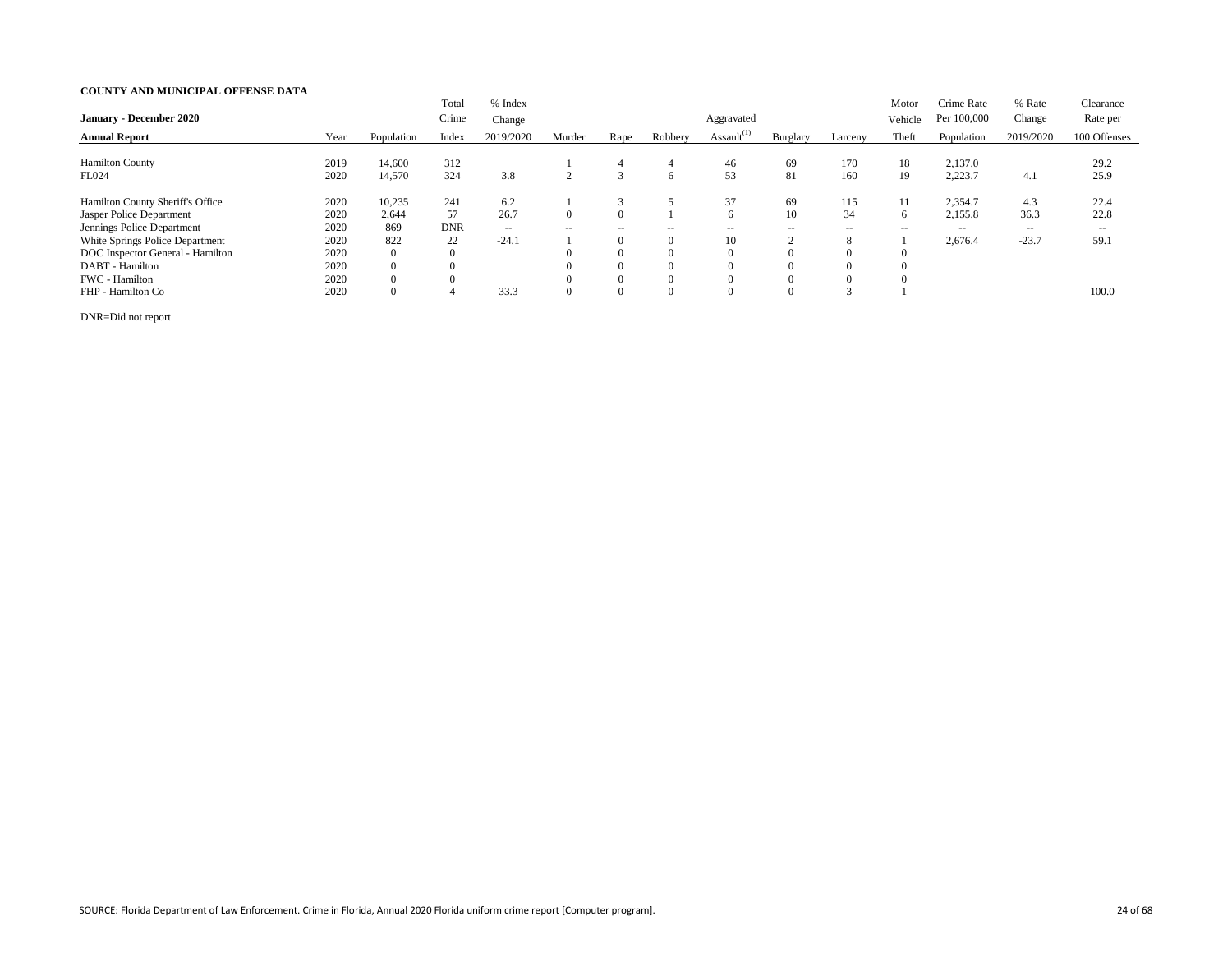|                                  |      |                | Total      | % Index       |                          |                |          |                  |                    |               | Motor   | Crime Rate  | % Rate    | Clearance    |
|----------------------------------|------|----------------|------------|---------------|--------------------------|----------------|----------|------------------|--------------------|---------------|---------|-------------|-----------|--------------|
| <b>January - December 2020</b>   |      |                | Crime      | Change        |                          |                |          | Aggravated       |                    |               | Vehicle | Per 100,000 | Change    | Rate per     |
| <b>Annual Report</b>             | Year | Population     | Index      | 2019/2020     | Murder                   | Rape           | Robbery  | Assault $^{(1)}$ | Burglary           | Larceny       | Theft   | Population  | 2019/2020 | 100 Offenses |
|                                  |      |                |            |               |                          |                |          |                  |                    |               |         |             |           |              |
| <b>Hamilton County</b>           | 2019 | 14,600         | 312        |               |                          | 4              | 4        | 46               | 69                 | 170           | 18      | 2,137.0     |           | 29.2         |
| FL024                            | 2020 | 14,570         | 324        | 3.8           |                          | 3              | 6        | 53               | 81                 | 160           | 19      | 2,223.7     | 4.1       | 25.9         |
| Hamilton County Sheriff's Office | 2020 | 10,235         | 241        | 6.2           |                          | 3              |          | 37               | 69                 | 115           | 11      | 2,354.7     | 4.3       | 22.4         |
| Jasper Police Department         | 2020 | 2,644          | 57         | 26.7          |                          | $\overline{0}$ |          |                  | 10                 | 34            | 6       | 2,155.8     | 36.3      | 22.8         |
| Jennings Police Department       | 2020 | 869            | <b>DNR</b> | $\sim$ $\sim$ | $\overline{\phantom{a}}$ | $\sim$ $\sim$  | $- -$    | $- -$            | $\sim$ $\sim$      | $\sim$ $\sim$ | $- -$   | $- -$       | $- -$     | $- -$        |
| White Springs Police Department  | 2020 | 822            | 22         | $-24.1$       |                          | $\overline{0}$ | $\Omega$ | 10               | $\mathcal{D}$<br>∠ | 8             |         | 2,676.4     | $-23.7$   | 59.1         |
| DOC Inspector General - Hamilton | 2020 | $\overline{0}$ |            |               |                          | $\overline{0}$ | $\Omega$ |                  | U                  | $\Omega$      |         |             |           |              |
| DABT - Hamilton                  | 2020 | $\overline{0}$ |            |               |                          | $\overline{0}$ | $\Omega$ |                  |                    | $\Omega$      |         |             |           |              |
| FWC - Hamilton                   | 2020 | $\overline{0}$ | $\theta$   |               |                          | $\theta$       | $\Omega$ |                  |                    | $\Omega$      |         |             |           |              |
| FHP - Hamilton Co                | 2020 | $\overline{0}$ |            | 33.3          |                          | $\overline{0}$ | $\Omega$ |                  | $\overline{0}$     | $\sim$        |         |             |           | 100.0        |

DNR=Did not report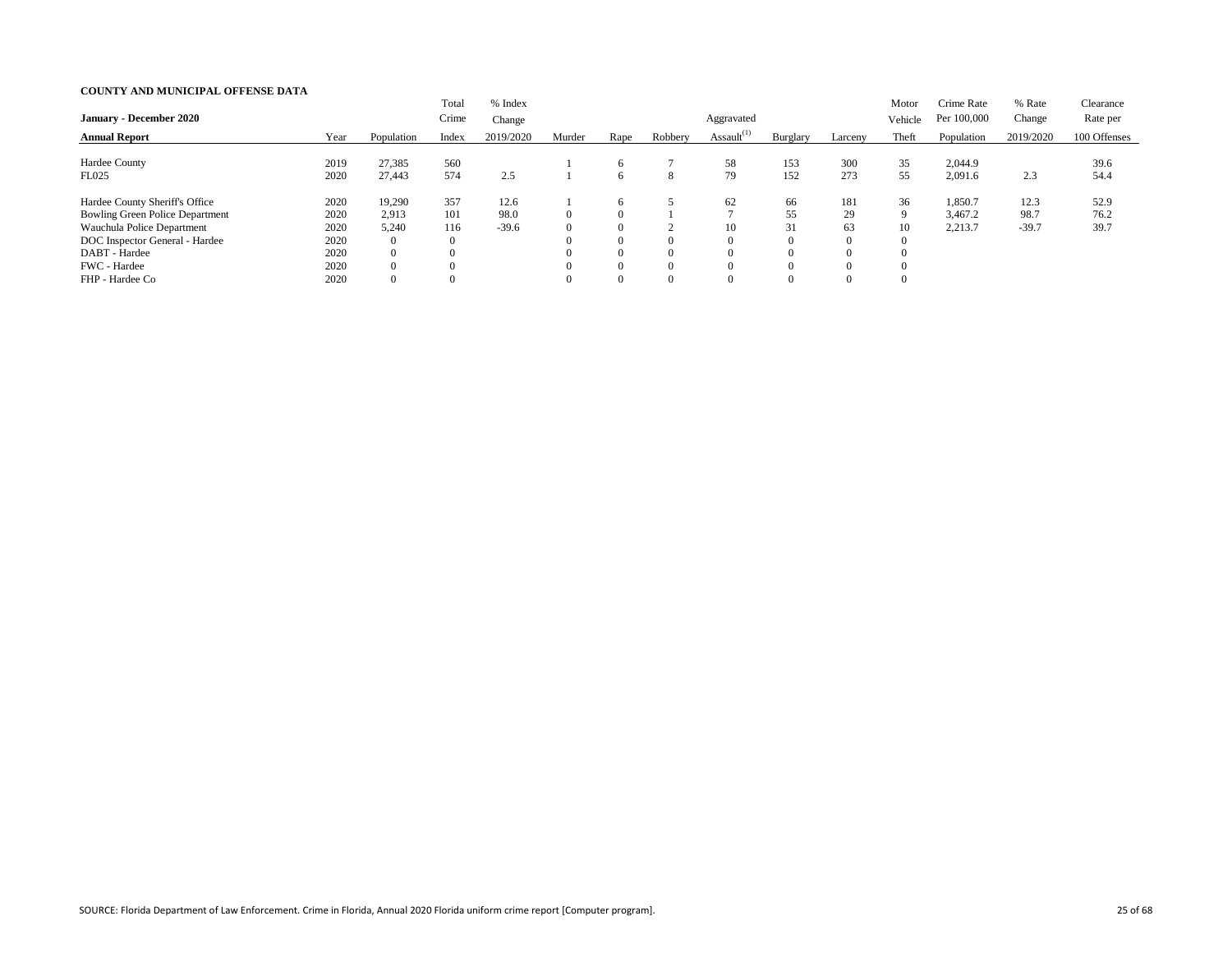| <b>January - December 2020</b>         |      |                | Total<br>Crime | % Index<br>Change |          |          |         | Aggravated       |                  |                | Motor<br>Vehicle | Crime Rate<br>Per 100,000 | % Rate<br>Change | Clearance<br>Rate per |
|----------------------------------------|------|----------------|----------------|-------------------|----------|----------|---------|------------------|------------------|----------------|------------------|---------------------------|------------------|-----------------------|
| <b>Annual Report</b>                   | Year | Population     | Index          | 2019/2020         | Murder   | Rape     | Robbery | Assault $^{(1)}$ | Burglary         | Larceny        | Theft            | Population                | 2019/2020        | 100 Offenses          |
| Hardee County                          | 2019 | 27,385         | 560            |                   |          | 6        |         | 58               | 153              | 300            | 35               | 2,044.9                   |                  | 39.6                  |
| FL025                                  | 2020 | 27,443         | 574            | 2.5               |          | 6        | 8       | 79               | 152              | 273            | 55               | 2,091.6                   | 2.3              | 54.4                  |
| Hardee County Sheriff's Office         | 2020 | 19,290         | 357            | 12.6              |          | 6        |         | 62               | 66               | 181            | 36               | 1,850.7                   | 12.3             | 52.9                  |
| <b>Bowling Green Police Department</b> | 2020 | 2,913          | 101            | 98.0              | $\Omega$ | $\Omega$ |         |                  | 55               | 29             | $\mathbf Q$      | 3,467.2                   | 98.7             | 76.2                  |
| Wauchula Police Department             | 2020 | 5,240          | 116            | $-39.6$           | $\Omega$ | $\Omega$ |         | 10               | 31               | 63             | 10               | 2,213.7                   | $-39.7$          | 39.7                  |
| DOC Inspector General - Hardee         | 2020 | $\overline{0}$ | $\mathbf{0}$   |                   | $\Omega$ | $\Omega$ |         |                  | $\boldsymbol{0}$ | $\overline{0}$ |                  |                           |                  |                       |
| DABT - Hardee                          | 2020 | $\Omega$       |                |                   | $\Omega$ | $\Omega$ |         |                  |                  | $\Omega$       |                  |                           |                  |                       |
| FWC - Hardee                           | 2020 | $\overline{0}$ |                |                   | $\Omega$ | $\Omega$ |         |                  | $\Omega$         | $\theta$       |                  |                           |                  |                       |
| FHP - Hardee Co                        | 2020 | $\theta$       |                |                   | $\Omega$ |          |         |                  |                  | $\Omega$       |                  |                           |                  |                       |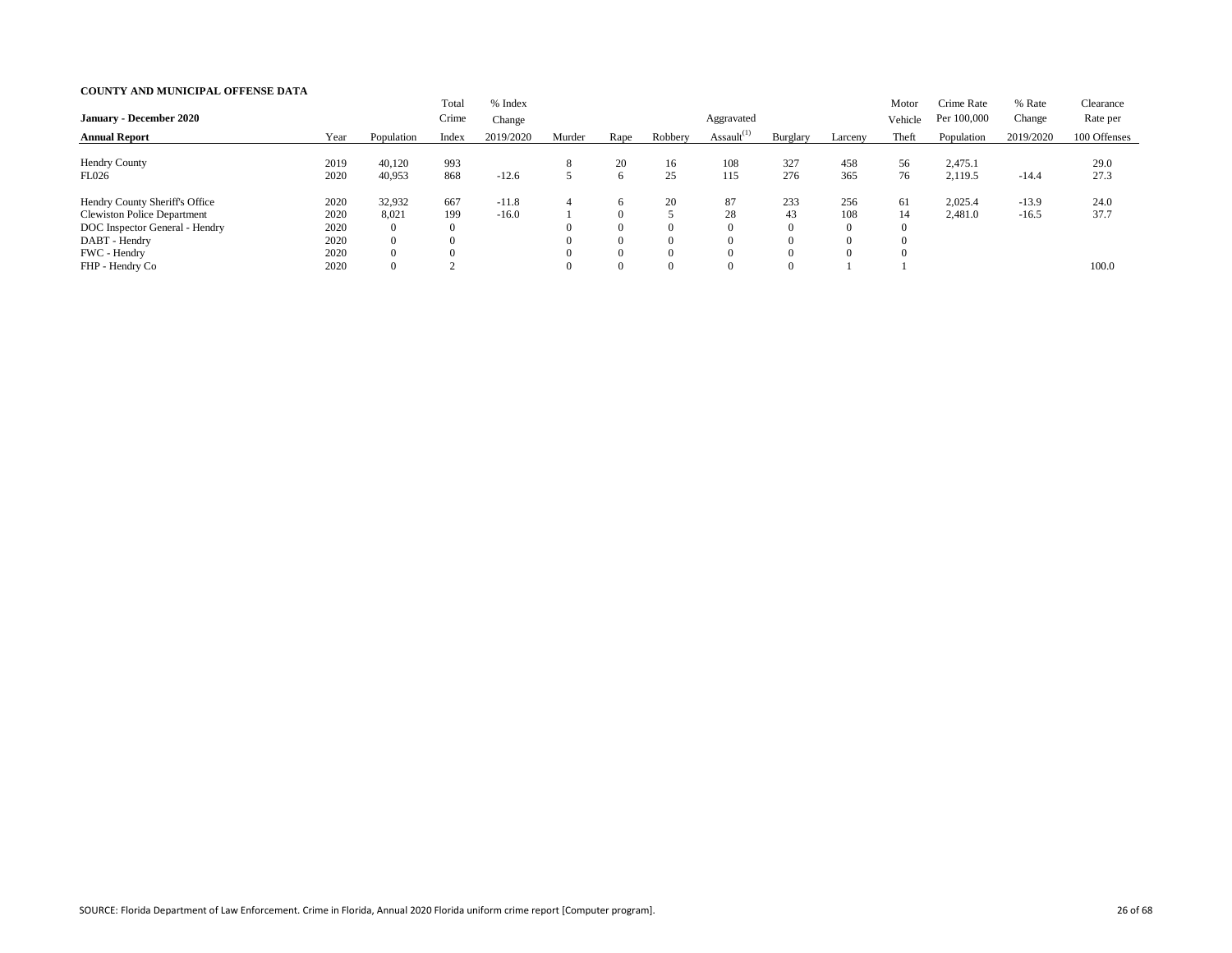| <b>January - December 2020</b>                                                                                                          |                                      |                                                                       | Total<br>Crime                 | % Index<br>Change  |        |                                                         |                                               | Aggravated       |                                                     |                                    | Motor<br>Vehicle | Crime Rate<br>Per 100,000 | % Rate<br>Change   | Clearance<br>Rate per |
|-----------------------------------------------------------------------------------------------------------------------------------------|--------------------------------------|-----------------------------------------------------------------------|--------------------------------|--------------------|--------|---------------------------------------------------------|-----------------------------------------------|------------------|-----------------------------------------------------|------------------------------------|------------------|---------------------------|--------------------|-----------------------|
| <b>Annual Report</b>                                                                                                                    | Year                                 | Population                                                            | Index                          | 2019/2020          | Murder | Rape                                                    | Robbery                                       | Assault $^{(1)}$ | Burglary                                            | Larceny                            | Theft            | Population                | 2019/2020          | 100 Offenses          |
| Hendry County<br>FL026                                                                                                                  | 2019<br>2020                         | 40,120<br>40,953                                                      | 993<br>868                     | $-12.6$            |        | 20<br>6                                                 | 16<br>25                                      | 108<br>115       | 327<br>276                                          | 458<br>365                         | 56<br>76         | 2,475.1<br>2,119.5        | $-14.4$            | 29.0<br>27.3          |
| Hendry County Sheriff's Office<br><b>Clewiston Police Department</b><br>DOC Inspector General - Hendry<br>DABT - Hendry<br>FWC - Hendry | 2020<br>2020<br>2020<br>2020<br>2020 | 32,932<br>8,021<br>$\overline{0}$<br>$\overline{0}$<br>$\overline{0}$ | 667<br>199<br>$\boldsymbol{0}$ | $-11.8$<br>$-16.0$ |        | 6<br>$\Omega$<br>$\overline{0}$<br>$\theta$<br>$\theta$ | <b>20</b><br>$\Omega$<br>$\Omega$<br>$\Omega$ | 87<br>28         | 233<br>43<br>$\overline{0}$<br>$\Omega$<br>$\Omega$ | 256<br>108<br>$\theta$<br>$\Omega$ | 61<br>14         | 2,025.4<br>2,481.0        | $-13.9$<br>$-16.5$ | 24.0<br>37.7          |
| FHP - Hendry Co                                                                                                                         | 2020                                 | $\overline{0}$                                                        |                                |                    |        | $\theta$                                                | $\Omega$                                      |                  | $\Omega$                                            |                                    |                  |                           |                    | 100.0                 |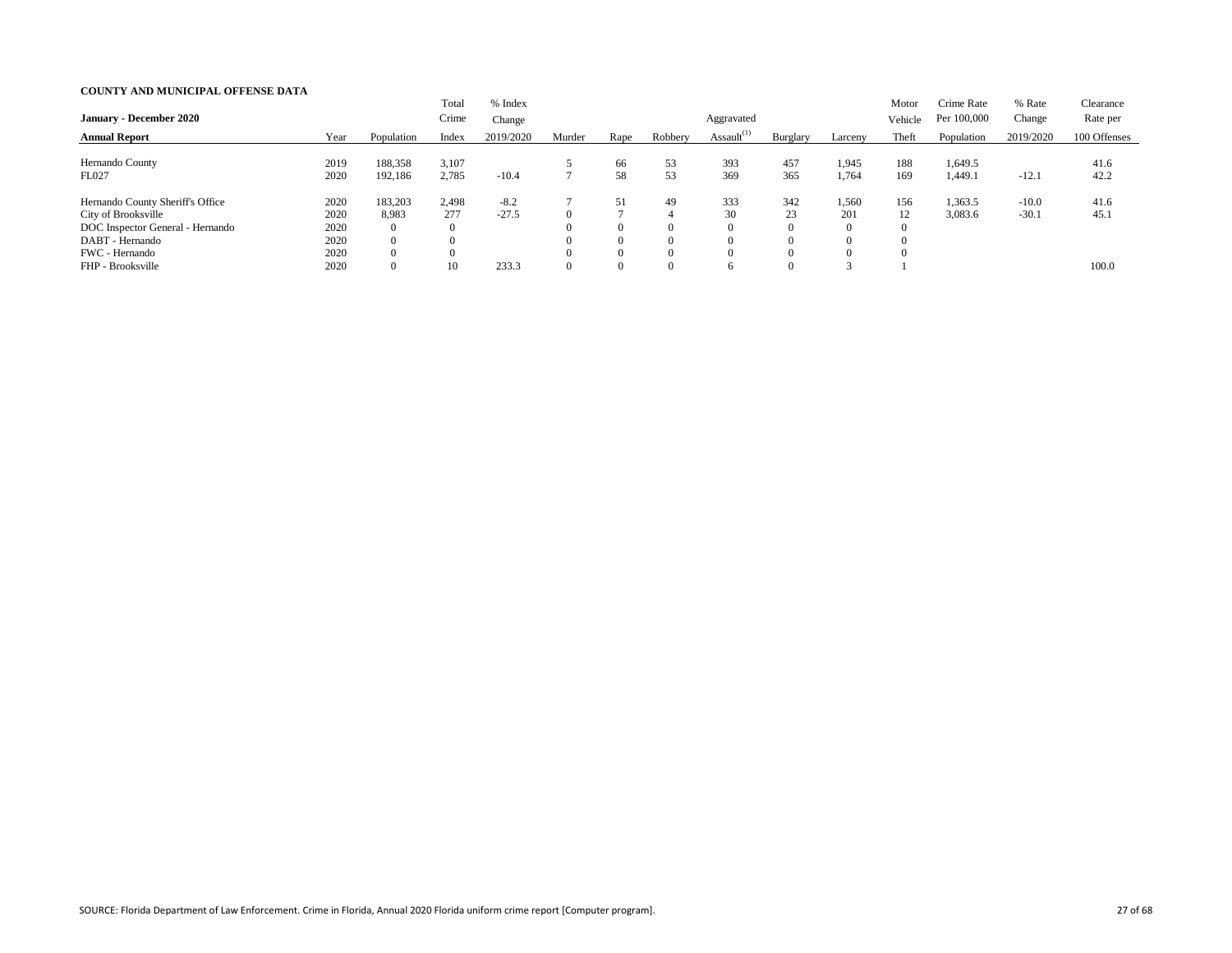| <b>January - December 2020</b>                                                                                                   |                                      |                                                     | Total<br>Crime           | % Index<br>Change |        |                                        |                                        | Aggravated       |                                               |                                      | Motor<br>Vehicle | Crime Rate<br>Per 100,000 | % Rate<br>Change   | Clearance<br>Rate per |
|----------------------------------------------------------------------------------------------------------------------------------|--------------------------------------|-----------------------------------------------------|--------------------------|-------------------|--------|----------------------------------------|----------------------------------------|------------------|-----------------------------------------------|--------------------------------------|------------------|---------------------------|--------------------|-----------------------|
| <b>Annual Report</b>                                                                                                             | Year                                 | Population                                          | Index                    | 2019/2020         | Murder | Rape                                   | Robbery                                | Assault $^{(1)}$ | Burglary                                      | Larceny                              | Theft            | Population                | 2019/2020          | 100 Offenses          |
| Hernando County<br>FL027                                                                                                         | 2019<br>2020                         | 188,358<br>192,186                                  | 3,107<br>2,785           | $-10.4$           |        | 66<br>58                               | 53<br>53                               | 393<br>369       | 457<br>365                                    | 1,945<br>1,764                       | 188<br>169       | ,649.5<br>1,449.1         | $-12.1$            | 41.6<br>42.2          |
| Hernando County Sheriff's Office<br>City of Brooksville<br>DOC Inspector General - Hernando<br>DABT - Hernando<br>FWC - Hernando | 2020<br>2020<br>2020<br>2020<br>2020 | 183,203<br>8,983<br>0<br>$\overline{0}$<br>$\theta$ | 2,498<br>277<br>$\theta$ | $-8.2$<br>$-27.5$ |        | 51<br>$\Omega$<br>$\theta$<br>$\theta$ | 49<br>$\Omega$<br>$\Omega$<br>$\Omega$ | 333<br>30        | 342<br>23<br>$\theta$<br>$\Omega$<br>$\Omega$ | 1,560<br>201<br>$\theta$<br>$\Omega$ | 156<br>12        | 1,363.5<br>3,083.6        | $-10.0$<br>$-30.1$ | 41.6<br>45.1          |
| FHP - Brooksville                                                                                                                | 2020                                 | $\overline{0}$                                      | 10                       | 233.3             |        | $\overline{0}$                         | $\Omega$                               |                  | $\overline{0}$                                |                                      |                  |                           |                    | 100.0                 |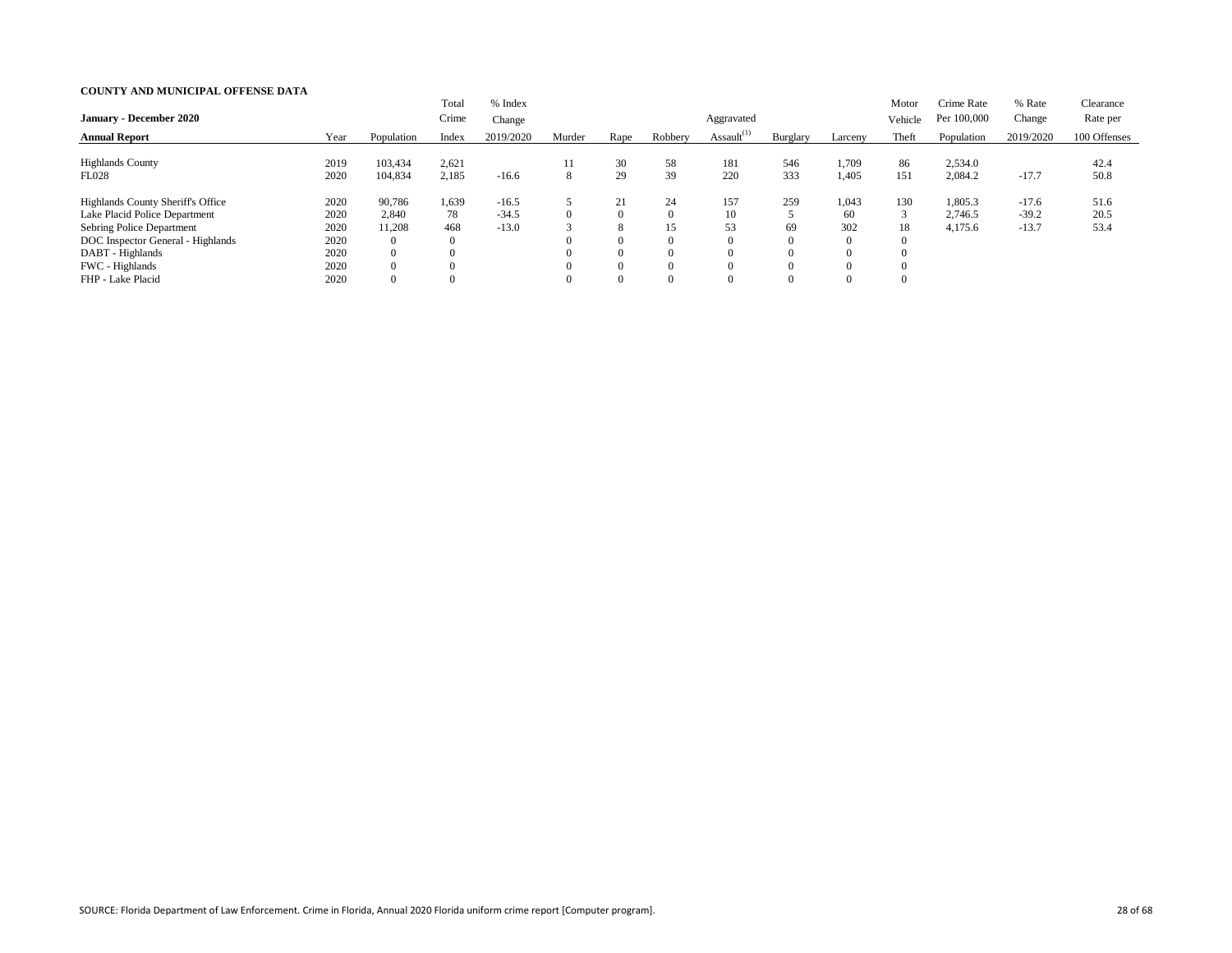| <b>January - December 2020</b>                                                                                                                                                     |                                              |                                                                                 | Total<br>Crime                                     | % Index<br>Change             |         |                                                               |                                                          | Aggravated       |                                                                   |                                            | Motor<br>Vehicle | Crime Rate<br>Per 100,000     | % Rate<br>Change              | Clearance<br>Rate per |
|------------------------------------------------------------------------------------------------------------------------------------------------------------------------------------|----------------------------------------------|---------------------------------------------------------------------------------|----------------------------------------------------|-------------------------------|---------|---------------------------------------------------------------|----------------------------------------------------------|------------------|-------------------------------------------------------------------|--------------------------------------------|------------------|-------------------------------|-------------------------------|-----------------------|
| <b>Annual Report</b>                                                                                                                                                               | Year                                         | Population                                                                      | Index                                              | 2019/2020                     | Murder  | Rape                                                          | Robbery                                                  | Assault $^{(1)}$ | Burglary                                                          | Larceny                                    | Theft            | Population                    | 2019/2020                     | 100 Offenses          |
| <b>Highlands County</b><br><b>FL028</b>                                                                                                                                            | 2019<br>2020                                 | 103,434<br>104,834                                                              | 2,621<br>2,185                                     | $-16.6$                       | 11<br>8 | 30<br>29                                                      | 58<br>39                                                 | 181<br>220       | 546<br>333                                                        | 1,709<br>1,405                             | 86<br>151        | 2,534.0<br>2,084.2            | $-17.7$                       | 42.4<br>50.8          |
| <b>Highlands County Sheriff's Office</b><br>Lake Placid Police Department<br>Sebring Police Department<br>DOC Inspector General - Highlands<br>DABT - Highlands<br>FWC - Highlands | 2020<br>2020<br>2020<br>2020<br>2020<br>2020 | 90,786<br>2,840<br>11,208<br>$\overline{0}$<br>$\overline{0}$<br>$\overline{0}$ | 1,639<br>78<br>468<br>$\boldsymbol{0}$<br>$\theta$ | $-16.5$<br>$-34.5$<br>$-13.0$ |         | 21<br>$\theta$<br>8<br>$\theta$<br>$\overline{0}$<br>$\theta$ | 24<br>$\Omega$<br>15<br>$\Omega$<br>$\Omega$<br>$\Omega$ | 157<br>10<br>53  | 259<br>$\epsilon$<br>69<br>$\overline{0}$<br>$\Omega$<br>$\Omega$ | 1,043<br>60<br>302<br>$\theta$<br>$\Omega$ | 130<br>3<br>18   | 1,805.3<br>2,746.5<br>4,175.6 | $-17.6$<br>$-39.2$<br>$-13.7$ | 51.6<br>20.5<br>53.4  |
| FHP - Lake Placid                                                                                                                                                                  | 2020                                         | $\overline{0}$                                                                  |                                                    |                               |         | $\overline{0}$                                                | $\Omega$                                                 |                  | $\Omega$                                                          |                                            |                  |                               |                               |                       |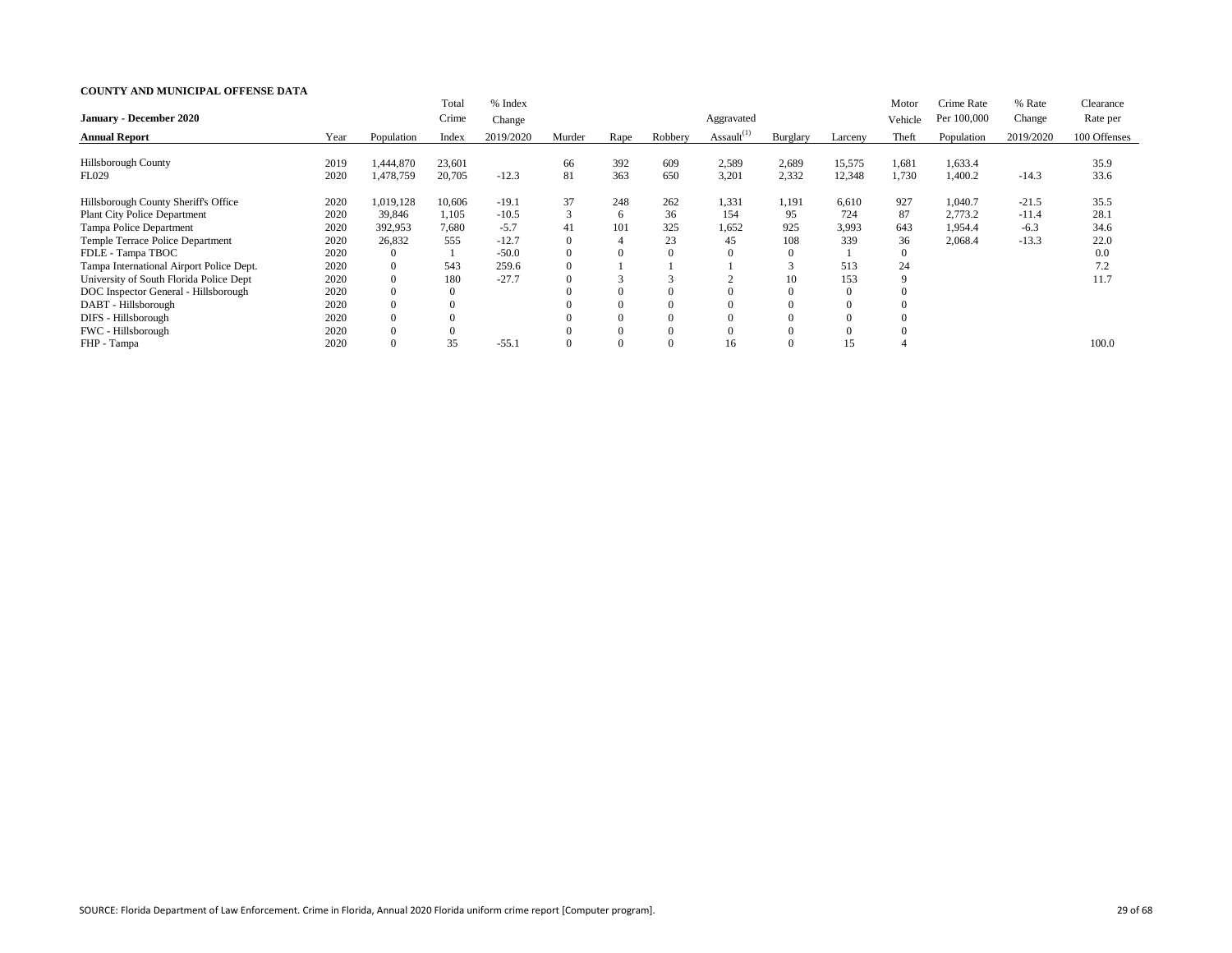|                                          |      |            | Total    | % Index   |          |      |         |                  |          |          | Motor       | Crime Rate  | % Rate    | Clearance    |
|------------------------------------------|------|------------|----------|-----------|----------|------|---------|------------------|----------|----------|-------------|-------------|-----------|--------------|
| <b>January - December 2020</b>           |      |            | Crime    | Change    |          |      |         | Aggravated       |          |          | Vehicle     | Per 100,000 | Change    | Rate per     |
| <b>Annual Report</b>                     | Year | Population | Index    | 2019/2020 | Murder   | Rape | Robbery | Assault $^{(1)}$ | Burglary | Larceny  | Theft       | Population  | 2019/2020 | 100 Offenses |
|                                          |      |            |          |           |          |      |         |                  |          |          |             |             |           |              |
| Hillsborough County                      | 2019 | 1,444,870  | 23,601   |           | 66       | 392  | 609     | 2,589            | 2,689    | 15,575   | 1,681       | 1,633.4     |           | 35.9         |
| <b>FL029</b>                             | 2020 | 1,478,759  | 20,705   | $-12.3$   | 81       | 363  | 650     | 3,201            | 2,332    | 12,348   | 1,730       | 1,400.2     | $-14.3$   | 33.6         |
| Hillsborough County Sheriff's Office     | 2020 | 1,019,128  | 10,606   | $-19.1$   | 37       | 248  | 262     | 1,331            | 1,191    | 6,610    | 927         | 1,040.7     | $-21.5$   | 35.5         |
| <b>Plant City Police Department</b>      | 2020 | 39,846     | 1,105    | $-10.5$   | 3        | 6    | 36      | 154              | 95       | 724      | 87          | 2,773.2     | $-11.4$   | 28.1         |
| Tampa Police Department                  | 2020 | 392,953    | 7,680    | $-5.7$    | 41       | 101  | 325     | 1,652            | 925      | 3,993    | 643         | 1,954.4     | $-6.3$    | 34.6         |
| Temple Terrace Police Department         | 2020 | 26,832     | 555      | $-12.7$   | $\Omega$ |      | 23      | 45               | 108      | 339      | 36          | 2,068.4     | $-13.3$   | 22.0         |
| FDLE - Tampa TBOC                        | 2020 | $\Omega$   |          | $-50.0$   | $\Omega$ |      |         |                  |          |          | $\Omega$    |             |           | 0.0          |
| Tampa International Airport Police Dept. | 2020 | $\Omega$   | 543      | 259.6     | $\Omega$ |      |         |                  |          | 513      | 24          |             |           | 7.2          |
| University of South Florida Police Dept  | 2020 | $\theta$   | 180      | $-27.7$   | $\Omega$ |      |         |                  | 10       | 153      | $\mathbf Q$ |             |           | 11.7         |
| DOC Inspector General - Hillsborough     | 2020 | $\Omega$   | $\theta$ |           | $\Omega$ |      |         |                  |          | $\theta$ |             |             |           |              |
| DABT - Hillsborough                      | 2020 | $\Omega$   |          |           |          |      |         |                  |          | $\Omega$ |             |             |           |              |
| DIFS - Hillsborough                      | 2020 | $\Omega$   |          |           | $\Omega$ |      |         |                  |          | $\Omega$ |             |             |           |              |
| FWC - Hillsborough                       | 2020 | $\Omega$   |          |           |          |      |         |                  |          | $\Omega$ |             |             |           |              |
| FHP - Tampa                              | 2020 | $\theta$   | 35       | $-55.1$   | $\Omega$ |      |         | 16               |          | 15       |             |             |           | 100.0        |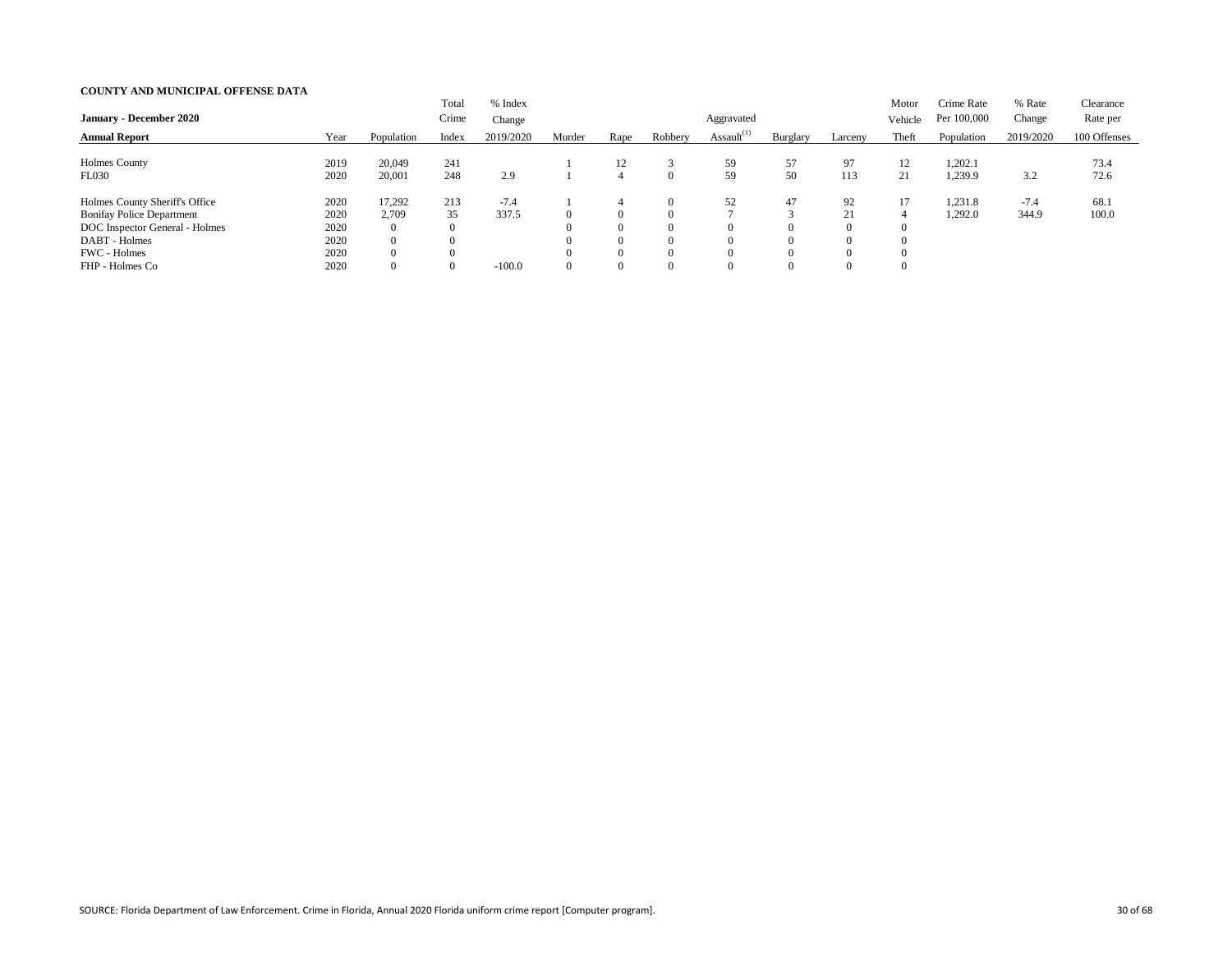| <b>January - December 2020</b>                                     |              |                                  | Total<br>Crime | % Index<br>Change |        |                            |                      | Aggravated       |                            |               | Motor<br>Vehicle           | Crime Rate<br>Per 100,000 | % Rate<br>Change | Clearance<br>Rate per |
|--------------------------------------------------------------------|--------------|----------------------------------|----------------|-------------------|--------|----------------------------|----------------------|------------------|----------------------------|---------------|----------------------------|---------------------------|------------------|-----------------------|
| <b>Annual Report</b>                                               | Year         | Population                       | Index          | 2019/2020         | Murder | Rape                       | Robbery              | Assault $^{(1)}$ | Burglary                   | Larceny       | Theft                      | Population                | 2019/2020        | 100 Offenses          |
| Holmes County<br><b>FL030</b>                                      | 2019<br>2020 | 20,049<br>20,001                 | 241<br>248     | 2.9               |        | 12<br>4                    | $\Omega$             | 59<br>59         | 57<br>50                   | 97<br>113     | 12<br>21                   | 1,202.1<br>1,239.9        | 3.2              | 73.4<br>72.6          |
| Holmes County Sheriff's Office<br><b>Bonifay Police Department</b> | 2020<br>2020 | 17,292<br>2,709                  | 213<br>35      | $-7.4$<br>337.5   |        | 4<br>$\overline{0}$        | $\Omega$<br>$\Omega$ | 52               | 47<br>$\sim$               | 92<br>21      | 17<br>4                    | 1,231.8<br>1,292.0        | $-7.4$<br>344.9  | 68.1<br>100.0         |
| DOC Inspector General - Holmes<br>DABT - Holmes                    | 2020<br>2020 | $\overline{0}$<br>$\overline{0}$ |                |                   |        | $\theta$<br>$\theta$       | $\Omega$<br>$\Omega$ | $\theta$         | $\theta$<br>$\theta$       | $\theta$<br>0 | $\Omega$<br>$\Omega$       |                           |                  |                       |
| FWC - Holmes<br>FHP - Holmes Co                                    | 2020<br>2020 | $\overline{0}$<br>$\overline{0}$ |                | $-100.0$          |        | $\Omega$<br>$\overline{0}$ | $\Omega$<br>$\Omega$ | 0                | $\Omega$<br>$\overline{0}$ |               | $\Omega$<br>$\overline{0}$ |                           |                  |                       |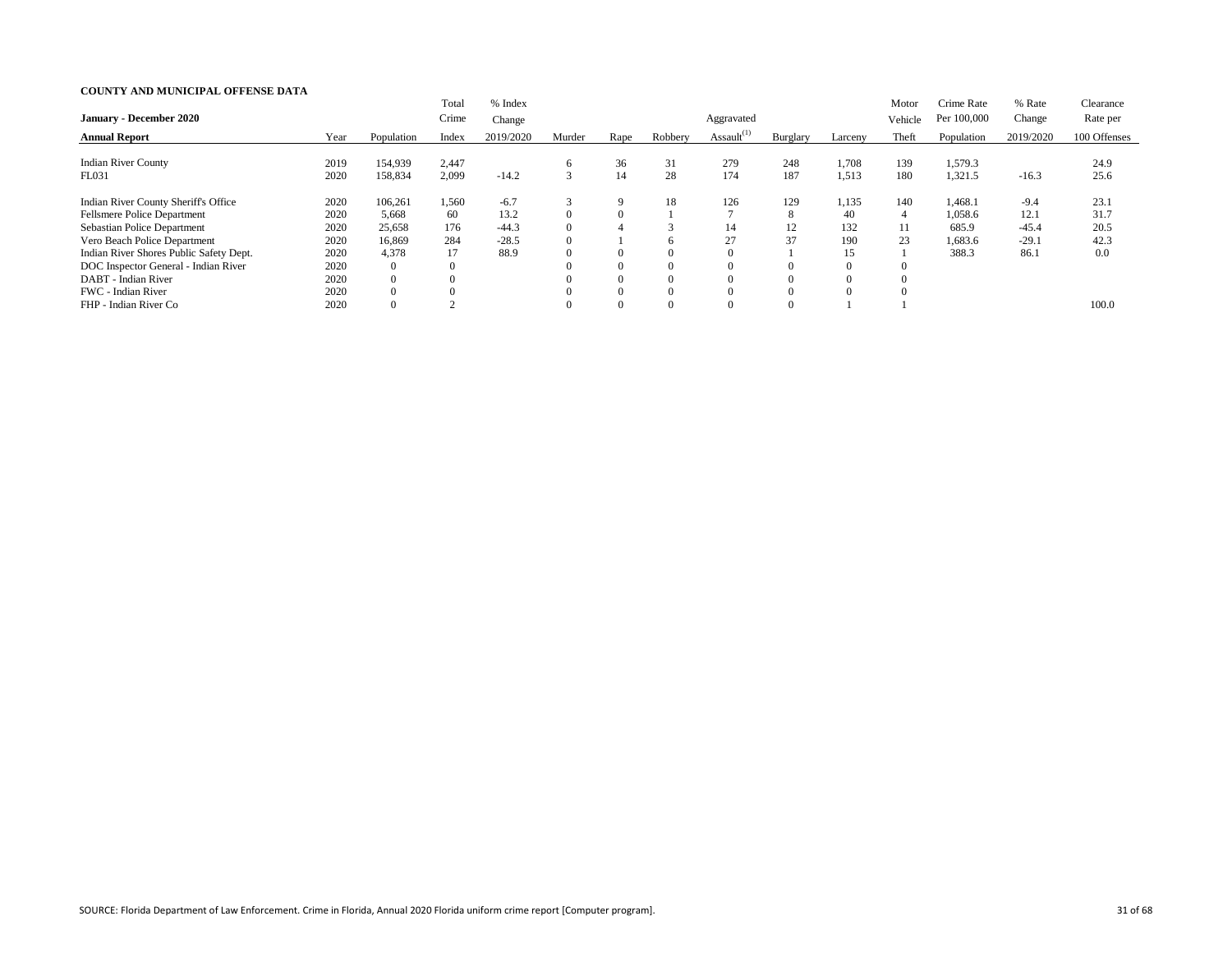|                                         |      |                | Total    | % Index   |          |          |              |                  |          |                | Motor                    | Crime Rate  | % Rate    | Clearance    |
|-----------------------------------------|------|----------------|----------|-----------|----------|----------|--------------|------------------|----------|----------------|--------------------------|-------------|-----------|--------------|
| <b>January - December 2020</b>          |      |                | Crime    | Change    |          |          |              | Aggravated       |          |                | Vehicle                  | Per 100,000 | Change    | Rate per     |
| <b>Annual Report</b>                    | Year | Population     | Index    | 2019/2020 | Murder   | Rape     | Robbery      | Assault $^{(1)}$ | Burglary | Larceny        | Theft                    | Population  | 2019/2020 | 100 Offenses |
| <b>Indian River County</b>              |      | 154,939        |          |           |          | 36       | 31           | 279              | 248      | 1,708          | 139                      |             |           | 24.9         |
|                                         | 2019 |                | 2,447    |           | 6        |          |              |                  |          |                |                          | 1,579.3     |           |              |
| FL031                                   | 2020 | 158,834        | 2,099    | $-14.2$   |          | 14       | 28           | 174              | 187      | 1,513          | 180                      | 1,321.5     | $-16.3$   | 25.6         |
| Indian River County Sheriff's Office    | 2020 | 106,261        | 1,560    | $-6.7$    |          | 9        | 18           | 126              | 129      | 1,135          | 140                      | 1,468.1     | $-9.4$    | 23.1         |
| Fellsmere Police Department             | 2020 | 5,668          | 60       | 13.2      |          | $\Omega$ |              |                  | 8        | 40             | $\overline{\mathcal{A}}$ | 1,058.6     | 12.1      | 31.7         |
| <b>Sebastian Police Department</b>      | 2020 | 25,658         | 176      | $-44.3$   | $\Omega$ | 4        |              | 14               | 12       | 132            | 11                       | 685.9       | $-45.4$   | 20.5         |
| Vero Beach Police Department            | 2020 | 16,869         | 284      | $-28.5$   |          |          | <sub>6</sub> | 27               | 37       | 190            | 23                       | 1,683.6     | $-29.1$   | 42.3         |
| Indian River Shores Public Safety Dept. | 2020 | 4,378          | 17       | 88.9      |          | $\Omega$ | $\Omega$     |                  |          | 15             |                          | 388.3       | 86.1      | 0.0          |
| DOC Inspector General - Indian River    | 2020 | $\overline{0}$ | $\theta$ |           |          | $\Omega$ | $\theta$     |                  |          | $\overline{0}$ |                          |             |           |              |
| DABT - Indian River                     | 2020 | $\overline{0}$ | $\Omega$ |           |          | $\Omega$ | $\theta$     |                  |          | $\theta$       |                          |             |           |              |
| FWC - Indian River                      | 2020 | $\overline{0}$ |          |           |          | $\Omega$ | $\Omega$     |                  |          | $\Omega$       | $\Omega$                 |             |           |              |
| FHP - Indian River Co                   | 2020 |                |          |           |          |          |              |                  |          |                |                          |             |           | 100.0        |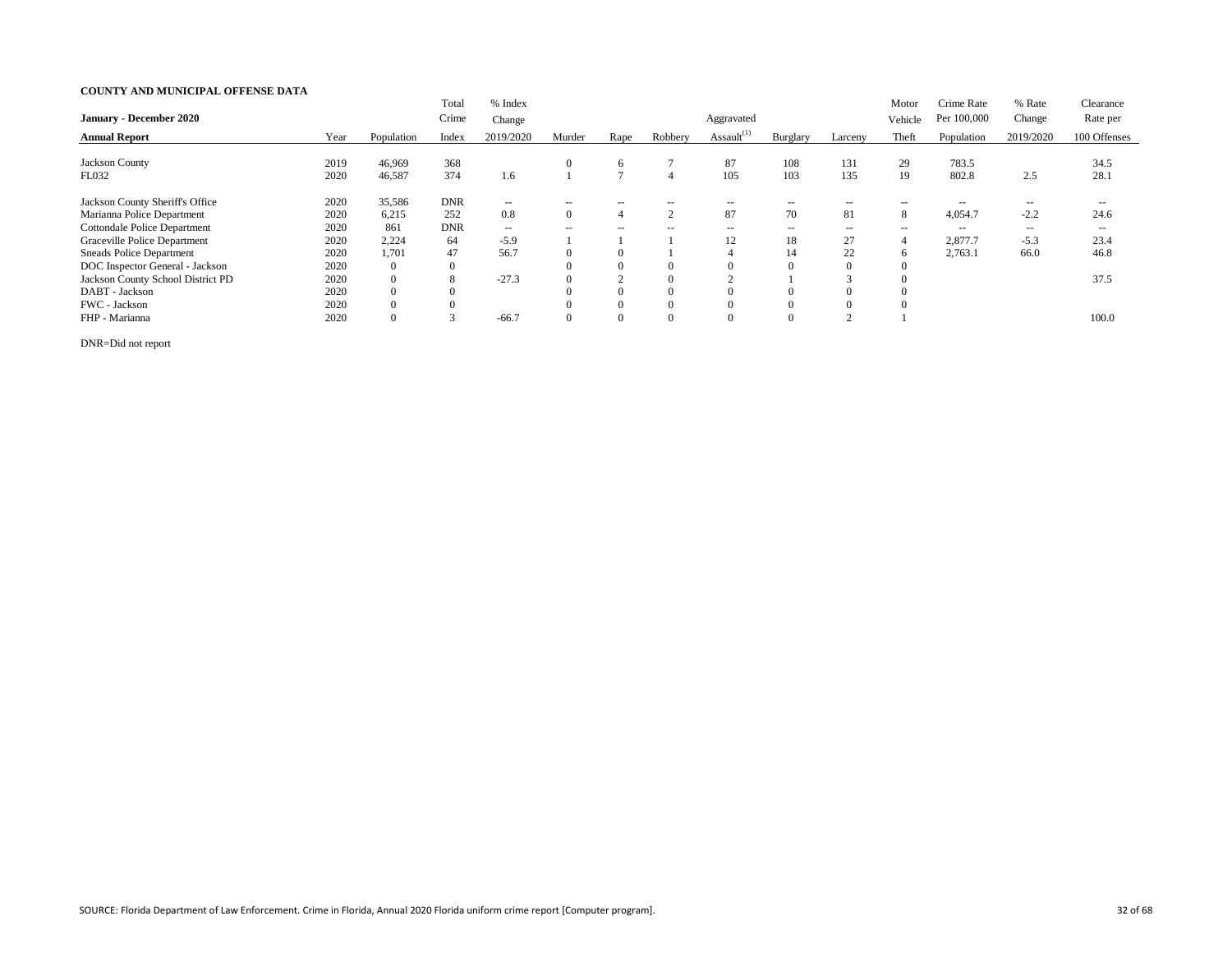|                                     |      |                | Total            | % Index   |                          |                          |                          |                  |                          |                | Motor         | Crime Rate  | % Rate            | Clearance     |
|-------------------------------------|------|----------------|------------------|-----------|--------------------------|--------------------------|--------------------------|------------------|--------------------------|----------------|---------------|-------------|-------------------|---------------|
| <b>January - December 2020</b>      |      |                | Crime            | Change    |                          |                          |                          | Aggravated       |                          |                | Vehicle       | Per 100,000 | Change            | Rate per      |
| <b>Annual Report</b>                | Year | Population     | Index            | 2019/2020 | Murder                   | Rape                     | Robbery                  | Assault $^{(1)}$ | Burglary                 | Larceny        | Theft         | Population  | 2019/2020         | 100 Offenses  |
| <b>Jackson County</b>               |      |                |                  |           |                          |                          |                          |                  |                          |                |               |             |                   |               |
|                                     | 2019 | 46,969         | 368              |           | $\theta$                 | 6                        |                          | 87               | 108                      | 131            | 29            | 783.5       |                   | 34.5          |
| <b>FL032</b>                        | 2020 | 46,587         | 374              | 1.6       |                          |                          | 4                        | 105              | 103                      | 135            | 19            | 802.8       | 2.5               | 28.1          |
| Jackson County Sheriff's Office     | 2020 | 35,586         | <b>DNR</b>       | $--$      | ---                      | $- -$                    |                          | --               | $- -$                    | $- -$          | $ -$          | $- -$       | $\qquad \qquad -$ | $- -$         |
| Marianna Police Department          | 2020 | 6,215          | 252              | 0.8       | $\theta$                 | 4                        | $\sim$                   | 87               | 70                       | 81             | 8             | 4,054.7     | $-2.2$            | 24.6          |
| <b>Cottondale Police Department</b> | 2020 | 861            | <b>DNR</b>       | $-  \,$   | $\overline{\phantom{a}}$ | $\overline{\phantom{a}}$ | $\overline{\phantom{m}}$ | $- -$            | $\overline{\phantom{a}}$ | $\sim$ $\sim$  | $\sim$ $\sim$ | $- -$       | $- -$             | $\sim$ $\sim$ |
| Graceville Police Department        | 2020 | 2,224          | 64               | $-5.9$    |                          |                          |                          | 12               | 18                       | 27             |               | 2,877.7     | $-5.3$            | 23.4          |
| <b>Sneads Police Department</b>     | 2020 | 1,701          | 47               | 56.7      |                          | $\Omega$                 |                          |                  | 14                       | 22             |               | 2,763.1     | 66.0              | 46.8          |
| DOC Inspector General - Jackson     | 2020 | $\overline{0}$ | $\boldsymbol{0}$ |           |                          | $\Omega$                 | $\theta$                 |                  | 0                        | $\Omega$       |               |             |                   |               |
| Jackson County School District PD   | 2020 | $\mathbf{0}$   | 8                | $-27.3$   |                          |                          | $\Omega$                 |                  |                          |                |               |             |                   | 37.5          |
| DABT - Jackson                      | 2020 | $\overline{0}$ | $\theta$         |           |                          | $\Omega$                 | $\Omega$                 |                  | v                        |                |               |             |                   |               |
| FWC - Jackson                       | 2020 | $\Omega$       | $\theta$         |           |                          | $\theta$                 | $\Omega$                 |                  | $\Omega$                 | $\Omega$       |               |             |                   |               |
| FHP - Marianna                      | 2020 | $\theta$       |                  | $-66.7$   |                          | $\Omega$                 | $\Omega$                 |                  | $\Omega$                 | $\overline{ }$ |               |             |                   | 100.0         |

DNR=Did not report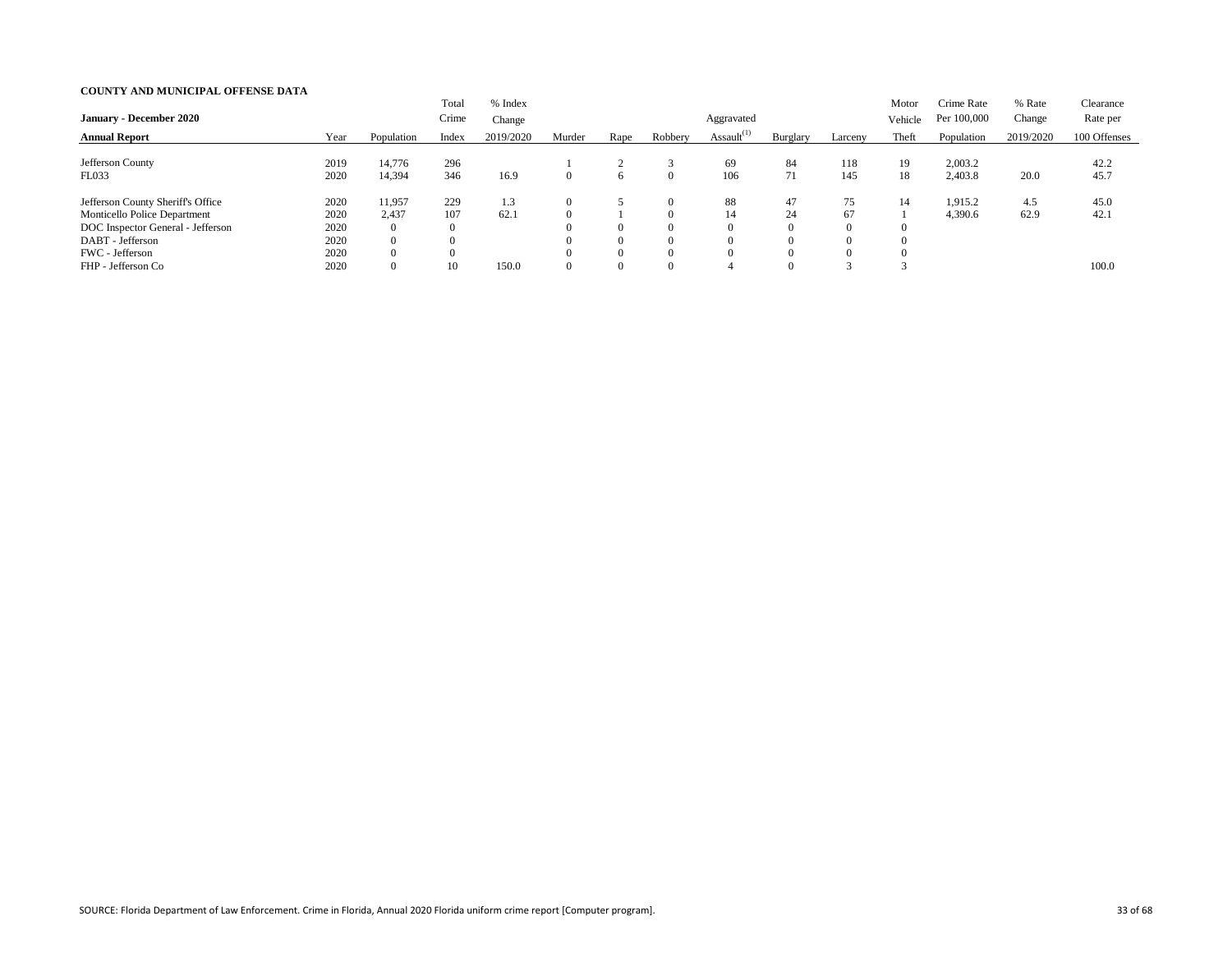| <b>January - December 2020</b>      |      |                | Total<br>Crime | % Index<br>Change |        |                |          | Aggravated       |                 |         | Motor<br>Vehicle | Crime Rate<br>Per 100,000 | % Rate<br>Change | Clearance<br>Rate per |
|-------------------------------------|------|----------------|----------------|-------------------|--------|----------------|----------|------------------|-----------------|---------|------------------|---------------------------|------------------|-----------------------|
| <b>Annual Report</b>                | Year | Population     | Index          | 2019/2020         | Murder | Rape           | Robbery  | Assault $^{(1)}$ | <b>Burglary</b> | Larceny | Theft            | Population                | 2019/2020        | 100 Offenses          |
| Jefferson County                    | 2019 | 14,776         | 296            |                   |        |                |          | 69               | 84              | 118     | 19               | 2,003.2                   |                  | 42.2                  |
| FL033                               | 2020 | 14,394         | 346            | 16.9              |        | $\sigma$       | $\theta$ | 106              | 71              | 145     | 18               | 2,403.8                   | 20.0             | 45.7                  |
| Jefferson County Sheriff's Office   | 2020 | 11,957         | 229            | 1.3               |        |                | $\theta$ | 88               | 47              | 75      | 14               | 1,915.2                   | 4.5              | 45.0                  |
| <b>Monticello Police Department</b> | 2020 | 2,437          | 107            | 62.1              |        |                | $\Omega$ | 14               | 24              | 67      |                  | 4,390.6                   | 62.9             | 42.1                  |
| DOC Inspector General - Jefferson   | 2020 | $\overline{0}$ |                |                   |        | $\Omega$       | $\Omega$ |                  | $\Omega$        |         |                  |                           |                  |                       |
| DABT - Jefferson                    | 2020 | $\overline{0}$ |                |                   |        | $\Omega$       | $\Omega$ |                  | $\Omega$        |         | 0                |                           |                  |                       |
| FWC - Jefferson                     | 2020 | $\theta$       |                |                   |        | $\Omega$       | $\Omega$ |                  | $\Omega$        |         |                  |                           |                  |                       |
| FHP - Jefferson Co                  | 2020 | $\overline{0}$ | 10             | 150.0             |        | $\overline{0}$ | $\Omega$ |                  | $\Omega$        |         |                  |                           |                  | 100.0                 |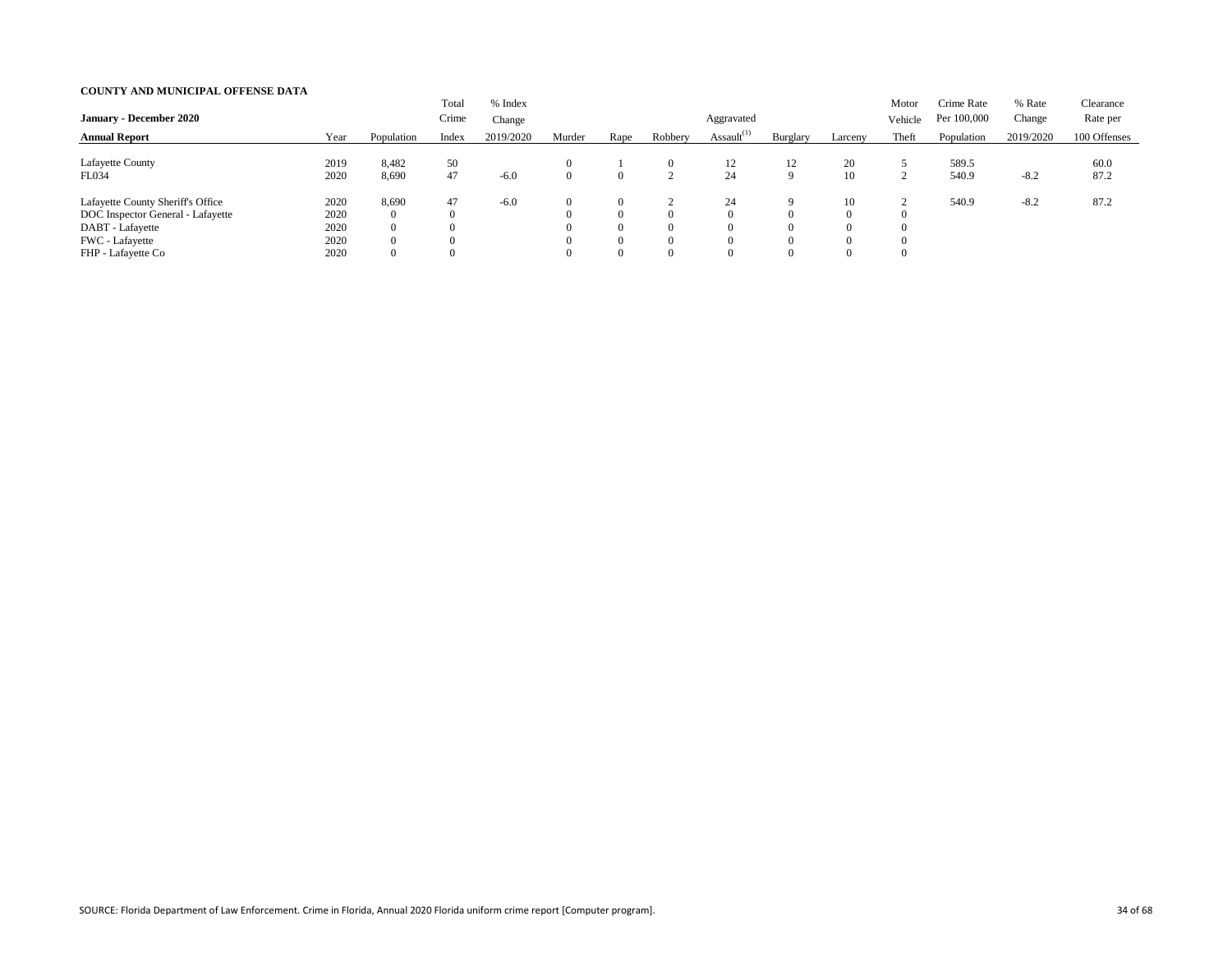|                                   |      |                | Total    | % Index   |        |                |          |                  |                |          | Motor              | Crime Rate  | % Rate    | Clearance    |
|-----------------------------------|------|----------------|----------|-----------|--------|----------------|----------|------------------|----------------|----------|--------------------|-------------|-----------|--------------|
| <b>January - December 2020</b>    |      |                | Crime    | Change    |        |                |          | Aggravated       |                |          | Vehicle            | Per 100,000 | Change    | Rate per     |
| <b>Annual Report</b>              | Year | Population     | Index    | 2019/2020 | Murder | Rape           | Robbery  | Assault $^{(1)}$ | Burglary       | Larceny  | Theft              | Population  | 2019/2020 | 100 Offenses |
| Lafayette County                  | 2019 | 8,482          | 50       |           |        |                | $\left($ | 12               | 12             | 20       |                    | 589.5       |           | 60.0         |
| FL034                             | 2020 | 8,690          | 47       | $-6.0$    |        | $\overline{0}$ |          | 24               | 9              | 10       | $\mathcal{D}$<br>∠ | 540.9       | $-8.2$    | 87.2         |
| Lafayette County Sheriff's Office | 2020 | 8,690          | 47       | $-6.0$    |        | $\Omega$       |          | 24               | 9              | 10       |                    | 540.9       | $-8.2$    | 87.2         |
| DOC Inspector General - Lafayette | 2020 | $\overline{0}$ | $\Omega$ |           |        | $\theta$       | $\left($ |                  | 0              | $\theta$ |                    |             |           |              |
| DABT - Lafayette                  | 2020 | $\overline{0}$ |          |           |        | $\Omega$       | $\Omega$ |                  | $\Omega$       | $\Omega$ |                    |             |           |              |
| FWC - Lafayette                   | 2020 | $\overline{0}$ |          |           |        | $\overline{0}$ | $\Omega$ |                  | $\Omega$       | $\Omega$ |                    |             |           |              |
| FHP - Lafayette Co                | 2020 | $\overline{0}$ |          |           |        | $\overline{0}$ | $\left($ |                  | $\overline{0}$ | $\Omega$ |                    |             |           |              |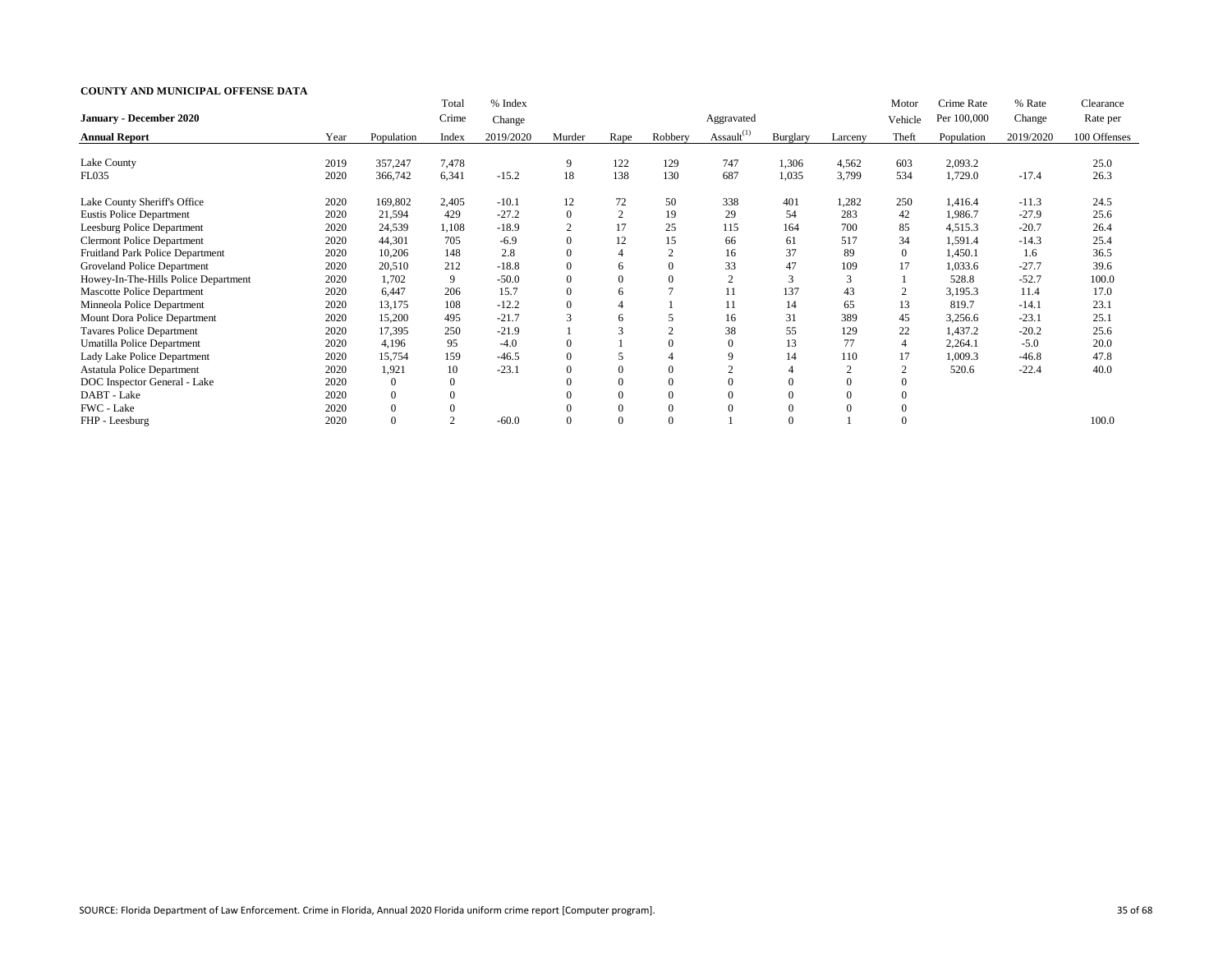|                                      |      |                | Total          | % Index   |                |                |          |                  |                |                | Motor          | Crime Rate  | % Rate    | Clearance    |
|--------------------------------------|------|----------------|----------------|-----------|----------------|----------------|----------|------------------|----------------|----------------|----------------|-------------|-----------|--------------|
| <b>January - December 2020</b>       |      |                | Crime          | Change    |                |                |          | Aggravated       |                |                | Vehicle        | Per 100,000 | Change    | Rate per     |
| <b>Annual Report</b>                 | Year | Population     | Index          | 2019/2020 | Murder         | Rape           | Robbery  | Assault $^{(1)}$ | Burglary       | Larceny        | Theft          | Population  | 2019/2020 | 100 Offenses |
| Lake County                          | 2019 | 357,247        | 7,478          |           | 9              | 122            | 129      | 747              | 1,306          | 4,562          | 603            | 2,093.2     |           | 25.0         |
| FL035                                | 2020 | 366,742        | 6,341          | $-15.2$   | 18             | 138            | 130      | 687              | 1,035          | 3,799          | 534            | 1,729.0     | $-17.4$   | 26.3         |
| Lake County Sheriff's Office         | 2020 | 169,802        | 2,405          | $-10.1$   | 12             | 72             | 50       | 338              | 401            | 1,282          | 250            | 1,416.4     | $-11.3$   | 24.5         |
| <b>Eustis Police Department</b>      | 2020 | 21,594         | 429            | $-27.2$   | $\overline{0}$ | $\overline{2}$ | 19       | 29               | 54             | 283            | 42             | 1,986.7     | $-27.9$   | 25.6         |
| Leesburg Police Department           | 2020 | 24,539         | 1,108          | $-18.9$   |                | 17             | 25       | 115              | 164            | 700            | 85             | 4,515.3     | $-20.7$   | 26.4         |
| <b>Clermont Police Department</b>    | 2020 | 44,301         | 705            | $-6.9$    | $\Omega$       | 12             | 15       | 66               | 61             | 517            | 34             | 1,591.4     | $-14.3$   | 25.4         |
| Fruitland Park Police Department     | 2020 | 10,206         | 148            | 2.8       | $\theta$       |                |          | 16               | 37             | 89             | $\Omega$       | 1,450.1     | 1.6       | 36.5         |
| Groveland Police Department          | 2020 | 20,510         | 212            | $-18.8$   | $\Omega$       | 6              |          | 33               | 47             | 109            | 17             | 1,033.6     | $-27.7$   | 39.6         |
| Howey-In-The-Hills Police Department | 2020 | 1,702          | 9              | $-50.0$   | $\overline{0}$ | $\overline{0}$ |          | $\sim$<br>∠      | 3              | 3              |                | 528.8       | $-52.7$   | 100.0        |
| <b>Mascotte Police Department</b>    | 2020 | 6,447          | 206            | 15.7      | $\overline{0}$ | 6              |          |                  | 137            | 43             | $\overline{2}$ | 3,195.3     | 11.4      | 17.0         |
| Minneola Police Department           | 2020 | 13,175         | 108            | $-12.2$   | $\overline{0}$ |                |          |                  | 14             | 65             | 13             | 819.7       | $-14.1$   | 23.1         |
| Mount Dora Police Department         | 2020 | 15,200         | 495            | $-21.7$   | 3              | 6              |          | 16               | 31             | 389            | 45             | 3,256.6     | $-23.1$   | 25.1         |
| <b>Tavares Police Department</b>     | 2020 | 17,395         | 250            | $-21.9$   |                |                |          | 38               | 55             | 129            | 22             | 1,437.2     | $-20.2$   | 25.6         |
| Umatilla Police Department           | 2020 | 4,196          | 95             | $-4.0$    | $\Omega$       |                |          |                  | 13             | 77             | $\overline{4}$ | 2,264.1     | $-5.0$    | 20.0         |
| Lady Lake Police Department          | 2020 | 15,754         | 159            | $-46.5$   | $\Omega$       |                |          |                  | 14             | 110            | 17             | 1,009.3     | $-46.8$   | 47.8         |
| <b>Astatula Police Department</b>    | 2020 | 1,921          | 10             | $-23.1$   | $\Omega$       |                |          |                  | $\overline{4}$ | $\overline{2}$ | $\mathcal{D}$  | 520.6       | $-22.4$   | 40.0         |
| DOC Inspector General - Lake         | 2020 | $\Omega$       | $\theta$       |           |                |                |          |                  |                | $\Omega$       |                |             |           |              |
| DABT - Lake                          | 2020 | $\overline{0}$ | $\overline{0}$ |           | $\Omega$       | $\overline{0}$ | $\Omega$ |                  | $\Omega$       | $\overline{0}$ | 0              |             |           |              |
| FWC - Lake                           | 2020 | $\overline{0}$ |                |           | $\Omega$       |                |          |                  |                | $\overline{0}$ |                |             |           |              |
| FHP - Leesburg                       | 2020 | $\theta$       | $\overline{2}$ | $-60.0$   | $\Omega$       |                |          |                  |                |                | $\overline{0}$ |             |           | 100.0        |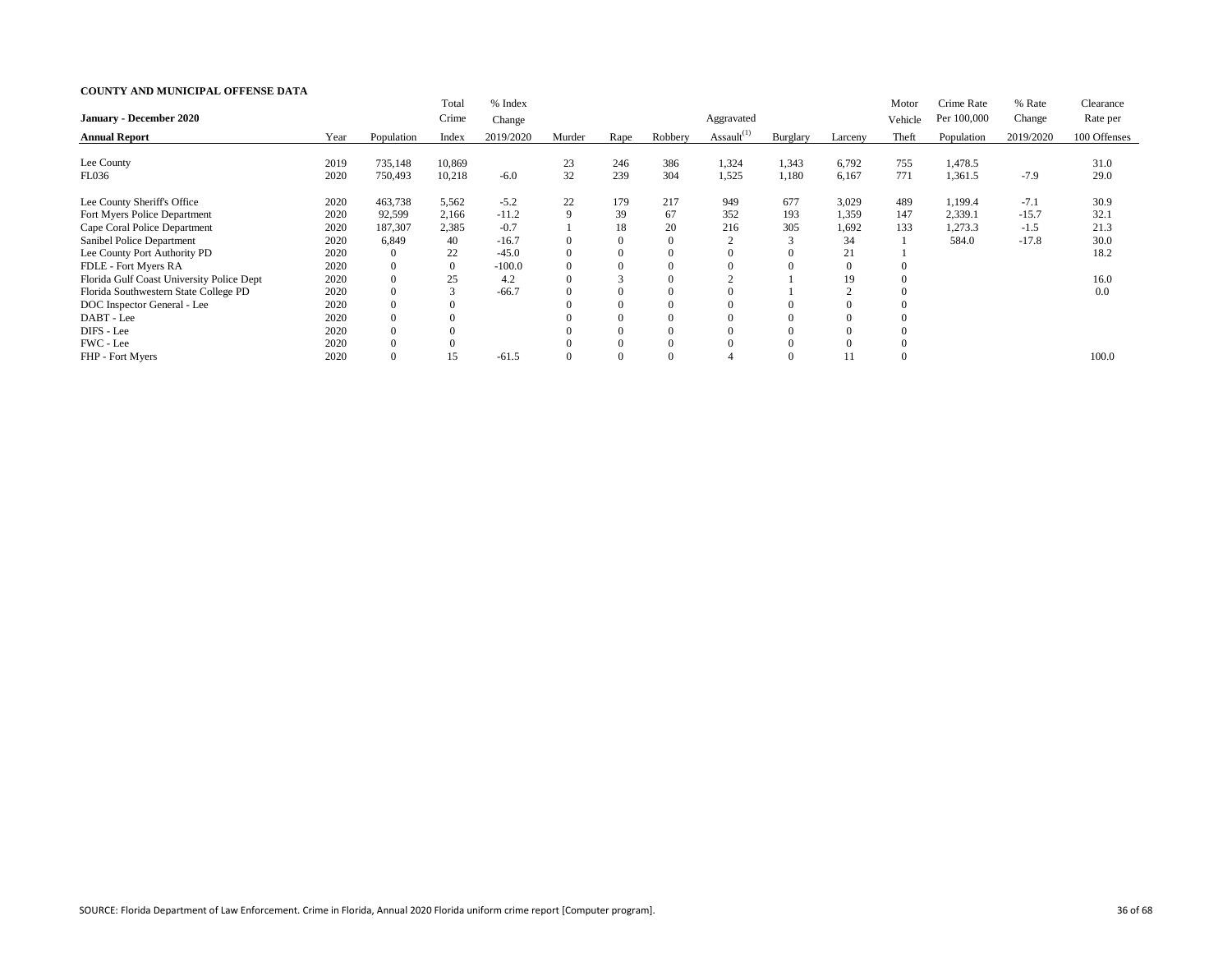|                                           |      |            | Total          | % Index   |                |          |         |                  |          |                | Motor   | Crime Rate  | % Rate    | Clearance    |
|-------------------------------------------|------|------------|----------------|-----------|----------------|----------|---------|------------------|----------|----------------|---------|-------------|-----------|--------------|
| <b>January - December 2020</b>            |      |            | Crime          | Change    |                |          |         | Aggravated       |          |                | Vehicle | Per 100,000 | Change    | Rate per     |
| <b>Annual Report</b>                      | Year | Population | Index          | 2019/2020 | Murder         | Rape     | Robbery | Assault $^{(1)}$ | Burglary | Larceny        | Theft   | Population  | 2019/2020 | 100 Offenses |
| Lee County                                | 2019 | 735,148    | 10,869         |           | 23             | 246      | 386     | 1,324            | 1,343    | 6,792          | 755     | 1,478.5     |           | 31.0         |
| <b>FL036</b>                              | 2020 | 750,493    | 10,218         | $-6.0$    | 32             | 239      | 304     | 1,525            | 1,180    | 6,167          | 771     | 1,361.5     | $-7.9$    | 29.0         |
| Lee County Sheriff's Office               | 2020 | 463,738    | 5,562          | $-5.2$    | 22             | 179      | 217     | 949              | 677      | 3,029          | 489     | 1,199.4     | $-7.1$    | 30.9         |
| Fort Myers Police Department              | 2020 | 92,599     | 2,166          | $-11.2$   | 9              | 39       | 67      | 352              | 193      | 1,359          | 147     | 2,339.1     | $-15.7$   | 32.1         |
| Cape Coral Police Department              | 2020 | 187,307    | 2,385          | $-0.7$    |                | 18       | 20      | 216              | 305      | 1,692          | 133     | 1,273.3     | $-1.5$    | 21.3         |
| Sanibel Police Department                 | 2020 | 6,849      | 40             | $-16.7$   | $\Omega$       |          |         |                  |          | 34             |         | 584.0       | $-17.8$   | 30.0         |
| Lee County Port Authority PD              | 2020 | $\theta$   | 22             | $-45.0$   | $\overline{0}$ | $\theta$ |         | $\Omega$         | $\Omega$ | 21             |         |             |           | 18.2         |
| FDLE - Fort Myers RA                      | 2020 | $\Omega$   | $\overline{0}$ | $-100.0$  | $\Omega$       |          |         |                  |          | $\overline{0}$ |         |             |           |              |
| Florida Gulf Coast University Police Dept | 2020 | $\theta$   | 25             | 4.2       | $\Omega$       |          |         |                  |          | 19             |         |             |           | 16.0         |
| Florida Southwestern State College PD     | 2020 |            |                | $-66.7$   | $\Omega$       |          |         |                  |          |                |         |             |           | 0.0          |
| DOC Inspector General - Lee               | 2020 | $\Omega$   |                |           | $\Omega$       |          |         | 0                |          | $\Omega$       |         |             |           |              |
| DABT - Lee                                | 2020 |            |                |           |                |          |         |                  |          | $\Omega$       |         |             |           |              |
| DIFS - Lee                                | 2020 |            |                |           |                |          |         |                  | $\Omega$ | $\Omega$       |         |             |           |              |
| FWC - Lee                                 | 2020 |            |                |           |                |          |         |                  | $\Omega$ | $\Omega$       |         |             |           |              |
| FHP - Fort Myers                          | 2020 |            | 15             | $-61.5$   | $\Omega$       |          |         |                  |          |                |         |             |           | 100.0        |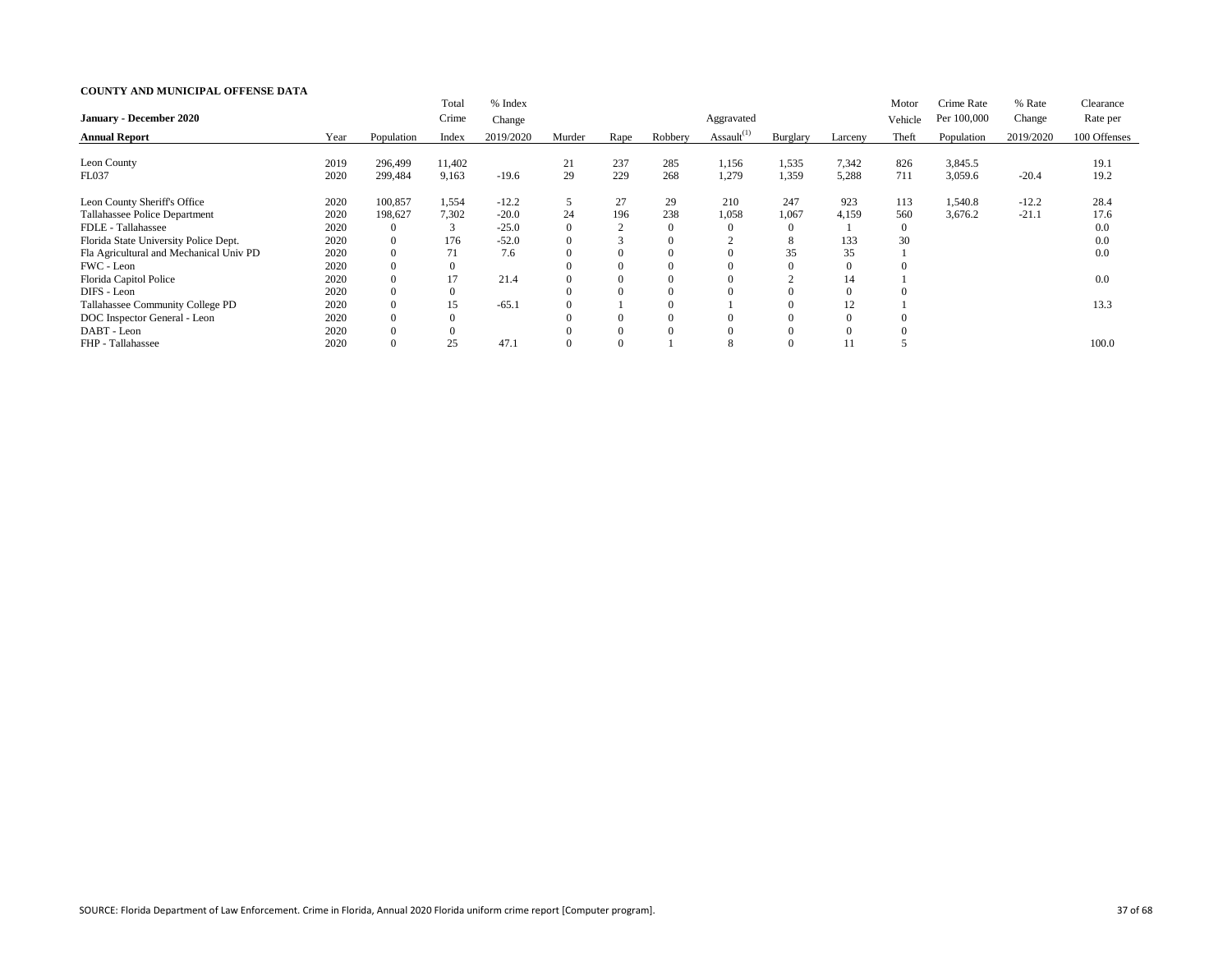|                                         |      |            | Total          | % Index   |                |      |         |                  |          |                | Motor    | Crime Rate  | % Rate    | Clearance    |
|-----------------------------------------|------|------------|----------------|-----------|----------------|------|---------|------------------|----------|----------------|----------|-------------|-----------|--------------|
| <b>January - December 2020</b>          |      |            | Crime          | Change    |                |      |         | Aggravated       |          |                | Vehicle  | Per 100,000 | Change    | Rate per     |
| <b>Annual Report</b>                    | Year | Population | Index          | 2019/2020 | Murder         | Rape | Robbery | Assault $^{(1)}$ | Burglary | Larceny        | Theft    | Population  | 2019/2020 | 100 Offenses |
|                                         |      |            |                |           |                |      |         |                  |          |                |          |             |           |              |
| Leon County                             | 2019 | 296,499    | 11,402         |           | 21             | 237  | 285     | 1,156            | 1,535    | 7,342          | 826      | 3,845.5     |           | 19.1         |
| FL037                                   | 2020 | 299,484    | 9,163          | $-19.6$   | 29             | 229  | 268     | 1,279            | 1,359    | 5,288          | 711      | 3,059.6     | $-20.4$   | 19.2         |
| Leon County Sheriff's Office            | 2020 | 100,857    | 1,554          | $-12.2$   |                | 27   | 29      | 210              | 247      | 923            | 113      | 1,540.8     | $-12.2$   | 28.4         |
| Tallahassee Police Department           | 2020 | 198,627    | 7,302          | $-20.0$   | 24             | 196  | 238     | 1,058            | 1,067    | 4,159          | 560      | 3,676.2     | $-21.1$   | 17.6         |
| FDLE - Tallahassee                      | 2020 | $\Omega$   | 3              | $-25.0$   | $\theta$       | 2    |         | 0                | $\theta$ |                | $\theta$ |             |           | 0.0          |
| Florida State University Police Dept.   | 2020 | $\Omega$   | 176            | $-52.0$   | $\overline{0}$ |      |         |                  | $\delta$ | 133            | 30       |             |           | 0.0          |
| Fla Agricultural and Mechanical Univ PD | 2020 | $\Omega$   | 71             | 7.6       | $\Omega$       |      |         | 0                | 35       | 35             |          |             |           | 0.0          |
| FWC - Leon                              | 2020 | $\Omega$   | $\overline{0}$ |           | $\Omega$       |      |         |                  | $\Omega$ | $\overline{0}$ |          |             |           |              |
| Florida Capitol Police                  | 2020 | $\theta$   | 17             | 21.4      | $\theta$       | 0    |         | $\Omega$         |          | 14             |          |             |           | 0.0          |
| DIFS - Leon                             | 2020 |            | $\overline{0}$ |           | $\Omega$       |      |         |                  |          | $\Omega$       |          |             |           |              |
| Tallahassee Community College PD        | 2020 |            | 15             | $-65.$    | $\theta$       |      |         |                  |          | 12             |          |             |           | 13.3         |
| DOC Inspector General - Leon            | 2020 |            | 0              |           | $\Omega$       |      |         |                  | $\theta$ | $\Omega$       |          |             |           |              |
| DABT - Leon                             | 2020 |            |                |           |                |      |         |                  |          | $\Omega$       |          |             |           |              |
| FHP - Tallahassee                       | 2020 |            | 25             | 47.1      | $\Omega$       |      |         |                  |          |                |          |             |           | 100.0        |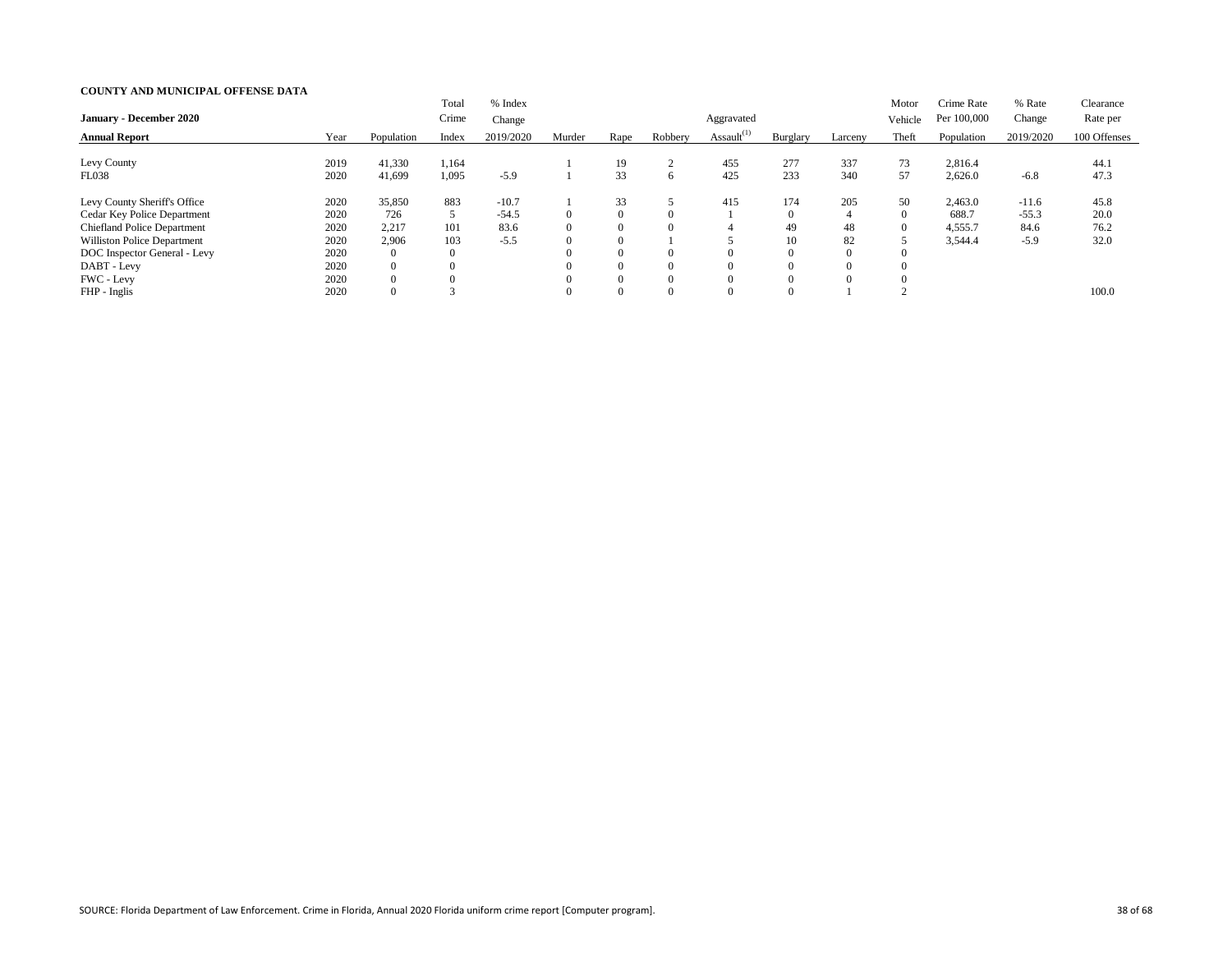|                                    |      |                  | Total            | % Index   |        |                |          |                  |                |                | Motor    | Crime Rate  | % Rate    | Clearance    |
|------------------------------------|------|------------------|------------------|-----------|--------|----------------|----------|------------------|----------------|----------------|----------|-------------|-----------|--------------|
| <b>January - December 2020</b>     |      |                  | Crime            | Change    |        |                |          | Aggravated       |                |                | Vehicle  | Per 100,000 | Change    | Rate per     |
| <b>Annual Report</b>               | Year | Population       | Index            | 2019/2020 | Murder | Rape           | Robbery  | Assault $^{(1)}$ | Burglary       | Larceny        | Theft    | Population  | 2019/2020 | 100 Offenses |
|                                    |      |                  |                  |           |        |                |          |                  |                |                |          |             |           |              |
| Levy County                        | 2019 | 41,330           | 1,164            |           |        | 19             | $\sim$   | 455              | 277            | 337            | 73       | 2,816.4     |           | 44.1         |
| <b>FL038</b>                       | 2020 | 41,699           | 1,095            | $-5.9$    |        | 33             | $\sigma$ | 425              | 233            | 340            | 57       | 2,626.0     | $-6.8$    | 47.3         |
| Levy County Sheriff's Office       | 2020 | 35,850           | 883              | $-10.7$   |        | 33             |          | 415              | 174            | 205            | 50       | 2,463.0     | $-11.6$   | 45.8         |
| Cedar Key Police Department        | 2020 | 726              | 5                | $-54.5$   |        | $\overline{0}$ | $\Omega$ |                  | $\overline{0}$ | $\overline{4}$ | $\Omega$ | 688.7       | $-55.3$   | 20.0         |
| <b>Chiefland Police Department</b> | 2020 | 2,217            | 101              | 83.6      |        | $\overline{0}$ | $\Omega$ |                  | 49             | 48             |          | 4,555.7     | 84.6      | 76.2         |
| <b>Williston Police Department</b> | 2020 | 2,906            | 103              | $-5.5$    |        | $\overline{0}$ |          |                  | 10             | 82             |          | 3,544.4     | $-5.9$    | 32.0         |
| DOC Inspector General - Levy       | 2020 | $\overline{0}$   | $\boldsymbol{0}$ |           |        | $\overline{0}$ | $\theta$ |                  | $\Omega$       | $\Omega$       |          |             |           |              |
| DABT - Levy                        | 2020 | $\overline{0}$   |                  |           |        | $\Omega$       | $\Omega$ |                  | $\Omega$       |                |          |             |           |              |
| FWC - Levy                         | 2020 | $\overline{0}$   |                  |           |        | $\Omega$       | $\Omega$ |                  | $\Omega$       |                |          |             |           |              |
| FHP - Inglis                       | 2020 | $\boldsymbol{0}$ |                  |           |        | $\Omega$       | $\Omega$ |                  | $\theta$       |                |          |             |           | 100.0        |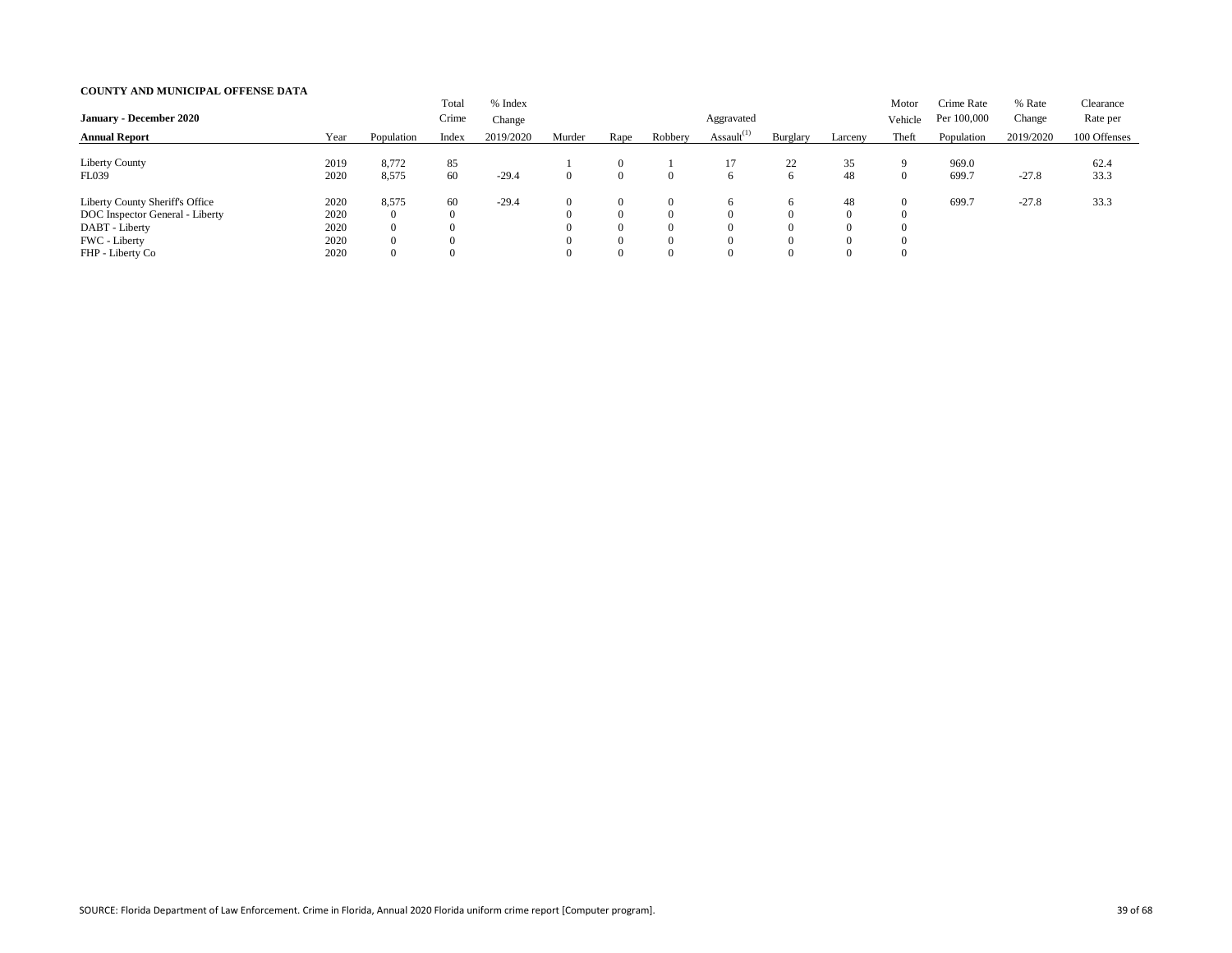|                                                                                                                           |                                      |                                                                               | Total                | % Index   |        |                                                                                  |                                                          |                    |                                                                            |                            | Motor          | Crime Rate     | % Rate    | Clearance    |
|---------------------------------------------------------------------------------------------------------------------------|--------------------------------------|-------------------------------------------------------------------------------|----------------------|-----------|--------|----------------------------------------------------------------------------------|----------------------------------------------------------|--------------------|----------------------------------------------------------------------------|----------------------------|----------------|----------------|-----------|--------------|
| <b>January - December 2020</b>                                                                                            |                                      |                                                                               | Crime                | Change    |        |                                                                                  |                                                          | Aggravated         |                                                                            |                            | Vehicle        | Per 100,000    | Change    | Rate per     |
| <b>Annual Report</b>                                                                                                      | Year                                 | Population                                                                    | Index                | 2019/2020 | Murder | Rape                                                                             | Robbery                                                  | Assault $^{(1)}$   | Burglary                                                                   | Larceny                    | Theft          | Population     | 2019/2020 | 100 Offenses |
| <b>Liberty County</b><br><b>FL039</b>                                                                                     | 2019<br>2020                         | 8,772<br>8,575                                                                | 85<br>60             | $-29.4$   |        | $\Omega$<br>$\overline{0}$                                                       | $\Omega$                                                 | 17<br><sub>0</sub> | 22<br>6                                                                    | 35<br>48                   | $\overline{0}$ | 969.0<br>699.7 | $-27.8$   | 62.4<br>33.3 |
| Liberty County Sheriff's Office<br>DOC Inspector General - Liberty<br>DABT - Liberty<br>FWC - Liberty<br>FHP - Liberty Co | 2020<br>2020<br>2020<br>2020<br>2020 | 8,575<br>$\overline{0}$<br>$\overline{0}$<br>$\overline{0}$<br>$\overline{0}$ | 60<br>$\overline{0}$ | $-29.4$   |        | $\overline{0}$<br>$\theta$<br>$\overline{0}$<br>$\overline{0}$<br>$\overline{0}$ | $\Omega$<br>$\Omega$<br>$\Omega$<br>$\Omega$<br>$\Omega$ | n.                 | $\sigma$<br>$\overline{0}$<br>$\overline{0}$<br>$\overline{0}$<br>$\Omega$ | 48<br>$\Omega$<br>$\theta$ |                | 699.7          | $-27.8$   | 33.3         |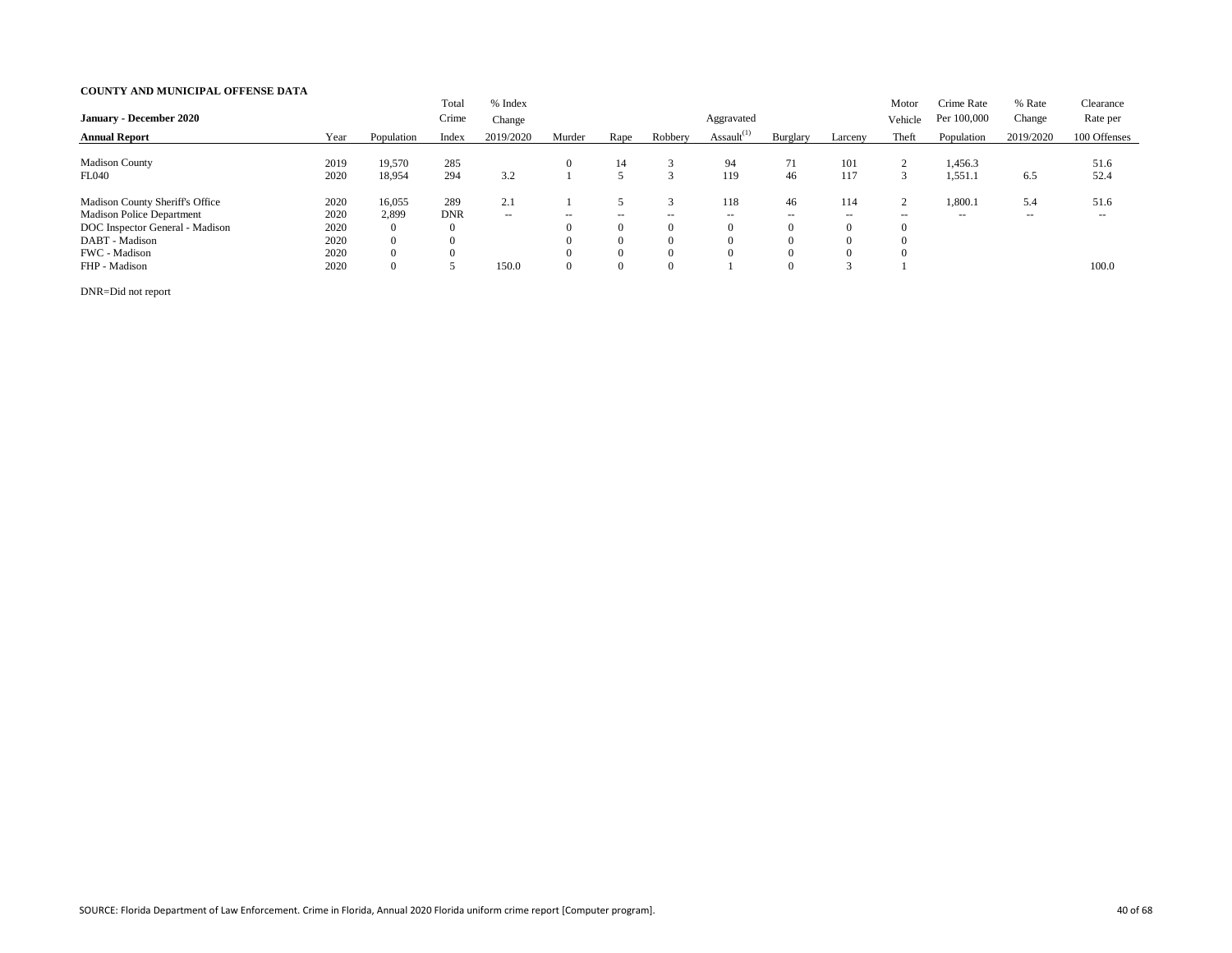| <b>January - December 2020</b>         |      |                | Total<br>Crime | % Index<br>Change |                          |                |                          | Aggravated       |                |          | Motor<br>Vehicle | Crime Rate<br>Per 100,000 | % Rate<br>Change         | Clearance<br>Rate per |
|----------------------------------------|------|----------------|----------------|-------------------|--------------------------|----------------|--------------------------|------------------|----------------|----------|------------------|---------------------------|--------------------------|-----------------------|
| <b>Annual Report</b>                   | Year | Population     | Index          | 2019/2020         | Murder                   | Rape           | Robbery                  | Assault $^{(1)}$ | Burglary       | Larceny  | Theft            | Population                | 2019/2020                | 100 Offenses          |
|                                        |      |                |                |                   |                          |                |                          |                  |                |          |                  |                           |                          |                       |
| <b>Madison County</b>                  | 2019 | 19,570         | 285            |                   |                          | 14             |                          | 94               | 71             | 101      | 2                | 1,456.3                   |                          | 51.6                  |
| <b>FL040</b>                           | 2020 | 18,954         | 294            | 3.2               |                          |                |                          | 119              | 46             | 117      | 3                | 1,551.1                   | 6.5                      | 52.4                  |
| <b>Madison County Sheriff's Office</b> | 2020 | 16,055         | 289            | 2.1               |                          |                |                          | 18               | 46             | 114      | 2                | 1,800.1                   | 5.4                      | 51.6                  |
| <b>Madison Police Department</b>       | 2020 | 2,899          | <b>DNR</b>     | $\sim$ $\sim$     | $\overline{\phantom{m}}$ | $- -$          | $\overline{\phantom{a}}$ | $- -$            | $- -$          | $- -$    | $- -$            | $- -$                     | $\overline{\phantom{m}}$ | $- -$                 |
| DOC Inspector General - Madison        | 2020 | $\overline{0}$ | $\overline{0}$ |                   |                          | $\overline{0}$ | $\Omega$                 |                  | $\overline{0}$ | $\theta$ |                  |                           |                          |                       |
| DABT - Madison                         | 2020 | $\overline{0}$ |                |                   |                          | $\theta$       | $\Omega$                 |                  | $\Omega$       | $\Omega$ |                  |                           |                          |                       |
| FWC - Madison                          | 2020 | $\overline{0}$ |                |                   |                          | $\theta$       | $\Omega$                 |                  | $\Omega$       |          |                  |                           |                          |                       |
| FHP - Madison                          | 2020 | $\overline{0}$ |                | 150.0             |                          | $\overline{0}$ | $\Omega$                 |                  | $\Omega$       |          |                  |                           |                          | 100.0                 |

DNR=Did not report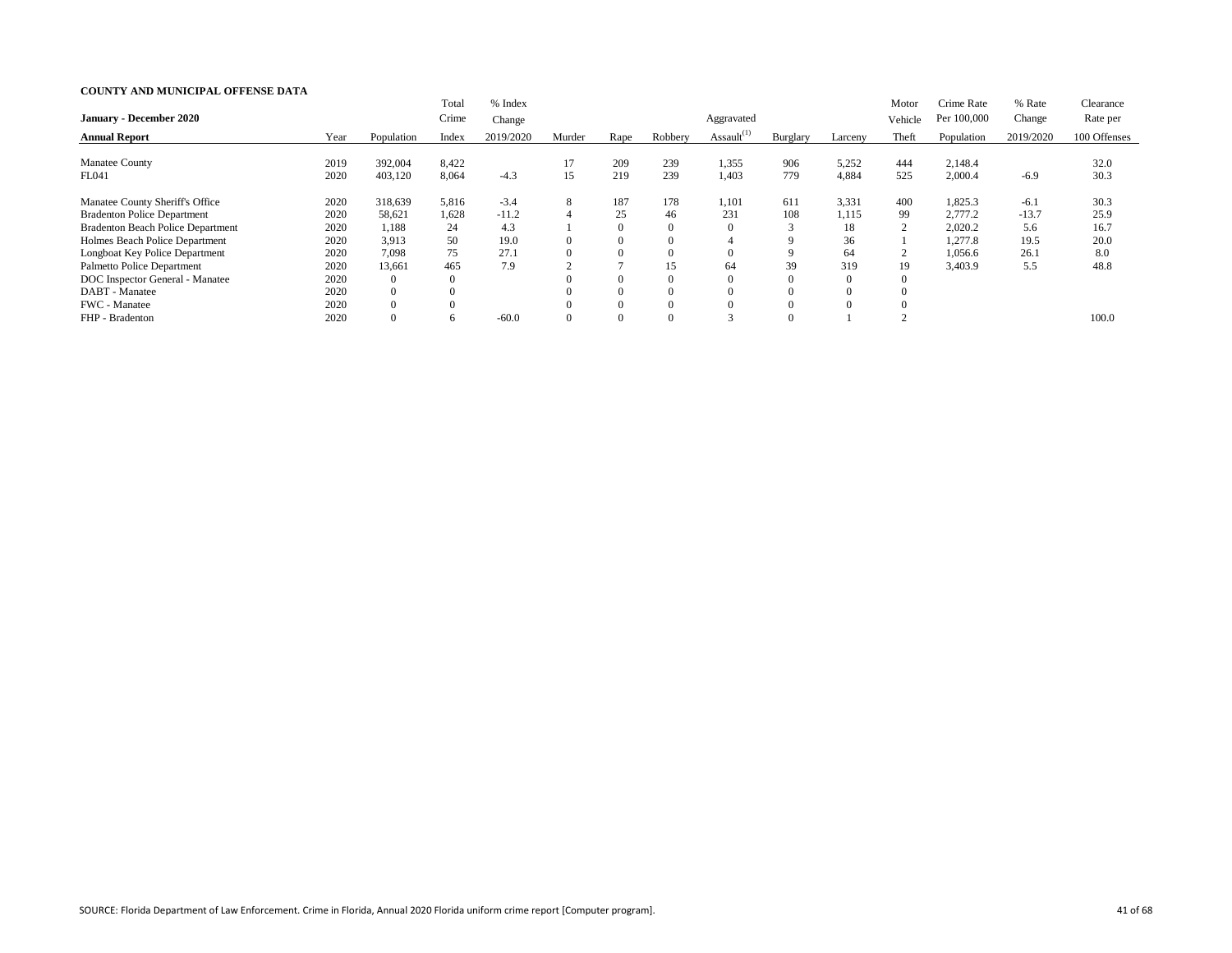|                                          |      |                | Total            | % Index   |        |                |          |                  |          |          | Motor          | Crime Rate  | % Rate    | Clearance    |
|------------------------------------------|------|----------------|------------------|-----------|--------|----------------|----------|------------------|----------|----------|----------------|-------------|-----------|--------------|
| <b>January - December 2020</b>           |      |                | Crime            | Change    |        |                |          | Aggravated       |          |          | Vehicle        | Per 100,000 | Change    | Rate per     |
| <b>Annual Report</b>                     | Year | Population     | Index            | 2019/2020 | Murder | Rape           | Robbery  | Assault $^{(1)}$ | Burglary | Larceny  | Theft          | Population  | 2019/2020 | 100 Offenses |
| <b>Manatee County</b>                    | 2019 | 392,004        | 8,422            |           | 17     | 209            | 239      | 1,355            | 906      | 5,252    | 444            | 2,148.4     |           | 32.0         |
| FL041                                    | 2020 | 403,120        | 8,064            | $-4.3$    | 15     | 219            | 239      | 1,403            | 779      | 4,884    | 525            | 2,000.4     | $-6.9$    | 30.3         |
| Manatee County Sheriff's Office          | 2020 | 318,639        | 5,816            | $-3.4$    | 8      | 187            | 178      | 1,101            | 611      | 3,331    | 400            | 1,825.3     | $-6.1$    | 30.3         |
| <b>Bradenton Police Department</b>       | 2020 | 58,621         | 1,628            | $-11.2$   |        | 25             | 46       | 231              | 108      | 1,115    | 99             | 2,777.2     | $-13.7$   | 25.9         |
| <b>Bradenton Beach Police Department</b> | 2020 | 1,188          | 24               | 4.3       |        | $\overline{0}$ | $\Omega$ | v                | 3        | 18       | $\overline{2}$ | 2,020.2     | 5.6       | 16.7         |
| Holmes Beach Police Department           | 2020 | 3,913          | 50               | 19.0      |        | $\overline{0}$ |          |                  | 9        | 36       |                | 1,277.8     | 19.5      | 20.0         |
| Longboat Key Police Department           | 2020 | 7,098          | 75               | 27.1      |        | $\overline{0}$ | $\Omega$ |                  | 9        | 64       | $\bigcap$<br>∠ | 1,056.6     | 26.1      | 8.0          |
| Palmetto Police Department               | 2020 | 13,661         | 465              | 7.9       | $\sim$ |                | 15       | 64               | 39       | 319      | 19             | 3,403.9     | 5.5       | 48.8         |
| DOC Inspector General - Manatee          | 2020 | $\Omega$       | $\boldsymbol{0}$ |           |        | $\Omega$       | $\Omega$ |                  | $\theta$ | $\theta$ |                |             |           |              |
| DABT - Manatee                           | 2020 | $\overline{0}$ | $\boldsymbol{0}$ |           |        | $\overline{0}$ | $\Omega$ |                  | $\Omega$ | $\Omega$ |                |             |           |              |
| FWC - Manatee                            | 2020 | $\theta$       |                  |           |        | $\Omega$       | $\Omega$ |                  |          |          |                |             |           |              |
| FHP - Bradenton                          | 2020 | $\Omega$       | $\sigma$         | $-60.0$   |        | $\theta$       | $\Omega$ | $\sim$           | $\Omega$ |          |                |             |           | 100.0        |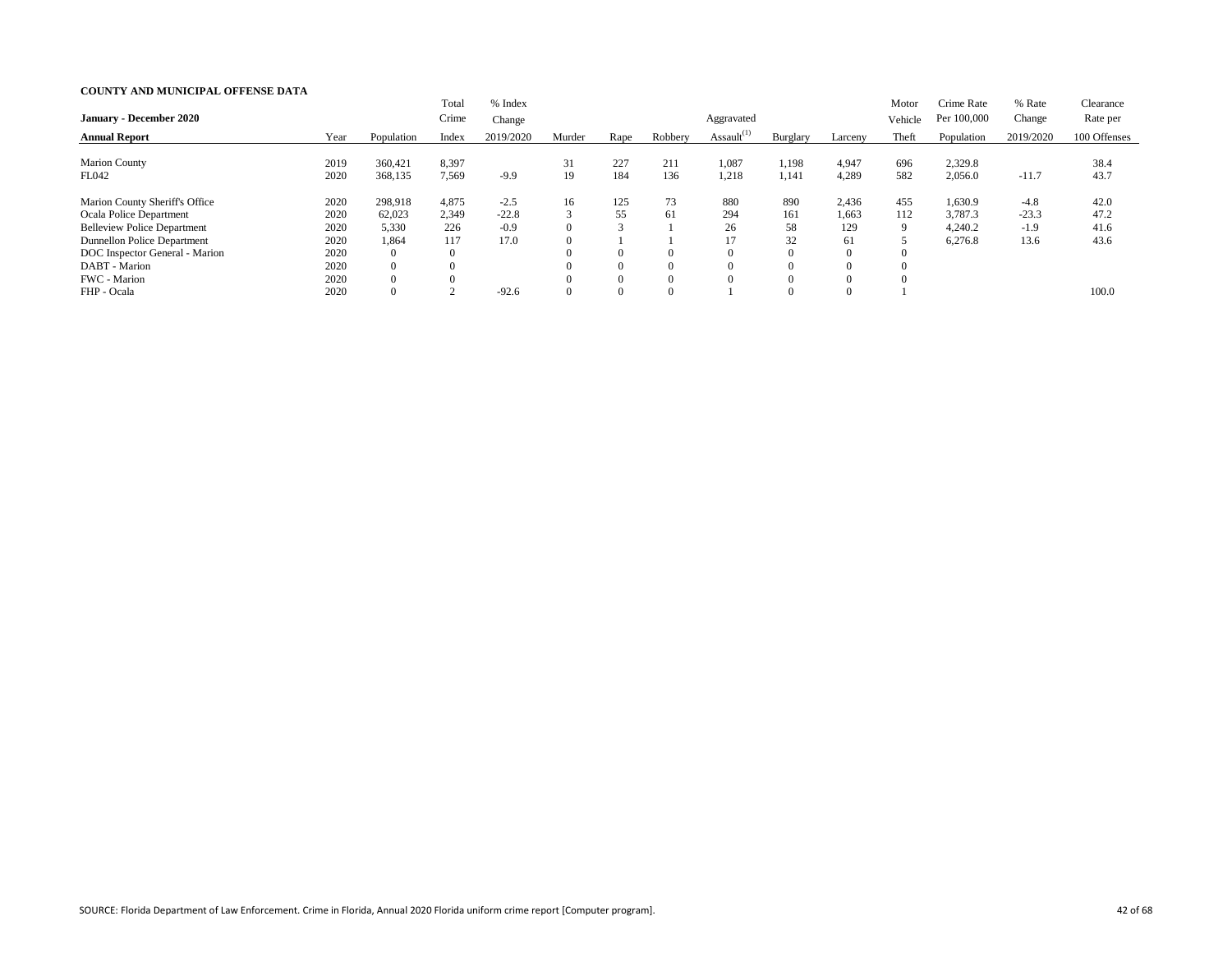|                                    |      |                | Total            | % Index   |           |                |          |                  |          |          | Motor   | Crime Rate  | % Rate    | Clearance    |
|------------------------------------|------|----------------|------------------|-----------|-----------|----------------|----------|------------------|----------|----------|---------|-------------|-----------|--------------|
| <b>January - December 2020</b>     |      |                | Crime            | Change    |           |                |          | Aggravated       |          |          | Vehicle | Per 100,000 | Change    | Rate per     |
| <b>Annual Report</b>               | Year | Population     | Index            | 2019/2020 | Murder    | Rape           | Robbery  | Assault $^{(1)}$ | Burglary | Larceny  | Theft   | Population  | 2019/2020 | 100 Offenses |
|                                    |      |                |                  |           |           |                |          |                  |          |          |         |             |           |              |
| <b>Marion County</b>               | 2019 | 360,421        | 8,397            |           | 31        | 227            | 211      | 1,087            | 1,198    | 4,947    | 696     | 2,329.8     |           | 38.4         |
| FL042                              | 2020 | 368,135        | 7,569            | $-9.9$    | 19        | 184            | 136      | 1,218            | 1,141    | 4,289    | 582     | 2,056.0     | $-11.7$   | 43.7         |
| Marion County Sheriff's Office     | 2020 | 298,918        | 4,875            | $-2.5$    | 16        | 125            | 73       | 880              | 890      | 2,436    | 455     | 1,630.9     | $-4.8$    | 42.0         |
| <b>Ocala Police Department</b>     | 2020 | 62,023         | 2,349            | $-22.8$   | $\bigcap$ | 55             | 61       | 294              | 161      | 1,663    | 112     | 3,787.3     | $-23.3$   | 47.2         |
| <b>Belleview Police Department</b> | 2020 | 5,330          | 226              | $-0.9$    |           | $\sim$         |          | 26               | 58       | 129      | 9       | 4,240.2     | $-1.9$    | 41.6         |
| Dunnellon Police Department        | 2020 | 1,864          | 117              | 17.0      |           |                |          | 17               | 32       | 61       |         | 6,276.8     | 13.6      | 43.6         |
| DOC Inspector General - Marion     | 2020 | $\overline{0}$ | $\boldsymbol{0}$ |           |           | $\Omega$       | $\Omega$ |                  | $\Omega$ | $\theta$ |         |             |           |              |
| DABT - Marion                      | 2020 | $\overline{0}$ |                  |           |           | $\overline{0}$ | $\Omega$ |                  | $\Omega$ |          |         |             |           |              |
| FWC - Marion                       | 2020 | $\Omega$       |                  |           |           | $\Omega$       | $\Omega$ |                  | $\Omega$ |          |         |             |           |              |
| FHP - Ocala                        | 2020 | $\overline{0}$ |                  | $-92.6$   |           | $\Omega$       | $\Omega$ |                  | $\theta$ |          |         |             |           | 100.0        |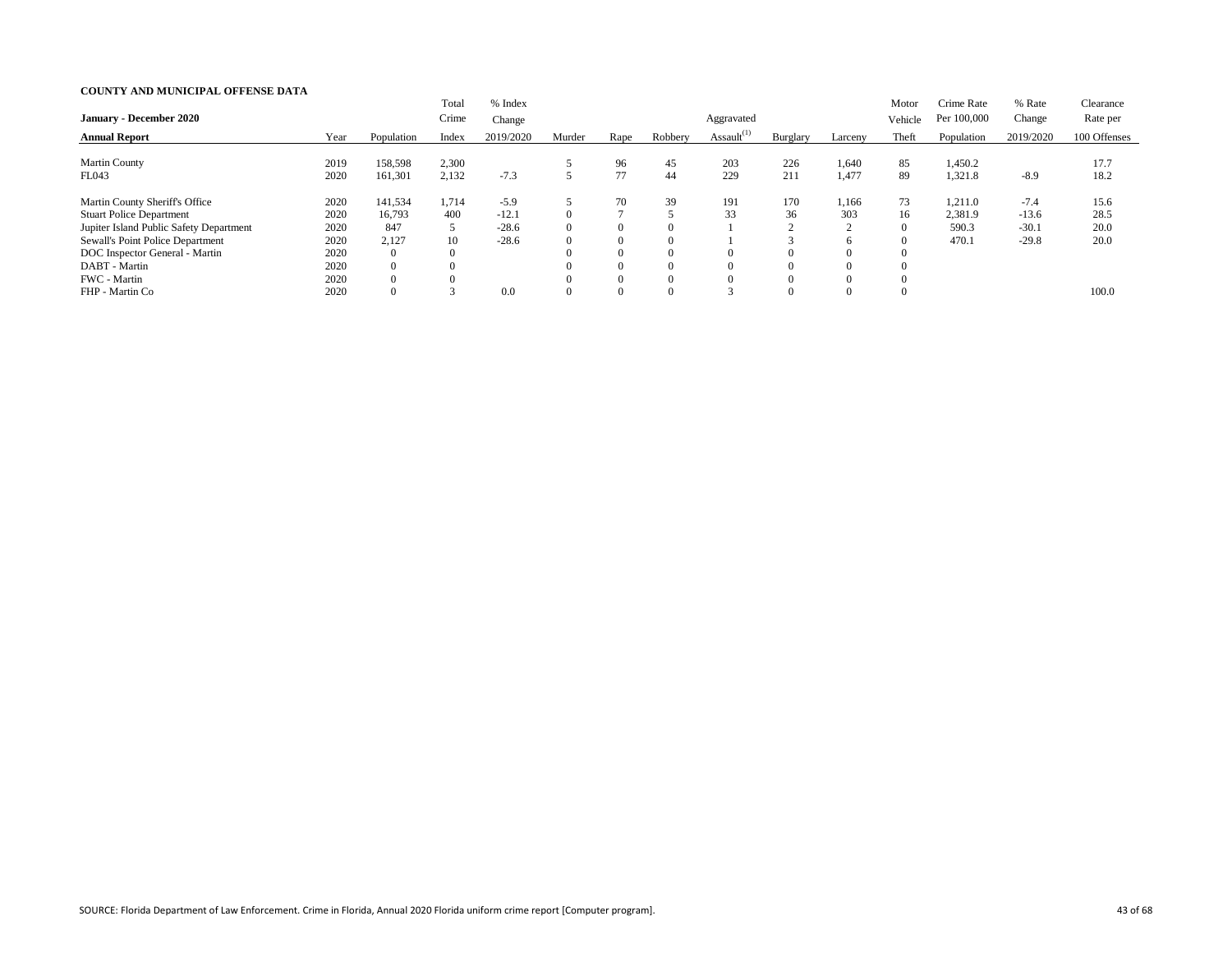|                                         |      |                | Total    | % Index   |        |                |          |                  |          |          | Motor   | Crime Rate  | % Rate    | Clearance    |
|-----------------------------------------|------|----------------|----------|-----------|--------|----------------|----------|------------------|----------|----------|---------|-------------|-----------|--------------|
| <b>January - December 2020</b>          |      |                | Crime    | Change    |        |                |          | Aggravated       |          |          | Vehicle | Per 100,000 | Change    | Rate per     |
| <b>Annual Report</b>                    | Year | Population     | Index    | 2019/2020 | Murder | Rape           | Robbery  | Assault $^{(1)}$ | Burglary | Larceny  | Theft   | Population  | 2019/2020 | 100 Offenses |
|                                         |      |                |          |           |        |                |          |                  |          |          |         |             |           |              |
| <b>Martin County</b>                    | 2019 | 158,598        | 2,300    |           |        | 96             | 45       | 203              | 226      | 1,640    | 85      | 1,450.2     |           | 17.7         |
| FL043                                   | 2020 | 161,301        | 2,132    | $-7.3$    |        | 77             | 44       | 229              | 211      | 1,477    | 89      | 1,321.8     | $-8.9$    | 18.2         |
| Martin County Sheriff's Office          | 2020 | 141,534        | 1,714    | $-5.9$    |        | 70             | 39       | 191              | 170      | 1,166    | 73      | 1,211.0     | $-7.4$    | 15.6         |
| <b>Stuart Police Department</b>         | 2020 | 16,793         | 400      | $-12.1$   |        |                |          | 33               | 36       | 303      | 16      | 2,381.9     | $-13.6$   | 28.5         |
| Jupiter Island Public Safety Department | 2020 | 847            | 5        | $-28.6$   |        | $\Omega$       | $\Omega$ |                  |          | $\sim$   |         | 590.3       | $-30.1$   | 20.0         |
| Sewall's Point Police Department        | 2020 | 2,127          | 10       | $-28.6$   |        | $\overline{0}$ | $\Omega$ |                  |          |          |         | 470.1       | $-29.8$   | 20.0         |
| DOC Inspector General - Martin          | 2020 | $\Omega$       | $\theta$ |           |        | $\Omega$       | $\Omega$ |                  | $\theta$ | $\Omega$ |         |             |           |              |
| DABT - Martin                           | 2020 | $\overline{0}$ |          |           |        | $\Omega$       | $\Omega$ |                  | $\Omega$ |          |         |             |           |              |
| FWC - Martin                            | 2020 | $\Omega$       |          |           |        | $\theta$       | $\Omega$ |                  | $\Omega$ |          |         |             |           |              |
| FHP - Martin Co                         | 2020 | $\Omega$       |          | 0.0       |        | $\Omega$       | $\Omega$ | $\sim$           | $\Omega$ |          |         |             |           | 100.0        |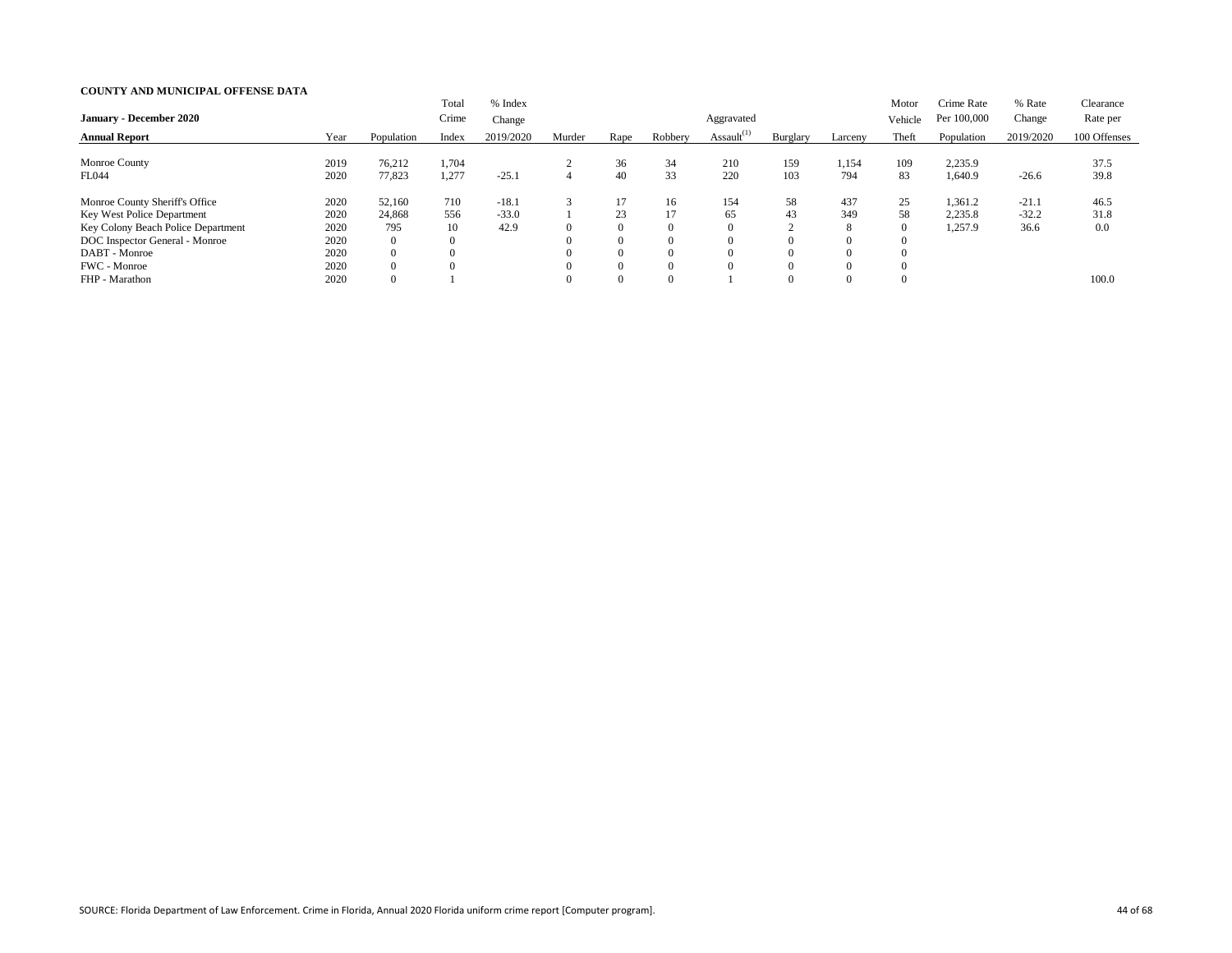| <b>January - December 2020</b>                                                                                                                                        |                                              |                                                                               | Total<br>Crime                                   | % Index<br>Change          |                |                                                                      |                                                    | Aggravated       |                                                        |                             | Motor<br>Vehicle           | Crime Rate<br>Per 100,000     | % Rate<br>Change           | Clearance<br>Rate per |
|-----------------------------------------------------------------------------------------------------------------------------------------------------------------------|----------------------------------------------|-------------------------------------------------------------------------------|--------------------------------------------------|----------------------------|----------------|----------------------------------------------------------------------|----------------------------------------------------|------------------|--------------------------------------------------------|-----------------------------|----------------------------|-------------------------------|----------------------------|-----------------------|
| <b>Annual Report</b>                                                                                                                                                  | Year                                         | Population                                                                    | Index                                            | 2019/2020                  | Murder         | Rape                                                                 | Robbery                                            | Assault $^{(1)}$ | Burglary                                               | Larceny                     | Theft                      | Population                    | 2019/2020                  | 100 Offenses          |
| Monroe County<br>FL044                                                                                                                                                | 2019<br>2020                                 | 76,212<br>77,823                                                              | 1,704<br>1,277                                   | $-25.1$                    | $\overline{4}$ | 36<br>40                                                             | 34<br>33                                           | 210<br>220       | 159<br>103                                             | 1,154<br>794                | 109<br>83                  | 2,235.9<br>.,640.9            | $-26.6$                    | 37.5<br>39.8          |
| Monroe County Sheriff's Office<br>Key West Police Department<br>Key Colony Beach Police Department<br>DOC Inspector General - Monroe<br>DABT - Monroe<br>FWC - Monroe | 2020<br>2020<br>2020<br>2020<br>2020<br>2020 | 52,160<br>24,868<br>795<br>$\overline{0}$<br>$\overline{0}$<br>$\overline{0}$ | 710<br>556<br>10<br>$\boldsymbol{0}$<br>$\theta$ | $-18.1$<br>$-33.0$<br>42.9 |                | 17<br>23<br>$\overline{0}$<br>$\theta$<br>$\overline{0}$<br>$\theta$ | 16<br>$\Omega$<br>$\Omega$<br>$\Omega$<br>$\Omega$ | 154<br>65        | 58<br>43<br>$\sim$<br>$\Omega$<br>$\Omega$<br>$\Omega$ | 437<br>349<br>8<br>$\Omega$ | 25<br>58<br>$\overline{0}$ | 1,361.2<br>2,235.8<br>1,257.9 | $-21.1$<br>$-32.2$<br>36.6 | 46.5<br>31.8<br>0.0   |
| FHP - Marathon                                                                                                                                                        | 2020                                         | $\overline{0}$                                                                |                                                  |                            |                | $\overline{0}$                                                       | $\Omega$                                           |                  | $\Omega$                                               |                             |                            |                               |                            | 100.0                 |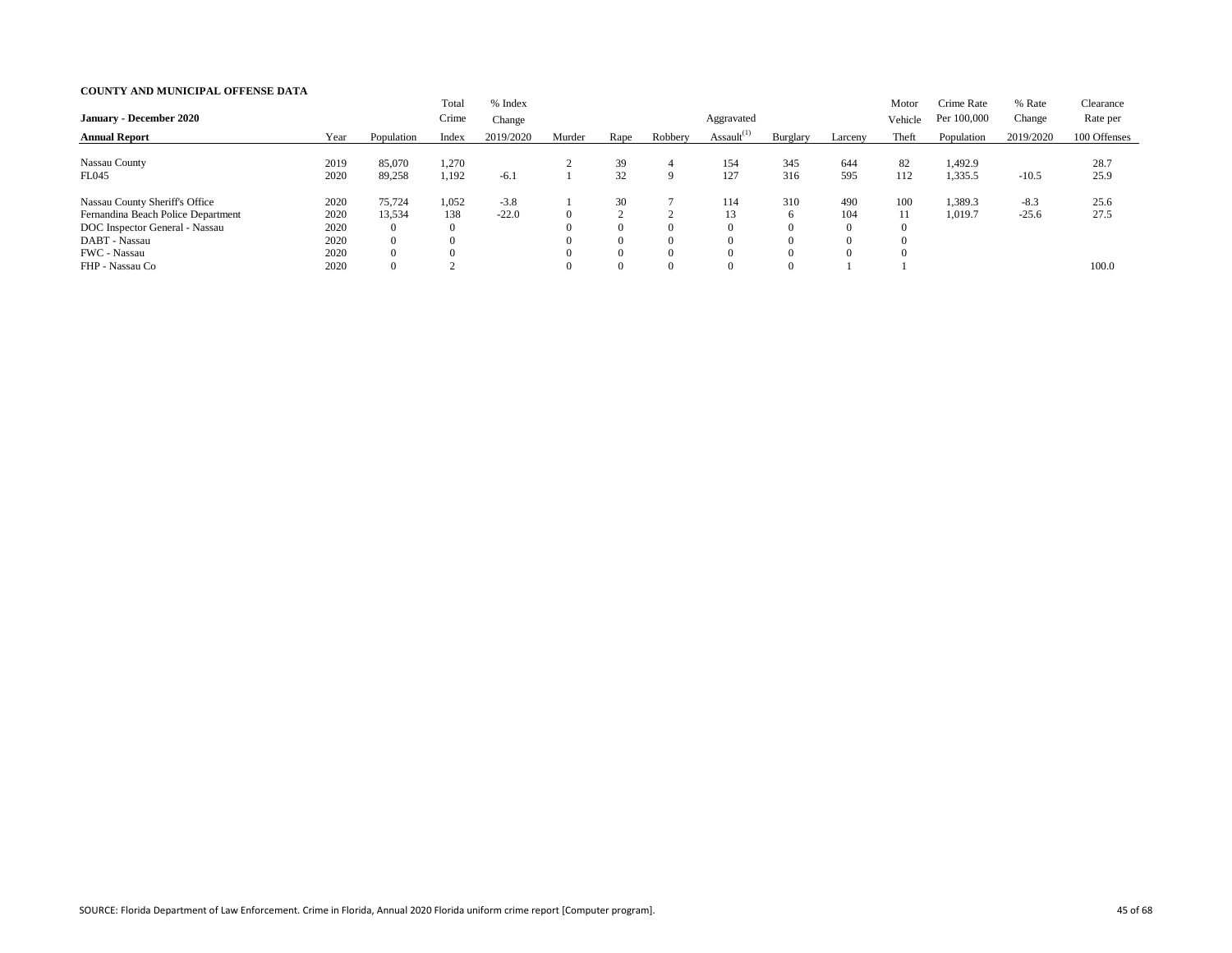| <b>January - December 2020</b>                                                                                                          |                                      |                                                                  | Total<br>Crime                             | % Index<br>Change |                                              |                                                     |             | Aggravated       |                |                                                      | Motor<br>Vehicle | Crime Rate<br>Per 100,000 | % Rate<br>Change  | Clearance<br>Rate per |
|-----------------------------------------------------------------------------------------------------------------------------------------|--------------------------------------|------------------------------------------------------------------|--------------------------------------------|-------------------|----------------------------------------------|-----------------------------------------------------|-------------|------------------|----------------|------------------------------------------------------|------------------|---------------------------|-------------------|-----------------------|
| <b>Annual Report</b>                                                                                                                    | Year                                 | Population                                                       | Index                                      | 2019/2020         | Murder                                       | Rape                                                | Robbery     | Assault $^{(1)}$ | Burglary       | Larceny                                              | Theft            | Population                | 2019/2020         | 100 Offenses          |
| Nassau County<br><b>FL045</b>                                                                                                           | 2019<br>2020                         | 85,070<br>89,258                                                 | 1,270<br>1,192                             | $-6.1$            |                                              | 39<br>32                                            | 4<br>9      | 154<br>127       | 345<br>316     | 644<br>595                                           | 82<br>112        | ,492.9<br>1,335.5         | $-10.5$           | 28.7<br>25.9          |
| Nassau County Sheriff's Office<br>Fernandina Beach Police Department<br>DOC Inspector General - Nassau<br>DABT - Nassau<br>FWC - Nassau | 2020<br>2020<br>2020<br>2020<br>2020 | 75,724<br>13,534<br>$\overline{0}$<br>$\overline{0}$<br>$\theta$ | 1,052<br>138<br>$\overline{0}$<br>$\Omega$ | $-3.8$<br>$-22.0$ | $\Omega$<br>$\Omega$<br>$\Omega$<br>$\Omega$ | 30<br>$\bigcap$<br>$\Omega$<br>$\Omega$<br>$\Omega$ | 0<br>0<br>0 | 114<br>13        | 310<br>6       | 490<br>104<br>$\overline{0}$<br>$\theta$<br>$\Omega$ | 100<br>11        | 1,389.3<br>1,019.7        | $-8.3$<br>$-25.6$ | 25.6<br>27.5          |
| FHP - Nassau Co                                                                                                                         | 2020                                 | $\overline{0}$                                                   |                                            |                   | $\Omega$                                     | $\Omega$                                            | 0           |                  | $\overline{0}$ |                                                      |                  |                           |                   | 100.0                 |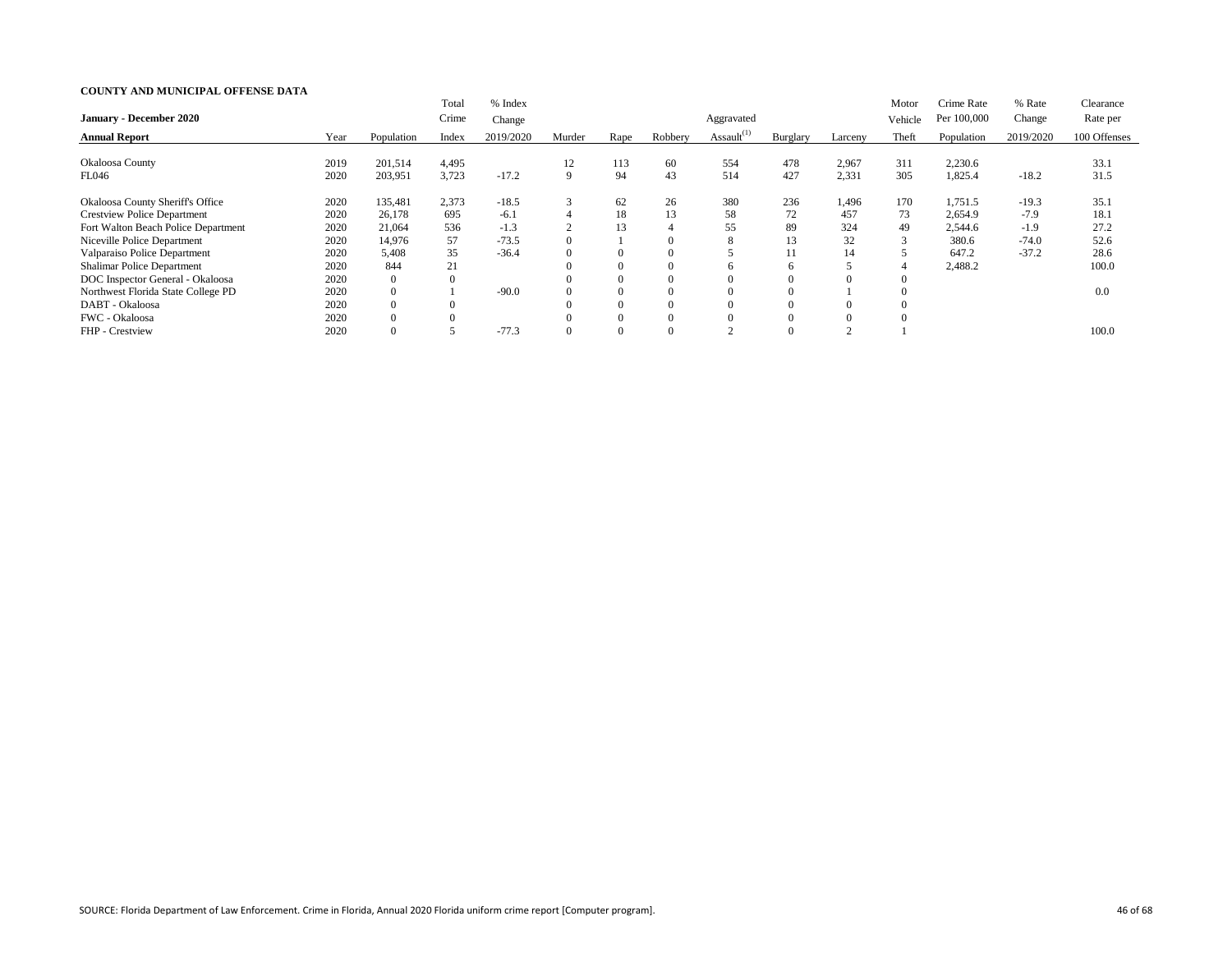|                                         |      |                | Total    | % Index   |                |          |          |                  |          |          | Motor   | Crime Rate  | % Rate    | Clearance    |
|-----------------------------------------|------|----------------|----------|-----------|----------------|----------|----------|------------------|----------|----------|---------|-------------|-----------|--------------|
| <b>January - December 2020</b>          |      |                | Crime    | Change    |                |          |          | Aggravated       |          |          | Vehicle | Per 100,000 | Change    | Rate per     |
| <b>Annual Report</b>                    | Year | Population     | Index    | 2019/2020 | Murder         | Rape     | Robbery  | Assault $^{(1)}$ | Burglary | Larceny  | Theft   | Population  | 2019/2020 | 100 Offenses |
|                                         |      |                |          |           |                |          |          |                  |          |          |         |             |           |              |
| Okaloosa County                         | 2019 | 201,514        | 4,495    |           | 12             | 113      | 60       | 554              | 478      | 2,967    | 311     | 2,230.6     |           | 33.1         |
| FL046                                   | 2020 | 203,951        | 3,723    | $-17.2$   | 9              | 94       | 43       | 514              | 427      | 2,331    | 305     | 1,825.4     | $-18.2$   | 31.5         |
| <b>Okaloosa County Sheriff's Office</b> | 2020 | 135,481        | 2,373    | $-18.5$   | 3              | 62       | 26       | 380              | 236      | 1,496    | 170     | 1,751.5     | $-19.3$   | 35.1         |
| <b>Crestview Police Department</b>      | 2020 | 26,178         | 695      | $-6.1$    | $\overline{4}$ | 18       | 13       | 58               | 72       | 457      | 73      | 2,654.9     | $-7.9$    | 18.1         |
| Fort Walton Beach Police Department     | 2020 | 21,064         | 536      | $-1.3$    | $\bigcap$      | 13       |          | 55               | 89       | 324      | 49      | 2,544.6     | $-1.9$    | 27.2         |
| Niceville Police Department             | 2020 | 14,976         | 57       | $-73.5$   |                |          | $\Omega$ |                  | 13       | 32       | 3       | 380.6       | $-74.0$   | 52.6         |
| Valparaiso Police Department            | 2020 | 5,408          | 35       | $-36.4$   |                | $\Omega$ | $\Omega$ |                  | 11       | 14       |         | 647.2       | $-37.2$   | 28.6         |
| <b>Shalimar Police Department</b>       | 2020 | 844            | 21       |           |                | $\Omega$ | 0        |                  | 6        |          |         | 2,488.2     |           | 100.0        |
| DOC Inspector General - Okaloosa        | 2020 | $\overline{0}$ | $\theta$ |           |                | $\Omega$ | 0        |                  |          |          |         |             |           |              |
| Northwest Florida State College PD      | 2020 | $\overline{0}$ |          | $-90.0$   |                | $\Omega$ | 0        |                  |          |          |         |             |           | 0.0          |
| DABT - Okaloosa                         | 2020 | $\overline{0}$ |          |           |                |          | 0        |                  |          | $\Omega$ |         |             |           |              |
| FWC - Okaloosa                          | 2020 | $\overline{0}$ |          |           |                |          |          |                  |          |          |         |             |           |              |
| FHP - Crestview                         | 2020 |                |          | $-77.3$   |                |          |          |                  |          |          |         |             |           | 100.0        |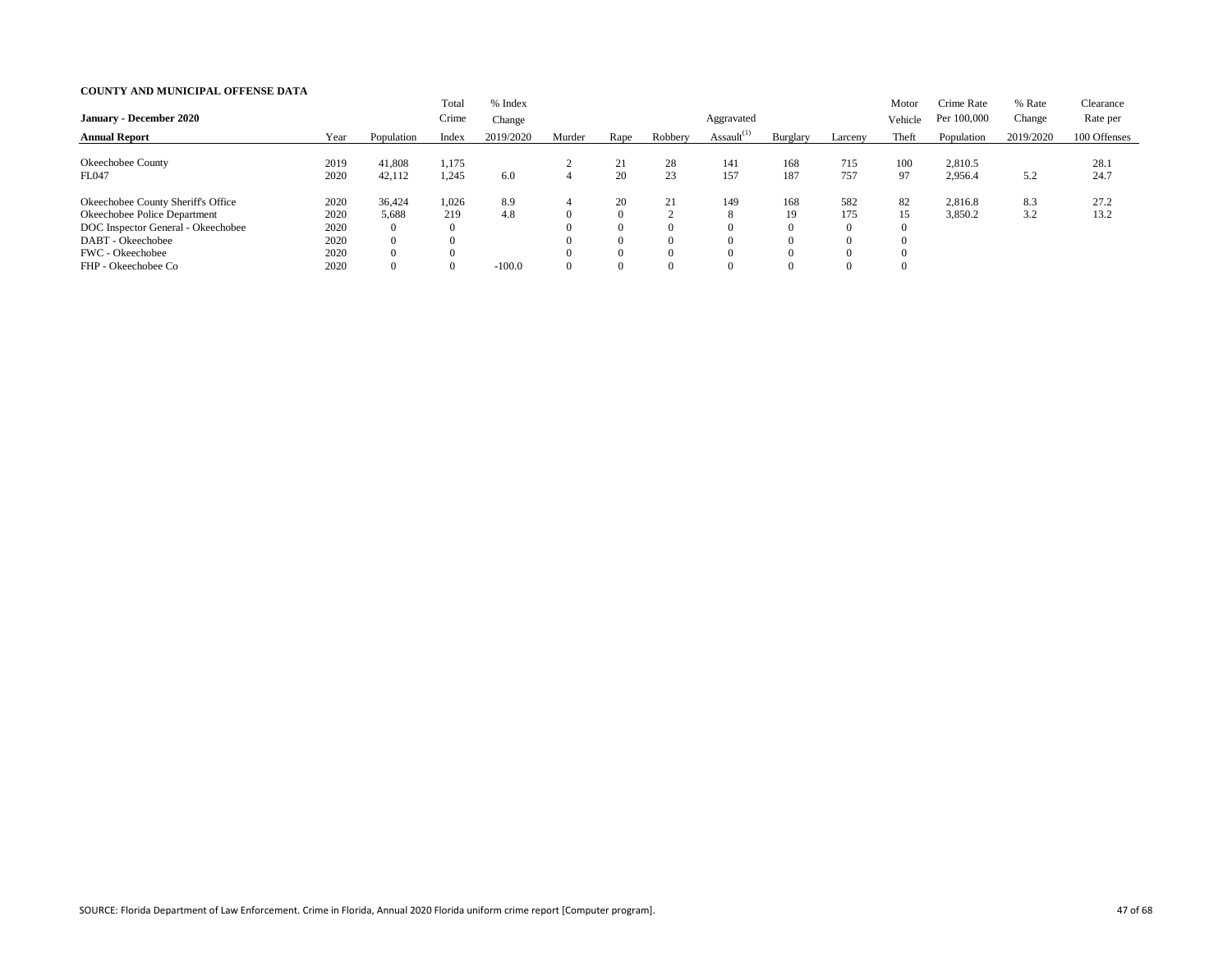| <b>January - December 2020</b>                                                                                                                                           |                                              |                                                                                   | Total<br>Crime           | % Index<br>Change      |                |                                                                |                                                              | Aggravated       |                                                                 |                                    | Motor<br>Vehicle | Crime Rate<br>Per 100,000 | % Rate<br>Change | Clearance<br>Rate per |
|--------------------------------------------------------------------------------------------------------------------------------------------------------------------------|----------------------------------------------|-----------------------------------------------------------------------------------|--------------------------|------------------------|----------------|----------------------------------------------------------------|--------------------------------------------------------------|------------------|-----------------------------------------------------------------|------------------------------------|------------------|---------------------------|------------------|-----------------------|
| <b>Annual Report</b>                                                                                                                                                     | Year                                         | Population                                                                        | Index                    | 2019/2020              | Murder         | Rape                                                           | Robbery                                                      | Assault $^{(1)}$ | Burglary                                                        | Larceny                            | Theft            | Population                | 2019/2020        | 100 Offenses          |
| Okeechobee County<br><b>FL047</b>                                                                                                                                        | 2019<br>2020                                 | 41,808<br>42,112                                                                  | 1,175<br>1,245           | 6.0                    | $\overline{4}$ | 21<br>20                                                       | 28<br>23                                                     | 141<br>157       | 168<br>187                                                      | 715<br>757                         | 100<br>97        | 2,810.5<br>2,956.4        | 5.2              | 28.1<br>24.7          |
| Okeechobee County Sheriff's Office<br>Okeechobee Police Department<br>DOC Inspector General - Okeechobee<br>DABT - Okeechobee<br>FWC - Okeechobee<br>FHP - Okeechobee Co | 2020<br>2020<br>2020<br>2020<br>2020<br>2020 | 36,424<br>5,688<br>$\overline{0}$<br>$\overline{0}$<br>$\Omega$<br>$\overline{0}$ | 1,026<br>219<br>$\theta$ | 8.9<br>4.8<br>$-100.0$ |                | 20<br>$\theta$<br>$\Omega$<br>$\theta$<br>$\theta$<br>$\Omega$ | 21<br>$\sim$<br>$\Omega$<br>$\Omega$<br>$\Omega$<br>$\Omega$ | 149              | 168<br>19<br>$\overline{0}$<br>$\Omega$<br>$\Omega$<br>$\Omega$ | 582<br>175<br>$\theta$<br>$\Omega$ | 82<br>15         | 2,816.8<br>3,850.2        | 8.3<br>3.2       | 27.2<br>13.2          |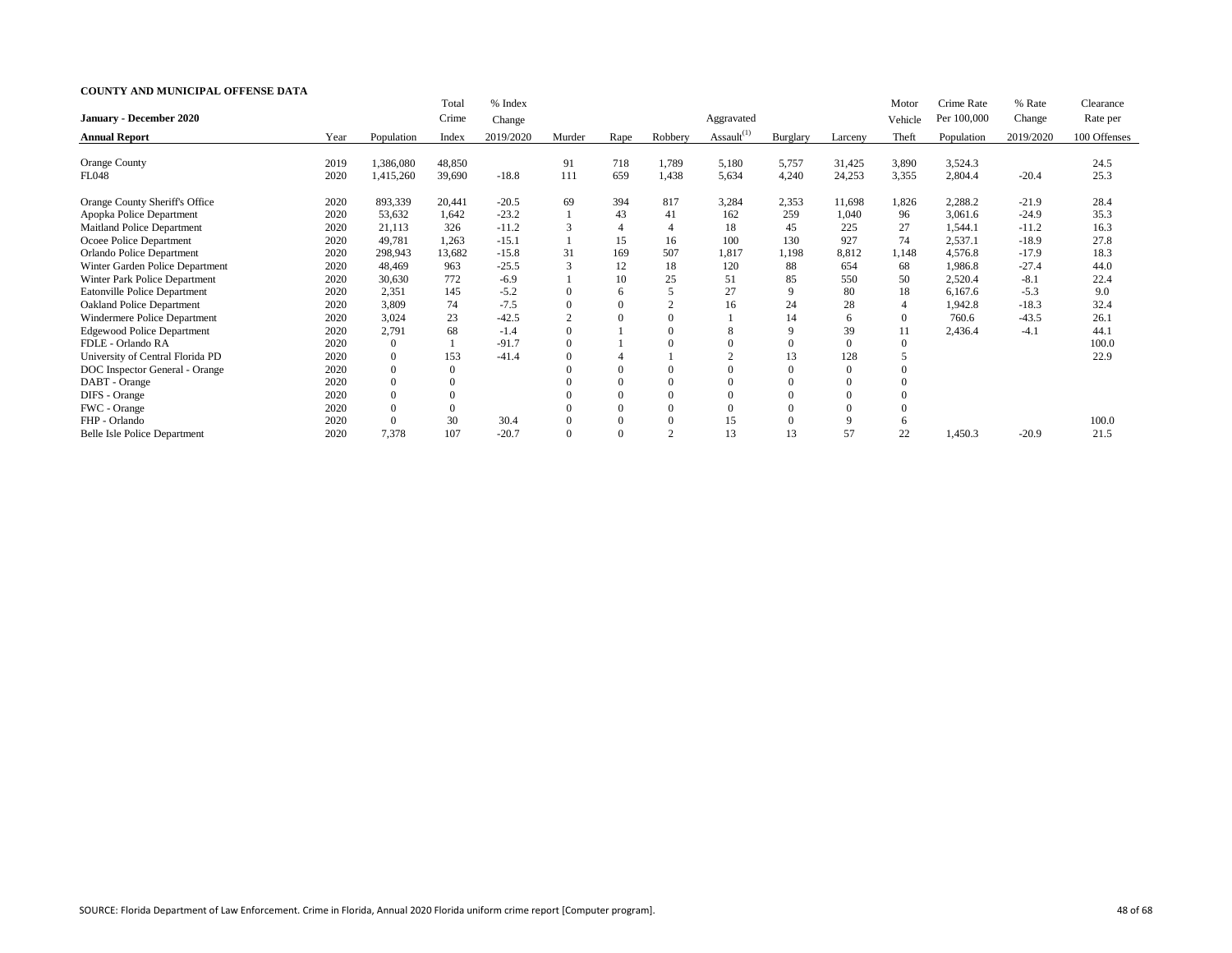|                                     |      |                | Total            | % Index   |          |                |          |                  |                |                | Motor          | Crime Rate  | % Rate    | Clearance    |
|-------------------------------------|------|----------------|------------------|-----------|----------|----------------|----------|------------------|----------------|----------------|----------------|-------------|-----------|--------------|
| January - December 2020             |      |                | Crime            | Change    |          |                |          | Aggravated       |                |                | Vehicle        | Per 100,000 | Change    | Rate per     |
| <b>Annual Report</b>                | Year | Population     | Index            | 2019/2020 | Murder   | Rape           | Robbery  | Assault $^{(1)}$ | Burglary       | Larceny        | Theft          | Population  | 2019/2020 | 100 Offenses |
| Orange County                       | 2019 | 1,386,080      | 48,850           |           | 91       | 718            | 1,789    | 5,180            | 5,757          | 31,425         | 3,890          | 3,524.3     |           | 24.5         |
| FL048                               | 2020 | 1,415,260      | 39,690           | $-18.8$   | 111      | 659            | 1,438    | 5,634            | 4,240          | 24,253         | 3,355          | 2,804.4     | $-20.4$   | 25.3         |
| Orange County Sheriff's Office      | 2020 | 893,339        | 20,441           | $-20.5$   | 69       | 394            | 817      | 3,284            | 2,353          | 11,698         | 1,826          | 2,288.2     | $-21.9$   | 28.4         |
| Apopka Police Department            | 2020 | 53,632         | 1,642            | $-23.2$   |          | 43             | 41       | 162              | 259            | 1,040          | 96             | 3,061.6     | $-24.9$   | 35.3         |
| <b>Maitland Police Department</b>   | 2020 | 21,113         | 326              | $-11.2$   |          |                |          | 18               | 45             | 225            | 27             | 1,544.1     | $-11.2$   | 16.3         |
| Ocoee Police Department             | 2020 | 49,781         | 1,263            | $-15.1$   |          | 15             | 16       | 100              | 130            | 927            | 74             | 2,537.1     | $-18.9$   | 27.8         |
| Orlando Police Department           | 2020 | 298,943        | 13,682           | $-15.8$   | 31       | 169            | 507      | 1,817            | 1,198          | 8,812          | 1,148          | 4,576.8     | $-17.9$   | 18.3         |
| Winter Garden Police Department     | 2020 | 48,469         | 963              | $-25.5$   | 3        | 12             | 18       | 120              | 88             | 654            | 68             | 1,986.8     | $-27.4$   | 44.0         |
| Winter Park Police Department       | 2020 | 30,630         | 772              | $-6.9$    |          | 10             | 25       | 51               | 85             | 550            | 50             | 2,520.4     | $-8.1$    | 22.4         |
| <b>Eatonville Police Department</b> | 2020 | 2,351          | 145              | $-5.2$    | $\Omega$ | 6              |          | 27               | 9              | 80             | 18             | 6,167.6     | $-5.3$    | 9.0          |
| <b>Oakland Police Department</b>    | 2020 | 3,809          | 74               | $-7.5$    | $\theta$ | $\Omega$       |          | 16               | 24             | 28             | 4              | 1,942.8     | $-18.3$   | 32.4         |
| Windermere Police Department        | 2020 | 3,024          | 23               | $-42.5$   |          | $\Omega$       |          |                  | 14             | 6              | $\overline{0}$ | 760.6       | $-43.5$   | 26.1         |
| <b>Edgewood Police Department</b>   | 2020 | 2,791          | 68               | $-1.4$    | $\Omega$ |                | $\Omega$ | 8                | 9              | 39             | 11             | 2,436.4     | $-4.1$    | 44.1         |
| FDLE - Orlando RA                   | 2020 | $\overline{0}$ |                  | $-91.7$   | $\Omega$ |                |          |                  | $\overline{0}$ | $\overline{0}$ | $\theta$       |             |           | 100.0        |
| University of Central Florida PD    | 2020 | $\overline{0}$ | 153              | $-41.4$   | $\Omega$ |                |          | $\bigcap$        | 13             | 128            |                |             |           | 22.9         |
| DOC Inspector General - Orange      | 2020 | $\theta$       | $\overline{0}$   |           | $\left($ | $\Omega$       | $\Omega$ | $\Omega$         | $\Omega$       | $\mathbf{0}$   | 0              |             |           |              |
| DABT - Orange                       | 2020 | $\mathbf{0}$   | $\boldsymbol{0}$ |           |          | $\Omega$       |          |                  | $\overline{0}$ |                |                |             |           |              |
| DIFS - Orange                       | 2020 | $\overline{0}$ | $\boldsymbol{0}$ |           |          | $\overline{0}$ | $\Omega$ |                  | $\mathbf{0}$   |                | 0              |             |           |              |
| FWC - Orange                        | 2020 | $\theta$       | $\mathbf{0}$     |           |          | $\Omega$       | $\Omega$ | $\Omega$         | $\overline{0}$ | $\Omega$       | $\theta$       |             |           |              |
| FHP - Orlando                       | 2020 | $\Omega$       | 30               | 30.4      | $\Omega$ | $\Omega$       | $\Omega$ | 15               | $\overline{0}$ | 9              | 6              |             |           | 100.0        |
| <b>Belle Isle Police Department</b> | 2020 | 7,378          | 107              | $-20.7$   | $\Omega$ | $\Omega$       | $\sim$   | 13               | 13             | 57             | 22             | 1,450.3     | $-20.9$   | 21.5         |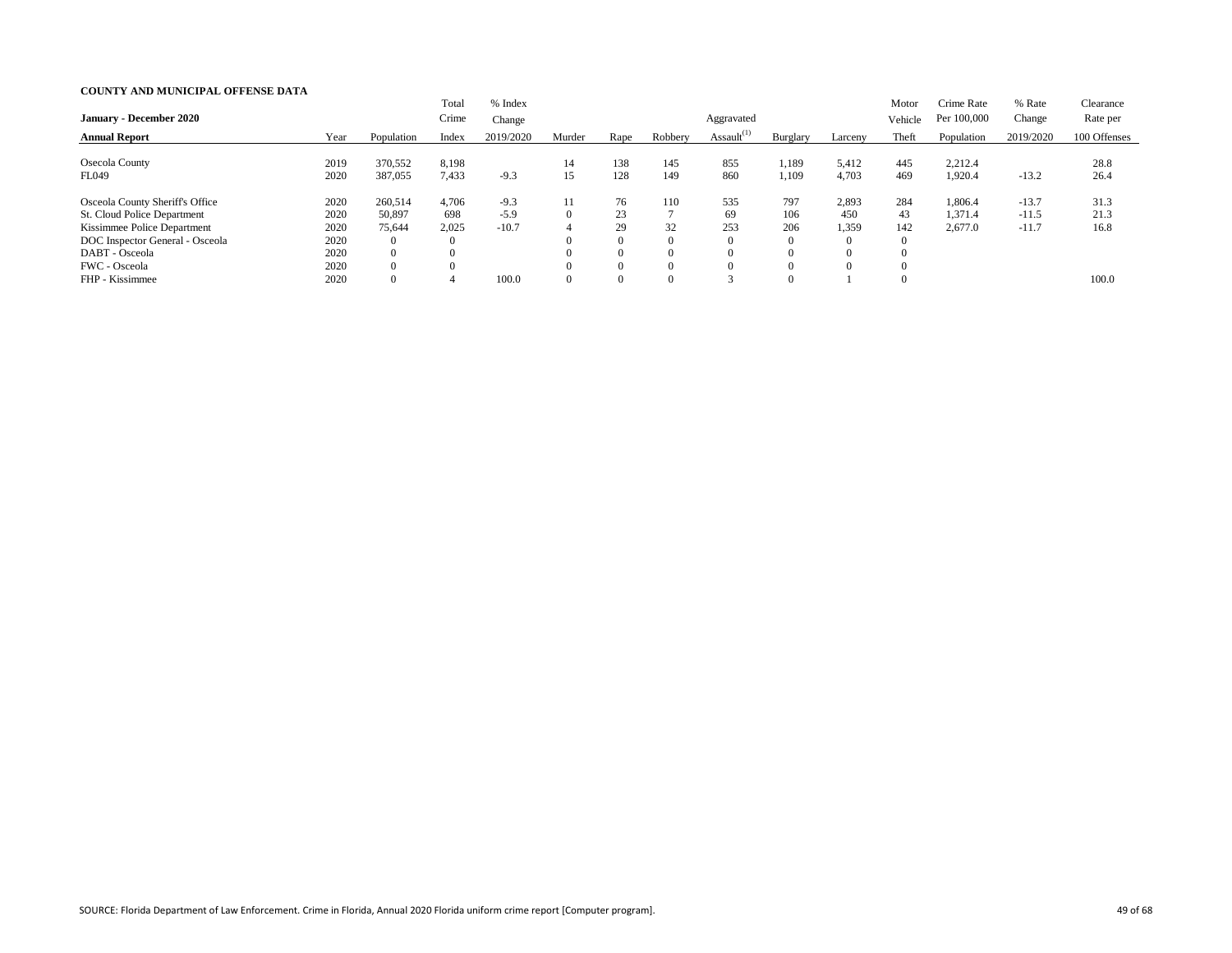| <b>January - December 2020</b>                                                                                                                     |                                      |                                                                 | Total<br>Crime                    | % Index<br>Change           |          |                                        |                                   | Aggravated       |                               |                                                     | Motor<br>Vehicle                         | Crime Rate<br>Per 100,000     | % Rate<br>Change              | Clearance<br>Rate per |
|----------------------------------------------------------------------------------------------------------------------------------------------------|--------------------------------------|-----------------------------------------------------------------|-----------------------------------|-----------------------------|----------|----------------------------------------|-----------------------------------|------------------|-------------------------------|-----------------------------------------------------|------------------------------------------|-------------------------------|-------------------------------|-----------------------|
| <b>Annual Report</b>                                                                                                                               | Year                                 | Population                                                      | Index                             | 2019/2020                   | Murder   | Rape                                   | Robbery                           | Assault $^{(1)}$ | Burglary                      | Larceny                                             | Theft                                    | Population                    | 2019/2020                     | 100 Offenses          |
| <b>Osecola County</b><br>FL049                                                                                                                     | 2019<br>2020                         | 370,552<br>387,055                                              | 8,198<br>7,433                    | $-9.3$                      | 14<br>15 | 138<br>128                             | 145<br>149                        | 855<br>860       | 1,189<br>1,109                | 5,412<br>4,703                                      | 445<br>469                               | 2,212.4<br>1,920.4            | $-13.2$                       | 28.8<br>26.4          |
| Osceola County Sheriff's Office<br>St. Cloud Police Department<br>Kissimmee Police Department<br>DOC Inspector General - Osceola<br>DABT - Osceola | 2020<br>2020<br>2020<br>2020<br>2020 | 260,514<br>50,897<br>75,644<br>$\overline{0}$<br>$\overline{0}$ | 4,706<br>698<br>2,025<br>$\theta$ | $-9.3$<br>$-5.9$<br>$-10.7$ | 11       | 76<br>23<br>29<br>$\Omega$<br>$\Omega$ | 110<br>32<br>$\Omega$<br>$\left($ | 535<br>69<br>253 | 797<br>106<br>206<br>$\Omega$ | 2,893<br>450<br>1,359<br>$\theta$<br>$\overline{0}$ | 284<br>43<br>142<br>$\theta$<br>$\Omega$ | 1,806.4<br>1,371.4<br>2,677.0 | $-13.7$<br>$-11.5$<br>$-11.7$ | 31.3<br>21.3<br>16.8  |
| FWC - Osceola<br>FHP - Kissimmee                                                                                                                   | 2020<br>2020                         | $\overline{0}$<br>$\overline{0}$                                | 4                                 | 100.0                       |          | $\Omega$<br>$\Omega$                   | $\Omega$<br>$\left($              |                  |                               | $\theta$                                            | $\Omega$<br>$\Omega$                     |                               |                               | 100.0                 |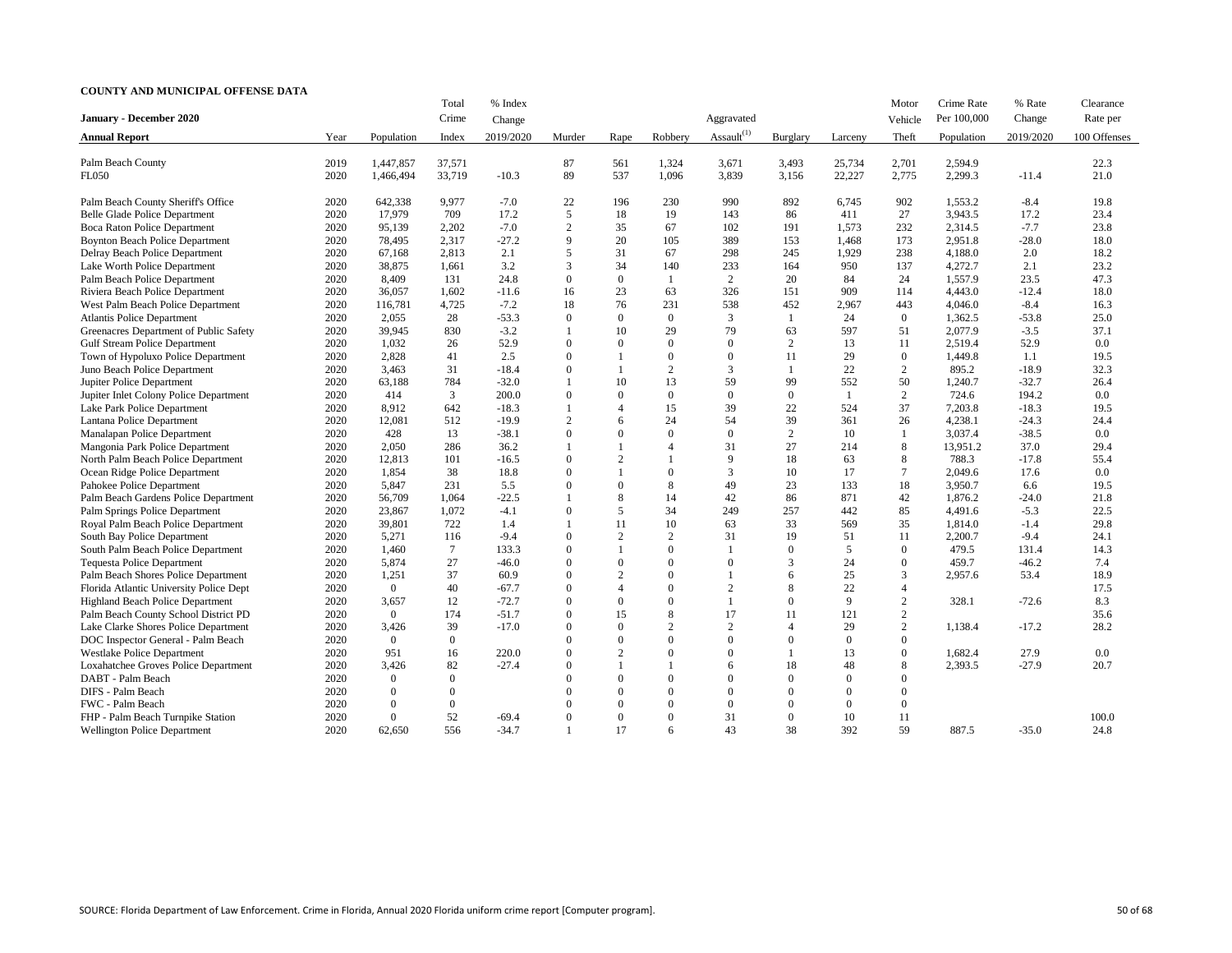|                                         |      |                | Total          | % Index   |                |                          |                |                  |                |          | Motor          | Crime Rate  | % Rate    | Clearance    |
|-----------------------------------------|------|----------------|----------------|-----------|----------------|--------------------------|----------------|------------------|----------------|----------|----------------|-------------|-----------|--------------|
| January - December 2020                 |      |                | Crime          | Change    |                |                          |                | Aggravated       |                |          | Vehicle        | Per 100,000 | Change    | Rate per     |
| <b>Annual Report</b>                    | Year | Population     | Index          | 2019/2020 | Murder         | Rape                     | Robbery        | Assault $^{(1)}$ | Burglary       | Larceny  | Theft          | Population  | 2019/2020 | 100 Offenses |
|                                         |      |                |                |           |                |                          |                |                  |                |          |                |             |           |              |
| Palm Beach County                       | 2019 | 1,447,857      | 37,571         |           | 87             | 561                      | 1,324          | 3,671            | 3,493          | 25,734   | 2,701          | 2,594.9     |           | 22.3         |
| <b>FL050</b>                            | 2020 | 1,466,494      | 33,719         | $-10.3$   | 89             | 537                      | 1,096          | 3,839            | 3,156          | 22,227   | 2,775          | 2,299.3     | $-11.4$   | 21.0         |
| Palm Beach County Sheriff's Office      | 2020 | 642,338        | 9,977          | $-7.0$    | 22             | 196                      | 230            | 990              | 892            | 6,745    | 902            | 1,553.2     | $-8.4$    | 19.8         |
| Belle Glade Police Department           | 2020 | 17,979         | 709            | 17.2      | 5              | 18                       | 19             | 143              | 86             | 411      | 27             | 3,943.5     | 17.2      | 23.4         |
| <b>Boca Raton Police Department</b>     | 2020 | 95,139         | 2,202          | $-7.0$    | 2              | 35                       | 67             | 102              | 191            | 1,573    | 232            | 2,314.5     | $-7.7$    | 23.8         |
| <b>Boynton Beach Police Department</b>  | 2020 | 78,495         | 2,317          | $-27.2$   | 9              | 20                       | 105            | 389              | 153            | 1,468    | 173            | 2,951.8     | $-28.0$   | 18.0         |
| Delray Beach Police Department          | 2020 | 67,168         | 2,813          | 2.1       | 5              | 31                       | 67             | 298              | 245            | 1,929    | 238            | 4,188.0     | 2.0       | 18.2         |
| Lake Worth Police Department            | 2020 | 38,875         | 1,661          | 3.2       | 3              | 34                       | 140            | 233              | 164            | 950      | 137            | 4,272.7     | 2.1       | 23.2         |
| Palm Beach Police Department            | 2020 | 8,409          | 131            | 24.8      | $\Omega$       | $\Omega$                 |                | 2                | 20             | 84       | 24             | 1,557.9     | 23.5      | 47.3         |
| Riviera Beach Police Department         | 2020 | 36,057         | 1,602          | $-11.6$   | 16             | 23                       | 63             | 326              | 151            | 909      | 114            | 4,443.0     | $-12.4$   | 18.0         |
| West Palm Beach Police Department       | 2020 | 116,781        | 4,725          | $-7.2$    | 18             | 76                       | 231            | 538              | 452            | 2,967    | 443            | 4,046.0     | $-8.4$    | 16.3         |
| <b>Atlantis Police Department</b>       | 2020 | 2,055          | 28             | $-53.3$   | $\Omega$       | $\Omega$                 | $\Omega$       | 3                |                | 24       | $\overline{0}$ | 1,362.5     | $-53.8$   | 25.0         |
| Greenacres Department of Public Safety  | 2020 | 39,945         | 830            | $-3.2$    |                | 10                       | 29             | 79               | 63             | 597      | 51             | 2,077.9     | $-3.5$    | 37.1         |
| <b>Gulf Stream Police Department</b>    | 2020 | 1,032          | 26             | 52.9      | $\Omega$       | $\Omega$                 | $\Omega$       | $\theta$         | 2              | 13       | 11             | 2,519.4     | 52.9      | 0.0          |
| Town of Hypoluxo Police Department      | 2020 | 2,828          | 41             | 2.5       | $\Omega$       |                          | $\Omega$       | $\overline{0}$   | 11             | 29       | $\Omega$       | 1,449.8     | 1.1       | 19.5         |
| Juno Beach Police Department            | 2020 | 3,463          | 31             | $-18.4$   | $\Omega$       |                          | $\overline{2}$ | 3                |                | 22       | 2              | 895.2       | $-18.9$   | 32.3         |
| Jupiter Police Department               | 2020 | 63,188         | 784            | $-32.0$   |                | 10                       | 13             | 59               | 99             | 552      | 50             | 1,240.7     | $-32.7$   | 26.4         |
| Jupiter Inlet Colony Police Department  | 2020 | 414            | 3              | 200.0     | $\Omega$       | $\Omega$                 | $\overline{0}$ | $\overline{0}$   | $\theta$       | -1       | 2              | 724.6       | 194.2     | 0.0          |
| Lake Park Police Department             | 2020 | 8,912          | 642            | $-18.3$   |                | $\overline{\mathcal{A}}$ | 15             | 39               | $22\,$         | 524      | 37             | 7,203.8     | $-18.3$   | 19.5         |
| Lantana Police Department               | 2020 | 12,081         | 512            | $-19.9$   | $\overline{2}$ | 6                        | 24             | 54               | 39             | 361      | 26             | 4,238.1     | $-24.3$   | 24.4         |
| Manalapan Police Department             | 2020 | 428            | 13             | $-38.1$   | $\Omega$       | $\Omega$                 | $\Omega$       | $\overline{0}$   | $\overline{2}$ | 10       | $\overline{1}$ | 3,037.4     | $-38.5$   | 0.0          |
| Mangonia Park Police Department         | 2020 | 2,050          | 286            | 36.2      |                |                          | $\Delta$       | 31               | 27             | 214      | 8              | 13,951.2    | 37.0      | 29.4         |
| North Palm Beach Police Department      | 2020 | 12,813         | 101            | $-16.5$   | $\Omega$       | $\overline{2}$           |                | 9                | 18             | 63       | 8              | 788.3       | $-17.8$   | 55.4         |
| Ocean Ridge Police Department           | 2020 | 1,854          | 38             | 18.8      | $\Omega$       |                          | $\Omega$       | 3                | 10             | 17       | $\tau$         | 2,049.6     | 17.6      | 0.0          |
| Pahokee Police Department               | 2020 | 5,847          | 231            | 5.5       | $\Omega$       | $\Omega$                 | 8              | 49               | 23             | 133      | 18             | 3,950.7     | 6.6       | 19.5         |
| Palm Beach Gardens Police Department    | 2020 | 56,709         | 1,064          | $-22.5$   |                | 8                        | 14             | 42               | 86             | 871      | 42             | 1,876.2     | $-24.0$   | 21.8         |
| Palm Springs Police Department          | 2020 | 23,867         | 1,072          | $-4.1$    | $\Omega$       | 5                        | 34             | 249              | 257            | 442      | 85             | 4,491.6     | $-5.3$    | 22.5         |
| Royal Palm Beach Police Department      | 2020 | 39,801         | 722            | 1.4       |                | 11                       | 10             | 63               | 33             | 569      | 35             | 1,814.0     | $-1.4$    | 29.8         |
| South Bay Police Department             | 2020 | 5,271          | 116            | $-9.4$    | $\Omega$       | 2                        | 2              | 31               | 19             | 51       | 11             | 2,200.7     | $-9.4$    | 24.1         |
| South Palm Beach Police Department      | 2020 | 1,460          | 7              | 133.3     | $\Omega$       |                          | $\Omega$       |                  |                | 5        | $\Omega$       | 479.5       | 131.4     | 14.3         |
| <b>Tequesta Police Department</b>       | 2020 | 5,874          | 27             | $-46.0$   | $\Omega$       | $\Omega$                 | $\Omega$       |                  | 3              | 24       |                | 459.7       | $-46.2$   | 7.4          |
| Palm Beach Shores Police Department     | 2020 | 1,251          | 37             | 60.9      | $\Omega$       | $\gamma$                 | $\Omega$       |                  | 6              | 25       |                | 2,957.6     | 53.4      | 18.9         |
| Florida Atlantic University Police Dept | 2020 | $\mathbf{0}$   | 40             | $-67.7$   | $\Omega$       |                          | 0              | $\overline{2}$   | 8              | 22       | 4              |             |           | 17.5         |
| <b>Highland Beach Police Department</b> | 2020 | 3,657          | 12             | $-72.7$   | $\theta$       | $\overline{0}$           | $\Omega$       | $\mathbf{1}$     | $\Omega$       | 9        | 2              | 328.1       | $-72.6$   | 8.3          |
| Palm Beach County School District PD    | 2020 | $\overline{0}$ | 174            | $-51.7$   | $\Omega$       | 15                       | 8              | 17               | 11             | 121      | $\overline{2}$ |             |           | 35.6         |
| Lake Clarke Shores Police Department    | 2020 | 3,426          | 39             | $-17.0$   | $\Omega$       | $\Omega$                 | $\overline{2}$ | 2                |                | 29       | $\overline{2}$ | 1,138.4     | $-17.2$   | 28.2         |
| DOC Inspector General - Palm Beach      | 2020 | $\overline{0}$ | $\overline{0}$ |           | $\Omega$       | $\Omega$                 | $\Omega$       | $\overline{0}$   |                | $\Omega$ | $\Omega$       |             |           |              |
| <b>Westlake Police Department</b>       | 2020 | 951            | 16             | 220.0     | $\Omega$       | $\overline{2}$           |                | $\overline{0}$   |                | 13       | $\Omega$       | 1,682.4     | 27.9      | $0.0\,$      |
| Loxahatchee Groves Police Department    | 2020 | 3,426          | 82             | $-27.4$   | $\Omega$       |                          |                | 6                | 18             | 48       | 8              | 2,393.5     | $-27.9$   | 20.7         |
| DABT - Palm Beach                       | 2020 | $\overline{0}$ | $\Omega$       |           | $\Omega$       | $\Omega$                 |                | $\theta$         | $\Omega$       | $\Omega$ |                |             |           |              |
| DIFS - Palm Beach                       | 2020 | $\overline{0}$ | $\Omega$       |           |                | $\Omega$                 | $\Omega$       | $\theta$         |                | $\Omega$ |                |             |           |              |
| FWC - Palm Beach                        | 2020 | $\mathbf{0}$   | $\overline{0}$ |           | $\Omega$       | $\Omega$                 | $\Omega$       | $\overline{0}$   | $\Omega$       | $\Omega$ | $\Omega$       |             |           |              |
| FHP - Palm Beach Turnpike Station       | 2020 | $\overline{0}$ | 52             | $-69.4$   | $\Omega$       | $\overline{0}$           | $\overline{0}$ | 31               | $\overline{0}$ | 10       | 11             |             |           | 100.0        |
| <b>Wellington Police Department</b>     | 2020 | 62,650         | 556            | $-34.7$   |                | 17                       | 6              | 43               | 38             | 392      | 59             | 887.5       | $-35.0$   | 24.8         |
|                                         |      |                |                |           |                |                          |                |                  |                |          |                |             |           |              |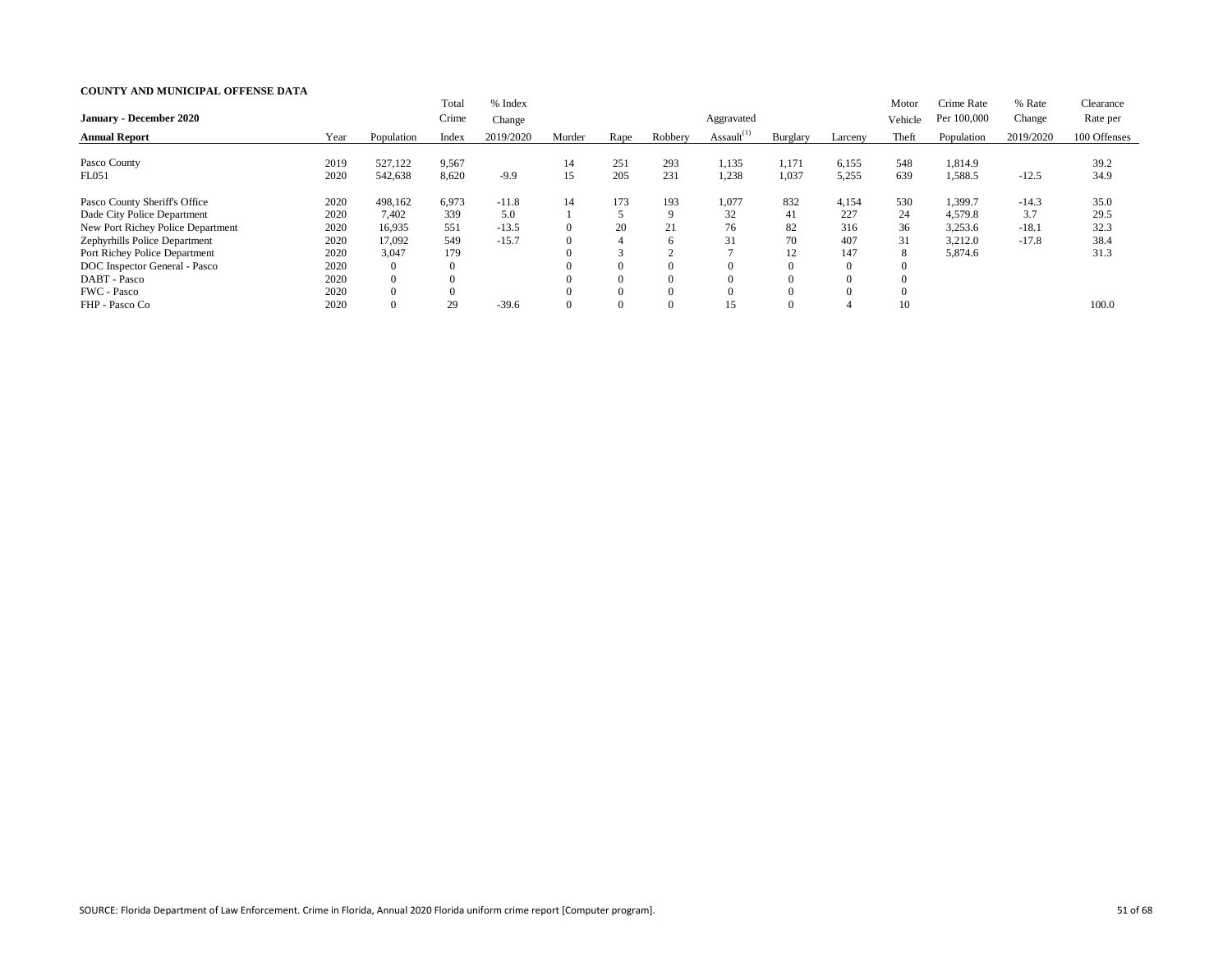|                                   |      |                | Total          | % Index   |        |          |              |                  |                |                | Motor   | Crime Rate  | % Rate    | Clearance    |
|-----------------------------------|------|----------------|----------------|-----------|--------|----------|--------------|------------------|----------------|----------------|---------|-------------|-----------|--------------|
| <b>January - December 2020</b>    |      |                | Crime          | Change    |        |          |              | Aggravated       |                |                | Vehicle | Per 100,000 | Change    | Rate per     |
| <b>Annual Report</b>              | Year | Population     | Index          | 2019/2020 | Murder | Rape     | Robbery      | Assault $^{(1)}$ | Burglary       | Larceny        | Theft   | Population  | 2019/2020 | 100 Offenses |
| Pasco County                      | 2019 | 527,122        | 9,567          |           | 14     | 251      | 293          | 1,135            | 1,171          | 6,155          | 548     | 1,814.9     |           | 39.2         |
| FL051                             | 2020 | 542,638        | 8,620          | $-9.9$    | 15     | 205      | 231          | 1,238            | 1,037          | 5,255          | 639     | 1,588.5     | $-12.5$   | 34.9         |
| Pasco County Sheriff's Office     | 2020 | 498,162        | 6,973          | $-11.8$   | 14     | 173      | 193          | 1,077            | 832            | 4,154          | 530     | 1,399.7     | $-14.3$   | 35.0         |
| Dade City Police Department       | 2020 | 7,402          | 339            | 5.0       |        |          | $\mathbf Q$  | 32               | 41             | 227            | 24      | 4,579.8     | 3.7       | 29.5         |
| New Port Richey Police Department | 2020 | 16,935         | 551            | $-13.5$   | v      | 20       | 21           | 76               | 82             | 316            | 36      | 3,253.6     | $-18.1$   | 32.3         |
| Zephyrhills Police Department     | 2020 | 17,092         | 549            | $-15.7$   |        | 4        | <sub>6</sub> | 31               | 70             | 407            | 31      | 3,212.0     | $-17.8$   | 38.4         |
| Port Richey Police Department     | 2020 | 3,047          | 179            |           |        |          |              |                  | 12             | 147            | 8       | 5,874.6     |           | 31.3         |
| DOC Inspector General - Pasco     | 2020 | $\overline{0}$ | $\overline{0}$ |           |        | $\Omega$ | $\Omega$     |                  | $\overline{0}$ | $\overline{0}$ |         |             |           |              |
| DABT - Pasco                      | 2020 | $\overline{0}$ |                |           |        | $\Omega$ | $\Omega$     |                  | $\theta$       |                |         |             |           |              |
| FWC - Pasco                       | 2020 | $\theta$       |                |           |        | $\theta$ | $\Omega$     |                  | $\Omega$       |                |         |             |           |              |
| FHP - Pasco Co                    | 2020 | $\theta$       | 29             | $-39.6$   |        | $\Omega$ | $\Omega$     | 15               | $\Omega$       |                | 10      |             |           | 100.0        |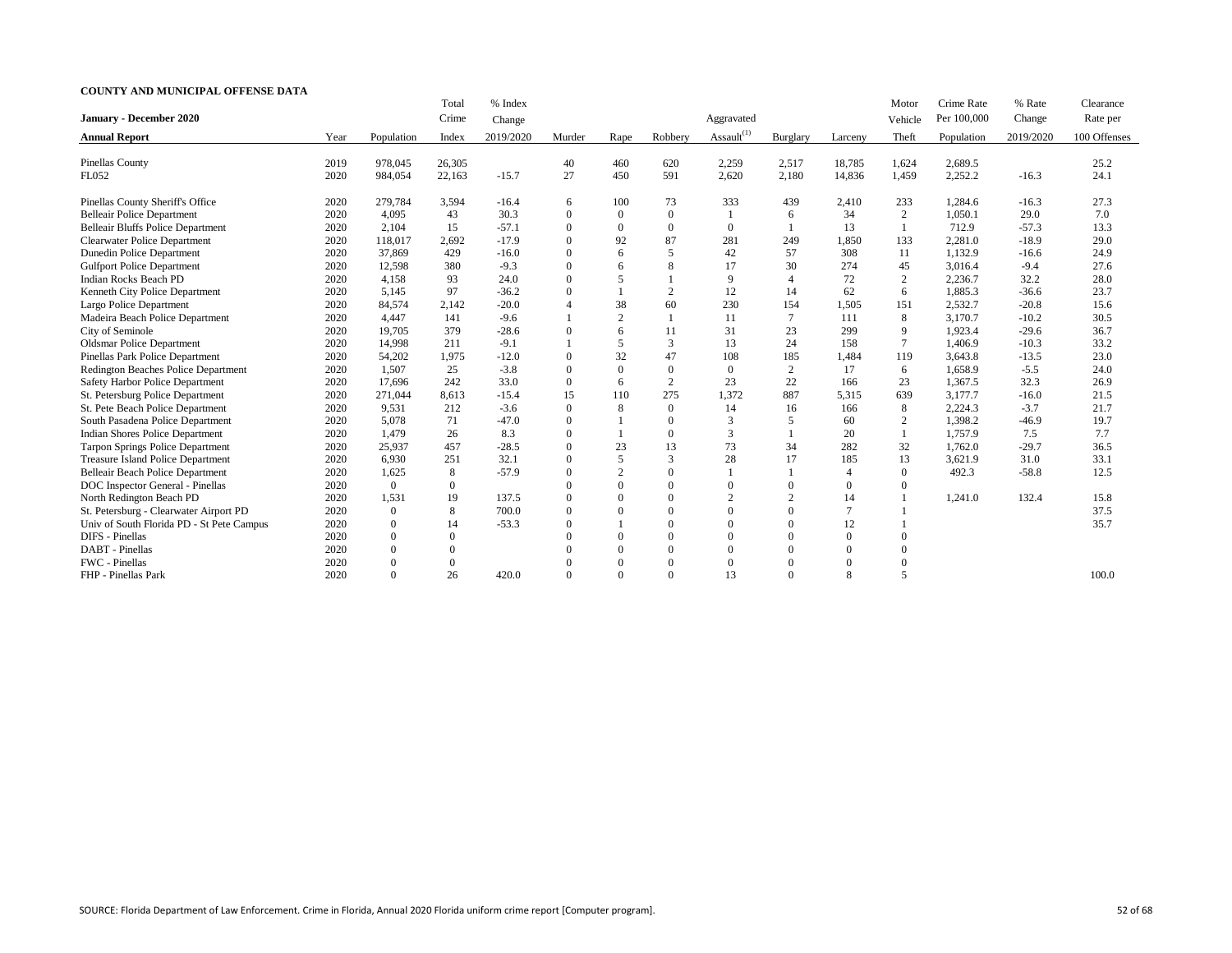|                                           |      |                | Total            | % Index   |                  |                  |                |                  |                |                | Motor          | Crime Rate  | % Rate    | Clearance    |
|-------------------------------------------|------|----------------|------------------|-----------|------------------|------------------|----------------|------------------|----------------|----------------|----------------|-------------|-----------|--------------|
| <b>January - December 2020</b>            |      |                | Crime            | Change    |                  |                  |                | Aggravated       |                |                | Vehicle        | Per 100,000 | Change    | Rate per     |
| <b>Annual Report</b>                      | Year | Population     | Index            | 2019/2020 | Murder           | Rape             | Robbery        | Assault $^{(1)}$ | Burglary       | Larceny        | Theft          | Population  | 2019/2020 | 100 Offenses |
|                                           |      |                |                  |           |                  |                  |                |                  |                |                |                |             |           |              |
| <b>Pinellas County</b>                    | 2019 | 978,045        | 26,305           |           | 40               | 460              | 620            | 2,259            | 2,517          | 18,785         | 1,624          | 2,689.5     |           | 25.2         |
| FL052                                     | 2020 | 984,054        | 22,163           | $-15.7$   | 27               | 450              | 591            | 2,620            | 2,180          | 14,836         | 1,459          | 2,252.2     | $-16.3$   | 24.1         |
| Pinellas County Sheriff's Office          | 2020 | 279,784        | 3,594            | $-16.4$   | 6                | 100              | 73             | 333              | 439            | 2,410          | 233            | 1,284.6     | $-16.3$   | 27.3         |
| <b>Belleair Police Department</b>         | 2020 | 4,095          | 43               | 30.3      | $\mathbf{0}$     | $\boldsymbol{0}$ | $\overline{0}$ |                  | 6              | 34             | 2              | 1,050.1     | 29.0      | 7.0          |
| <b>Belleair Bluffs Police Department</b>  | 2020 | 2,104          | 15               | $-57.1$   | $\boldsymbol{0}$ | $\boldsymbol{0}$ | $\mathbf{0}$   | $\boldsymbol{0}$ |                | 13             |                | 712.9       | $-57.3$   | 13.3         |
| <b>Clearwater Police Department</b>       | 2020 | 118,017        | 2,692            | $-17.9$   | $\mathbf{0}$     | 92               | 87             | 281              | 249            | 1,850          | 133            | 2,281.0     | $-18.9$   | 29.0         |
| <b>Dunedin Police Department</b>          | 2020 | 37,869         | 429              | $-16.0$   | $\boldsymbol{0}$ | 6                | 5              | 42               | 57             | 308            | 11             | 1,132.9     | $-16.6$   | 24.9         |
| <b>Gulfport Police Department</b>         | 2020 | 12,598         | 380              | $-9.3$    | $\mathbf{0}$     | 6                | 8              | 17               | 30             | 274            | 45             | 3,016.4     | $-9.4$    | 27.6         |
| <b>Indian Rocks Beach PD</b>              | 2020 | 4,158          | 93               | 24.0      | $\mathbf{0}$     | 5                |                | 9                | $\overline{4}$ | 72             | $\overline{2}$ | 2,236.7     | 32.2      | 28.0         |
| Kenneth City Police Department            | 2020 | 5,145          | 97               | $-36.2$   | $\boldsymbol{0}$ |                  | $\overline{2}$ | 12               | 14             | 62             | 6              | 1,885.3     | $-36.6$   | 23.7         |
| Largo Police Department                   | 2020 | 84,574         | 2,142            | $-20.0$   | $\overline{4}$   | 38               | 60             | 230              | 154            | 1,505          | 151            | 2,532.7     | $-20.8$   | 15.6         |
| Madeira Beach Police Department           | 2020 | 4,447          | 141              | $-9.6$    |                  | 2                |                | 11               | 7              | 111            | 8              | 3,170.7     | $-10.2$   | 30.5         |
| City of Seminole                          | 2020 | 19,705         | 379              | $-28.6$   | $\boldsymbol{0}$ | 6                | 11             | 31               | 23             | 299            | 9              | 1,923.4     | $-29.6$   | 36.7         |
| <b>Oldsmar Police Department</b>          | 2020 | 14,998         | 211              | $-9.1$    |                  | 5                | $\mathfrak{Z}$ | 13               | 24             | 158            | $\tau$         | 1,406.9     | $-10.3$   | 33.2         |
| Pinellas Park Police Department           | 2020 | 54,202         | 1,975            | $-12.0$   | $\theta$         | 32               | 47             | 108              | 185            | 1,484          | 119            | 3,643.8     | $-13.5$   | 23.0         |
| Redington Beaches Police Department       | 2020 | 1,507          | 25               | $-3.8$    | $\overline{0}$   | $\boldsymbol{0}$ | $\theta$       | $\boldsymbol{0}$ | 2              | 17             | 6              | 1,658.9     | $-5.5$    | 24.0         |
| Safety Harbor Police Department           | 2020 | 17,696         | 242              | 33.0      | $\theta$         | 6                | 2              | 23               | 22             | 166            | 23             | 1,367.5     | 32.3      | 26.9         |
| St. Petersburg Police Department          | 2020 | 271,044        | 8,613            | $-15.4$   | 15               | 110              | 275            | 1,372            | 887            | 5,315          | 639            | 3,177.7     | $-16.0$   | 21.5         |
| St. Pete Beach Police Department          | 2020 | 9,531          | 212              | $-3.6$    | $\overline{0}$   | 8                | $\theta$       | 14               | 16             | 166            | 8              | 2,224.3     | $-3.7$    | 21.7         |
| South Pasadena Police Department          | 2020 | 5,078          | 71               | $-47.0$   | $\overline{0}$   |                  | $\theta$       | 3                | 5              | 60             | $\overline{2}$ | 1,398.2     | $-46.9$   | 19.7         |
| <b>Indian Shores Police Department</b>    | 2020 | 1,479          | 26               | 8.3       | $\overline{0}$   |                  | $\theta$       | $\overline{3}$   |                | 20             |                | 1,757.9     | 7.5       | 7.7          |
| <b>Tarpon Springs Police Department</b>   | 2020 | 25,937         | 457              | $-28.5$   | $\theta$         | 23               | 13             | 73               | 34             | 282            | 32             | 1,762.0     | $-29.7$   | 36.5         |
| <b>Treasure Island Police Department</b>  | 2020 | 6,930          | 251              | 32.1      | $\Omega$         | 5                | 3              | 28               | 17             | 185            | 13             | 3,621.9     | 31.0      | 33.1         |
| <b>Belleair Beach Police Department</b>   | 2020 | 1,625          | 8                | $-57.9$   | $\theta$         | $\overline{2}$   | $\Omega$       |                  |                | 4              | $\overline{0}$ | 492.3       | $-58.8$   | 12.5         |
| DOC Inspector General - Pinellas          | 2020 | $\mathbf{0}$   | $\boldsymbol{0}$ |           |                  | $\Omega$         | $\Omega$       | $\overline{0}$   | $\Omega$       | $\Omega$       | $\Omega$       |             |           |              |
| North Redington Beach PD                  | 2020 | 1,531          | 19               | 137.5     | $\Omega$         | $\overline{0}$   | $\theta$       | $\overline{2}$   | $\overline{2}$ | 14             |                | 1,241.0     | 132.4     | 15.8         |
| St. Petersburg - Clearwater Airport PD    | 2020 | $\mathbf{0}$   | 8                | 700.0     | $\theta$         | $\overline{0}$   | $\Omega$       | $\overline{0}$   | $\Omega$       | 7              |                |             |           | 37.5         |
| Univ of South Florida PD - St Pete Campus | 2020 | $\mathbf{0}$   | 14               | $-53.3$   | $\Omega$         |                  | $\theta$       | $\overline{0}$   | $\Omega$       | 12             |                |             |           | 35.7         |
| <b>DIFS</b> - Pinellas                    | 2020 | $\Omega$       | $\Omega$         |           |                  | $\overline{0}$   | $\Omega$       | $\overline{0}$   | $\Omega$       | $\overline{0}$ |                |             |           |              |
| DABT - Pinellas                           | 2020 | $\Omega$       | $\theta$         |           |                  | $\Omega$         | $\Omega$       | $\overline{0}$   | $\Omega$       | $\Omega$       |                |             |           |              |
| FWC - Pinellas                            | 2020 | $\overline{0}$ | $\boldsymbol{0}$ |           |                  | $\theta$         | $\theta$       | $\boldsymbol{0}$ | $\Omega$       | $\overline{0}$ | $\Omega$       |             |           |              |
| FHP - Pinellas Park                       | 2020 | $\Omega$       | 26               | 420.0     | $\Omega$         | $\Omega$         | $\Omega$       | 13               | $\Omega$       | 8              | 5              |             |           | 100.0        |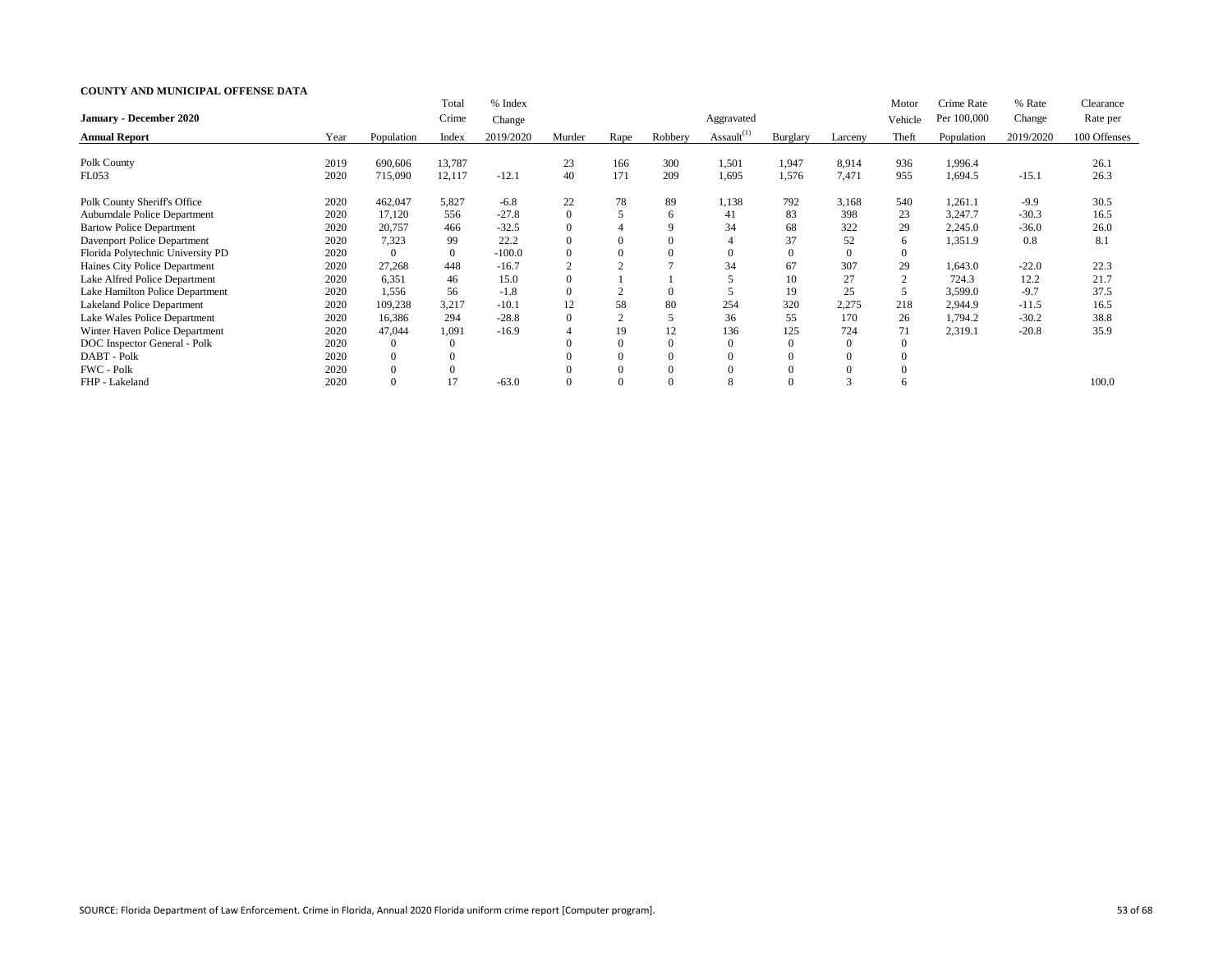|                                   |      |                | Total        | % Index   |                  |                |              |                  |                 |                | Motor   | Crime Rate  | % Rate    | Clearance    |
|-----------------------------------|------|----------------|--------------|-----------|------------------|----------------|--------------|------------------|-----------------|----------------|---------|-------------|-----------|--------------|
| <b>January - December 2020</b>    |      |                | Crime        | Change    |                  |                |              | Aggravated       |                 |                | Vehicle | Per 100,000 | Change    | Rate per     |
| <b>Annual Report</b>              | Year | Population     | Index        | 2019/2020 | Murder           | Rape           | Robbery      | Assault $^{(1)}$ | <b>Burglary</b> | Larceny        | Theft   | Population  | 2019/2020 | 100 Offenses |
|                                   |      |                |              |           |                  |                |              |                  |                 |                |         |             |           |              |
| Polk County                       | 2019 | 690,606        | 13,787       |           | 23               | 166            | 300          | 1,501            | 1,947           | 8,914          | 936     | 1,996.4     |           | 26.1         |
| FL053                             | 2020 | 715,090        | 12,117       | $-12.1$   | 40               | 171            | 209          | 1,695            | 1,576           | 7,471          | 955     | 1,694.5     | $-15.1$   | 26.3         |
| Polk County Sheriff's Office      | 2020 | 462,047        | 5,827        | $-6.8$    | 22               | 78             | 89           | 1,138            | 792             | 3,168          | 540     | 1,261.1     | $-9.9$    | 30.5         |
| Auburndale Police Department      | 2020 | 17,120         | 556          | $-27.8$   | $\boldsymbol{0}$ | 5              | <sub>6</sub> | 41               | 83              | 398            | 23      | 3,247.7     | $-30.3$   | 16.5         |
| <b>Bartow Police Department</b>   | 2020 | 20,757         | 466          | $-32.5$   | $\Omega$         | 4              | 9            | 34               | 68              | 322            | 29      | 2,245.0     | $-36.0$   | 26.0         |
| Davenport Police Department       | 2020 | 7,323          | 99           | 22.2      |                  | $\overline{0}$ |              |                  | 37              | 52             | 6       | 1,351.9     | 0.8       | 8.1          |
| Florida Polytechnic University PD | 2020 | $\Omega$       | $\mathbf{0}$ | $-100.0$  |                  | $\overline{0}$ |              |                  | $\overline{0}$  | $\overline{0}$ |         |             |           |              |
| Haines City Police Department     | 2020 | 27,268         | 448          | $-16.7$   | $\overline{2}$   |                |              | 34               | 67              | 307            | 29      | 1,643.0     | $-22.0$   | 22.3         |
| Lake Alfred Police Department     | 2020 | 6,351          | 46           | 15.0      |                  |                |              |                  | 10              | 27             | 2       | 724.3       | 12.2      | 21.7         |
| Lake Hamilton Police Department   | 2020 | 1,556          | 56           | $-1.8$    |                  |                |              |                  | 19              | 25             | 5       | 3,599.0     | $-9.7$    | 37.5         |
| <b>Lakeland Police Department</b> | 2020 | 109,238        | 3,217        | $-10.1$   | 12               | 58             | 80           | 254              | 320             | 2,275          | 218     | 2,944.9     | $-11.5$   | 16.5         |
| Lake Wales Police Department      | 2020 | 16,386         | 294          | $-28.8$   | $\Omega$         | $\Omega$       |              | 36               | 55              | 170            | 26      | 1,794.2     | $-30.2$   | 38.8         |
| Winter Haven Police Department    | 2020 | 47,044         | 1,091        | $-16.9$   |                  | 19             | 12           | 136              | 125             | 724            | 71      | 2,319.1     | $-20.8$   | 35.9         |
| DOC Inspector General - Polk      | 2020 | $\overline{0}$ | $\Omega$     |           |                  | $\overline{0}$ |              |                  | $\overline{0}$  | $\Omega$       |         |             |           |              |
| DABT - Polk                       | 2020 | $\overline{0}$ |              |           |                  | $\overline{0}$ |              |                  | $\mathbf{0}$    |                |         |             |           |              |
| FWC - Polk                        | 2020 | $\Omega$       | $\theta$     |           |                  | $\theta$       | $\Omega$     |                  | $\theta$        |                |         |             |           |              |
| FHP - Lakeland                    | 2020 | $\Omega$       | 17           | $-63.0$   |                  | $\Omega$       | $\Omega$     |                  |                 |                |         |             |           | 100.0        |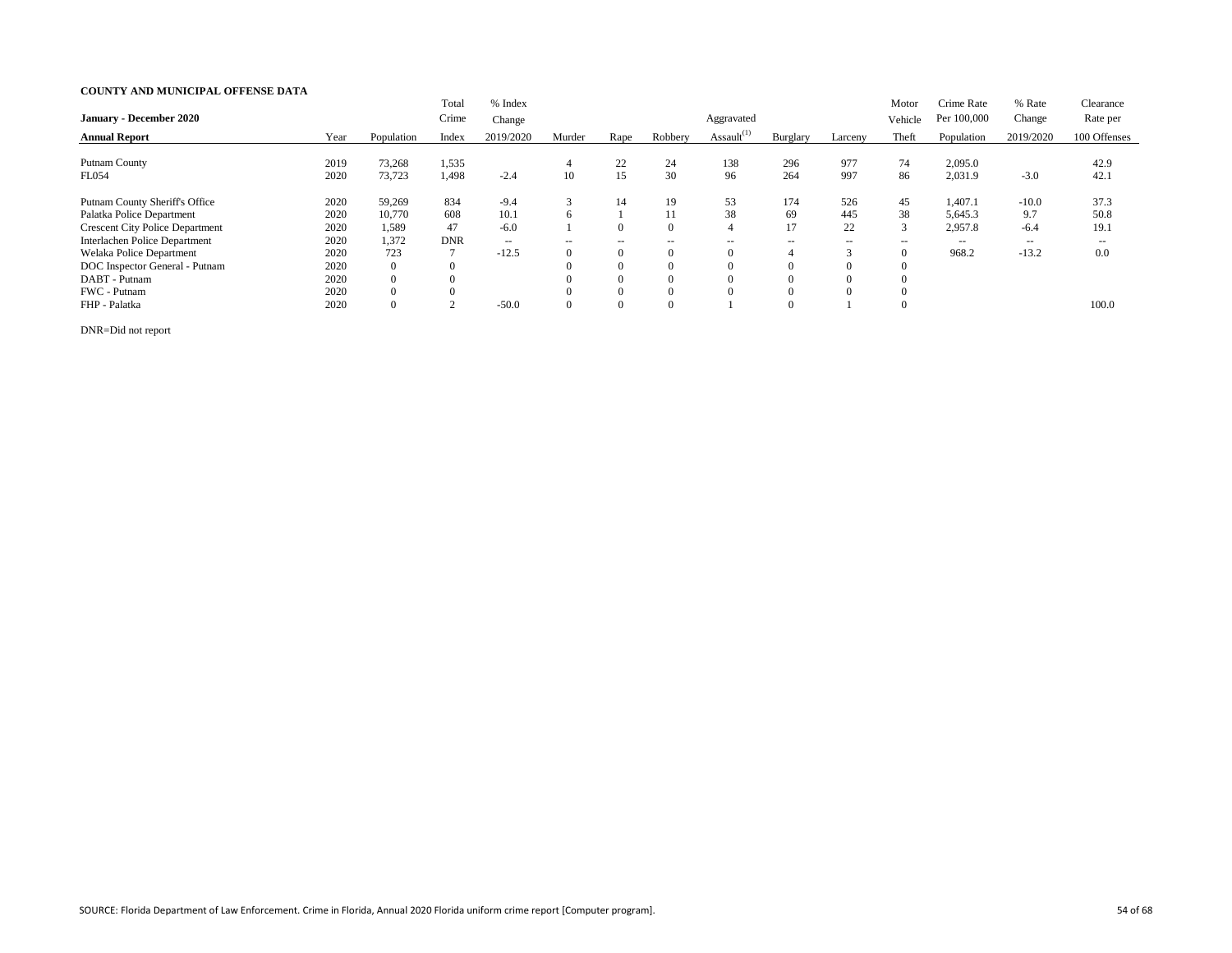| <b>January - December 2020</b>         |      |                  | Total<br>Crime | % Index<br>Change |                          |                          |                          | Aggravated       |               |               | Motor<br>Vehicle | Crime Rate<br>Per 100,000 | % Rate<br>Change  | Clearance<br>Rate per |
|----------------------------------------|------|------------------|----------------|-------------------|--------------------------|--------------------------|--------------------------|------------------|---------------|---------------|------------------|---------------------------|-------------------|-----------------------|
| <b>Annual Report</b>                   | Year | Population       | Index          | 2019/2020         | Murder                   | Rape                     | Robbery                  | Assault $^{(1)}$ | Burglary      | Larceny       | Theft            | Population                | 2019/2020         | 100 Offenses          |
| <b>Putnam County</b>                   | 2019 | 73,268           | 1,535          |                   | 4                        | 22                       | 24                       | 138              | 296           | 977           | 74               | 2,095.0                   |                   | 42.9                  |
| <b>FL054</b>                           | 2020 | 73,723           | 1,498          | $-2.4$            | 10                       | 15                       | 30                       | 96               | 264           | 997           | 86               | 2,031.9                   | $-3.0$            | 42.1                  |
| <b>Putnam County Sheriff's Office</b>  | 2020 | 59,269           | 834            | $-9.4$            |                          | 14                       | 19                       | 53               | 174           | 526           | 45               | 1,407.1                   | $-10.0$           | 37.3                  |
| Palatka Police Department              | 2020 | 10,770           | 608            | 10.1              |                          |                          |                          | 38               | 69            | 445           | 38               | 5,645.3                   | 9.7               | 50.8                  |
| <b>Crescent City Police Department</b> | 2020 | 1,589            | 47             | $-6.0$            |                          | $\overline{0}$           | $\Omega$                 |                  | 17            | 22            | 3                | 2,957.8                   | $-6.4$            | 19.1                  |
| Interlachen Police Department          | 2020 | 1,372            | <b>DNR</b>     | $-  \,$           | $\overline{\phantom{a}}$ | $\overline{\phantom{a}}$ | $\overline{\phantom{a}}$ | $- -$            | $\sim$ $\sim$ | $\sim$ $\sim$ | $\sim$ $\sim$    | $\sim$ $\sim$             | $\qquad \qquad -$ | $\sim$ $\sim$         |
| Welaka Police Department               | 2020 | 723              |                | $-12.5$           |                          | $\mathbf{0}$             | $\Omega$                 |                  | 4             |               | $\overline{0}$   | 968.2                     | $-13.2$           | 0.0                   |
| DOC Inspector General - Putnam         | 2020 | $\overline{0}$   | $\Omega$       |                   |                          | $\Omega$                 | $\Omega$                 |                  | $\Omega$      | $\Omega$      |                  |                           |                   |                       |
| DABT - Putnam                          | 2020 | $\overline{0}$   |                |                   |                          | $\theta$                 | $\Omega$                 |                  |               | $\Omega$      |                  |                           |                   |                       |
| FWC - Putnam                           | 2020 | $\boldsymbol{0}$ | $\theta$       |                   |                          | $\overline{0}$           | $\Omega$                 |                  |               | $\Omega$      |                  |                           |                   |                       |
| FHP - Palatka                          | 2020 | $\overline{0}$   |                | $-50.0$           |                          | $\overline{0}$           | $\Omega$                 |                  | $\Omega$      |               | $\Omega$         |                           |                   | 100.0                 |

DNR=Did not report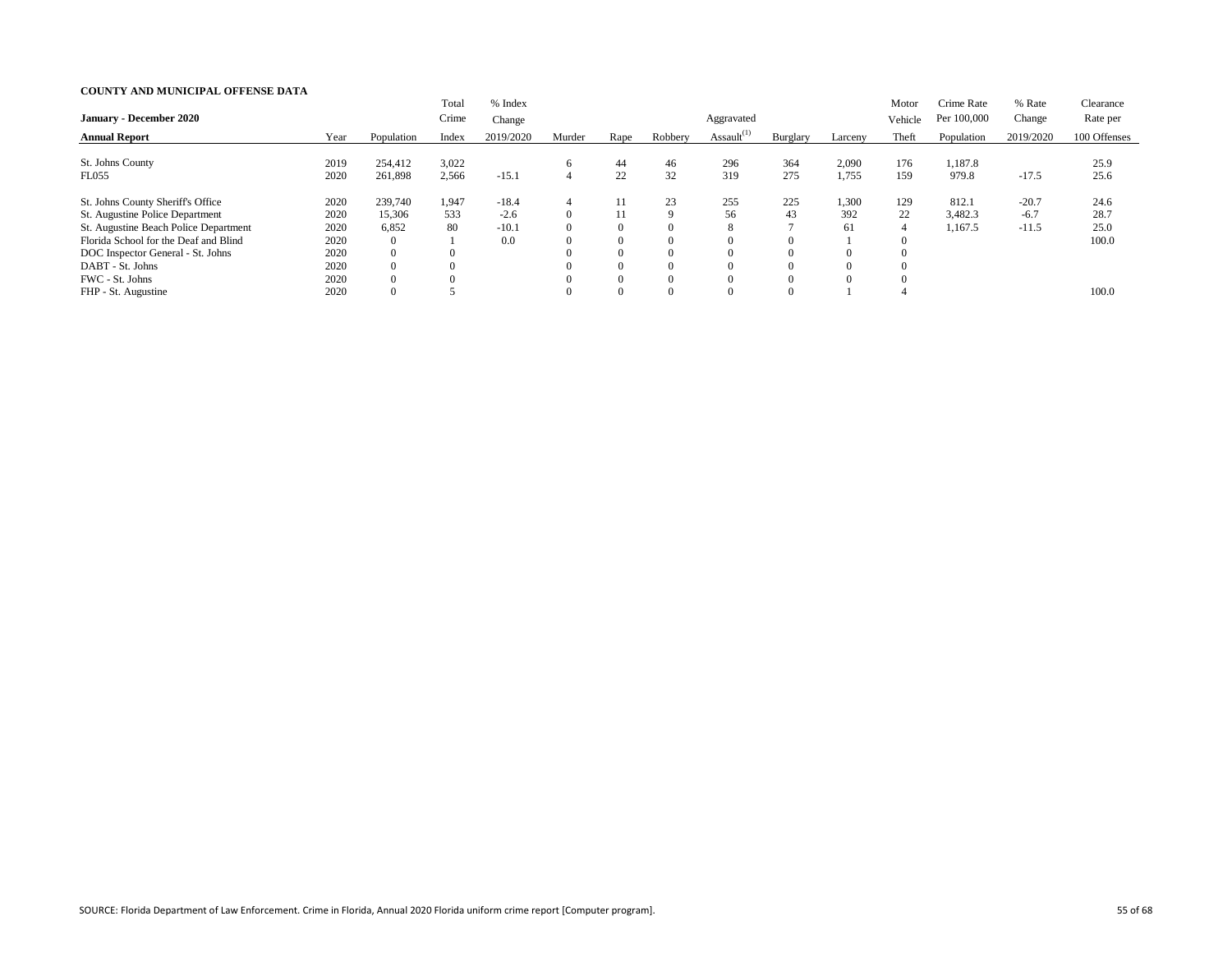|                                       |      |                | Total    | % Index   |          |      |         |                  |          |          | Motor    | Crime Rate  | % Rate    | Clearance    |
|---------------------------------------|------|----------------|----------|-----------|----------|------|---------|------------------|----------|----------|----------|-------------|-----------|--------------|
| <b>January - December 2020</b>        |      |                | Crime    | Change    |          |      |         | Aggravated       |          |          | Vehicle  | Per 100,000 | Change    | Rate per     |
| <b>Annual Report</b>                  | Year | Population     | Index    | 2019/2020 | Murder   | Rape | Robbery | Assault $^{(1)}$ | Burglary | Larceny  | Theft    | Population  | 2019/2020 | 100 Offenses |
|                                       |      |                |          |           |          |      |         |                  |          |          |          |             |           |              |
| St. Johns County                      | 2019 | 254,412        | 3,022    |           | 6        | 44   | 46      | 296              | 364      | 2,090    | 176      | 1,187.8     |           | 25.9         |
| <b>FL055</b>                          | 2020 | 261,898        | 2,566    | $-15.1$   | 4        | 22   | 32      | 319              | 275      | 1,755    | 159      | 979.8       | $-17.5$   | 25.6         |
| St. Johns County Sheriff's Office     | 2020 | 239,740        | 1,947    | $-18.4$   | 4        | 11   | 23      | 255              | 225      | 1,300    | 129      | 812.1       | $-20.7$   | 24.6         |
| St. Augustine Police Department       | 2020 | 15,306         | 533      | $-2.6$    | $\Omega$ | 11   | 9       | 56               | 43       | 392      | 22       | 3,482.3     | $-6.7$    | 28.7         |
| St. Augustine Beach Police Department | 2020 | 6,852          | 80       | $-10.1$   | $\Omega$ |      |         |                  |          | 61       | 4        | 1,167.5     | $-11.5$   | 25.0         |
| Florida School for the Deaf and Blind | 2020 | $\overline{0}$ |          | 0.0       | $\theta$ |      |         |                  |          |          | $_{0}$   |             |           | 100.0        |
| DOC Inspector General - St. Johns     | 2020 | $\Omega$       | $\Omega$ |           | $\Omega$ |      |         |                  |          | $\Omega$ | $\theta$ |             |           |              |
| DABT - St. Johns                      | 2020 | $\overline{0}$ |          |           | $\Omega$ |      |         |                  |          | $\Omega$ | $\theta$ |             |           |              |
| FWC - St. Johns                       | 2020 | $\theta$       |          |           | $\Omega$ |      |         |                  |          | $\Omega$ | 0        |             |           |              |
| FHP - St. Augustine                   | 2020 | $\overline{0}$ |          |           | $\Omega$ |      |         |                  |          |          |          |             |           | 100.0        |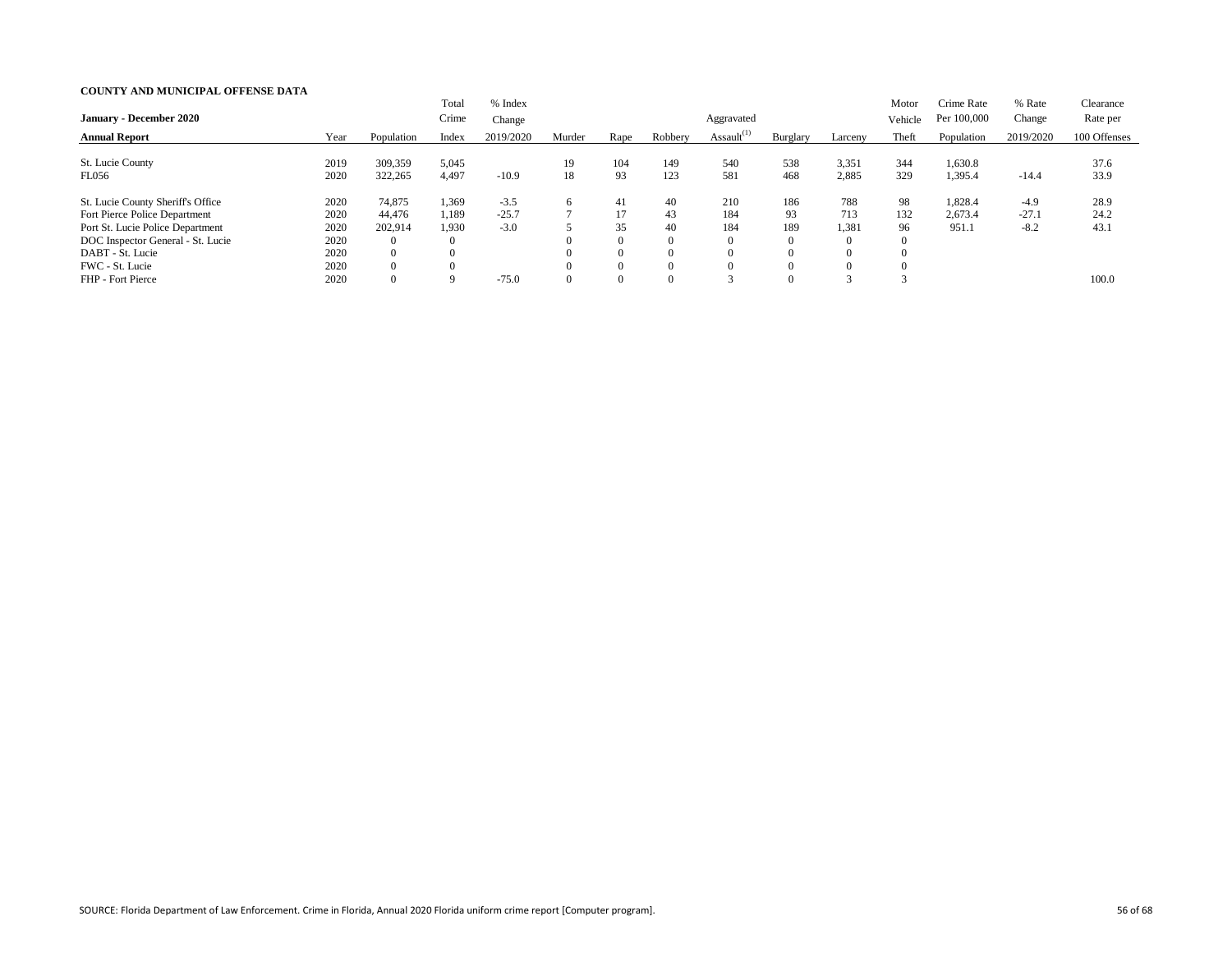| <b>January - December 2020</b>    |      |                | Total<br>Crime | % Index<br>Change |          |          |          | Aggravated       |                  |                | Motor<br>Vehicle | Crime Rate<br>Per 100,000 | % Rate<br>Change | Clearance<br>Rate per |
|-----------------------------------|------|----------------|----------------|-------------------|----------|----------|----------|------------------|------------------|----------------|------------------|---------------------------|------------------|-----------------------|
| <b>Annual Report</b>              | Year | Population     | Index          | 2019/2020         | Murder   | Rape     | Robbery  | Assault $^{(1)}$ | Burglary         | Larceny        | Theft            | Population                | 2019/2020        | 100 Offenses          |
| St. Lucie County                  | 2019 | 309,359        | 5,045          |                   | 19       | 104      | 149      | 540              | 538              | 3,351          | 344              | 1,630.8                   |                  | 37.6                  |
| <b>FL056</b>                      | 2020 | 322,265        | 4,497          | $-10.9$           | 18       | 93       | 123      | 581              | 468              | 2,885          | 329              | 1,395.4                   | $-14.4$          | 33.9                  |
| St. Lucie County Sheriff's Office | 2020 | 74,875         | 1,369          | $-3.5$            | $\sigma$ | 41       | 40       | 210              | 186              | 788            | 98               | 1,828.4                   | $-4.9$           | 28.9                  |
| Fort Pierce Police Department     | 2020 | 44,476         | 1,189          | $-25.7$           |          | 17       | 43       | 184              | 93               | 713            | 132              | 2,673.4                   | $-27.1$          | 24.2                  |
| Port St. Lucie Police Department  | 2020 | 202,914        | 1,930          | $-3.0$            |          | 35       | 40       | 184              | 189              | 1,381          | 96               | 951.1                     | $-8.2$           | 43.1                  |
| DOC Inspector General - St. Lucie | 2020 | $\rm 0$        | $\theta$       |                   |          | $\Omega$ | $\Omega$ |                  | $\boldsymbol{0}$ | $\overline{0}$ | $\theta$         |                           |                  |                       |
| DABT - St. Lucie                  | 2020 | $\overline{0}$ |                |                   |          | $\Omega$ | $\Omega$ |                  |                  | $\theta$       | $\Omega$         |                           |                  |                       |
| FWC - St. Lucie                   | 2020 | $\overline{0}$ | $\Omega$       |                   |          | $\Omega$ | $\Omega$ |                  | $\Omega$         | $\theta$       | $\Omega$         |                           |                  |                       |
| FHP - Fort Pierce                 | 2020 | $\overline{0}$ |                | $-75.0$           |          | $\Omega$ | $\Omega$ |                  |                  |                |                  |                           |                  | 100.0                 |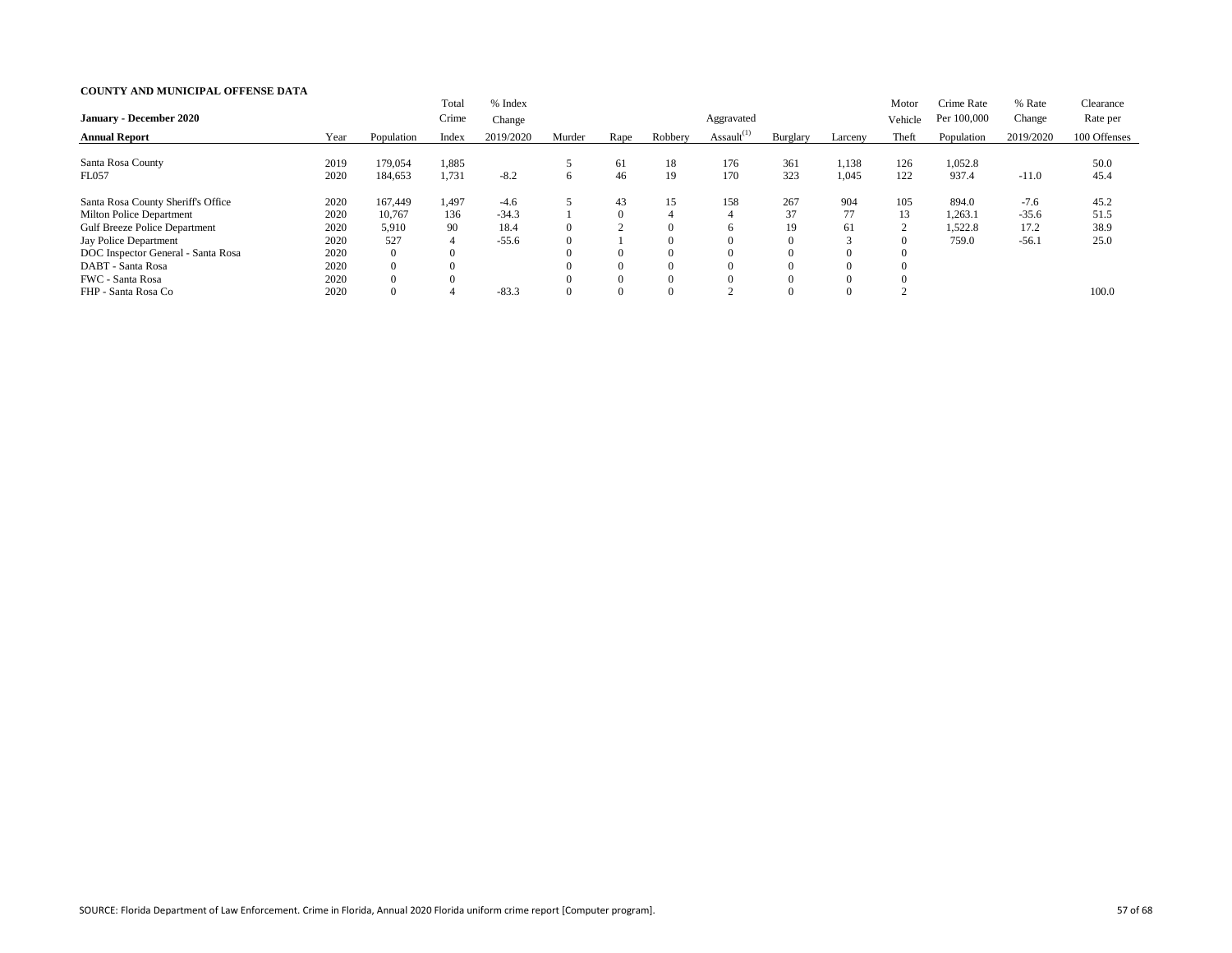|                                      |      |                | Total          | % Index   |              |          |          |                  |          |          | Motor         | Crime Rate  | % Rate    | Clearance    |
|--------------------------------------|------|----------------|----------------|-----------|--------------|----------|----------|------------------|----------|----------|---------------|-------------|-----------|--------------|
| <b>January - December 2020</b>       |      |                | Crime          | Change    |              |          |          | Aggravated       |          |          | Vehicle       | Per 100,000 | Change    | Rate per     |
| <b>Annual Report</b>                 | Year | Population     | Index          | 2019/2020 | Murder       | Rape     | Robbery  | Assault $^{(1)}$ | Burglary | Larceny  | Theft         | Population  | 2019/2020 | 100 Offenses |
|                                      |      |                |                |           |              |          |          |                  |          |          |               |             |           |              |
| Santa Rosa County                    | 2019 | 179,054        | 1,885          |           |              | 61       | 18       | 176              | 361      | 1,138    | 126           | 1,052.8     |           | 50.0         |
| <b>FL057</b>                         | 2020 | 184,653        | 1,731          | $-8.2$    | <sub>6</sub> | 46       | 19       | 170              | 323      | 1,045    | 122           | 937.4       | $-11.0$   | 45.4         |
| Santa Rosa County Sheriff's Office   | 2020 | 167,449        | 1,497          | $-4.6$    |              | 43       | 15       | 158              | 267      | 904      | 105           | 894.0       | $-7.6$    | 45.2         |
| <b>Milton Police Department</b>      | 2020 | 10,767         | 136            | $-34.3$   |              | $\theta$ | 4        |                  | 37       | 77       | 13            | 1,263.1     | $-35.6$   | 51.5         |
| <b>Gulf Breeze Police Department</b> | 2020 | 5,910          | 90             | 18.4      |              | $\sim$   | $\left($ |                  | 19       | 61       | $\Omega$<br>∠ | 1,522.8     | 17.2      | 38.9         |
| Jay Police Department                | 2020 | 527            | $\overline{4}$ | $-55.6$   |              |          | $\theta$ |                  | $\Omega$ |          |               | 759.0       | $-56.1$   | 25.0         |
| DOC Inspector General - Santa Rosa   | 2020 | $\overline{0}$ | $\Omega$       |           |              | 0        | $\Omega$ |                  |          | $\Omega$ |               |             |           |              |
| DABT - Santa Rosa                    | 2020 | $\overline{0}$ |                |           |              | $\Omega$ | $\Omega$ |                  |          | $\Omega$ |               |             |           |              |
| FWC - Santa Rosa                     | 2020 | $\Omega$       |                |           |              | $\Omega$ | $\Omega$ |                  |          | $\Omega$ |               |             |           |              |
| FHP - Santa Rosa Co                  | 2020 |                |                | $-83.3$   |              |          | 0        |                  |          | $\Omega$ |               |             |           | 100.0        |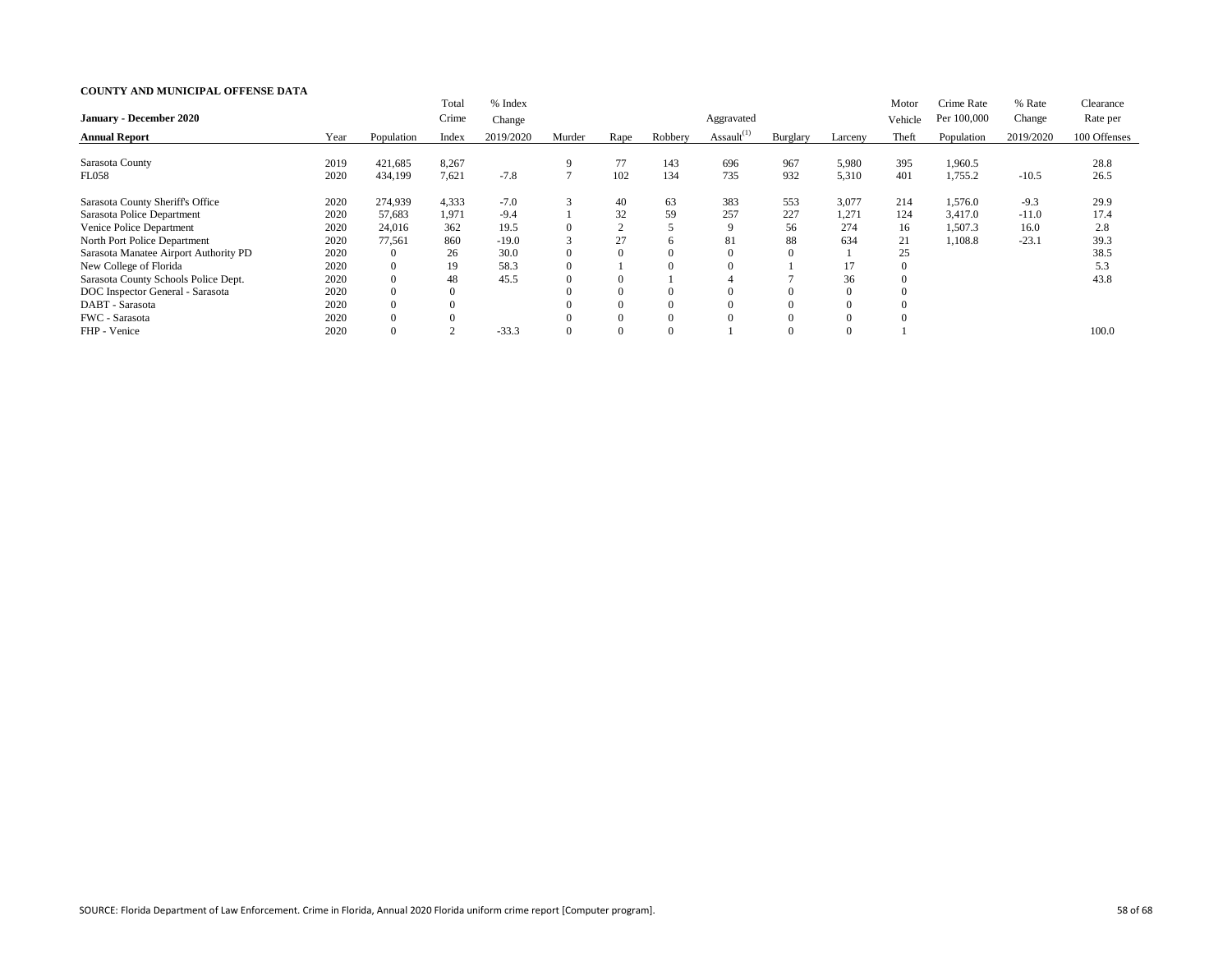|                                       |      |                | Total    | % Index   |              |             |         |                  |          |          | Motor          | Crime Rate  | % Rate    | Clearance    |
|---------------------------------------|------|----------------|----------|-----------|--------------|-------------|---------|------------------|----------|----------|----------------|-------------|-----------|--------------|
| <b>January - December 2020</b>        |      |                | Crime    | Change    |              |             |         | Aggravated       |          |          | Vehicle        | Per 100,000 | Change    | Rate per     |
| <b>Annual Report</b>                  | Year | Population     | Index    | 2019/2020 | Murder       | Rape        | Robbery | Assault $^{(1)}$ | Burglary | Larceny  | Theft          | Population  | 2019/2020 | 100 Offenses |
|                                       |      |                |          |           |              |             |         |                  |          |          |                |             |           |              |
| Sarasota County                       | 2019 | 421,685        | 8,267    |           | 9            | 77          | 143     | 696              | 967      | 5,980    | 395            | 1,960.5     |           | 28.8         |
| <b>FL058</b>                          | 2020 | 434,199        | 7,621    | $-7.8$    | $\mathbf{r}$ | 102         | 134     | 735              | 932      | 5,310    | 401            | 1,755.2     | $-10.5$   | 26.5         |
| Sarasota County Sheriff's Office      | 2020 | 274,939        | 4,333    | $-7.0$    | 3            | 40          | 63      | 383              | 553      | 3,077    | 214            | 1,576.0     | $-9.3$    | 29.9         |
| Sarasota Police Department            | 2020 | 57,683         | 1,971    | $-9.4$    |              | 32          | 59      | 257              | 227      | 1,271    | 124            | 3,417.0     | $-11.0$   | 17.4         |
| Venice Police Department              | 2020 | 24,016         | 362      | 19.5      | $\Omega$     | $\sim$<br>∠ |         |                  | 56       | 274      | 16             | 1,507.3     | 16.0      | 2.8          |
| North Port Police Department          | 2020 | 77,561         | 860      | $-19.0$   | 3            | 27          | h.      | 81               | 88       | 634      | 21             | 1,108.8     | $-23.1$   | 39.3         |
| Sarasota Manatee Airport Authority PD | 2020 | $\overline{0}$ | 26       | 30.0      | $\Omega$     |             |         |                  |          |          | 25             |             |           | 38.5         |
| New College of Florida                | 2020 | $\overline{0}$ | 19       | 58.3      | $\Omega$     |             |         |                  |          | 17       | $\overline{0}$ |             |           | 5.3          |
| Sarasota County Schools Police Dept.  | 2020 | $\overline{0}$ | 48       | 45.5      | $\Omega$     |             |         |                  |          | 36       | $\overline{0}$ |             |           | 43.8         |
| DOC Inspector General - Sarasota      | 2020 | $\overline{0}$ | $\theta$ |           |              |             |         |                  |          | $\Omega$ | $\Omega$       |             |           |              |
| DABT - Sarasota                       | 2020 | $\overline{0}$ |          |           |              |             |         |                  |          | $\Omega$ | $\Omega$       |             |           |              |
| FWC - Sarasota                        | 2020 |                |          |           |              |             |         |                  |          | $\Omega$ | $\Omega$       |             |           |              |
| FHP - Venice                          | 2020 |                |          | $-33.3$   | $\Omega$     |             |         |                  |          | $\Omega$ |                |             |           | 100.0        |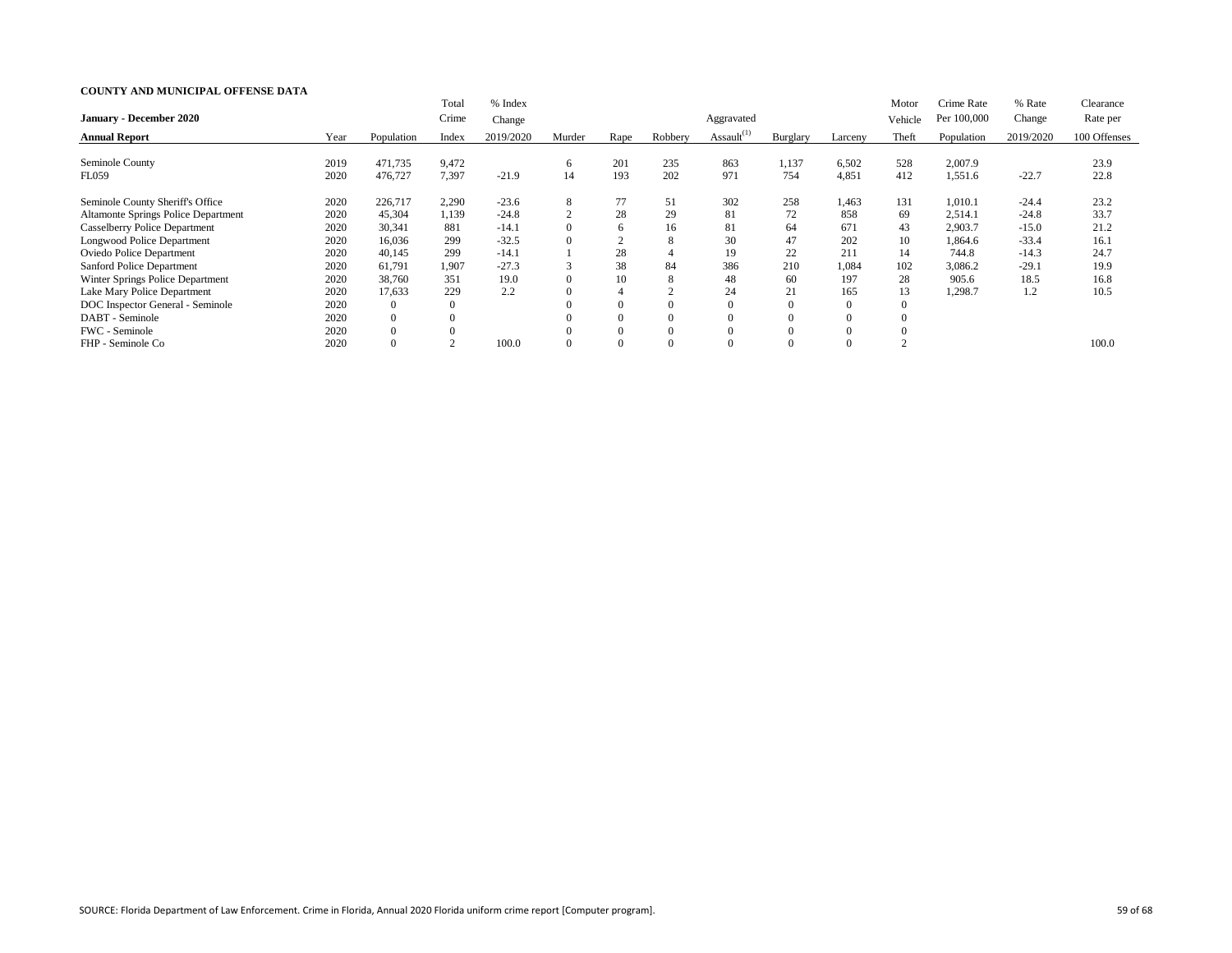|                                            |      |            | Total          | % Index   |                |                |         |                  |                |                | Motor   | Crime Rate  | % Rate    | Clearance    |
|--------------------------------------------|------|------------|----------------|-----------|----------------|----------------|---------|------------------|----------------|----------------|---------|-------------|-----------|--------------|
| <b>January - December 2020</b>             |      |            | Crime          | Change    |                |                |         | Aggravated       |                |                | Vehicle | Per 100,000 | Change    | Rate per     |
| <b>Annual Report</b>                       | Year | Population | Index          | 2019/2020 | Murder         | Rape           | Robbery | Assault $^{(1)}$ | Burglary       | Larceny        | Theft   | Population  | 2019/2020 | 100 Offenses |
|                                            |      |            |                |           |                |                |         |                  |                |                |         |             |           |              |
| Seminole County                            | 2019 | 471,735    | 9,472          |           | 6              | 201            | 235     | 863              | 1,137          | 6,502          | 528     | 2,007.9     |           | 23.9         |
| <b>FL059</b>                               | 2020 | 476,727    | 7,397          | $-21.9$   | 14             | 193            | 202     | 971              | 754            | 4,851          | 412     | 1,551.6     | $-22.7$   | 22.8         |
| Seminole County Sheriff's Office           | 2020 | 226,717    | 2,290          | $-23.6$   | 8              | 77             | 51      | 302              | 258            | 1,463          | 131     | 1,010.1     | $-24.4$   | 23.2         |
| <b>Altamonte Springs Police Department</b> | 2020 | 45,304     | 1,139          | $-24.8$   | $\overline{2}$ | 28             | 29      | 81               | 72             | 858            | 69      | 2,514.1     | $-24.8$   | 33.7         |
| <b>Casselberry Police Department</b>       | 2020 | 30,341     | 881            | $-14.1$   | $\Omega$       | 6              | 16      | 81               | 64             | 671            | 43      | 2,903.7     | $-15.0$   | 21.2         |
| Longwood Police Department                 | 2020 | 16,036     | 299            | $-32.5$   | $\Omega$       |                | 8       | 30               | 47             | 202            | 10      | ,864.6      | $-33.4$   | 16.1         |
| <b>Oviedo Police Department</b>            | 2020 | 40,145     | 299            | $-14.1$   |                | 28             |         | 19               | 22             | 211            | 14      | 744.8       | $-14.3$   | 24.7         |
| <b>Sanford Police Department</b>           | 2020 | 61,791     | 1,907          | $-27.3$   | 3              | 38             | 84      | 386              | 210            | 1,084          | 102     | 3,086.2     | $-29.1$   | 19.9         |
| Winter Springs Police Department           | 2020 | 38,760     | 351            | 19.0      | $\Omega$       | 10             | 8       | 48               | 60             | 197            | 28      | 905.6       | 18.5      | 16.8         |
| Lake Mary Police Department                | 2020 | 17,633     | 229            | 2.2       |                | 4              |         | 24               | 21             | 165            | 13      | 1,298.7     | 1.2       | 10.5         |
| DOC Inspector General - Seminole           | 2020 | $\Omega$   | $\overline{0}$ |           |                | $\overline{0}$ |         |                  | $\overline{0}$ | $\overline{0}$ |         |             |           |              |
| DABT - Seminole                            | 2020 | $\Omega$   | $\theta$       |           |                |                |         |                  |                | $\Omega$       |         |             |           |              |
| FWC - Seminole                             | 2020 | $\Omega$   |                |           |                |                |         |                  |                | $\Omega$       |         |             |           |              |
| FHP - Seminole Co                          | 2020 |            |                | 100.0     |                |                |         |                  |                |                |         |             |           | 100.0        |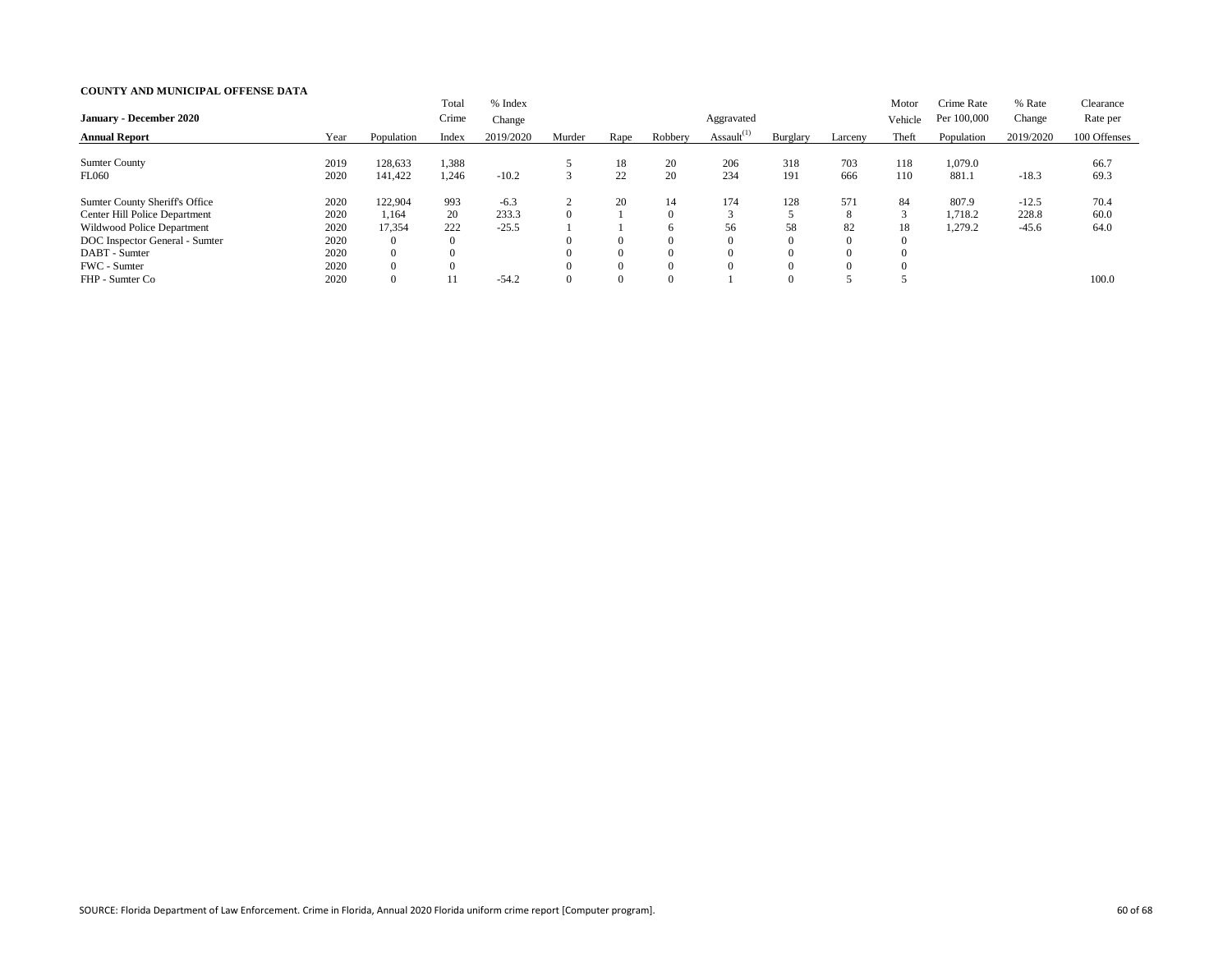| <b>January - December 2020</b>                                                                                                                                          |                                              |                                                                                  | Total<br>Crime                                   | % Index<br>Change          |        |                                              |                                                   | Aggravated       |                                                     |                                        | Motor<br>Vehicle          | Crime Rate<br>Per 100,000   | % Rate<br>Change            | Clearance<br>Rate per |
|-------------------------------------------------------------------------------------------------------------------------------------------------------------------------|----------------------------------------------|----------------------------------------------------------------------------------|--------------------------------------------------|----------------------------|--------|----------------------------------------------|---------------------------------------------------|------------------|-----------------------------------------------------|----------------------------------------|---------------------------|-----------------------------|-----------------------------|-----------------------|
| <b>Annual Report</b>                                                                                                                                                    | Year                                         | Population                                                                       | Index                                            | 2019/2020                  | Murder | Rape                                         | Robbery                                           | Assault $^{(1)}$ | Burglary                                            | Larceny                                | Theft                     | Population                  | 2019/2020                   | 100 Offenses          |
| <b>Sumter County</b><br><b>FL060</b>                                                                                                                                    | 2019<br>2020                                 | 128,633<br>141,422                                                               | 1,388<br>1,246                                   | $-10.2$                    |        | 18<br>22                                     | <b>20</b><br>20                                   | 206<br>234       | 318<br>191                                          | 703<br>666                             | 118<br>110                | 1,079.0<br>881.1            | $-18.3$                     | 66.7<br>69.3          |
| <b>Sumter County Sheriff's Office</b><br>Center Hill Police Department<br>Wildwood Police Department<br>DOC Inspector General - Sumter<br>DABT - Sumter<br>FWC - Sumter | 2020<br>2020<br>2020<br>2020<br>2020<br>2020 | 122,904<br>1,164<br>17,354<br>$\overline{0}$<br>$\overline{0}$<br>$\overline{0}$ | 993<br>20<br>222<br>$\boldsymbol{0}$<br>$\theta$ | $-6.3$<br>233.3<br>$-25.5$ |        | 20<br>$\Omega$<br>$\overline{0}$<br>$\theta$ | $\Omega$<br>h<br>$\Omega$<br>$\Omega$<br>$\Omega$ | 174<br>⌒<br>56   | 128<br>58<br>$\Omega$<br>$\overline{0}$<br>$\Omega$ | 571<br>8<br>82<br>$\Omega$<br>$\Omega$ | 84<br>$\mathcal{R}$<br>18 | 807.9<br>1,718.2<br>1,279.2 | $-12.5$<br>228.8<br>$-45.6$ | 70.4<br>60.0<br>64.0  |
| FHP - Sumter Co                                                                                                                                                         | 2020                                         | 0                                                                                |                                                  | $-54.2$                    |        | $\overline{0}$                               | $\Omega$                                          |                  | $\Omega$                                            |                                        |                           |                             |                             | 100.0                 |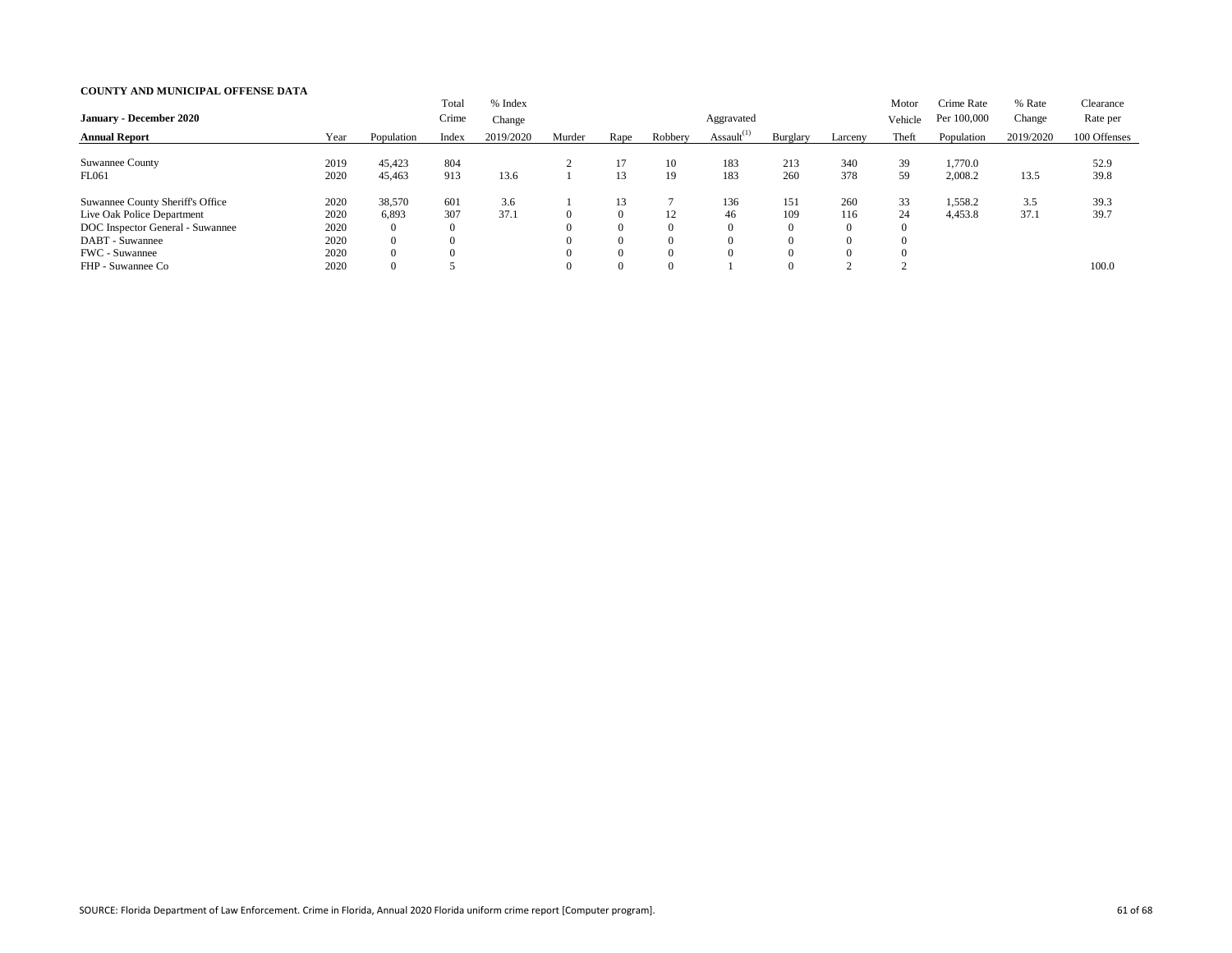| <b>January - December 2020</b>                                                                                                                                             |                                              |                                                                      | Total<br>Crime         | % Index<br>Change |        |                                                                      |                                                         | Aggravated       |                                                                  |                                                          | Motor<br>Vehicle   | Crime Rate<br>Per 100,000 | % Rate<br>Change | Clearance<br>Rate per |
|----------------------------------------------------------------------------------------------------------------------------------------------------------------------------|----------------------------------------------|----------------------------------------------------------------------|------------------------|-------------------|--------|----------------------------------------------------------------------|---------------------------------------------------------|------------------|------------------------------------------------------------------|----------------------------------------------------------|--------------------|---------------------------|------------------|-----------------------|
| <b>Annual Report</b>                                                                                                                                                       | Year                                         | Population                                                           | Index                  | 2019/2020         | Murder | Rape                                                                 | Robbery                                                 | Assault $^{(1)}$ | Burglary                                                         | Larceny                                                  | Theft              | Population                | 2019/2020        | 100 Offenses          |
| <b>Suwannee County</b><br>FL061                                                                                                                                            | 2019<br>2020                                 | 45,423<br>45,463                                                     | 804<br>913             | 13.6              |        | 17<br>13                                                             | 19                                                      | 183<br>183       | 213<br>260                                                       | 340<br>378                                               | 39<br>59           | 1,770.0<br>2,008.2        | 13.5             | 52.9<br>39.8          |
| <b>Suwannee County Sheriff's Office</b><br>Live Oak Police Department<br>DOC Inspector General - Suwannee<br>DABT - Suwannee<br><b>FWC</b> - Suwannee<br>FHP - Suwannee Co | 2020<br>2020<br>2020<br>2020<br>2020<br>2020 | 38,570<br>6,893<br>0<br>$\overline{0}$<br>$\theta$<br>$\overline{0}$ | 601<br>307<br>$\theta$ | 3.6<br>37.1       |        | 13<br>$\Omega$<br>$\theta$<br>$\theta$<br>$\theta$<br>$\overline{0}$ | $\perp$<br>$\Omega$<br>$\Omega$<br>$\Omega$<br>$\Omega$ | 136<br>46        | 151<br>109<br>$\overline{0}$<br>$\Omega$<br>$\Omega$<br>$\Omega$ | 260<br>116<br>$\theta$<br>$\Omega$<br>$\Omega$<br>$\sim$ | 33<br>24<br>$\sim$ | 1,558.2<br>4,453.8        | 3.5<br>37.1      | 39.3<br>39.7<br>100.0 |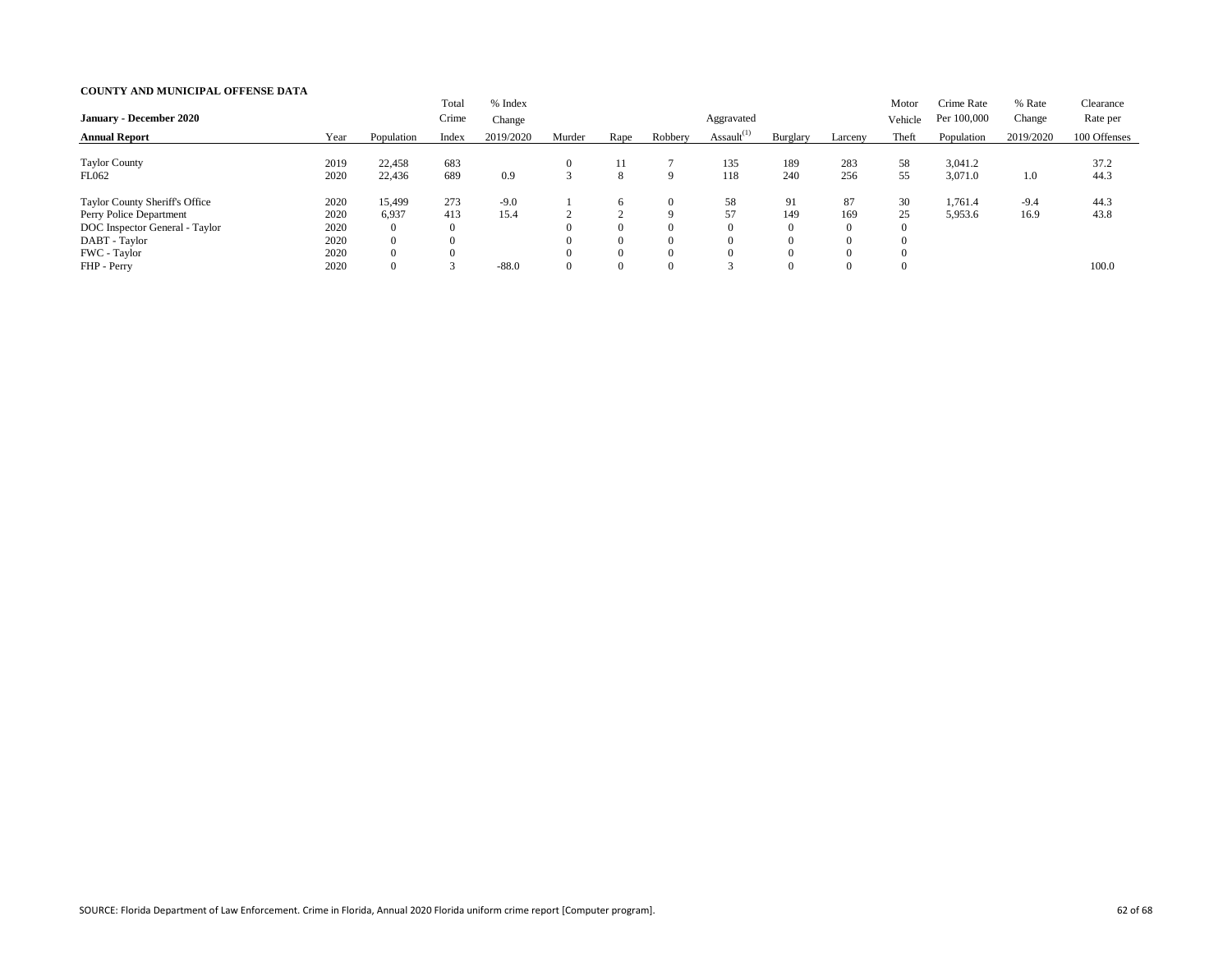| <b>January - December 2020</b>                                                                                               |                                      |                                                                       | Total<br>Crime                 | % Index<br>Change |        |                                             |                                                   | Aggravated       |                                                     |                                   | Motor<br>Vehicle | Crime Rate<br>Per 100,000 | % Rate<br>Change | Clearance<br>Rate per |
|------------------------------------------------------------------------------------------------------------------------------|--------------------------------------|-----------------------------------------------------------------------|--------------------------------|-------------------|--------|---------------------------------------------|---------------------------------------------------|------------------|-----------------------------------------------------|-----------------------------------|------------------|---------------------------|------------------|-----------------------|
| <b>Annual Report</b>                                                                                                         | Year                                 | Population                                                            | Index                          | 2019/2020         | Murder | Rape                                        | Robbery                                           | Assault $^{(1)}$ | Burglary                                            | Larceny                           | Theft            | Population                | 2019/2020        | 100 Offenses          |
| <b>Taylor County</b><br>FL062                                                                                                | 2019<br>2020                         | 22,458<br>22,436                                                      | 683<br>689                     | 0.9               |        | 11<br>8                                     | <b>Q</b>                                          | 135<br>118       | 189<br>240                                          | 283<br>256                        | 58<br>55         | 3,041.2<br>3,071.0        | 1.0              | 37.2<br>44.3          |
| Taylor County Sheriff's Office<br>Perry Police Department<br>DOC Inspector General - Taylor<br>DABT - Taylor<br>FWC - Taylor | 2020<br>2020<br>2020<br>2020<br>2020 | 15,499<br>6,937<br>$\overline{0}$<br>$\overline{0}$<br>$\overline{0}$ | 273<br>413<br>$\boldsymbol{0}$ | $-9.0$<br>15.4    |        | 6<br>$\overline{0}$<br>$\theta$<br>$\theta$ | $\Omega$<br>Q<br>$\Omega$<br>$\Omega$<br>$\Omega$ | 58<br>57         | 91<br>149<br>$\overline{0}$<br>$\Omega$<br>$\Omega$ | 87<br>169<br>$\theta$<br>$\Omega$ | 30<br>25         | ,761.4<br>5,953.6         | $-9.4$<br>16.9   | 44.3<br>43.8          |
| FHP - Perry                                                                                                                  | 2020                                 | $\overline{0}$                                                        |                                | $-88.0$           |        | $\overline{0}$                              | $\Omega$                                          | $\sim$           | $\Omega$                                            | $\Omega$                          |                  |                           |                  | 100.0                 |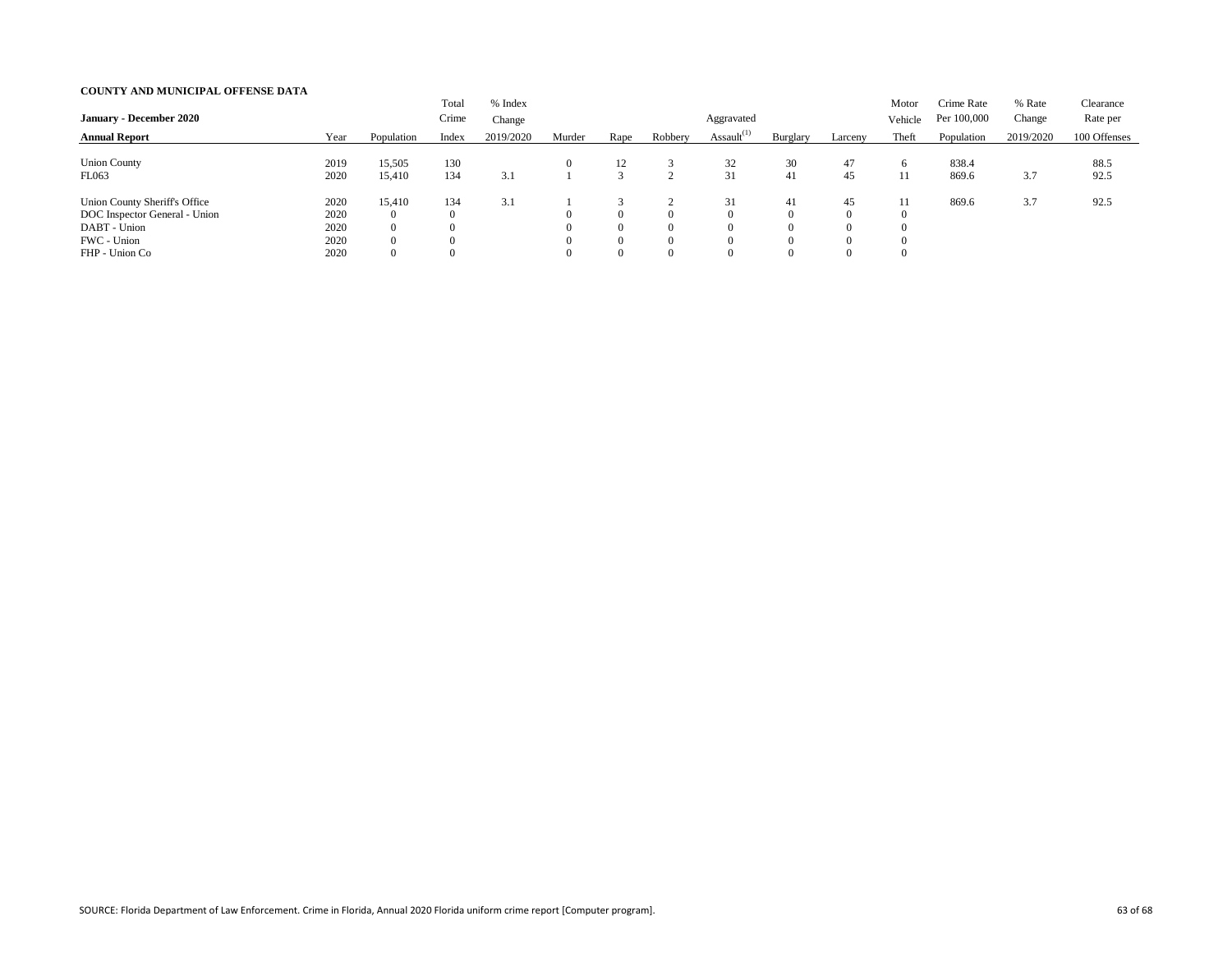|                                |      |                | Total          | % Index   |        |                |          |                  |                |          | Motor    | Crime Rate  | % Rate    | Clearance    |
|--------------------------------|------|----------------|----------------|-----------|--------|----------------|----------|------------------|----------------|----------|----------|-------------|-----------|--------------|
| <b>January - December 2020</b> |      |                | Crime          | Change    |        |                |          | Aggravated       |                |          | Vehicle  | Per 100,000 | Change    | Rate per     |
| <b>Annual Report</b>           | Year | Population     | Index          | 2019/2020 | Murder | Rape           | Robbery  | Assault $^{(1)}$ | Burglary       | Larceny  | Theft    | Population  | 2019/2020 | 100 Offenses |
| <b>Union County</b>            | 2019 | 15,505         | 130            |           |        | 12             |          | 32               | 30             | 47       | 6.       | 838.4       |           | 88.5         |
| <b>FL063</b>                   | 2020 | 15,410         | 134            | 3.1       |        |                |          | 31               | 41             | 45       | 11       | 869.6       | 3.7       | 92.5         |
| Union County Sheriff's Office  | 2020 | 15,410         | 134            | 3.1       |        |                |          | 31               | 41             | 45       | 11       | 869.6       | 3.7       | 92.5         |
| DOC Inspector General - Union  | 2020 | $\overline{0}$ | $\overline{0}$ |           |        | $\Omega$       | $\Omega$ | 0                | $\overline{0}$ | $\theta$ | $\Omega$ |             |           |              |
| DABT - Union                   | 2020 | $\overline{0}$ |                |           |        | $\theta$       | $\Omega$ | 0                | $\overline{0}$ |          |          |             |           |              |
| FWC - Union                    | 2020 | $\overline{0}$ |                |           |        | $\overline{0}$ | $\Omega$ |                  | $\overline{0}$ | $\theta$ |          |             |           |              |
| FHP - Union Co                 | 2020 | $\overline{0}$ |                |           |        | $\overline{0}$ | $\Omega$ |                  | $\overline{0}$ | $\theta$ |          |             |           |              |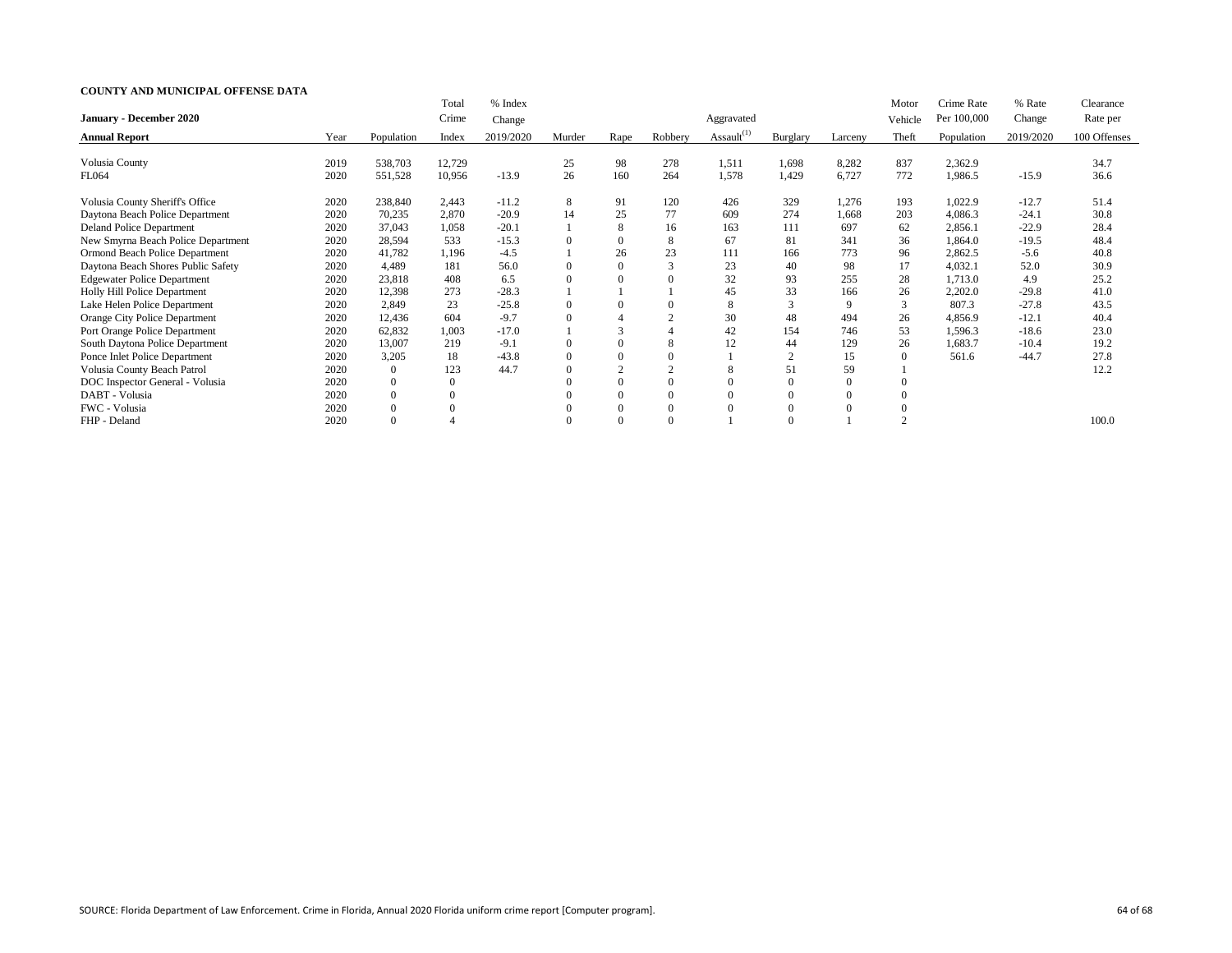|                                      |      |                | Total  | % Index   |        |                |          |                  |                 |         | Motor   | Crime Rate  | % Rate    | Clearance    |
|--------------------------------------|------|----------------|--------|-----------|--------|----------------|----------|------------------|-----------------|---------|---------|-------------|-----------|--------------|
| <b>January - December 2020</b>       |      |                | Crime  | Change    |        |                |          | Aggravated       |                 |         | Vehicle | Per 100,000 | Change    | Rate per     |
| <b>Annual Report</b>                 | Year | Population     | Index  | 2019/2020 | Murder | Rape           | Robbery  | Assault $^{(1)}$ | <b>Burglary</b> | Larceny | Theft   | Population  | 2019/2020 | 100 Offenses |
| Volusia County                       | 2019 | 538,703        | 12,729 |           | 25     | 98             | 278      | 1,511            | 1,698           | 8,282   | 837     | 2,362.9     |           | 34.7         |
| FL064                                | 2020 | 551,528        | 10,956 | $-13.9$   | 26     | 160            | 264      | 1,578            | 1,429           | 6,727   | 772     | 1,986.5     | $-15.9$   | 36.6         |
| Volusia County Sheriff's Office      | 2020 | 238,840        | 2,443  | $-11.2$   | 8      | 91             | 120      | 426              | 329             | 1,276   | 193     | 1,022.9     | $-12.7$   | 51.4         |
| Daytona Beach Police Department      | 2020 | 70,235         | 2,870  | $-20.9$   | 14     | 25             | 77       | 609              | 274             | 1,668   | 203     | 4,086.3     | $-24.1$   | 30.8         |
| <b>Deland Police Department</b>      | 2020 | 37,043         | 1,058  | $-20.1$   |        | 8              | 16       | 163              | 111             | 697     | 62      | 2,856.1     | $-22.9$   | 28.4         |
| New Smyrna Beach Police Department   | 2020 | 28,594         | 533    | $-15.3$   |        | $\theta$       | 8        | 67               | 81              | 341     | 36      | 1,864.0     | $-19.5$   | 48.4         |
| Ormond Beach Police Department       | 2020 | 41,782         | 1,196  | $-4.5$    |        | 26             | 23       | 111              | 166             | 773     | 96      | 2,862.5     | $-5.6$    | 40.8         |
| Daytona Beach Shores Public Safety   | 2020 | 4,489          | 181    | 56.0      |        | $\overline{0}$ |          | 23               | 40              | 98      | 17      | 4,032.1     | 52.0      | 30.9         |
| <b>Edgewater Police Department</b>   | 2020 | 23,818         | 408    | 6.5       |        | $\Omega$       |          | 32               | 93              | 255     | 28      | 1,713.0     | 4.9       | 25.2         |
| Holly Hill Police Department         | 2020 | 12,398         | 273    | $-28.3$   |        |                |          | 45               | 33              | 166     | 26      | 2,202.0     | $-29.8$   | 41.0         |
| Lake Helen Police Department         | 2020 | 2,849          | 23     | $-25.8$   |        |                |          | 8                | 3               | 9       | 3       | 807.3       | $-27.8$   | 43.5         |
| <b>Orange City Police Department</b> | 2020 | 12,436         | 604    | $-9.7$    |        |                |          | 30               | 48              | 494     | 26      | 4,856.9     | $-12.1$   | 40.4         |
| Port Orange Police Department        | 2020 | 62,832         | 1,003  | $-17.0$   |        |                |          | 42               | 154             | 746     | 53      | 1,596.3     | $-18.6$   | 23.0         |
| South Daytona Police Department      | 2020 | 13,007         | 219    | $-9.1$    |        |                | 8        | 12               | 44              | 129     | 26      | .683.7      | $-10.4$   | 19.2         |
| Ponce Inlet Police Department        | 2020 | 3,205          | 18     | $-43.8$   |        |                |          |                  |                 | 15      |         | 561.6       | $-44.7$   | 27.8         |
| Volusia County Beach Patrol          | 2020 | $\mathbf{0}$   | 123    | 44.7      |        |                |          | 8                | 51              | 59      |         |             |           | 12.2         |
| DOC Inspector General - Volusia      | 2020 | $\overline{0}$ |        |           |        | $\Omega$       |          |                  | $\overline{0}$  |         |         |             |           |              |
| DABT - Volusia                       | 2020 | $\overline{0}$ |        |           |        | $\theta$       | $\Omega$ |                  | $\overline{0}$  |         |         |             |           |              |
| FWC - Volusia                        | 2020 | $\Omega$       |        |           |        | $\theta$       |          |                  |                 |         |         |             |           |              |
| FHP - Deland                         | 2020 | $\Omega$       |        |           |        | $\Omega$       |          |                  |                 |         |         |             |           | 100.0        |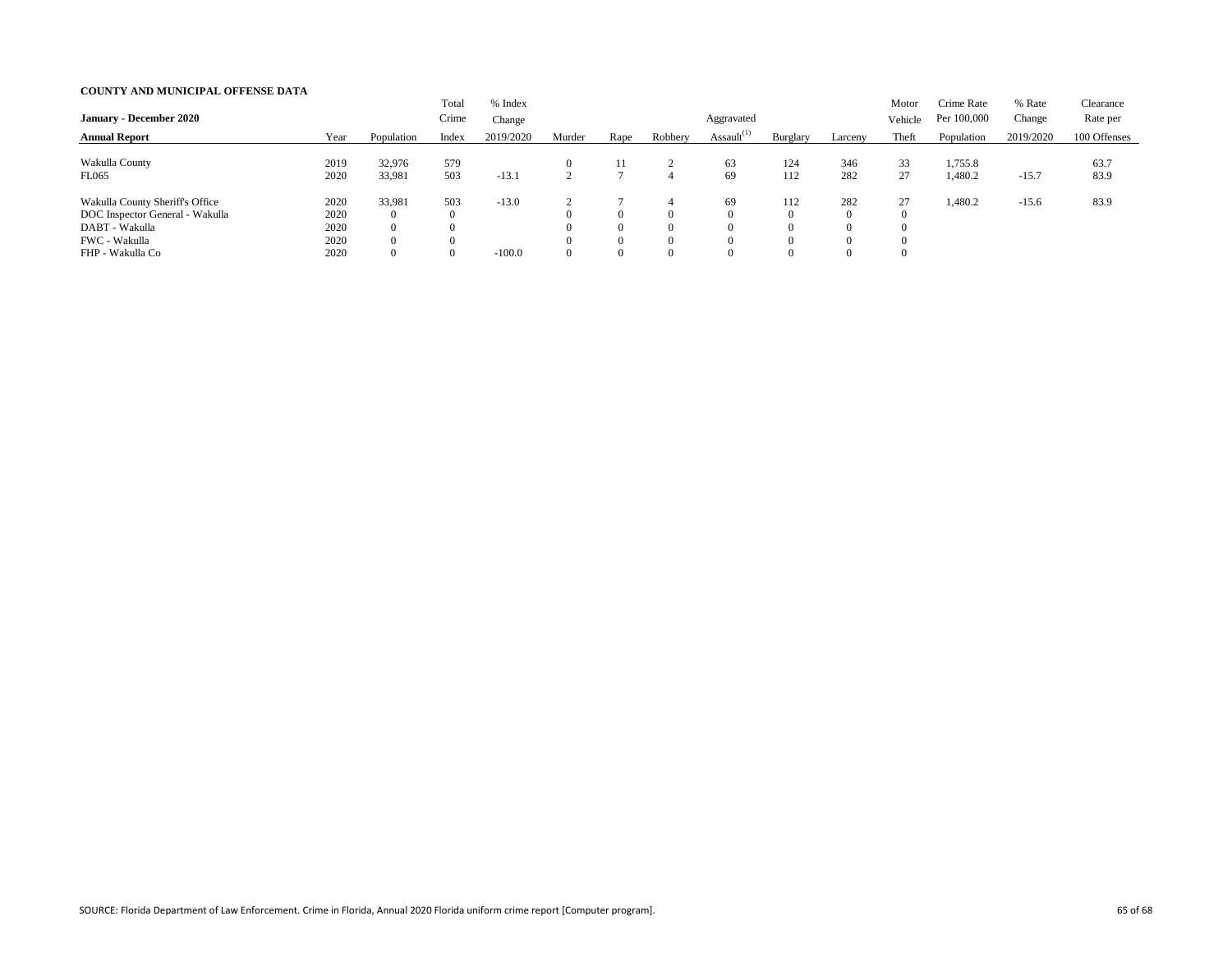|                                 |      |                | Total    | % Index   |           |                |                |                  |                |          | Motor   | Crime Rate  | % Rate    | Clearance    |
|---------------------------------|------|----------------|----------|-----------|-----------|----------------|----------------|------------------|----------------|----------|---------|-------------|-----------|--------------|
| <b>January - December 2020</b>  |      |                | Crime    | Change    |           |                |                | Aggravated       |                |          | Vehicle | Per 100,000 | Change    | Rate per     |
| <b>Annual Report</b>            | Year | Population     | Index    | 2019/2020 | Murder    | Rape           | Robbery        | Assault $^{(1)}$ | Burglary       | Larceny  | Theft   | Population  | 2019/2020 | 100 Offenses |
|                                 |      |                |          |           |           |                |                |                  |                |          |         |             |           |              |
| Wakulla County                  | 2019 | 32,976         | 579      |           |           | 11             |                | 63               | 124            | 346      | 33      | 1,755.8     |           | 63.7         |
| <b>FL065</b>                    | 2020 | 33,981         | 503      | $-13.1$   |           |                | 4              | 69               | 112            | 282      | 27      | 1,480.2     | $-15.7$   | 83.9         |
| Wakulla County Sheriff's Office | 2020 | 33,981         | 503      | $-13.0$   | $\bigcap$ |                | $\overline{4}$ | 69               | 112            | 282      | 27      | ,480.2      | $-15.6$   | 83.9         |
| DOC Inspector General - Wakulla | 2020 | $\overline{0}$ | $\Omega$ |           |           | 0              | $\left($       |                  | $\overline{0}$ | $\theta$ |         |             |           |              |
| DABT - Wakulla                  | 2020 | $\overline{0}$ | 0        |           |           | $\overline{0}$ | $\Omega$       |                  | $\Omega$       | $\Omega$ |         |             |           |              |
| FWC - Wakulla                   | 2020 | $\overline{0}$ |          |           |           | $\overline{0}$ | $\Omega$       |                  | $\Omega$       | $\Omega$ |         |             |           |              |
| FHP - Wakulla Co                | 2020 | $\overline{0}$ | $\theta$ | $-100.0$  |           | $\overline{0}$ | $\left($       |                  | 0              | $\Omega$ |         |             |           |              |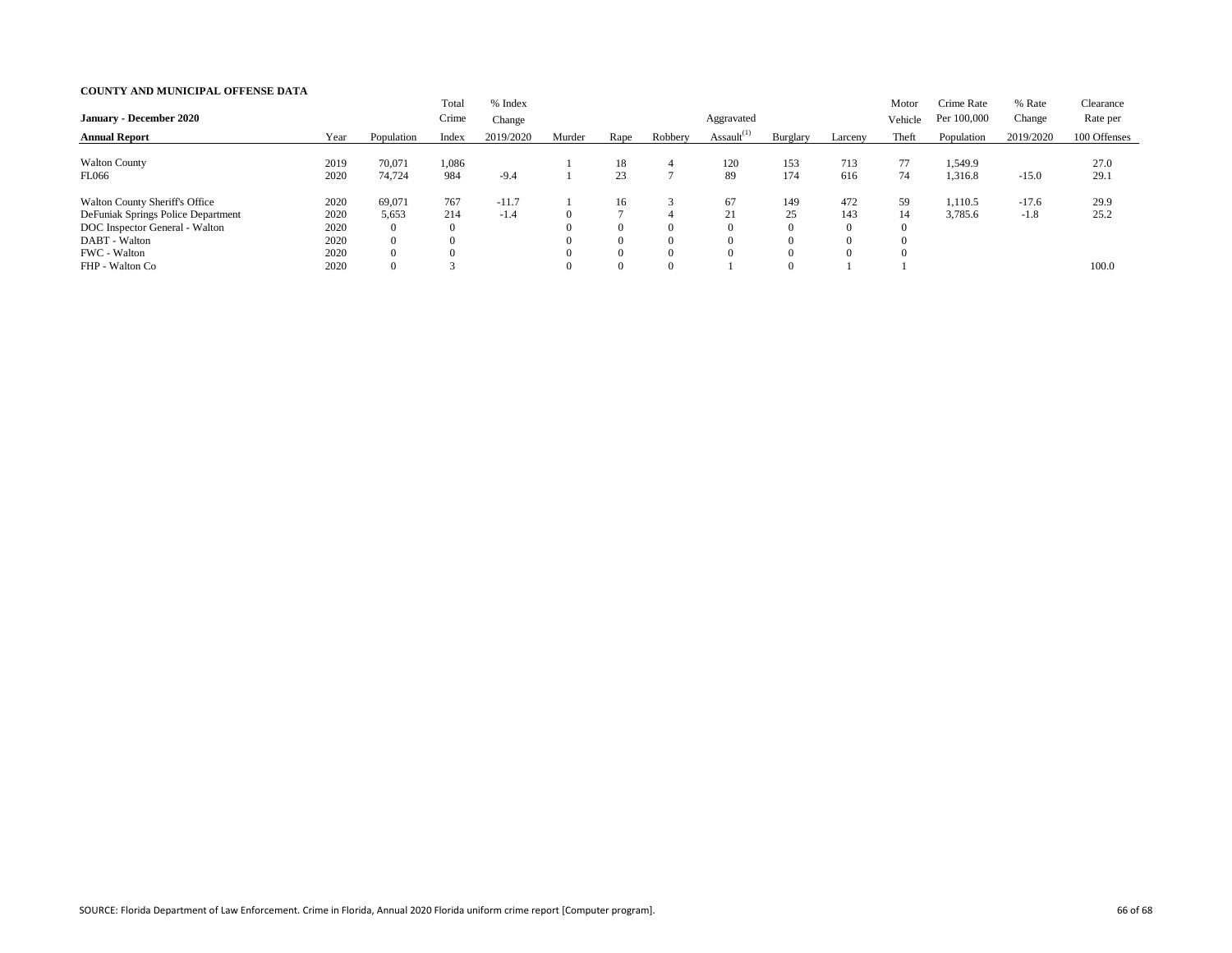| <b>January - December 2020</b>                                                                                                                 |                                      |                                                                 | Total<br>Crime                           | % Index<br>Change |                                              |                                              |                    | Aggravated       |                       |                                                | Motor<br>Vehicle | Crime Rate<br>Per 100,000 | % Rate<br>Change  | Clearance<br>Rate per |
|------------------------------------------------------------------------------------------------------------------------------------------------|--------------------------------------|-----------------------------------------------------------------|------------------------------------------|-------------------|----------------------------------------------|----------------------------------------------|--------------------|------------------|-----------------------|------------------------------------------------|------------------|---------------------------|-------------------|-----------------------|
| <b>Annual Report</b>                                                                                                                           | Year                                 | Population                                                      | Index                                    | 2019/2020         | Murder                                       | Rape                                         | Robbery            | Assault $^{(1)}$ | Burglary              | Larceny                                        | Theft            | Population                | 2019/2020         | 100 Offenses          |
| <b>Walton County</b><br><b>FL066</b>                                                                                                           | 2019<br>2020                         | 70,071<br>74,724                                                | 1,086<br>984                             | $-9.4$            |                                              | 18<br>23                                     | $\overline{4}$     | 120<br>89        | 153<br>174            | 713<br>616                                     | 77<br>74         | 1,549.9<br>1,316.8        | $-15.0$           | 27.0<br>29.1          |
| <b>Walton County Sheriff's Office</b><br>DeFuniak Springs Police Department<br>DOC Inspector General - Walton<br>DABT - Walton<br>FWC - Walton | 2020<br>2020<br>2020<br>2020<br>2020 | 69,071<br>5,653<br>$\overline{0}$<br>$\overline{0}$<br>$\Omega$ | 767<br>214<br>$\overline{0}$<br>$\Omega$ | $-11.7$<br>$-1.4$ | $\Omega$<br>$\Omega$<br>$\Omega$<br>$\Omega$ | 16<br>$\overline{0}$<br>$\Omega$<br>$\Omega$ | $\Omega$<br>0<br>0 | 67<br>21<br>∠⊥   | 149<br>25<br>$\Omega$ | 472<br>143<br>$\theta$<br>$\theta$<br>$\Omega$ | 59<br>14         | 1,110.5<br>3,785.6        | $-17.6$<br>$-1.8$ | 29.9<br>25.2          |
| FHP - Walton Co                                                                                                                                | 2020                                 | $\overline{0}$                                                  |                                          |                   | $\Omega$                                     | $\overline{0}$                               | $\Omega$           |                  | $\overline{0}$        |                                                |                  |                           |                   | 100.0                 |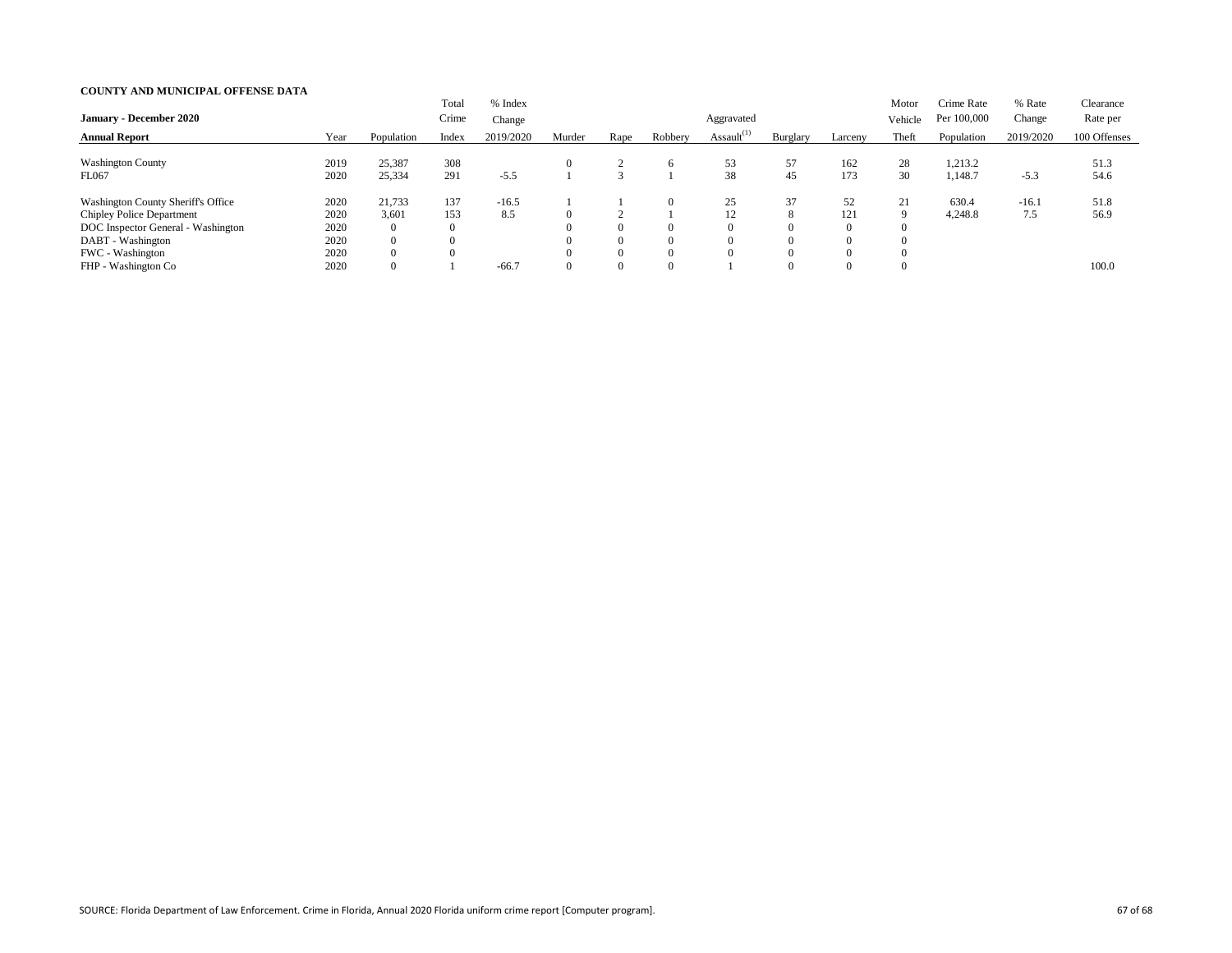| <b>January - December 2020</b>                                                                                                                               |                                      |                                                                 | Total<br>Crime         | % Index<br>Change |        |                                  |                                              | Aggravated       |                                             |                                               | Motor<br>Vehicle | Crime Rate<br>Per 100,000 | % Rate<br>Change | Clearance<br>Rate per |
|--------------------------------------------------------------------------------------------------------------------------------------------------------------|--------------------------------------|-----------------------------------------------------------------|------------------------|-------------------|--------|----------------------------------|----------------------------------------------|------------------|---------------------------------------------|-----------------------------------------------|------------------|---------------------------|------------------|-----------------------|
| <b>Annual Report</b>                                                                                                                                         | Year                                 | Population                                                      | Index                  | 2019/2020         | Murder | Rape                             | Robbery                                      | Assault $^{(1)}$ | Burglary                                    | Larceny                                       | Theft            | Population                | 2019/2020        | 100 Offenses          |
| <b>Washington County</b><br><b>FL067</b>                                                                                                                     | 2019<br>2020                         | 25,387<br>25,334                                                | 308<br>291             | $-5.5$            |        |                                  | <sub>n</sub>                                 | 53<br>38         | 57<br>45                                    | 162<br>173                                    | 28<br>30         | 1,213.2<br>1,148.7        | $-5.3$           | 51.3<br>54.6          |
| <b>Washington County Sheriff's Office</b><br><b>Chipley Police Department</b><br>DOC Inspector General - Washington<br>DABT - Washington<br>FWC - Washington | 2020<br>2020<br>2020<br>2020<br>2020 | 21,733<br>3,601<br>$\overline{0}$<br>$\overline{0}$<br>$\theta$ | 137<br>153<br>$\theta$ | $-16.5$<br>8.5    |        | $\theta$<br>$\theta$<br>$\theta$ | $\theta$<br>$\Omega$<br>$\Omega$<br>$\Omega$ | 25<br>12         | 37<br>8<br>$\Omega$<br>$\Omega$<br>$\Omega$ | 52<br>121<br>$\Omega$<br>$\Omega$<br>$\Omega$ | 21<br>9          | 630.4<br>4,248.8          | $-16.1$<br>7.5   | 51.8<br>56.9          |
| FHP - Washington Co                                                                                                                                          | 2020                                 | $\overline{0}$                                                  |                        | $-66.7$           |        | $\overline{0}$                   | $\Omega$                                     |                  | $\Omega$                                    |                                               |                  |                           |                  | 100.0                 |